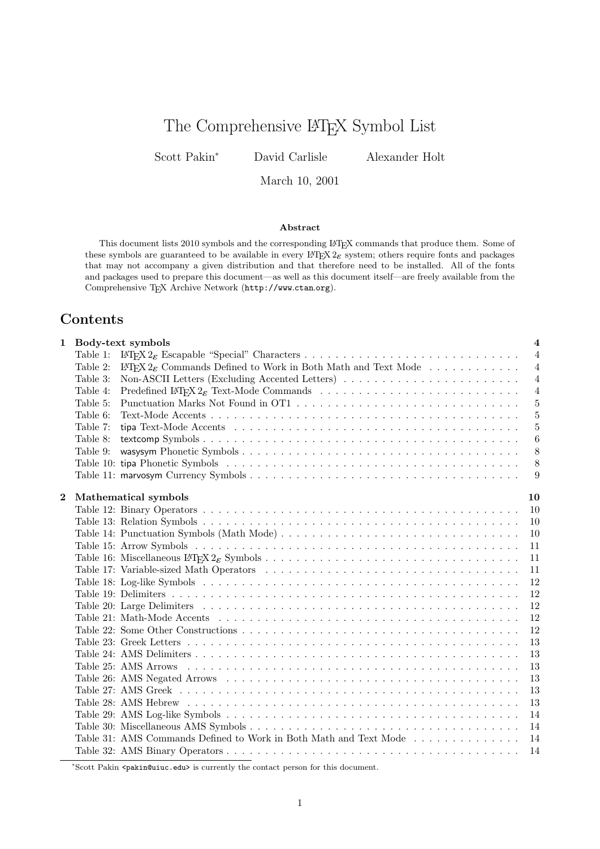# The Comprehensive LATEX Symbol List

Scott Pakin<sup>∗</sup> David Carlisle Alexander Holt

March 10, 2001

### Abstract

This document lists 2010 symbols and the corresponding LATEX commands that produce them. Some of these symbols are guaranteed to be available in every  $\text{LTEX } 2\varepsilon$  system; others require fonts and packages that may not accompany a given distribution and that therefore need to be installed. All of the fonts and packages used to prepare this document—as well as this document itself—are freely available from the Comprehensive TEX Archive Network (http://www.ctan.org).

### Contents

|          |          | 1 Body-text symbols                                                                 | $\overline{4}$ |
|----------|----------|-------------------------------------------------------------------------------------|----------------|
|          | Table 1: |                                                                                     | $\overline{4}$ |
|          | Table 2: | $\mathbb{F}$ FFX $2\varepsilon$ Commands Defined to Work in Both Math and Text Mode | $\overline{4}$ |
|          | Table 3: |                                                                                     | $\overline{4}$ |
|          | Table 4: |                                                                                     | $\overline{4}$ |
|          | Table 5: |                                                                                     | $\overline{5}$ |
|          | Table 6: |                                                                                     | $\overline{5}$ |
|          | Table 7: |                                                                                     | $\overline{5}$ |
|          | Table 8: |                                                                                     | 6              |
|          | Table 9: |                                                                                     | 8              |
|          |          |                                                                                     | 8              |
|          |          |                                                                                     | 9              |
| $\bf{2}$ |          | Mathematical symbols                                                                | 10             |
|          |          |                                                                                     | -10            |
|          |          |                                                                                     | <sup>10</sup>  |
|          |          |                                                                                     | 10             |
|          |          |                                                                                     | 11             |
|          |          |                                                                                     | 11             |
|          |          |                                                                                     | 11             |
|          |          |                                                                                     | 12             |
|          |          |                                                                                     | 12             |
|          |          |                                                                                     | 12             |
|          |          |                                                                                     | 12             |
|          |          |                                                                                     | 12             |
|          |          |                                                                                     | 13             |
|          |          |                                                                                     | 13             |
|          |          |                                                                                     | 13             |
|          |          |                                                                                     | 13             |
|          |          |                                                                                     | 13             |
|          |          |                                                                                     | 13             |
|          |          |                                                                                     | 14             |
|          |          |                                                                                     | 14             |
|          |          | Table 31: AMS Commands Defined to Work in Both Math and Text Mode                   | 14             |
|          |          |                                                                                     | 14             |

<sup>∗</sup>Scott Pakin <pakin@uiuc.edu> is currently the contact person for this document.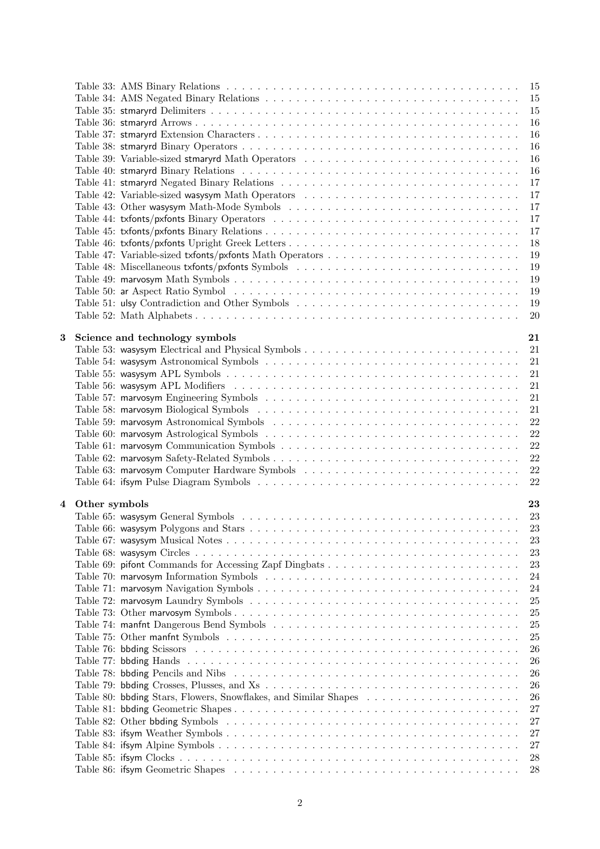|                         |               |                                                  | - 15 |
|-------------------------|---------------|--------------------------------------------------|------|
|                         |               |                                                  | 15   |
|                         |               |                                                  | 15   |
|                         |               |                                                  | 16   |
|                         |               |                                                  | 16   |
|                         |               |                                                  | 16   |
|                         |               | Table 39: Variable-sized stmaryrd Math Operators | 16   |
|                         |               |                                                  | 16   |
|                         |               |                                                  | 17   |
|                         |               | Table 42: Variable-sized was ysym Math Operators | 17   |
|                         |               |                                                  | 17   |
|                         |               |                                                  | 17   |
|                         |               |                                                  | 17   |
|                         |               |                                                  | 18   |
|                         |               |                                                  | 19   |
|                         |               |                                                  | 19   |
|                         |               |                                                  |      |
|                         |               |                                                  | 19   |
|                         |               |                                                  | 19   |
|                         |               |                                                  | 19   |
|                         |               |                                                  | 20   |
| 3                       |               |                                                  | 21   |
|                         |               | Science and technology symbols                   |      |
|                         |               |                                                  | -21  |
|                         |               |                                                  | 21   |
|                         |               |                                                  | 21   |
|                         |               |                                                  | 21   |
|                         |               |                                                  | 21   |
|                         |               |                                                  | 21   |
|                         |               |                                                  | 22   |
|                         |               |                                                  | 22   |
|                         |               |                                                  | 22   |
|                         |               |                                                  | 22   |
|                         |               |                                                  | 22   |
|                         |               |                                                  | 22   |
|                         |               |                                                  |      |
| $\overline{\mathbf{4}}$ | Other symbols |                                                  | 23   |
|                         |               |                                                  |      |
|                         |               |                                                  | 23   |
|                         |               |                                                  | 23   |
|                         |               |                                                  | 23   |
|                         |               |                                                  | 23   |
|                         |               |                                                  | 24   |
|                         |               |                                                  | 24   |
|                         |               |                                                  | 25   |
|                         |               |                                                  | 25   |
|                         |               |                                                  | 25   |
|                         |               |                                                  | 25   |
|                         |               |                                                  | 26   |
|                         |               |                                                  | 26   |
|                         |               |                                                  | 26   |
|                         |               |                                                  | 26   |
|                         |               |                                                  | 26   |
|                         |               |                                                  | 27   |
|                         |               |                                                  | 27   |
|                         |               |                                                  | 27   |
|                         |               |                                                  | 27   |
|                         |               |                                                  | 28   |
|                         |               |                                                  | 28   |
|                         |               |                                                  |      |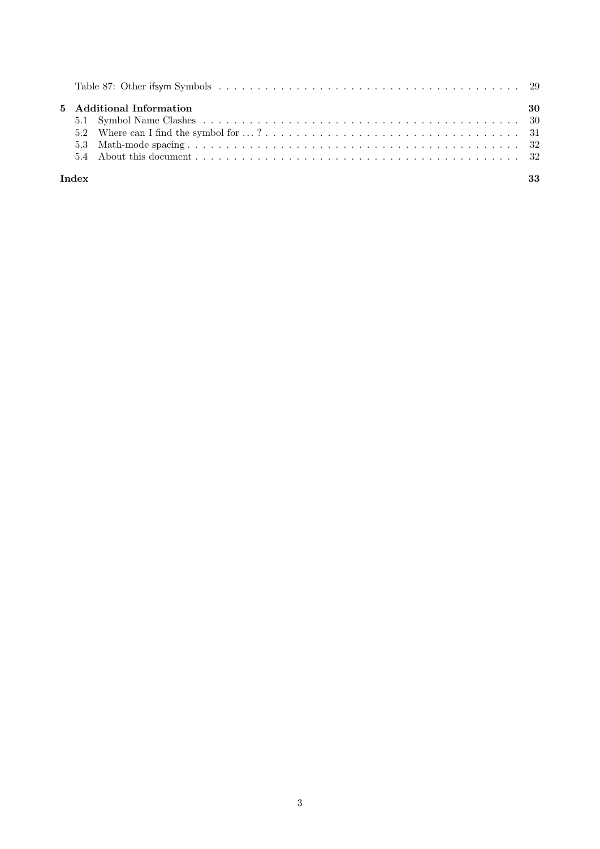|  | 5 Additional Information | -30 |
|--|--------------------------|-----|
|  |                          |     |
|  |                          |     |
|  |                          |     |
|  |                          |     |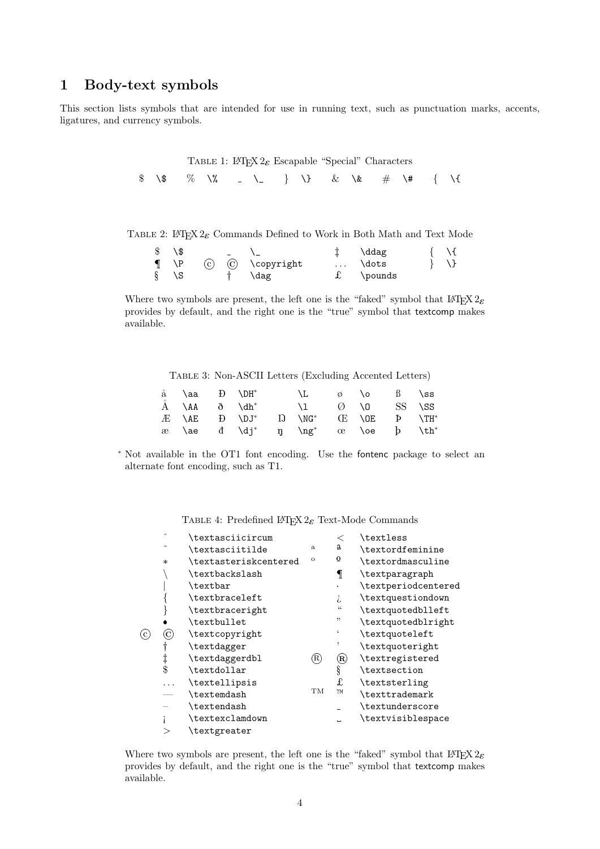# 1 Body-text symbols

This section lists symbols that are intended for use in running text, such as punctuation marks, accents, ligatures, and currency symbols.

> TABLE 1: LATEX  $2\varepsilon$  Escapable "Special" Characters \$ \\$ % \% \\_ } \} & \& # \# { \{

TABLE 2: LATEX  $2\varepsilon$  Commands Defined to Work in Both Math and Text Mode

| $\$\ \setminus\$ |  |                                | $\downarrow$ \ddag |  |
|------------------|--|--------------------------------|--------------------|--|
|                  |  | $\P$ \P $(C)$ $(C)$ \copyright | $\ldots$ \dots     |  |
| $\S \ S$         |  | † \dag                         | $f \pmod{s}$       |  |

Where two symbols are present, the left one is the "faked" symbol that  $\angle EFRZ_2$ provides by default, and the right one is the "true" symbol that textcomp makes available.

Table 3: Non-ASCII Letters (Excluding Accented Letters)

| $a \text{ } ba \text{ } D \text{ } DB^*$                                                                                             |  |  |  | $\backslash L$ $\emptyset$ $\backslash o$ $\emptyset$ $\backslash$ ss |  |
|--------------------------------------------------------------------------------------------------------------------------------------|--|--|--|-----------------------------------------------------------------------|--|
| $\AA$ $\AA$ $\eth$ $\eth$ $\Delta$                                                                                                   |  |  |  | $\setminus 1$ $\emptyset$ $\setminus 0$ SS $\setminus$ SS             |  |
| $E$ $\setminus$ AE $E$ $\setminus$ DJ <sup>*</sup> I) $\setminus$ NG <sup>*</sup> $E$ $\setminus$ OE $P$ $\setminus$ TH <sup>*</sup> |  |  |  |                                                                       |  |
| $x$ \ae d \dj* n \ng* $x$ \oe $y$ \th*                                                                                               |  |  |  |                                                                       |  |

<sup>∗</sup> Not available in the OT1 font encoding. Use the fontenc package to select an alternate font encoding, such as T1.

TABLE 4: Predefined  $\mathbb{P}\mathbb{E} \times 2_{\mathcal{E}}$  Text-Mode Commands

|              | \textasciicircum      |         | $\,<\,$        | \textless           |
|--------------|-----------------------|---------|----------------|---------------------|
|              | \textasciitilde       | a       | $\mathbf a$    | \textordfeminine    |
| $\ast$       | \textasteriskcentered | $\circ$ | $\Omega$       | \textordmasculine   |
|              | \textbackslash        |         | ſ              | \textparagraph      |
|              | \textbar              |         |                | \textperiodcentered |
|              | \textbraceleft        |         | i,             | \textquestiondown   |
|              | \textbraceright       |         | 44             | \textquotedblleft   |
|              | \textbullet           |         | "              | \textquotedblright  |
| $_{\rm (C)}$ | \textcopyright        |         |                | \textquoteleft      |
|              | \textdagger           |         |                | \textquoteright     |
| $\ddagger$   | \textdaggerdbl        | (R)     | $^{\circledR}$ | \textregistered     |
| \$           | \textdollar           |         | ş              | \textsection        |
|              | \textellipsis         |         | f.             | \textsterling       |
|              | \textemdash           | TM      | <b>TM</b>      | \texttrademark      |
|              | \textendash           |         |                | \textunderscore     |
|              | \textexclamdown       |         | Ē.             | \textvisiblespace   |
|              | \textgreater          |         |                |                     |
|              | $\sim$                |         |                |                     |

Where two symbols are present, the left one is the "faked" symbol that  $LATEX2_{\mathcal{E}}$ provides by default, and the right one is the "true" symbol that textcomp makes available.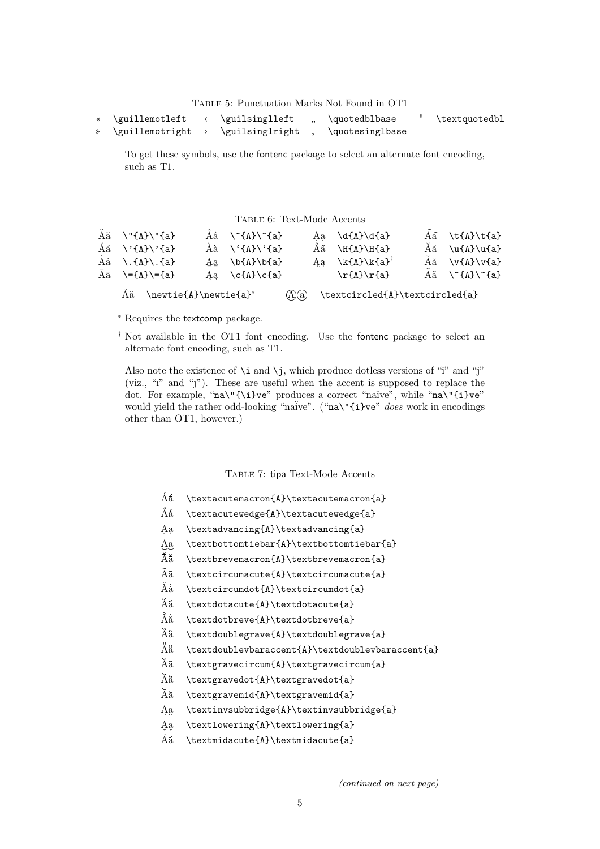Table 5: Punctuation Marks Not Found in OT1

| \guillemotleft  | \guilsinglleft  | \quotedblbase   | \textquotedbl |
|-----------------|-----------------|-----------------|---------------|
| \guillemotright | \guilsinglright | \quotesinglbase |               |

To get these symbols, use the fontenc package to select an alternate font encoding, such as T1.

Table 6: Text-Mode Accents

| $\ddot{A} \ddot{a} \quad \text{``{A}}\text{``{a}}$       | $\hat{A}$ $\hat{a}$ $\hat{A}$ $\hat{A}$ | Aa $\d{A}\d{a}$                         | $\hat{A}$ \t{A}\t{a}                      |
|----------------------------------------------------------|-----------------------------------------|-----------------------------------------|-------------------------------------------|
| $\text{Aá} \quad \text{A} \cdot \text{A} \cdot \text{A}$ | $A$ à $\{A\}$ $\{A\}$                   | $\AA$ $\H$ {A}\H{a}                     | $\tilde{A}$ \u{A}\u{a}                    |
| Aa $\Lambda$ . {A}\. {a}                                 | Aa $\b{A}\b{A}$                         | Aa \k{A}\k{a} <sup>†</sup>              | $A$ ă \v{A}\v{a}                          |
| $\bar{A}$ $\bar{a}$ \={A}\={a}                           | Aa $\c{A}\c{A}$                         | $\r{A}\r{a}$                            | $A\tilde{a} \quad \text{'(A)}\text{'(a)}$ |
| $\hat{A}$ \newtie{A}\newtie{a}*                          |                                         | $(A)(a)$ \textcircled{A}\textcircled{a} |                                           |

<sup>∗</sup> Requires the textcomp package.

† Not available in the OT1 font encoding. Use the fontenc package to select an alternate font encoding, such as T1.

Also note the existence of  $\iota$  and  $\iota$ j, which produce dotless versions of "i" and "j" (viz., " $i$ " and " $j$ "). These are useful when the accent is supposed to replace the dot. For example, "na\"{\i}ve" produces a correct "naïve", while "na\"{i}ve" would yield the rather odd-looking "naïve". ("na\"{i}ve" does work in encodings other than OT1, however.)

Table 7: tipa Text-Mode Accents

- $\tilde{A}$  \textacutemacron{A}\textacutemacron{a}
- $\AA$   $\AA$   $\text{cutewedge}\AA$
- A a \textadvancing{A}\textadvancing{a}
- $\underbrace{Aa}$ \textbottomtiebar{A}\textbottomtiebar{a}
- $\tilde{A}$  \textbrevemacron{A}\textbrevemacron{a}
- $\tilde{A}$  \textcircumacute{A}\textcircumacute{a}
- $\hat{\mathrm{A}} \hat{\mathrm{a}}$  \textcircumdot{a}\textcircumdot{a}
- $\tilde{A}$  \textdotacute{A}\textdotacute{a}
- $\rm \AA\AA$  \textdotbreve{A}\textdotbreve{a}
- $\ddot{A}$  \textdoublegrave{A}\textdoublegrave{a}
- $A^{\ddot{a}}$  \textdoublevbaraccent{A}\textdoublevbaraccent{a}
- $\tilde{A}$   $\text{gravecircum{A}}\text{gravecircum{a}}$
- $\ddot{A}$  \textgravedot{A}\textgravedot{a}
- $\tilde{A}$  \textgravemid{A}\textgravemid{a}
- Aa \textinvsubbridge{A}\textinvsubbridge{a}
- A a \textlowering{A}\textlowering{a}
- $\tilde{A}$  \textmidacute{A}\textmidacute{a}

(continued on next page)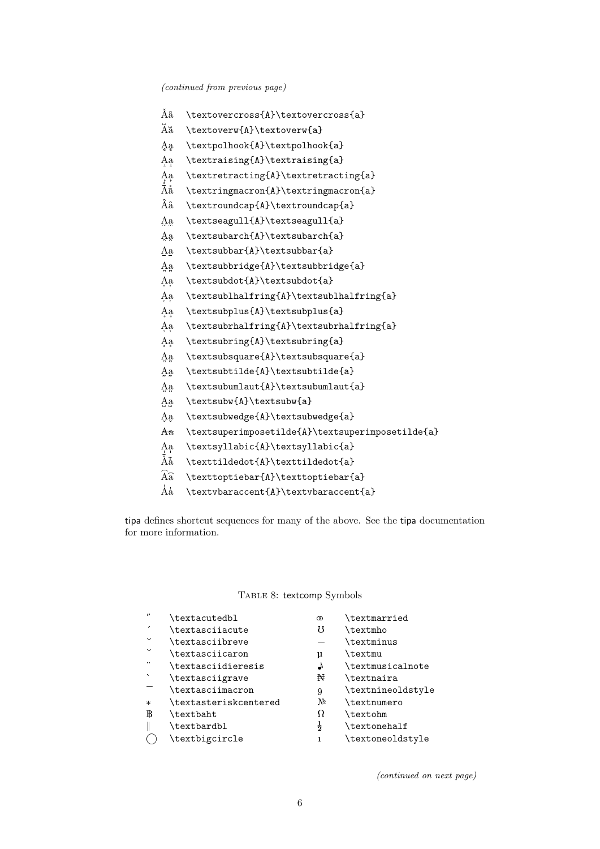| Âă                           | \textovercross{A}\textovercross{a}               |
|------------------------------|--------------------------------------------------|
| Ăă                           | \textoverw{A}\textoverw{a}                       |
| Аa                           | \textpolhook{A}\textpolhook{a}                   |
| Aa                           | \textraising{A}\textraising{a}                   |
| $_{\rm \AA\AA}^{\rm \AA\aa}$ | \textretracting{A}\textretracting{a}             |
|                              | \textringmacron{A}\textringmacron{a}             |
| Ââ                           | \textroundcap{A}\textroundcap{a}                 |
| Aa                           | \textseagull{A}\textseagull{a}                   |
| Aa                           | \textsubarch{A}\textsubarch{a}                   |
| Aa                           | \textsubbar{A}\textsubbar{a}                     |
| Aa                           | \textsubbridge{A}\textsubbridge{a}               |
| Аa                           | \textsubdot{A}\textsubdot{a}                     |
| Аa                           | \textsublhalfring{A}\textsublhalfring{a}         |
| Aa                           | \textsubplus{A}\textsubplus{a}                   |
| Аą                           | \textsubrhalfring{A}\textsubrhalfring{a}         |
| Ąą                           | \textsubring{A}\textsubring{a}                   |
| A <sub>a</sub>               | \textsubsquare{A}\textsubsquare{a}               |
| Аą                           | \textsubtilde{A}\textsubtilde{a}                 |
| Аa                           | \textsubumlaut{A}\textsubumlaut{a}               |
| Aa                           | \textsubw{A}\textsubw{a}                         |
| Aa                           | \textsubwedge{A}\textsubwedge{a}                 |
| Aa                           | \textsuperimposetilde{A}\textsuperimposetilde{a} |
| Ąą                           | \textsyllabic{A}\textsyllabic{a}                 |
| Àã                           | \texttildedot{A}\texttildedot{a}                 |
| $\widehat{A} \widehat{a}$    | \texttoptiebar{A}\texttoptiebar{a}               |
| Åå                           | \textvbaraccent{A}\textvbaraccent{a}             |

tipa defines shortcut sequences for many of the above. See the tipa documentation for more information.

### TABLE 8: textcomp Symbols

| \textacutedbl |
|---------------|
|---------------|

- ´ \textasciiacute M \textmho
- $\check{C}$  \textasciibreve  $\check{C}$  \textminus
- $\text{text}_{\text{text}_{\text{text}_{\text{text}_{\text{text}_{\text{text}_{\text{text}_{\text{text}_{\text{text}_{\text{text}_{\text{text}_{\text{text}_{\text{text}_{\text{text}_{\text{text}_{\text{text}_{\text{text}_{\text{text}_{\text{text}_{\text{text}_{\text{text}_{\text{text}_{\text{text}_{\text{text}_{\text{text}_{\text{text}_{\text{text}_{\text{text}_{\text{text}_{\text{text}_{\text{text}_{\text{text}_{\text{text}_{\text{text}_{\text{text}_{\text{text}_{\text{t$
- <table>\n<tbody>\n<tr>\n<td>" <math>\text{associidieresis</math></td>\n<td> \text{extrmusicalnote}</td>\n</tr>\n<tr>\n<td>' <math>\text{testascijgrave</math></td>\n<td>¥ <math>\text{hatra}</math></td>\n</tr>\n</tbody>\n</table>
- ` \textasciigrave  $\text{H}$  \textnaira
- 
- \* \textasteriskcentered  $\mathbb{N}^{\text{e}}$  \textnumero <br>B \textbaht  $\Omega$  \textohm
- $\text{textb}$
- 
- 
- " \textacutedbl m  $\infty$  \textmarried
	-
	-
	-
	-
	-
	- \textasciimacron 9 \textnineoldstyle
		-
		-
- $\parallel$  \textbardbl  $\frac{1}{2}$  \textonehalf
- O \textbigcircle 1 \textoneoldstyle

(continued on next page)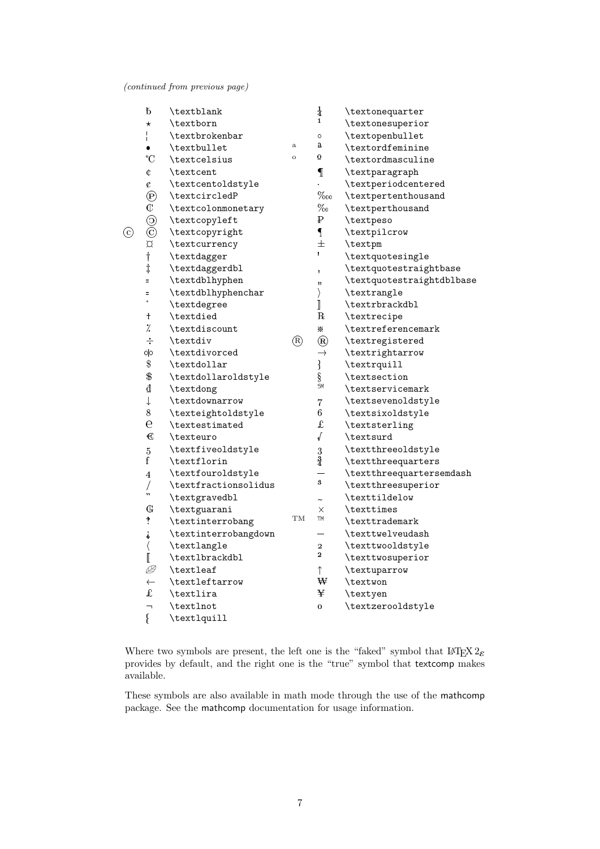(continued from previous page)

|         | $\rm{^{f}}$                                                                               | \textblank           |              | $\frac{1}{4}$                                                                                                                                                                                                                                                                                                                                                                                                                                                                                                                                                                                                                  | \textonequarter           |
|---------|-------------------------------------------------------------------------------------------|----------------------|--------------|--------------------------------------------------------------------------------------------------------------------------------------------------------------------------------------------------------------------------------------------------------------------------------------------------------------------------------------------------------------------------------------------------------------------------------------------------------------------------------------------------------------------------------------------------------------------------------------------------------------------------------|---------------------------|
|         | $^\star$                                                                                  | \textborn            |              | $\mathbf{1}$                                                                                                                                                                                                                                                                                                                                                                                                                                                                                                                                                                                                                   | \textonesuperior          |
|         | $\frac{1}{1}$                                                                             | \textbrokenbar       |              | $\circ$                                                                                                                                                                                                                                                                                                                                                                                                                                                                                                                                                                                                                        | \textopenbullet           |
|         |                                                                                           | \textbullet          | $\mathbf{a}$ | $\mathbf a$                                                                                                                                                                                                                                                                                                                                                                                                                                                                                                                                                                                                                    | \textordfeminine          |
|         | $^{\circ}C$                                                                               | \textcelsius         | $\circ$      | $\overline{\mathbf{o}}$                                                                                                                                                                                                                                                                                                                                                                                                                                                                                                                                                                                                        | \textordmasculine         |
|         | $\mathbbmss{C}$                                                                           | \textcent            |              | $\mathbb{I}$                                                                                                                                                                                                                                                                                                                                                                                                                                                                                                                                                                                                                   | \textparagraph            |
|         | ¢                                                                                         | \textcentoldstyle    |              |                                                                                                                                                                                                                                                                                                                                                                                                                                                                                                                                                                                                                                | \textperiodcentered       |
|         |                                                                                           | \textcircledP        |              | $\%o$                                                                                                                                                                                                                                                                                                                                                                                                                                                                                                                                                                                                                          | \textpertenthousand       |
|         | $\begin{matrix} \textcircled{\scriptsize{1}}\\ \textcircled{\scriptsize{1}} \end{matrix}$ | \textcolonmonetary   |              | $\%$                                                                                                                                                                                                                                                                                                                                                                                                                                                                                                                                                                                                                           | \textperthousand          |
|         |                                                                                           | \textcopyleft        |              | ₽                                                                                                                                                                                                                                                                                                                                                                                                                                                                                                                                                                                                                              | \textpeso                 |
| $\odot$ | $\begin{matrix} \odot \\ \odot \end{matrix}$                                              | \textcopyright       |              | $\mathbf{I}$                                                                                                                                                                                                                                                                                                                                                                                                                                                                                                                                                                                                                   | \textpilcrow              |
|         | $\beta$                                                                                   | \textcurrency        |              | 士                                                                                                                                                                                                                                                                                                                                                                                                                                                                                                                                                                                                                              | \textpm                   |
|         | $^\dagger$                                                                                | \textdagger          |              |                                                                                                                                                                                                                                                                                                                                                                                                                                                                                                                                                                                                                                | \textquotesingle          |
|         | $\ddagger$                                                                                | \textdaggerdbl       |              | ŧ                                                                                                                                                                                                                                                                                                                                                                                                                                                                                                                                                                                                                              | \textquotestraightbase    |
|         | Ξ                                                                                         | \textdblhyphen       |              | Ħ                                                                                                                                                                                                                                                                                                                                                                                                                                                                                                                                                                                                                              | \textquotestraightdblbase |
|         | Ξ                                                                                         | \textdblhyphenchar   |              | $\rangle$                                                                                                                                                                                                                                                                                                                                                                                                                                                                                                                                                                                                                      | \textrangle               |
|         | $\circ$                                                                                   | \textdegree          |              | $\Big] % \begin{minipage}[b]{.45\linewidth} \centering \includegraphics[width=\textwidth]{figs/fig_4.pdf} \caption{The number of times of the number of times.} \label{fig:fig_4} \end{minipage} % \begin{minipage}[b]{.45\linewidth} \centering \includegraphics[width=\textwidth]{figs/fig_4.pdf} \caption{The number of times.} \label{fig:fig_4} \end{minipage} % \begin{minipage}[b]{.45\linewidth} \centering \includegraphics[width=\textwidth]{figs/fig_4.pdf} \caption{The number of times.} \label{fig:fig_4} \end{minipage} % \begin{minipage}[b]{.45\linewidth} \centering \includegraphics[width=\textwidth]{fig$ | \textrbrackdbl            |
|         | $^\mathrm{+}$                                                                             | \textdied            |              | $\mathbf R$                                                                                                                                                                                                                                                                                                                                                                                                                                                                                                                                                                                                                    | \textrecipe               |
|         | Ϊ.                                                                                        | \textdiscount        |              | ⋇                                                                                                                                                                                                                                                                                                                                                                                                                                                                                                                                                                                                                              | \textreferencemark        |
|         | $\div$                                                                                    | \textdiv             | $\circledR$  | $^{\circledR}$                                                                                                                                                                                                                                                                                                                                                                                                                                                                                                                                                                                                                 | \textregistered           |
|         | O O                                                                                       | \textdivorced        |              |                                                                                                                                                                                                                                                                                                                                                                                                                                                                                                                                                                                                                                | \textrightarrow           |
|         | $\, \, \raisebox{12pt}{$\scriptstyle \circ$}$                                             | \textdollar          |              | $\rightarrow$<br>$\frac{1}{3}$                                                                                                                                                                                                                                                                                                                                                                                                                                                                                                                                                                                                 | \textrquill               |
|         | $\, \, \raisebox{12pt}{$\scriptstyle \circ$}$                                             | \textdollaroldstyle  |              |                                                                                                                                                                                                                                                                                                                                                                                                                                                                                                                                                                                                                                | \textsection              |
|         | ₫                                                                                         | \textdong            |              | SM                                                                                                                                                                                                                                                                                                                                                                                                                                                                                                                                                                                                                             | \textservicemark          |
|         | $\downarrow$                                                                              | \textdownarrow       |              | $\overline{7}$                                                                                                                                                                                                                                                                                                                                                                                                                                                                                                                                                                                                                 | \textsevenoldstyle        |
|         | $8\,$                                                                                     | \texteightoldstyle   |              | 6                                                                                                                                                                                                                                                                                                                                                                                                                                                                                                                                                                                                                              | \textsixoldstyle          |
|         | $\mathbf e$                                                                               | \textestimated       |              | $\mathbf f$                                                                                                                                                                                                                                                                                                                                                                                                                                                                                                                                                                                                                    | \textsterling             |
|         | $\epsilon$                                                                                | \texteuro            |              | $\sqrt{ }$                                                                                                                                                                                                                                                                                                                                                                                                                                                                                                                                                                                                                     | \textsurd                 |
|         | $\bf 5$                                                                                   | \textfiveoldstyle    |              | 3                                                                                                                                                                                                                                                                                                                                                                                                                                                                                                                                                                                                                              | \textthreeoldstyle        |
|         | $\mathbf f$                                                                               | \textflorin          |              | $\frac{3}{4}$                                                                                                                                                                                                                                                                                                                                                                                                                                                                                                                                                                                                                  | \textthreequarters        |
|         | $\overline{4}$                                                                            | \textfouroldstyle    |              |                                                                                                                                                                                                                                                                                                                                                                                                                                                                                                                                                                                                                                | \textthreequartersemdash  |
|         | $\overline{\mathcal{L}}$                                                                  | \textfractionsolidus |              | $\bf{3}$                                                                                                                                                                                                                                                                                                                                                                                                                                                                                                                                                                                                                       | \textthreesuperior        |
|         |                                                                                           | \textgravedbl        |              |                                                                                                                                                                                                                                                                                                                                                                                                                                                                                                                                                                                                                                | \texttildelow             |
|         | $\mathbb{G}$                                                                              | \textguarani         |              | $\times$                                                                                                                                                                                                                                                                                                                                                                                                                                                                                                                                                                                                                       | \texttimes                |
|         | $\ddagger$                                                                                | \textinterrobang     | TM           | TM                                                                                                                                                                                                                                                                                                                                                                                                                                                                                                                                                                                                                             | \texttrademark            |
|         | $\ddot{\dot{}}$                                                                           | \textinterrobangdown |              |                                                                                                                                                                                                                                                                                                                                                                                                                                                                                                                                                                                                                                | \texttwelveudash          |
|         | $\langle$                                                                                 | \textlangle          |              | $\overline{2}$                                                                                                                                                                                                                                                                                                                                                                                                                                                                                                                                                                                                                 | \texttwooldstyle          |
|         | I                                                                                         | \textlbrackdbl       |              | $\mathbf{2}$                                                                                                                                                                                                                                                                                                                                                                                                                                                                                                                                                                                                                   | \texttwosuperior          |
|         | Þ                                                                                         | \textleaf            |              | $\uparrow$                                                                                                                                                                                                                                                                                                                                                                                                                                                                                                                                                                                                                     | \textuparrow              |
|         | $\leftarrow$                                                                              | \textleftarrow       |              | ₩                                                                                                                                                                                                                                                                                                                                                                                                                                                                                                                                                                                                                              | \textwon                  |
|         | $\mathbf f$                                                                               | \textlira            |              | ¥                                                                                                                                                                                                                                                                                                                                                                                                                                                                                                                                                                                                                              | \textyen                  |
|         | $\overline{\phantom{0}}$                                                                  | \textlnot            |              | $\mathbf 0$                                                                                                                                                                                                                                                                                                                                                                                                                                                                                                                                                                                                                    | \textzerooldstyle         |
|         | Į                                                                                         | \textlquill          |              |                                                                                                                                                                                                                                                                                                                                                                                                                                                                                                                                                                                                                                |                           |

Where two symbols are present, the left one is the "faked" symbol that  $\mathbb{I}\mathrm{F}\mathrm{F}\mathrm{X}\,2\varepsilon$ provides by default, and the right one is the "true" symbol that textcomp makes available.

These symbols are also available in math mode through the use of the mathcomp package. See the mathcomp documentation for usage information.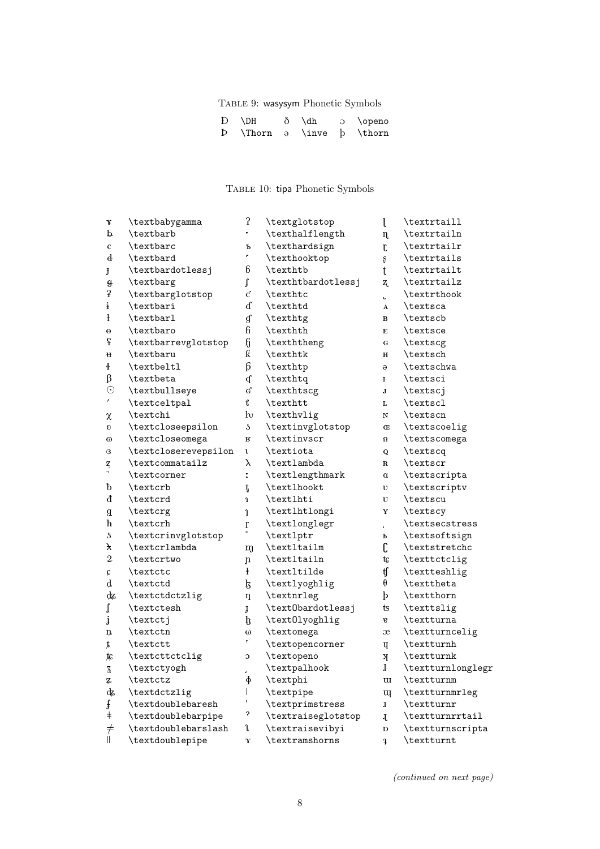# Table 9: wasysym Phonetic Symbols

| $D$ $\Delta$                                             | ð \dh | o \openo |
|----------------------------------------------------------|-------|----------|
| $\mathbf{b}$ \Thorn $\partial$ \inve $\mathbf{b}$ \thorn |       |          |

# Table 10: tipa Phonetic Symbols

| X                       | \textbabygamma       | $\boldsymbol{\hat{z}}$      | \textglotstop          | l                         | \textrtaill       |
|-------------------------|----------------------|-----------------------------|------------------------|---------------------------|-------------------|
| þ                       | \textbarb            | $\bullet$                   | \texthalflength        | $\mathbf{n}$              | \textrtailn       |
| €                       | \textbarc            | Ъ                           | \texthardsign          | $\mathfrak{r}$            | \textrtailr       |
| $\mathbf{d}$            | \textbard            | e,                          | \texthooktop           | $\mathbf{s}$              | \textrtails       |
| J                       | \textbardotlessj     | 6                           | \texthtb               | $\mathfrak{t}$            | \textrtailt       |
| $\vartheta$             | \textbarg            | $\mathfrak{t}$              | \texthtbardotlessj     | $\mathbf{Z}_\mathrm{c}$   | \textrtailz       |
| $\sqrt{2}$              | \textbarglotstop     | $\mathbf{C}^{\text{c}}$     | \texthtc               | ú.                        | \textrthook       |
| i                       | \textbari            | ď                           | \texthtd               | $\boldsymbol{\mathsf{A}}$ | \textsca          |
| $\mathbf{H}$            | \textbarl            | $\mathfrak{g}$              | \texthtg               | $\mathbf{B}$              | \textscb          |
| θ                       | \textbaro            | $\mathbf{g}$                | \texthth               | $\mathbf E$               | \textsce          |
| $\rm f$                 | \textbarrevglotstop  | $\boldsymbol{\mathfrak{h}}$ | \texththeng            | ${\bf G}$                 | \textscg          |
| u                       | \textbaru            | ƙ                           | \texthtk               | $\mathbf H$               | \textsch          |
| ł                       | \textbeltl           | $6 \overline{6}$            | \texthtp               | $\Theta$                  | \textschwa        |
| β                       | \textbeta            | q                           | \texthtq               | $\mathbf I$               | \textsci          |
| $\odot$                 | \textbullseye        | $\mathbf{G}^{\mathrm{c}}$   | \texthtscg             | ${\bf J}$                 | \textscj          |
| ı                       | \textceltpal         | $\mathbf f$                 | \texthtt               | L                         | \textscl          |
| χ                       | \textchi             | $\mathbf{h}$                | \texthvlig             | $\mathbf N$               | \textscn          |
| $\boldsymbol{\epsilon}$ | \textcloseepsilon    | $\sqrt{2}$                  | \textinvglotstop       | Œ                         | \textscoelig      |
| 0                       | \textcloseomega      | $\mathbf{B}$                | \textinvscr            | $\Omega$                  | \textscomega      |
| G                       | \textcloserevepsilon | $\mathbf{L}$                | \textiota              | Q                         | \textscq          |
| ζ                       | \textcommatailz      | λ                           | \textlambda            | $\mathbf R$               | \textscr          |
| ٦                       | \textcorner          | ÷.                          | \textlengthmark        | a                         | \textscripta      |
| đ                       | \textcrb             | $\mathfrak{t}$              | \textlhookt            | υ                         | \textscriptv      |
| đ                       | \textcrd             | $\mathbf{1}$                | \textlhti              | $\ensuremath{\mathbf{U}}$ | \textscu          |
| g                       | \textcrg             | $\mathbf{1}$                | \textlhtlongi          | $\mathbf Y$               | \textscy          |
| ħ                       | \textcrh             | $\mathbf{r}$                | \textlonglegr          | $\mathbf{r}$              | \textsecstress    |
| \$                      | \textcrinvglotstop   | \$                          | \textlptr              | Ъ                         | \textsoftsign     |
| $\lambda$               | \textcrlambda        | m                           | \textltailm            | C                         | \textstretchc     |
| $\,2\,$                 | \textcrtwo           | $\mathbf n$                 | \textltailn            | tc                        | \texttctclig      |
| Ç                       | \textctc             | ł                           | \textltilde            | tſ                        | \textteshlig      |
| d                       | \textctd             | k                           | \textlyoghlig          | θ                         | \texttheta        |
| ₫z                      | \textctdctzlig       | $\eta$                      | \textnrleg             | $\mathbf{b}$              | \textthorn        |
| ľ                       | \textctesh           | $\mathbf{j}$                | \text0bardotlessj      | ts                        | \texttslig        |
| j                       | \textctj             | þ                           | \text0lyoghlig         | $\mathbf{e}$              | \textturna        |
| ņ                       | \textctn             | $\omega$                    | \textomega             | æ                         | \textturncelig    |
| ţ,                      | \textctt             | $\Gamma^-$                  | \textopencorner        | Ų                         | \textturnh        |
| ţc                      | \textcttctclig       | $\mathfrak{S}$              | \textopeno             | $\mathbf{N}$              | \textturnk        |
| $\overline{\mathbf{3}}$ | \textctyogh          |                             | $\texttt{textpalhook}$ | $\bf{I}$                  | \textturnlonglegr |
| Ļ                       | \textctz             | ф                           | \textphi               | w                         | \textturnm        |
| dz                      | \textdctzlig         |                             | \textpipe              | $\mathbf{u}$              | \textturnmrleg    |
| ŧ                       | \textdoublebaresh    |                             | \textprimstress        | $\mathbf{I}$              | \textturnr        |
| $\dagger$               | \textdoublebarpipe   | ?                           | \textraiseglotstop     | Į.                        | \textturnrrtail   |
| $\neq$                  | \textdoublebarslash  | l                           | \textraisevibyi        | D                         | \textturnscripta  |
| $\mathsf{I}$            | \textdoublepipe      | γ                           | \textramshorns         | <sup>1</sup>              | \textturnt        |
|                         |                      |                             |                        |                           |                   |

(continued on next page)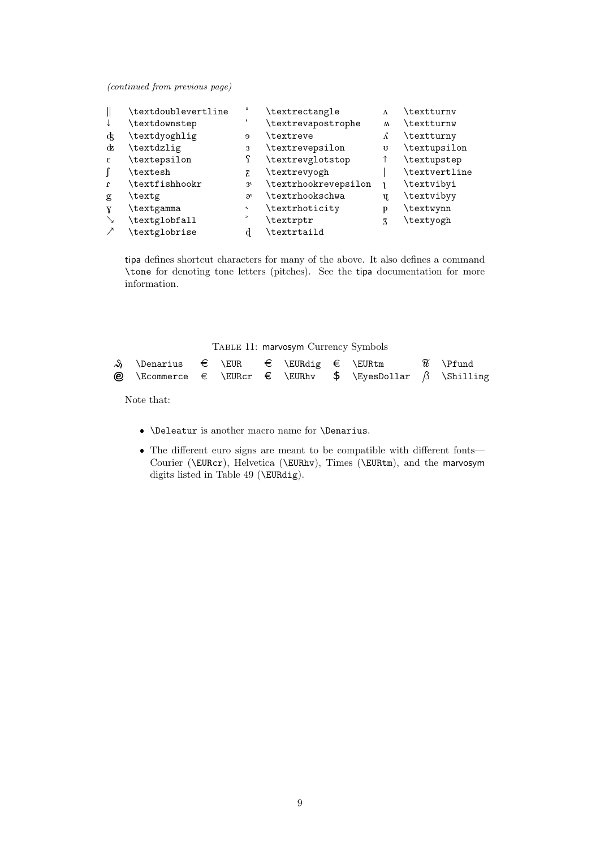(continued from previous page)

| \textdoublevertline |                     | \textrectangle       | Λ            | \textturnv    |
|---------------------|---------------------|----------------------|--------------|---------------|
| \textdownstep       |                     | \textrevapostrophe   | $\mathsf{M}$ | \textturnw    |
| \textdyoghlig       | $\Theta$            | \textreve            | ß            | \textturny    |
| \textdzlig          | 3                   | \textrevepsilon      | U            | \textupsilon  |
| \textepsilon        |                     | \textrevglotstop     |              | \textupstep   |
| \textesh            | Σ                   | \textrevyogh         |              | \textvertline |
| \textfishhookr      | 3 <sup>t</sup>      | \textrhookrevepsilon |              | \textvibyi    |
| \textg              | ж                   | \textrhookschwa      | Ų,           | \textvibyy    |
| \textgamma          | $\boldsymbol{\sim}$ | \textrhoticity       | D            | \textwynn     |
| \textglobfall       | >                   | \textrptr            | 3            | \textyogh     |
| \textglobrise       |                     | \textrtaild          |              |               |
|                     |                     |                      |              |               |

tipa defines shortcut characters for many of the above. It also defines a command \tone for denoting tone letters (pitches). See the tipa documentation for more information.

Table 11: marvosym Currency Symbols

| $\mathcal{S}$ \Denarius $\in$ \EUR $\in$ \EURdig $\in$ \EURtm |  |  |                                                                                       | $\widetilde{w}$ \Pfund |
|---------------------------------------------------------------|--|--|---------------------------------------------------------------------------------------|------------------------|
|                                                               |  |  | <b><i>@</i></b> \Ecommerce $\in$ \EURcr $\in$ \EURhv \$ \EyesDollar $\beta$ \Shilling |                        |

Note that:

- $\bullet$  \Deleatur is another macro name for \Denarius.
- The different euro signs are meant to be compatible with different fonts— Courier (\EURcr), Helvetica (\EURhv), Times (\EURtm), and the marvosym digits listed in Table 49 (\EURdig).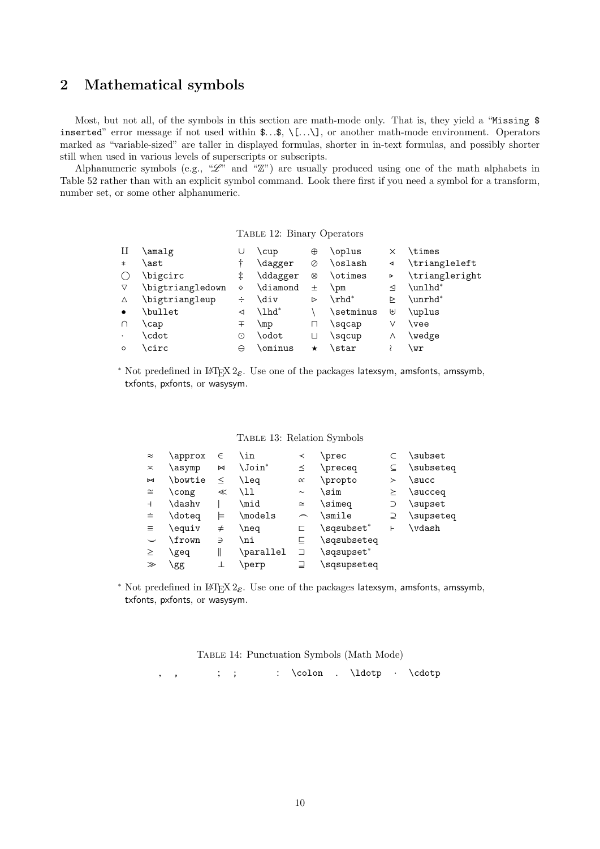# 2 Mathematical symbols

Most, but not all, of the symbols in this section are math-mode only. That is, they yield a "Missing  $\$ inserted" error message if not used within  $\ldots, \ldots, \ldots$ , or another math-mode environment. Operators marked as "variable-sized" are taller in displayed formulas, shorter in in-text formulas, and possibly shorter still when used in various levels of superscripts or subscripts.

Alphanumeric symbols (e.g., " $\mathscr{L}$ " and " $\mathbb{Z}$ ") are usually produced using one of the math alphabets in Table 52 rather than with an explicit symbol command. Look there first if you need a symbol for a transform, number set, or some other alphanumeric.

Table 12: Binary Operators

| Н         | amalg\           | U | \cup     | $\oplus$   | \oplus        | × | \times         |
|-----------|------------------|---|----------|------------|---------------|---|----------------|
| $\ast$    | \ast             |   | \dagger  | Ø          | \oslash       | ◀ | \triangleleft  |
|           | \bigcirc         | ŧ | \ddagger | $^{\circ}$ | \otimes       | Þ | \triangleright |
| ▽         | \bigtriangledown | ♦ | \diamond | 士          | \pm           | ◁ | \unlhd*        |
| Δ         | \bigtriangleup   | ÷ | \div     | ⊳          | $\verb \rhd $ | ⊳ | \unrhd*        |
| $\bullet$ | \bullet          | ◁ | \lhd*    |            | \setminus     | ⊎ | \uplus         |
| ∩         | \cap             | 干 | \mp      | п          | \sqcap        | ٧ | \vee           |
| $\bullet$ | \cdot            | ⊙ | \odot    | П          | \sqcup        | Λ | \wedge         |
| $\circ$   | \circ            | A | \ominus  | $\star$    | \star         |   | \wr            |
|           |                  |   |          |            |               |   |                |

<sup>\*</sup> Not predefined in L<sup>AT</sup>EX 2<sub> $\varepsilon$ </sub>. Use one of the packages latexsym, amsfonts, amssymb, txfonts, pxfonts, or wasysym.

|  |  | TABLE 13: Relation Symbols |  |
|--|--|----------------------------|--|
|--|--|----------------------------|--|

| $\approx$                | \approx | $\in$         | \in                 | ≺                        | \prec       |           | \subset   |
|--------------------------|---------|---------------|---------------------|--------------------------|-------------|-----------|-----------|
| $\asymp$                 | \asymp  | Σ             | $\lambda$ Join $^*$ | ≤                        | \preceq     |           | \subseteq |
| $\bowtie$                | \bowtie | $\leq$        | \leq                | $\propto$                | \propto     | ≻         | \succ     |
| $\cong$                  | \cong   | $\ll$         | \11                 | $\sim$                   | \sim        | ≻         | \succeq   |
| $\overline{\phantom{0}}$ | \dashv  |               | \mid                | $\simeq$                 | \simeq      | $\supset$ | \supset   |
| ÷.                       | \doteq  | ⊨             | \models             | $\overline{\phantom{1}}$ | \smile      | ⊇         | \supseteq |
| $\equiv$                 | \equiv  | $\neq$        | \neq                | c.                       | \sqsubset*  | Н         | \vdash    |
|                          | \frown  | $\Rightarrow$ | \ni                 | ⊑                        | \sqsubseteq |           |           |
| ≥                        | \geq    |               | \parallel           | ⊐                        | \sqsupset*  |           |           |
| ≫                        | \gg     |               | perp)               | ⊒                        | \sqsupseteq |           |           |

\* Not predefined in L<sup>AT</sup>EX 2<sub> $\varepsilon$ </sub>. Use one of the packages latexsym, amsfonts, amssymb, txfonts, pxfonts, or wasysym.

Table 14: Punctuation Symbols (Math Mode)

, , ; ; : \colon . \ldotp · \cdotp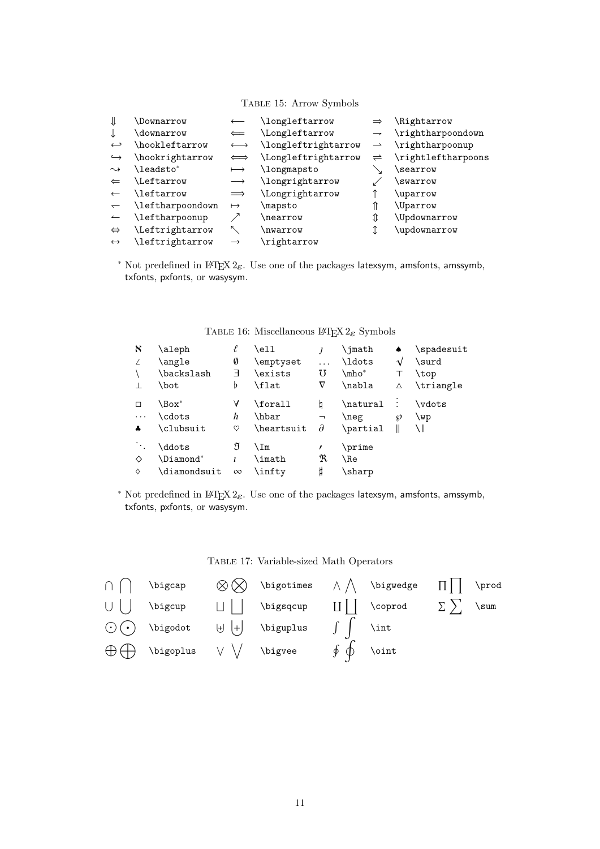Table 15: Arrow Symbols

| ⇓                        | \Downarrow       |               | \longleftarrow      |                          | \Rightarrow        |
|--------------------------|------------------|---------------|---------------------|--------------------------|--------------------|
|                          | \downarrow       | $\Leftarrow$  | \Longleftarrow      | $\overline{\phantom{a}}$ | \rightharpoondown  |
| $\hookleftarrow$         | \hookleftarrow   |               | \longleftrightarrow |                          | \rightharpoonup    |
| $\hookrightarrow$        | hookrightarrow   |               | \Longleftrightarrow | $\rightleftharpoons$     | \rightleftharpoons |
| $\rightsquigarrow$       | \leadsto*        | $\longmapsto$ | \longmapsto         |                          | \searrow           |
| $\leftarrow$             | Leftarrow        |               | \longrightarrow     |                          | <i>swarrow</i>     |
|                          | \leftarrow       | $\implies$    | Longrightarrow      |                          | \uparrow           |
| $\overline{\phantom{0}}$ | \leftharpoondown | $\mapsto$     | \mapsto             |                          | \Uparrow           |
|                          | \leftharpoonup   |               | nearrow             | ⇕                        | \Updownarrow       |
| $\Leftrightarrow$        | Leftrightarrow   |               | nwarrow             |                          | \updownarrow       |
| $\leftrightarrow$        | leftrightarrow   | $\rightarrow$ | \rightarrow         |                          |                    |

\* Not predefined in L<sup>AT</sup>EX 2<sub> $\varepsilon$ </sub>. Use one of the packages latexsym, amsfonts, amssymb, txfonts, pxfonts, or wasysym.

| $\aleph$ | \aleph<br>\angle<br>\backslash<br>\bot | Ø<br>╕<br>Þ   | \ell<br>\emptyset<br>\exists<br>\flat | .<br>75<br>$\nabla$                         | \imath<br>\ldots<br>\mho*<br>\nabla | ٠<br>V<br>Δ | \spadesuit<br>\surd<br>\top<br>\triangle |
|----------|----------------------------------------|---------------|---------------------------------------|---------------------------------------------|-------------------------------------|-------------|------------------------------------------|
| $\cdots$ | \Box*<br>\cdots<br>\clubsuit           | A<br>ħ<br>♡   | \forall<br>\hbar<br>\heartsuit        | q<br>$\overline{\phantom{a}}$<br>$\partial$ | \natural<br>\neg<br>\partial        | Ø           | \vdots<br>\wp                            |
| ♦<br>♦   | \ddots<br>\Diamond*<br>\diamondsuit    | J<br>$\infty$ | ∖Im<br>\imath<br>\inftv               | R<br>Ħ                                      | \prime<br>\Re<br>\sharp             |             |                                          |

### TABLE 16: Miscellaneous LATEX  $2\varepsilon$  Symbols

<sup>\*</sup> Not predefined in L<sup>AT</sup>EX 2<sub> $\varepsilon$ </sub>. Use one of the packages latexsym, amsfonts, amssymb, txfonts, pxfonts, or wasysym.

#### Table 17: Variable-sized Math Operators

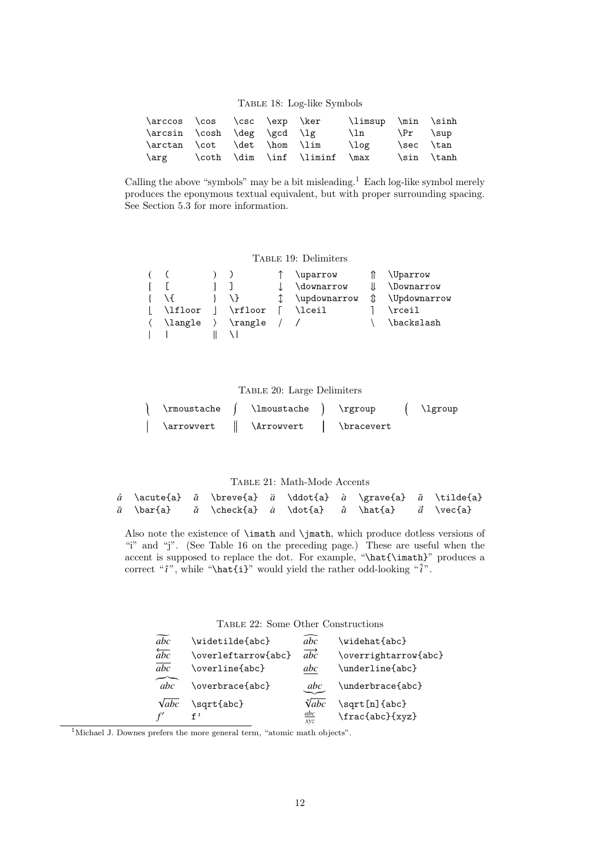### Table 18: Log-like Symbols

| \arccos \cos \csc \exp \ker |  |                                   | \limsup \min \sinh          |            |
|-----------------------------|--|-----------------------------------|-----------------------------|------------|
| \arcsin \cosh \deg \gcd \lg |  |                                   | $\ln \quad \{Pr \quad \sup$ |            |
|                             |  | \arctan \cot \det \hom \lim \log  |                             | \sec \tan  |
|                             |  | \arg \coth \dim \inf \liminf \max |                             | \sin \tanh |

Calling the above "symbols" may be a bit misleading.<sup>1</sup> Each log-like symbol merely produces the eponymous textual equivalent, but with proper surrounding spacing. See Section 5.3 for more information.

#### TABLE 19: Delimiters

|         |                          | \uparrow     |               | \Uparrow     |
|---------|--------------------------|--------------|---------------|--------------|
|         |                          | \downarrow   |               | \Downarrow   |
|         |                          | \updownarrow | $\mathbbm{1}$ | \Updownarrow |
| \lfloor | \rfloor                  | \lceil       |               | \rceil       |
| \langle | $\langle \rangle$ rangle |              |               | \backslash   |
|         |                          |              |               |              |

#### Table 20: Large Delimiters

| \rmoustache              | \lmoustache | \rgroup    | \lgroup |
|--------------------------|-------------|------------|---------|
| <i><b>\arrowvert</b></i> | \Arrowvert  | \bracevert |         |

### Table 21: Math-Mode Accents

|  | á \acute{a} ă \breve{a} ä \ddot{a} à \grave{a} $\tilde{a}$ \tilde{a}                  |  |  |  |
|--|---------------------------------------------------------------------------------------|--|--|--|
|  | $\bar{a}$ \bar{a} $\check{a}$ \check{a} $\hat{a}$ \dot{a} $\hat{a}$ $\hat{a}$ \vec{a} |  |  |  |
|  |                                                                                       |  |  |  |

Also note the existence of \imath and \jmath, which produce dotless versions of "i" and "j". (See Table 16 on the preceding page.) These are useful when the accent is supposed to replace the dot. For example, "\hat{\imath}" produces a correct " $\hat{i}$ ", while "\hat{i}" would yield the rather odd-looking " $\hat{i}$ ".

Table 22: Some Other Constructions

| abc                   | \widetilde{abc}     | $\overline{abc}$         | \widehat{abc}        |
|-----------------------|---------------------|--------------------------|----------------------|
| $\overleftarrow{abc}$ | \overleftarrow{abc} | $\overrightarrow{abc}$   | \overrightarrow{abc} |
| $\overline{abc}$      | \overline{abc}      | abc                      | \underline{abc}      |
| abc                   | \overbrace{abc}     | abc                      | \underbrace{abc}     |
| $\sqrt{abc}$          | \sqrt{abc}          | $\sqrt[n]{abc}$          | \sqrt[n]{abc}        |
|                       | د ۽                 | $\underline{abc}$<br>xyz | \frac{abc}{xyz}      |

 $^1$  Michael J. Downes prefers the more general term, "atomic math objects".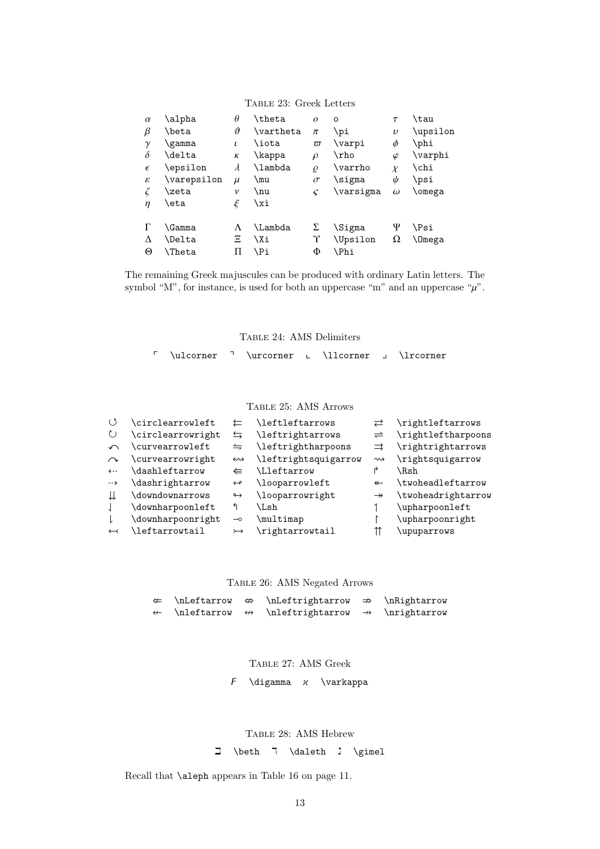| TABLE 23: Greek Letters |  |  |
|-------------------------|--|--|
|-------------------------|--|--|

| $\alpha$<br>β<br>$\gamma$<br>$\delta$<br>$\epsilon$<br>ε<br>ζ | \alpha<br>\beta<br>\gamma<br>\delta<br>\epsilon<br>\varepsilon<br>\zeta | $\theta$<br>$\vartheta$<br>$\iota$<br>К<br>$\lambda$<br>$\mu$<br>ν | <b>\theta</b><br>\vartheta<br>\iota<br>\kappa<br>\lambda<br>\mu<br>\nu | $\theta$<br>$\pi$<br>$\varpi$<br>$\rho$<br>$\varrho$<br>$\sigma$<br>$\varsigma$ | $\circ$<br>\pi<br>\varpi<br>\rho<br>\varrho<br>\sigma<br>\varsigma | $\tau$<br>$\upsilon$<br>Φ<br>$\varphi$<br>$\chi$<br>ψ<br>$\omega$ | \tau<br>\upsilon<br>\phi<br>$\varphi$<br>\chi<br>\psi<br>\omega |
|---------------------------------------------------------------|-------------------------------------------------------------------------|--------------------------------------------------------------------|------------------------------------------------------------------------|---------------------------------------------------------------------------------|--------------------------------------------------------------------|-------------------------------------------------------------------|-----------------------------------------------------------------|
| η                                                             | \eta                                                                    | ξ                                                                  | \xi                                                                    |                                                                                 |                                                                    |                                                                   |                                                                 |
|                                                               | \Gamma                                                                  | Λ                                                                  | <b>\Lambda</b>                                                         | Σ                                                                               | \Sigma                                                             | Ψ                                                                 | \Psi                                                            |
| Δ                                                             | <b>\Delta</b>                                                           | Ξ                                                                  | \Xi                                                                    | Υ                                                                               | <b>\Upsilon</b>                                                    | 2                                                                 | \Omega                                                          |
| Θ                                                             | <b>\Theta</b>                                                           | П                                                                  | ∖Pi                                                                    | Φ                                                                               | \Phi                                                               |                                                                   |                                                                 |

The remaining Greek majuscules can be produced with ordinary Latin letters. The symbol "M", for instance, is used for both an uppercase "m" and an uppercase " $\mu$ ".

Table 24: AMS Delimiters

 $\lceil \quad \rceil$  \ulcorner  $\lceil \quad \rceil$  \urcorner  $\lceil \quad \rceil$  \lrcorner

Table 25: AMS Arrows

| $\langle$           | \circlearrowleft  |                          | \leftleftarrows      | ⇄                    | \rightleftarrows   |
|---------------------|-------------------|--------------------------|----------------------|----------------------|--------------------|
| $\circlearrowright$ | \circlearrowright | $\leftrightarrows$       | \leftrightarrows     | $\rightleftharpoons$ | \rightleftharpoons |
| $\curvearrowleft$   | \curvearrowleft   | $\leftrightharpoons$     | \leftrightharpoons   | $\Rightarrow$        | \rightrightarrows  |
| $\sim$              | \curvearrowright  | $\leftrightarrow$        | \leftrightsquigarrow | $\rightsquigarrow$   | \rightsquigarrow   |
| $\leftarrow$        | \dashleftarrow    |                          | \Lleftarrow          | ₹                    | \Rsh               |
| $\rightarrow$       | \dashrightarrow   | $\leftrightarrow$        | \looparrowleft       | $\leftarrow$         | \twoheadleftarrow  |
| ⇊                   | \downdownarrows   | $\leftrightarrow$        | \looparrowright      | $\rightarrow$        | \twoheadrightarrow |
|                     | \downharpoonleft  | ↰                        | \Lsh                 |                      | \upharpoonleft     |
|                     | \downharpoonright | $\overline{\phantom{0}}$ | \multimap            |                      | \upharpoonright    |
| $\leftarrow$        | \leftarrowtail    | $\rightarrow$            | \rightarrowtail      |                      | upuparrows         |
|                     |                   |                          |                      |                      |                    |

Table 26: AMS Negated Arrows

|  | $\Leftrightarrow$ $\infty \Leftrightarrow$ $\infty \Rightarrow \infty$                      |  |
|--|---------------------------------------------------------------------------------------------|--|
|  | $\leftrightarrow$ \nleftarrow $\leftrightarrow$ \nleftrightarrow $\rightarrow$ \nrightarrow |  |

Table 27: AMS Greek

 $F \ \dagger$  \digamma  $x \ \dagger$  \varkappa

Table 28: AMS Hebrew

 $\Box$  \beth  $\Box$  \daleth  $\Box$  \gimel

Recall that \aleph appears in Table 16 on page 11.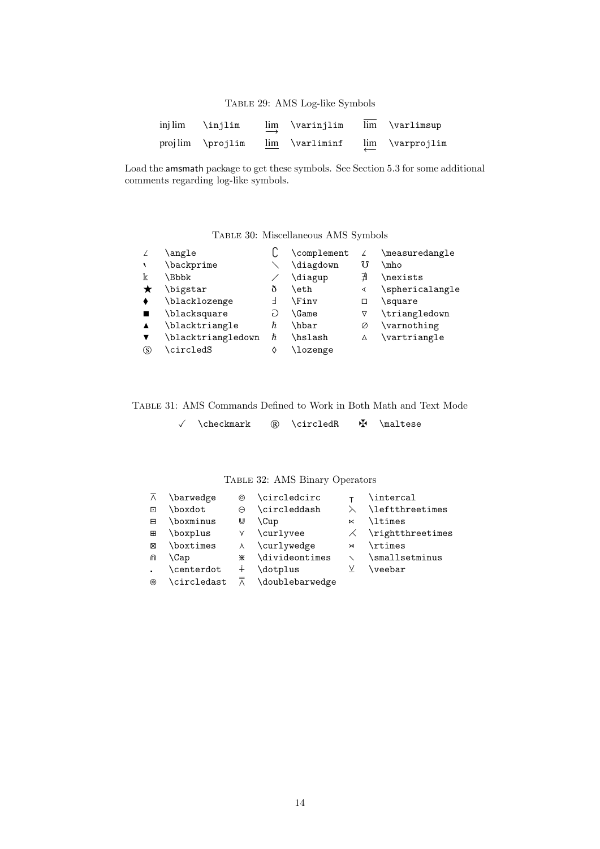Table 29: AMS Log-like Symbols

| injlim \injlim   | $\lim_{x\to 0}$ \varinjlim | lim \varlimsup  |
|------------------|----------------------------|-----------------|
| projlim \projlim | $lim \ \varphi$            | lim \varprojlim |

Load the amsmath package to get these symbols. See Section 5.3 for some additional comments regarding log-like symbols.

### Table 30: Miscellaneous AMS Symbols

| \angle             |    | \complement  | λ  | \measuredangle  |
|--------------------|----|--------------|----|-----------------|
| \backprime         |    | \diagdown    | 75 | \mho            |
| <b>Bbbk</b>        |    | \diagup      | ∄  | \nexists        |
| \bigstar           | ð  | \eth         | ∢  | \sphericalangle |
| \blacklozenge      | ⊣  | <b>\Finv</b> | □  | \square         |
| \blacksquare       | F) | <b>\Game</b> | ▽  | \triangledown   |
| \blacktriangle     | ħ  | \hbar        | Ø  | \varnothing     |
| \blacktriangledown | ħ  | \hslash      | Δ  | \vartriangle    |
| \circledS          |    | \lozenge     |    |                 |
|                    |    |              |    |                 |

Table 31: AMS Commands Defined to Work in Both Math and Text Mode

|  | \checkmark |  | \circledR |  | \maltese |
|--|------------|--|-----------|--|----------|
|--|------------|--|-----------|--|----------|

Table 32: AMS Binary Operators

| $\overline{\wedge}$      | \barwedge   | ⊚         | \circledcirc                        |           | \intercal                 |
|--------------------------|-------------|-----------|-------------------------------------|-----------|---------------------------|
| $\overline{\phantom{0}}$ | \boxdot     | $\ominus$ | \circleddash                        | $\lambda$ | \leftthreetimes           |
| 日                        | \boxminus   | ⋓         | \Cup                                | $\ltimes$ | <b>\ltimes</b>            |
| 田                        | \boxplus    | γ         | \curlyvee                           |           | $\angle$ \rightthreetimes |
| ⊠                        | \boxtimes   | $\lambda$ | \curlywedge                         | $\bowtie$ | \rtimes                   |
| ⋒                        | \Cap        | ⋇         | \divideontimes                      |           | \smallsetminus            |
|                          | \centerdot  | $^{+}$    | dotplus                             | V         | $\verb \veebar $          |
| ⊛                        | \circledast |           | $\overline{\wedge}$ \doublebarwedge |           |                           |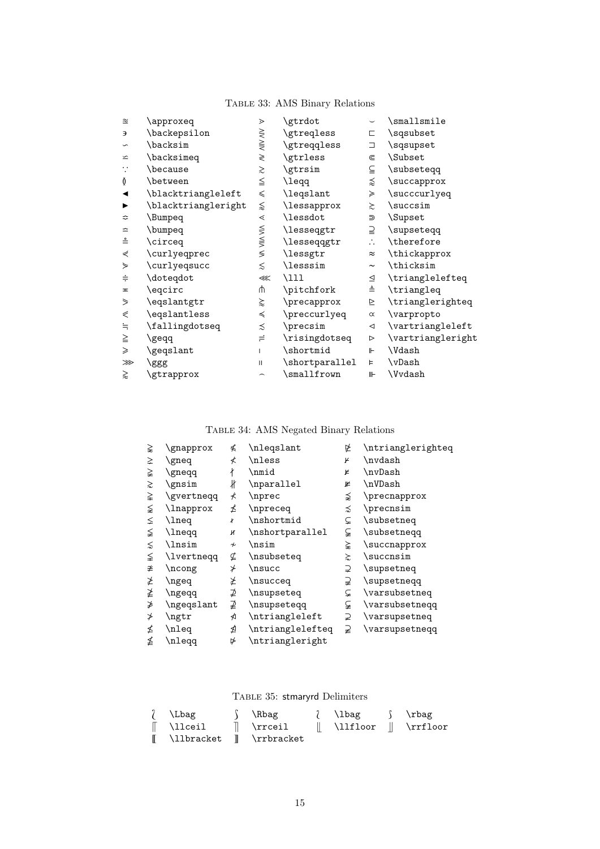# Table 33: AMS Binary Relations

| $\simeq$                | \approxeq           | ⋗                        | \gtrdot               |                       | \smallsmile       |
|-------------------------|---------------------|--------------------------|-----------------------|-----------------------|-------------------|
| Э                       | \backepsilon        |                          | \gtreqless            | С                     | \sqsubset         |
| $\backsim$              | \backsim            | <b>NIV VIIV</b>          | \gtreqqless           | O.                    | \sqsupset         |
| $\backsimeq$            | \backsimeq          | ≷                        | \gtrless              | ⋐                     | \Subset           |
|                         | \because            | ≳                        | \gtrsim               | ≦                     | \subseteqq        |
| Ŏ                       | \between            | $\leqq$                  | \leqq                 | ⋨                     | \succapprox       |
|                         | \blacktriangleleft  | $\leqslant$              | \leqslant             | ≽                     | \succcurlyeq      |
|                         | \blacktriangleright | ⋦                        | \lessapprox           | $\gtrsim$             | \succsim          |
| ≎                       | \Bumpeq             | $\lessdot$               | \lessdot              | ⋑                     | \Supset           |
| ≏                       | \bumpeq             |                          | <b>\lesseqgtr</b>     | ⊇                     | \supseteqq        |
| $\stackrel{\circ}{=}$   | \circeq             | <b>WIN VIIN VIN</b>      | \lesseqqgtr           | $\ddot{\cdot}$        | \therefore        |
| ⋞                       | \curlyeqprec        |                          | \lessgtr              | $\approx$             | \thickapprox      |
| ⋟                       | \curlyeqsucc        | $\lesssim$               | \lesssim              | $\tilde{\phantom{a}}$ | \thicksim         |
| $\div$                  | \doteqdot           | $\ll$                    | \111                  | ⊴                     | \trianglelefteq   |
| $\overline{\mathbf{r}}$ | \eqcirc             | ψ                        | \pitchfork            | ≜                     | \triangleq        |
| ⋟                       | \eqslantgtr         | ⋩                        | \precapprox           | ⊵                     | \trianglerighteq  |
| ⋞                       | \eqslantless        | $\preccurlyeq$           | \preccurlyeq          | $\propto$             | \varpropto        |
| $=$                     | \fallingdotseq      | ≾                        | \precsim              | $\triangleleft$       | \vartriangleleft  |
| $\geq$                  | \geqq               | $\rightleftharpoons$     | \risingdotseq         | ⊳                     | \vartriangleright |
| ≥                       | \geqslant           | L                        | \shortmid             | ⊩                     | \Vdash            |
| ⋙                       | \ggg                | $\mathbf{H}$             | \shortparallel        | Þ                     | \vDash            |
| ⋧                       | \gtrapprox          | $\overline{\phantom{0}}$ | $\sum_{{\text{sum}}}$ | ⊪                     | \Vvdash           |
|                         |                     |                          |                       |                       |                   |

# Table 34: AMS Negated Binary Relations

| ⋧          | \gnapprox  | ≰                    | \nleqslant               | 必            | \ntrianglerighteq |
|------------|------------|----------------------|--------------------------|--------------|-------------------|
| ⋧          | \gneq      | ≮                    | \nless                   | K            | \nvdash           |
| ≩          | \gneqq     | ł                    | \nmid                    | K            | \nvDash           |
| ⋧          | \gnsim     | łł                   | \nparallel               | ⊭            | \nVDash           |
| ≩          | \gvertneqq | ⊀                    | \nprec                   | ⋨            | \precnapprox      |
| ⋦          | \lnapprox  | ≰                    | \npreceq                 | ⋨            | \precnsim         |
| $\leq$     | \lneq      | ¥                    | \nshortmid               | ⊊            | \subsetneq        |
| ≨          | \lneqq     | и                    | $\verb \nshortparallel $ | ⊊            | \subsetneqq       |
| $\lesssim$ | \lnsim     | $\boldsymbol{\star}$ | \nsim                    | ⋩            | \succnapprox      |
| ≨          | \lvertneqq | ⊈                    | \nsubseteq               | $\gtrsim$    | \succnsim         |
| ≇          | \ncong     | ⊁                    | \nsucc                   | ⊋            | \supsetneq        |
| ≱          | \ngeq      | ≱                    | \nsucceq                 | ⊋            | \supsetneqq       |
| ≱          | \ngeqq     | ⊉                    | \nsupseteq               | ⊊            | \varsubsetneq     |
| ≱          | \ngeqslant | ⊉                    | \nsupseteqq              | ⊊            | \varsubsetnegg    |
| ≯          | $\eta$     | ⋪                    | \ntriangleleft           | $\supsetneq$ | \varsupsetneq     |
| ≰          | \nleq      | ⋬                    | \ntrianglelefteq         | ⊋            | \varsupsetneqq    |
| ≰          | \nleqq     | ⋫                    | \ntriangleright          |              |                   |
|            |            |                      |                          |              |                   |

Table 35: stmaryrd Delimiters

| / \Lbag                                 | Surface Section NR bag | and a series in the international intervals in the interval in the interval in the interval in the i |  |
|-----------------------------------------|------------------------|------------------------------------------------------------------------------------------------------|--|
| $\parallel$ \llceil $\parallel$ \rrceil |                        | $\parallel$ \llfloor $\parallel$ \rrfloor                                                            |  |
| I \llbracket I \rrbracket               |                        |                                                                                                      |  |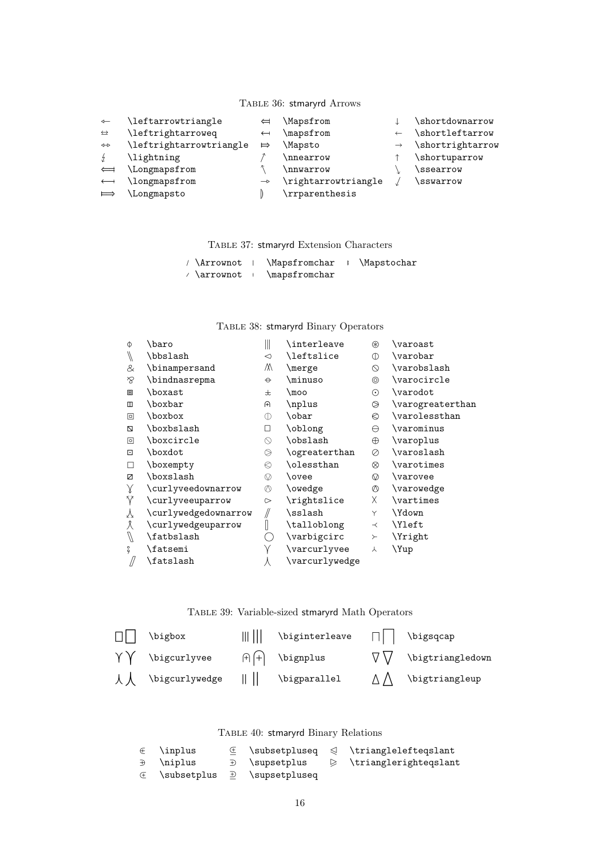### Table 36: stmaryrd Arrows

| $\leftarrow$      | \leftarrowtriangle      | ⇔             | Mapsfrom            |               | \shortdownarrow  |
|-------------------|-------------------------|---------------|---------------------|---------------|------------------|
| $\leftrightarrow$ | leftrightarroweq        | $\leftarrow$  | \mapsfrom           |               | \shortleftarrow  |
| $\leftrightarrow$ | \leftrightarrowtriangle | $\Rightarrow$ | \Mapsto             | $\rightarrow$ | \shortrightarrow |
| $\frac{1}{2}$     | \lightning              |               | \nnearrow           |               | \shortuparrow    |
| $\Longleftarrow$  | \Longmapsfrom           |               | \nnwarrow           |               | \ssearrow        |
| $\longleftarrow$  | \longmapsfrom           | $\rightarrow$ | \rightarrowtriangle |               | \sswarrow        |
| $\implies$        | \Longmapsto             |               | \rrparenthesis      |               |                  |
|                   |                         |               |                     |               |                  |

Table 37: stmaryrd Extension Characters

|  | / \Arrownot   \Mapsfromchar   \Mapstochar |  |
|--|-------------------------------------------|--|
|  | $\land$ \arrownot + \mapsfromchar         |  |

### Table 38: stmaryrd Binary Operators

| $\Phi$        | \baro                | Ш                   | \interleave       | ⊛              | \varoast         |
|---------------|----------------------|---------------------|-------------------|----------------|------------------|
| $\sqrt{ }$    | \bbslash             | $\triangleleft$     | <b>\leftslice</b> | $\circ$        | \varobar         |
| &             | \binampersand        | М                   | \merge            | $\circ$        | \varobslash      |
| $\otimes$     | \bindnasrepma        | $\Theta$            | \minuso           | $^{\circ}$     | \varocircle      |
| 圛             | \boxast              | 士                   | \moo              | $\odot$        | \varodot         |
| Ш             | \boxbar              | A                   | \nplus            | ◎              | \varogreaterthan |
| ▣             | \boxbox              | $^\circledR$        | \obar             | €              | \varolessthan    |
| Z             | \boxbslash           | □                   | \oblong           | $\ominus$      | \varominus       |
| ◙             | \boxcircle           | $\circlearrowright$ | \obslash          | $\oplus$       | \varoplus        |
| ⊡             | \boxdot              | ⊜                   | \ogreaterthan     | Ø              | \varoslash       |
| П             | \boxempty            | €                   | \olessthan        | ⊗              | \varotimes       |
| Ø             | \boxslash            | $\circledcirc$      | \ovee             | စ              | \varovee         |
| $\chi$        | \curlyveedownarrow   | $\circledcirc$      | \owedge           | $\circledcirc$ | \varowedge       |
| Ÿ             | \curlyveeuparrow     | $\sim$              | \rightslice       | X.             | \vartimes        |
| Y             | \curlywedgedownarrow | //                  | \sslash           | Y              | \Ydown           |
| Â             | \curlywedgeuparrow   |                     | \talloblong       | $\prec$        | \Yleft           |
| $\mathcal{J}$ | \fatbslash           |                     | \varbigcirc       | $\succ$        | Yright           |
| ş             | \fatsemi             | Υ                   | \varcurlyvee      | 人              | \Yup             |
|               | \fatslash            | Л                   | \varcurlywedge    |                |                  |
|               |                      |                     |                   |                |                  |

Table 39: Variable-sized stmaryrd Math Operators

| $\Box$ | \bigbox                                                   | $\ \cdot\ $ \biginterleave $\Box$ \bigsqcap           |                                      |
|--------|-----------------------------------------------------------|-------------------------------------------------------|--------------------------------------|
|        | $\gamma \gamma$ \bigcurlyvee                              | $\theta$ $\theta$ $\theta$ $\theta$ $\theta$ $\theta$ | $\nabla \bigvee$ \bigtriangledown    |
|        | $\downarrow \downarrow$ \bigcurlywedge       \bigparallel |                                                       | $\triangle \bigwedge$ \bigtriangleup |

Table 40: stmaryrd Binary Relations

| $\in$ \inplus                 |                             | $\mathbb{E}$ \subsetpluseq $\mathbb{S}$ \trianglelefteqslant  |
|-------------------------------|-----------------------------|---------------------------------------------------------------|
| $\exists$ \niplus             |                             | $\rightarrow$ \supsetplus $\rightarrow$ \trianglerighteqslant |
| $\quad \in \quad$ \subsetplus | $\rightarrow$ \supsetpluseq |                                                               |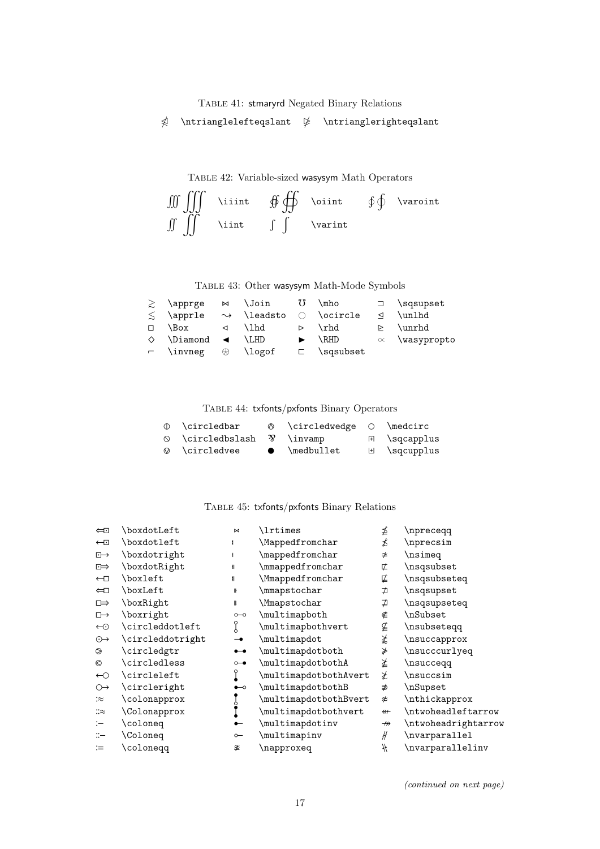Table 41: stmaryrd Negated Binary Relations

 $\triangle$  \ntrianglelefteqslant  $\triangle$  \ntrianglerighteqslant

Table 42: Variable-sized wasysym Math Operators

$$
\iiint \oint \oint \phi \text{ within } \phi \text{ } \phi \text{ } \varphi
$$

Table 43: Other wasysym Math-Mode Symbols

|        | $\geq$ \apprge                    | $\bowtie$ \Join             |                  | \mho             |                 | $\supset$ \sqsupset   |
|--------|-----------------------------------|-----------------------------|------------------|------------------|-----------------|-----------------------|
| $\leq$ | \apprle                           | $\rightsquigarrow$ \leadsto |                  | $\circ$ \ocircle | $\triangleleft$ | \unlhd                |
| $\Box$ | \Box                              | $\triangleleft$ \lhd        | $\triangleright$ | $\verb \rhd $    |                 | \unrhd                |
|        | $\Diamond$ \Diamond < \LHD        |                             |                  | \RHD             |                 | $\propto$ \wasypropto |
|        | $\vdash$ \invneg $\otimes$ \logof |                             |                  | $\Box$ \sqsubset |                 |                       |

Table 44: txfonts/pxfonts Binary Operators

| ⊕ \circledbar                               |           | $\circ$ \circledwedge $\circ$ \medcirc |                                     |
|---------------------------------------------|-----------|----------------------------------------|-------------------------------------|
| $\circ$ \circledbslash $\mathcal Y$ \invamp |           |                                        | 日 \sqcapplus                        |
| $\oslash$ \circledvee                       | $\bullet$ | \medbullet                             | $H \qquad \qquad \text{sqcupp}$ lus |

### Table 45: txfonts/pxfonts Binary Relations

| $\Longleftrightarrow$ | \boxdotLeft      | $\bowtie$                                                                       | <b>\lrtimes</b>       | ⊉                       | \npreceqq           |
|-----------------------|------------------|---------------------------------------------------------------------------------|-----------------------|-------------------------|---------------------|
| $\leftarrow$          | \boxdotleft      |                                                                                 | Mappedfromchar        | ≴                       | \nprecsim           |
| $\overline{\cdot}$    | \boxdotright     |                                                                                 | \mappedfromchar       | $\neq$                  | \nsimeq             |
| $\Rightarrow$         | \boxdotRight     | $\parallel$                                                                     | \mmappedfromchar      | ⊄                       | \nsqsubset          |
| $\leftarrow$          | \boxleft         | $\mathbf{I}$                                                                    | \Mmappedfromchar      | ⋢                       | \nsqsubseteq        |
| $\Longleftrightarrow$ | \boxLeft         | ⊪                                                                               | \mmapstochar          | ⊅                       | \nsqsupset          |
| $\Rightarrow$         | \boxRight        | ∦                                                                               | \Mmapstochar          | ⊉                       | \nsqsupseteq        |
| $\Box \rightarrow$    | \boxright        | $\circ\hspace{-1.5pt}-\hspace{-1.5pt}\circ$                                     | \multimapboth         | ∉                       | \nSubset            |
| $\leftrightarrow$     | \circleddotleft  |                                                                                 | \multimapbothvert     | ⊈                       | \nsubseteqq         |
| $\odot \rightarrow$   | \circleddotright | $\overline{\phantom{a}}$                                                        | \multimapdot          | ≵                       | \nsuccapprox        |
| $\circledcirc$        | \circledgtr      | $\bullet\hspace{-4pt}-\hspace{-4pt}-\hspace{-4pt}-\hspace{-4pt}-\hspace{-4pt}-$ | \multimapdotboth      | ⋡                       | \nsucccurlyeq       |
| €                     | \circledless     | $\circ\hspace{-0.7mm}-\hspace{-0.7mm}\bullet$                                   | \multimapdotbothA     | ≱                       | \nsucceqq           |
| $\leftarrow$          | \circleleft      |                                                                                 | \multimapdotbothAvert | ≵                       | \nsuccsim           |
| $\bigcirc\rightarrow$ | \circleright     | $\bullet\hspace{-4.5pt}\multimap$                                               | \multimapdotbothB     | ∌                       | \nSupset            |
| ∶≈                    | \colonapprox     |                                                                                 | \multimapdotbothBvert | ≉                       | \nthickapprox       |
| ∷≈                    | \Colonapprox     |                                                                                 | \multimapdotbothvert  | $\overline{\mathbf{r}}$ | \ntwoheadleftarrow  |
| $\mathrel{\mathop:}=$ | \coloneq         |                                                                                 | \multimapdotinv       | $\nrightarrow$          | \ntwoheadrightarrow |
| $\mathbb{C}-$         | <b>\Coloneq</b>  | $\sim$                                                                          | \multimapinv          | #                       | \nvarparallel       |
| $\mathrel{\mathop:}=$ | \coloneqq        | ≇                                                                               | \napproxeq            | $\#$                    | \nvarparallelinv    |

(continued on next page)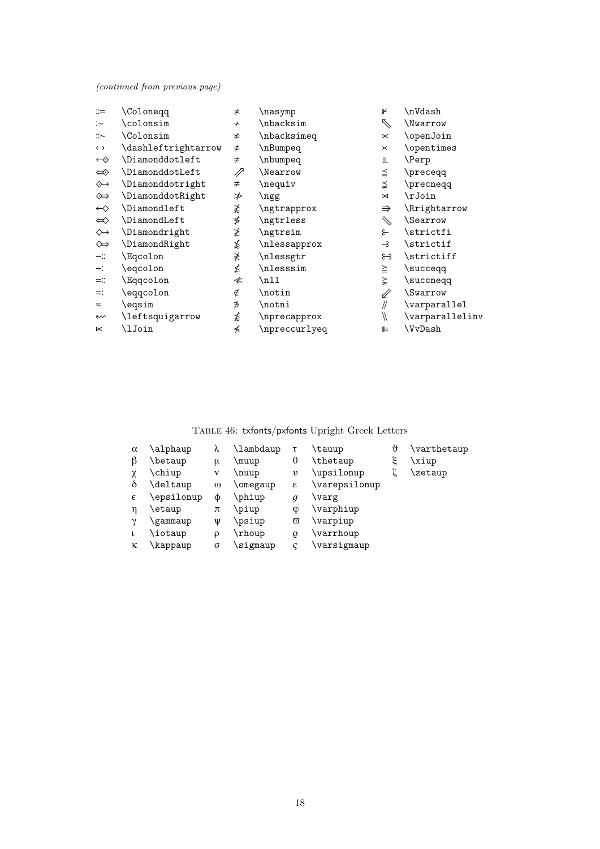(continued from previous page)

| $\dddot{=}$        | <b>Colonegg</b>        | $\neq$       | \nasymp       | J۴                | \nVdash                |
|--------------------|------------------------|--------------|---------------|-------------------|------------------------|
| : $\sim$           | \colonsim              | $\downarrow$ | \nbacksim     | $\nearrow$        | \Nwarrow               |
| $::\sim$           | <b>\Colonsim</b>       | ≠            | \nbacksimeq   | $\times$          | \openJoin              |
| $\leftrightarrow$  | \dashleftrightarrow    | $\neq$       | \nBumpeq      | $\times$          | \opentimes             |
| $\leftrightarrow$  | <b>\Diamonddotleft</b> | ≠            | \nbumpeq      | Ш                 | \Perp                  |
| $\Leftrightarrow$  | \DiamonddotLeft        | //           | \Nearrow      | ≦                 | \preceqq               |
| ◈                  | \Diamonddotright       | ≢            | \nequiv       | ≨                 | \precneqq              |
| ⇔                  | \DiamonddotRight       | ≯            | \ngg          | $\bowtie$         | \rJoin                 |
| $\leftrightarrow$  | <b>\Diamondleft</b>    | ≵            | \ngtrapprox   | $\Rightarrow$     | \Rrightarrow           |
| $\Leftrightarrow$  | \DiamondLeft           | ≸            | \ngtrless     | $\searrow$        | <i><b>Searrow</b></i>  |
| $\rightsquigarrow$ | \Diamondright          | ≵            | \ngtrsim      | ع                 | \strictfi              |
| $\Leftrightarrow$  | \DiamondRight          | ≴            | \nlessapprox  | $\rightarrow$     | \strictif              |
| $ \mathbb{Z}$      | \Eqcolon               | ≹            | \nlessgtr     | ೫                 | \strictiff             |
| $-$ :              | \eqcolon               | ≴            | \nlesssim     | ≧                 | \succeqq               |
| $=$ $\mathbb{I}$   | \Eqqcolon              | ≮            | \nll          | ≩                 | \succneqq              |
| $=$ :              | \eqqcolon              | ∉            | \notin        | ∥                 | <i><b>\Swarrow</b></i> |
| $\approx$          | \eqsim                 | ∌            | \notni        | //                | \varparallel           |
| $\rightsquigarrow$ | \leftsquigarrow        | ≴            | \nprecapprox  | $^{\prime\prime}$ | \varparallelinv        |
| $\ltimes$          | \lJoin                 | ⋠            | \npreccurlyeq | 止                 | \VvDash                |

# Table 46: txfonts/pxfonts Upright Greek Letters

| $\alpha$<br>β | \alphaup<br>\betaup | λ<br>μ   | \lambdaup<br>\muup | τ<br>θ   | \tauup<br>\thetaup | \}<br>ξ | \varthetaup<br>\xiup |
|---------------|---------------------|----------|--------------------|----------|--------------------|---------|----------------------|
| χ             | \chiup              | ν        | \nuup              | υ        | \upsilonup         |         | \zetaup              |
| δ             | \deltaup            | $\omega$ | \omegaup           | ε        | \varepsilonup      |         |                      |
| $\epsilon$    | \epsilonup          | Φ        | \phiup             | q        | \varg              |         |                      |
| η             | etaup)              | π        | \piup              | ¢        | \varphiup          |         |                      |
| $\mathcal V$  | gammaup             | V        | \psiup             | $\varpi$ | \varpiup           |         |                      |
| t             | \iotaup             | ρ        | \rhoup             | O        | \varrhoup          |         |                      |
| κ             | <b>\kappaup</b>     | σ        | \sigmaup           | c        | \varsigmaup        |         |                      |
|               |                     |          |                    |          |                    |         |                      |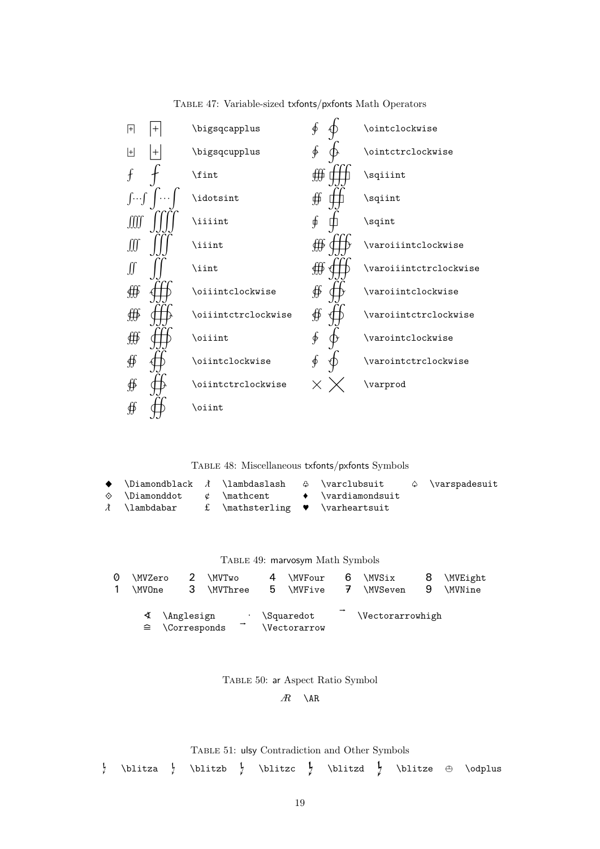

Table 47: Variable-sized txfonts/pxfonts Math Operators

Table 48: Miscellaneous txfonts/pxfonts Symbols

|                                                              |  | $\rightarrow$ \Diamondblack $\lambda$ \lambdaslash $\oplus$ \varclubsuit $\circ$ \varspadesuit |  |
|--------------------------------------------------------------|--|------------------------------------------------------------------------------------------------|--|
|                                                              |  | $\Diamond$ \Diamonddot & \mathcent $\Diamond$ \vardiamondsuit                                  |  |
| $\lambda$ \lambdabar f \mathsterling $\bullet$ \varheartsuit |  |                                                                                                |  |

Table 49: marvosym Math Symbols

| Ø | \MVZero<br>\MVOne                                    | 2. | \MVTwo<br><b>\MVThree</b> |   | 4<br>$\mathbf b$ | <b>\MVFour</b><br><b>\MVFive</b> | $\tau$ | 6 \MVSix<br><b>\MVSeven</b>   | 9 | \MVEight<br><b>\MVNine</b> |
|---|------------------------------------------------------|----|---------------------------|---|------------------|----------------------------------|--------|-------------------------------|---|----------------------------|
|   | $\triangleleft$ \Anglesign<br>$\hat{=}$ \Corresponds |    |                           | ٠ |                  | \Squaredot<br><i>Nectorarrow</i> |        | <i><u>Nectorarrowhigh</u></i> |   |                            |

Table 50: ar Aspect Ratio Symbol

 $\mathbb{R}$  \AR

Table 51: ulsy Contradiction and Other Symbols

 $\frac{1}{2}$  \blitza  $\frac{1}{2}$ \blitzb  $\int$  \blitzc  $\int$  \blitzd  $\int$  \blitze  $\oplus$  \odplus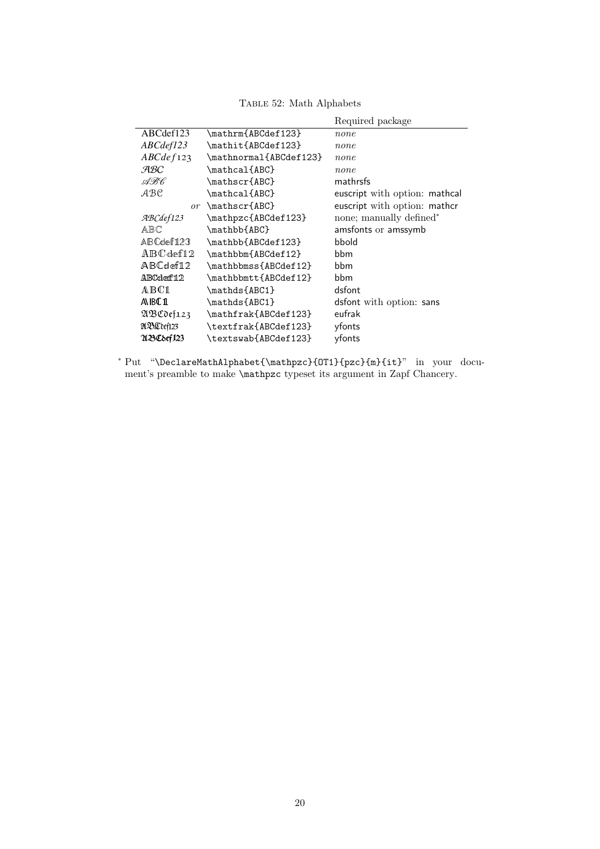|            |                                | Required package              |
|------------|--------------------------------|-------------------------------|
| ABCdef123  | \mathrm{ABCdef123}             | none                          |
| ABCdef123  | \mathit{ABCdef123}             | none                          |
| ABCdef123  | \mathnormal{ABCdef123}         | none                          |
| ABC        | \mathcal{ABC}                  | none                          |
| ABC.       | \mathscr{ABC}                  | mathrsfs                      |
| .ABC       | \mathcal{ABC}                  | euscript with option: mathcal |
|            | or $\mathcal{O}$ \mathscr{ABC} | euscript with option: mathcr  |
| ABCdef123  | \mathpzc{ABCdef123}            | none; manually defined*       |
| ABC        | \mathbb{ABC}                   | amsfonts or amssymb           |
| ABCdef123  | \mathbb{ABCdef123}             | bbold                         |
| ABCdef12   | \mathbbm{ABCdef12}             | bbm                           |
| ABCdef12   | \mathbbmss{ABCdef12}           | bbm                           |
| ABCdef12   | \mathbbmtt{ABCdef12}           | bbm                           |
| A B C 1    | \mathds{ABC1}                  | dsfont                        |
| AIBC1      | \mathds{ABC1}                  | dsfont with option: sans      |
| 21BCdef123 | \mathfrak{ABCdef123}           | eufrak                        |
| ABC def123 | \textfrak{ABCdef123}           | yfonts                        |
| UBC8ef123  | \textswab{ABCdef123}           | yfonts                        |

TABLE 52: Math Alphabets

<sup>∗</sup> Put "\DeclareMathAlphabet{\mathpzc}{OT1}{pzc}{m}{it}" in your document's preamble to make \mathpzc typeset its argument in Zapf Chancery.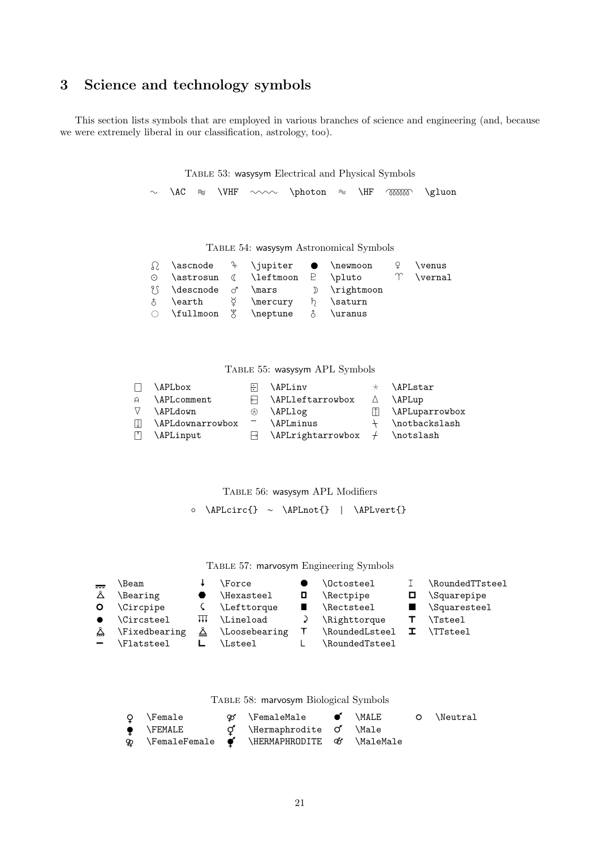# 3 Science and technology symbols

This section lists symbols that are employed in various branches of science and engineering (and, because we were extremely liberal in our classification, astrology, too).

Table 53: wasysym Electrical and Physical Symbols

 $\sim \ \ \text{A}\text{C} \quad \cong \ \ \text{VHF} \quad \sim \ \ \ \text{photon} \quad \cong \ \ \ \text{H}\text{F} \quad \text{M}\text{B}$ 

Table 54: wasysym Astronomical Symbols

|                                                    |  | $\Omega$ \ascnode <sup>2</sup> \jupiter $\bullet$ \newmoon $\varphi$ \venus |  |
|----------------------------------------------------|--|-----------------------------------------------------------------------------|--|
|                                                    |  | $\odot$ \astrosun $\odot$ \leftmoon $\odot$ \pluto $\uparrow$ \vernal       |  |
|                                                    |  | $\{\int \text{dessonode} \ } \mathbb{Z} \}$ \mars denoted by \rightmoon     |  |
| $\phi$ \earth $\circ$ \mercury $\phi$ \saturn      |  |                                                                             |  |
| $\circ$ \fullmoon $\circ$ \neptune $\circ$ \uranus |  |                                                                             |  |
|                                                    |  |                                                                             |  |

Table 55: wasysym APL Symbols

| $\mathbf{1}$ | <b>APLbox</b>      | НL | \APLinv                                   | $\star$ \APLstar   |
|--------------|--------------------|----|-------------------------------------------|--------------------|
| $\alpha$     | <b>\APLcomment</b> |    | $\Box$ \APLleftarrowbox                   | $\triangle$ \APLup |
| V            | \APLdown           |    | $\otimes$ \APLlog                         | \APLuparrowbox     |
| - IJJ        | \APLdownarrowbox   |    | <b>\APLminus</b>                          | $+$ \notbackslash  |
| $\Box$       | \APLinput          |    | $\Box$ \APLrightarrowbox $\div$ \notslash |                    |
|              |                    |    |                                           |                    |

Table 56: wasysym APL Modifiers

◦ \APLcirc{} ∼ \APLnot{} | \APLvert{}

Table 57: marvosym Engineering Symbols

| $=$                      | \Beam            |     | \Force                    | <b>\Octosteel</b> |          | \RoundedTTsteel          |
|--------------------------|------------------|-----|---------------------------|-------------------|----------|--------------------------|
| Å                        | \Bearing         |     | \Hexasteel                | \Rectpipe         |          | <i><b>Squarepipe</b></i> |
| O.                       | <b>\Circpipe</b> |     | $\mathcal{L}$ \Lefttorque | \Rectsteel        |          | Squaresteel              |
| $\bullet$                | \Circsteel       | ╫╫╫ | <b>\Lineload</b>          | \Righttorque      |          | \Tsteel                  |
| Ä.                       | \Fixedbearing    | Ä   | \Loosebearing             | \RoundedLsteel    | <b>I</b> | <b>\TTsteel</b>          |
| $\overline{\phantom{0}}$ | \Flatsteel       |     | <b>\Lsteel</b>            | \RoundedTsteel    |          |                          |

Table 58: marvosym Biological Symbols

| Q \Female         | $\infty$ \FemaleMale $\bullet$                                                        | <b>\MALE</b> | O \Neutral |
|-------------------|---------------------------------------------------------------------------------------|--------------|------------|
| $\bullet$ \FEMALE | $\sigma$ \Hermaphrodite $\sigma$ \Male                                                |              |            |
|                   | $\mathfrak{P}$ \FemaleFemale $\mathfrak{P}'$ \HERMAPHRODITE $\mathfrak{C}'$ \MaleMale |              |            |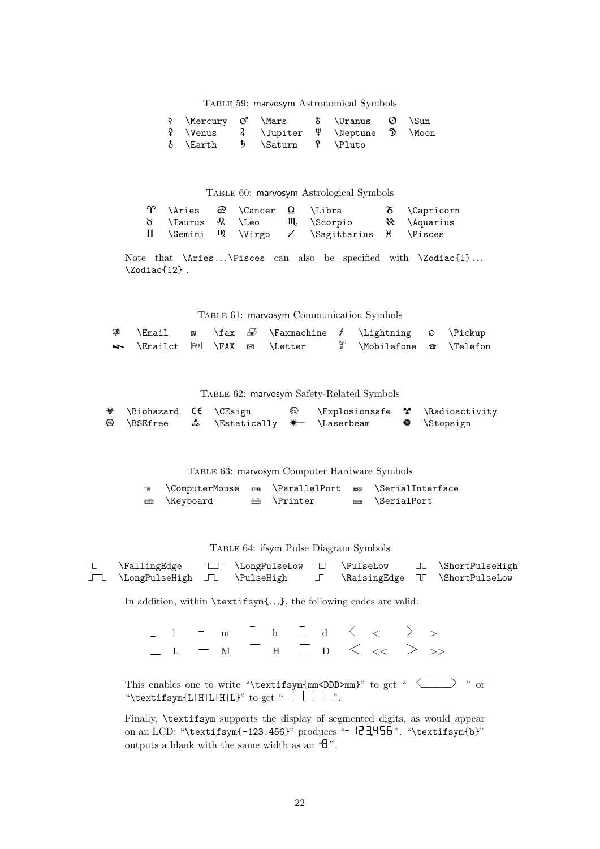Table 59: marvosym Astronomical Symbols

| $\forall$ \Mercury $\circ'$ \Mars $\quad$ \Uranus $\circ$ \Sun                         |  |  |  |
|----------------------------------------------------------------------------------------|--|--|--|
| $\mathcal{P}$ \Venus $\mathcal{A}$ \Jupiter $\mathcal{P}$ \Neptune $\mathcal{D}$ \Moon |  |  |  |
| δ \Earth 5 \Saturn ♀ \Pluto                                                            |  |  |  |

Table 60: marvosym Astrological Symbols

| $\Upsilon$ \Aries $\varpi$ \Cancer $\Omega$ \Libra |  |                                                                     | $\delta$ \Capricorn |
|----------------------------------------------------|--|---------------------------------------------------------------------|---------------------|
|                                                    |  | $\delta$ \Taurus Q \Leo $\mathfrak{m}$ \Scorpio $\aleph$ \Aquarius  |                     |
|                                                    |  | $\Box$ \Gemini $\mathbb{N}$ \Virgo $\angle$ \Sagittarius \t \Pisces |                     |

Note that  $\Aries \dots \Pisces can also be specified with \Zodiac{1} \dots$ \Zodiac{12} .

Table 61: marvosym Communication Symbols

|                                          |  | $\mathscr{D}$ \Email $\mathscr{D}$ \Faxmachine f \Lightning $\Omega$ \Pickup |                                                                    |  |
|------------------------------------------|--|------------------------------------------------------------------------------|--------------------------------------------------------------------|--|
| No \Emailct FAX \FAX $\boxtimes$ \Letter |  |                                                                              | $\overset{\circledcirc}{\parallel}$ \Mobilefone $\bullet$ \Telefon |  |

Table 62: marvosym Safety-Related Symbols

| $\circledast$ \Biohazard $\circledast$ \CEsign |  | $\langle \epsilon_{\rm x} \rangle$ | \Explosionsafe <sup>*</sup> \Radioactivity |                     |
|------------------------------------------------|--|------------------------------------|--------------------------------------------|---------------------|
| ⑭ \BSEfree                                     |  |                                    |                                            | $\bullet$ \Stopsign |

Table 63: marvosym Computer Hardware Symbols

| ↑ \ComputerMouse |                   | an \ParallelPort com \SerialInterface |
|------------------|-------------------|---------------------------------------|
| ■ \Keyboard      | <b>△ \Printer</b> | $\equiv$ \SerialPort                  |

Table 64: ifsym Pulse Diagram Symbols

| <b>\FallingEdge</b>           | I \LongPulseLow I \PulseLow |  | L \ShortPulseHigh              |
|-------------------------------|-----------------------------|--|--------------------------------|
| J \LongPulseHigh J \PulseHigh |                             |  | \RaisingEdge \[ \ShortPulseLow |

In addition, within \textifsym{. . .}, the following codes are valid:

 $\begin{array}{ccccccccccc} \texttt{1} & - & \texttt{m} & \texttt{h} & \texttt{1} & \texttt{d} & \left\langle \right. & < & \texttt{d} & \right\rangle & > \ \end{array}$  $\_$  L  $\_$  M H  $\_$  D  $\lt\lt\lt\gt\gt\gt$ 

This enables one to write "\textifsym{mm<DDD>mm}" to get " $\qquad \qquad$ " or "\textifsym{L|H|L|H|L}" to get "\_\_\_\_\_".

Finally, \textifsym supports the display of segmented digits, as would appear on an LCD: "\textifsym{-123.456}" produces "-  $23.456$ ". "\textifsym{b}" outputs a blank with the same width as an  $\mathscr{B}$ ".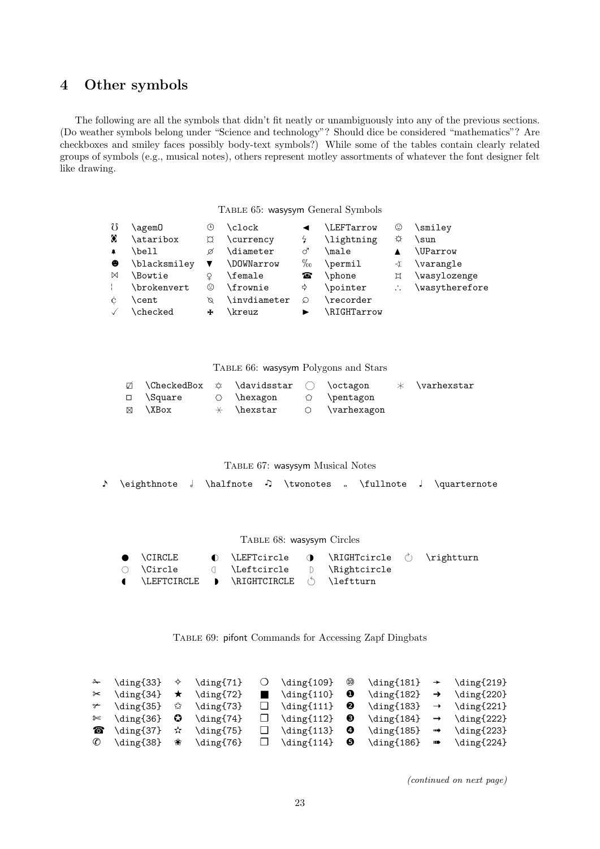# 4 Other symbols

The following are all the symbols that didn't fit neatly or unambiguously into any of the previous sections. (Do weather symbols belong under "Science and technology"? Should dice be considered "mathematics"? Are checkboxes and smiley faces possibly body-text symbols?) While some of the tables contain clearly related groups of symbols (e.g., musical notes), others represent motley assortments of whatever the font designer felt like drawing.

Table 65: wasysym General Symbols

| U           | \agem0       | $_{\tiny \odot}$ | \clock           |      | <b>LEFTarrow</b> | ☺ | \smiley        |
|-------------|--------------|------------------|------------------|------|------------------|---|----------------|
| ♦           | \ataribox    |                  | \currency        |      | \lightning       | ☆ | \sun           |
| $\clubsuit$ | \bell        | Ø                | \diameter        | ♂    | \male            |   | \UParrow       |
| $\bullet$   | \blacksmilev |                  | <b>DOWNarrow</b> | $\%$ | \permil          | ∢ | \varangle      |
| $\bowtie$   | \Bowtie      | Q                | \female          | ☎    | \phone           | ¤ | \wasylozenge   |
|             | \brokenvert  | ☺                | \frownie         | ⊰    | \pointer         |   | \wasytherefore |
| Ċ           | <b>cent</b>  | Ø                | \invdiameter     | の    | \recorder        |   |                |
|             | \checked     | ÷                | kreuz\           |      | RIGHTarrow       |   |                |

TABLE 66: wasysym Polygons and Stars

| $\varnothing$ \CheckedBox $\varnothing$ \davidsstar $\bigcap$ \octagon |                                      |  | $\;\;\times\;\;\;\forall$ varhexstar |
|------------------------------------------------------------------------|--------------------------------------|--|--------------------------------------|
| □ \Square                                                              | $\circ$ \hexagon $\circ$ \pentagon   |  |                                      |
| ⊠ ∖XBox                                                                | $\star$ \hexstar $\circ$ \varhexagon |  |                                      |

Table 67: wasysym Musical Notes

\eighthnote \halfnote \twonotes \fullnote ♩ \quarternote

#### Table 68: wasysym Circles

|  | $\bullet$ \CIRCLE $\bullet$ \LEFTcircle $\bullet$ \RIGHTcircle $\circ$ \rightturn |  |  |
|--|-----------------------------------------------------------------------------------|--|--|
|  | ◯ \Circle ( \Leftcircle () \Rightcircle                                           |  |  |
|  | ( \LEFTCIRCLE ) \RIGHTCIRCLE ( ) \leftturn                                        |  |  |

Table 69: pifont Commands for Accessing Zapf Dingbats

|                                             | $\prec$ \ding{33} $\diamond$ \ding{71} | $\bigcirc$ \ding{109} $\circledast$      | $\dim_{181} \rightarrow \dim_{219}$                                                                |  |
|---------------------------------------------|----------------------------------------|------------------------------------------|----------------------------------------------------------------------------------------------------|--|
| $\approx$ \ding{34} $\star$ \ding{72}       |                                        | $\blacksquare$ \ding{110} $\blacksquare$ | $\dim(f182) \rightarrow \dim(f220)$                                                                |  |
| $\rightarrow$ \ding{35} $\hat{x}$ \ding{73} |                                        |                                          |                                                                                                    |  |
| $\approx$ \ding{36} $\bullet$ \ding{74}     |                                        |                                          | $\Box$ \ding{112}<br>$\Diamond$ \ding{184} $\rightarrow$ \ding{222}                                |  |
| $\bullet$ \ding{37} $\star$ \ding{75}       |                                        |                                          | $\Box$ \ding{113} $\Theta$ \ding{185} $\Rightarrow$ \ding{223}                                     |  |
|                                             |                                        |                                          | $\mathscr{C}$ \ding{38} * \ding{76} $\Box$ \ding{114} $\Theta$ \ding{186} $\Rightarrow$ \ding{224} |  |

(continued on next page)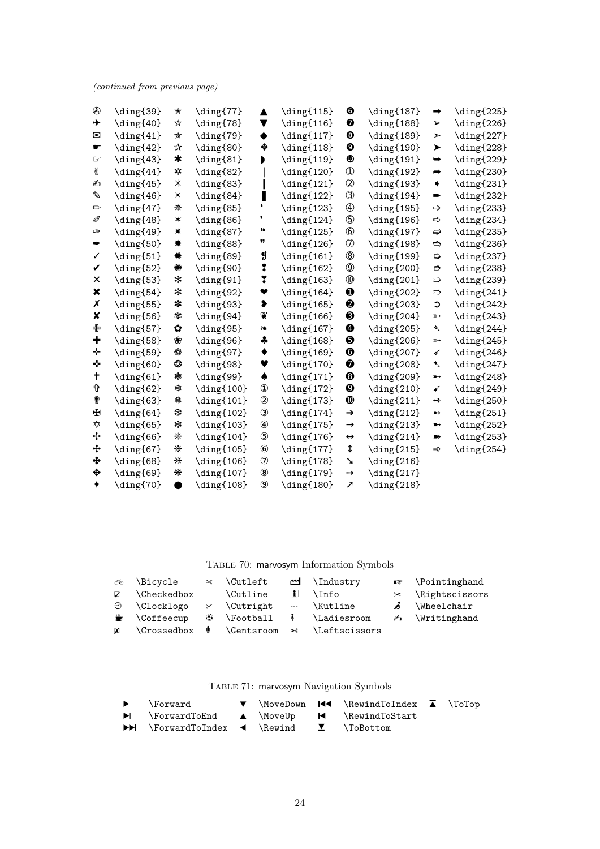(continued from previous page)

| ತ             | \ding{39}            | ☆         | \ding{77}                    | ▲                         | \ding{115}                   | ⊕                     | \ding{187}                                | $\Rightarrow$           | \ding{225}                                |
|---------------|----------------------|-----------|------------------------------|---------------------------|------------------------------|-----------------------|-------------------------------------------|-------------------------|-------------------------------------------|
| ÷             | \ding{40}            | ★         | \ding{78}                    | ▼                         | $\dim_{[116]}$               | ❼                     | \ding{188}                                | ➤                       | $\langle$ ding{226}                       |
| $\boxtimes$   | \ding{41}            | ★         | \ding{79}                    | ٠                         | $\langle \text{diag}\{117\}$ | $\odot$               | $\dim_{5}189$                             | ➤                       | \ding{227}                                |
| శ్            | $\langle 42 \rangle$ | ☆         | \ding{80}                    | ❖                         | $\langle$ ding{118}          | $\boldsymbol{\Theta}$ | \ding{190}                                | ➤                       | \ding{228}                                |
| Œ             | \ding{43}            | $\star$   | \ding{81}                    |                           | \ding{119}                   | $\mathbf 0$           | \ding{191}                                | $\rightarrow$           | \ding{229}                                |
| y             | \ding{44}            | *         | \ding{82}                    |                           | $\langle \text{diag}\{120\}$ | $\circled{1}$         | \ding{192}                                | $\rightarrow$           | \ding{230}                                |
| ൂ             | \ding{45}            | ⋇         | \ding{83}                    |                           | $\dim_{[121]}$               | $^{\circledR}$        | $\langle \text{diag}\$                    | ⋫                       | \ding{231}                                |
| ♦             | \ding{46}            | $\ast$    | \ding{84}                    | н                         | \ding{122}                   | $^\circledR$          | $\langle$ ding{194}                       | ➡                       | $\langle$ ding{232}                       |
| $\Rightarrow$ | \ding{47}            | 愁         | \ding{85}                    | $\bullet$                 | \ding{123}                   | $\circled{4}$         | \ding{195}                                | $\Rightarrow$           | \ding{233}                                |
| $\mathscr{N}$ | $\langle$ ding{48}   | $\ast$    | \ding{86}                    | ,                         | $\langle$ ding{124}          | $\circledS$           | $\langle \text{diag}\left\{ 196 \right\}$ | ⊏्रे                    | \ding{234}                                |
| ₫             | \ding{49}            | ☀         | \ding{87}                    | 66                        | \ding{125}                   | $\circledast$         | \ding{197}                                | ⇨                       | \ding{235}                                |
| Î             | \ding{50}            | ☀         | \ding{88}                    | 99                        | $\langle$ ding{126}          | $\circledD$           | $\langle \text{diag}\$                    | ↔                       | \ding{236}                                |
| $\checkmark$  | \ding{51}            | ☀         | \ding{89}                    | ₫                         | $\dim_{[161]}$               | $^\circledR$          | $\langle \text{diag}\$                    | ⇨                       | $\langle \text{diag}\left\{ 237 \right\}$ |
| V             | \ding{52}            | ☀         | \ding{90}                    | ŗ                         | \ding{162}                   | $^\circledR$          | \ding{200}                                | ⇨                       | \ding{238}                                |
| X             | \ding{53}            | ⊁         | \ding{91}                    | ¥                         | \ding{163}                   | $^{\circledR}$        | \ding{201}                                | $\Rightarrow$           | \ding{239}                                |
| X             | \ding{54}            | ∗         | \ding{92}                    | ❤                         | $\langle \text{ding}\{164\}$ | $\bf{0}$              | \ding{202}                                | $\Rightarrow$           | $\langle$ ding{241}                       |
| X             | \ding{55}            | ∗         | \ding{93}                    | ⊁                         | \ding{165}                   | $\boldsymbol{\Theta}$ | \ding{203}                                | $\circ$                 | $\langle \text{diag}\{242\}$              |
| ×             | \ding{56}            | 發         | \ding{94}                    | $\circledS$               | \ding{166}                   | $\odot$               | $\langle \text{diag}\{204\}$              | $\mathbb{D} \mathbb{D}$ | \ding{243}                                |
| ╬             | \ding{57}            | 쬺         | \ding{95}                    | S.                        | \ding{167}                   | $\boldsymbol{\Theta}$ | \ding{205}                                | ₹                       | $\langle$ ding{244}                       |
| ٠             | \ding{58}            | 器         | \ding{96}                    | ♣                         | $\langle$ ding{168}          | $\boldsymbol{\Theta}$ | \ding{206}                                | ∍                       | $\langle$ ding ${245}$                    |
| ÷             | \ding{59}            | ₩         | \ding{97}                    | ٠                         | $\langle$ ding{169}          | ❺                     | \ding{207}                                | 4 <sup>r</sup>          | $\langle$ ding ${246}$                    |
| Ŷ.            | \ding{60}            | ₩         | \ding{98}                    | ♥                         | $\langle \text{diag}\$       | $\bullet$             | \ding{208}                                | ◆                       | $\langle \text{diag}\{247\}$              |
| t             | \ding{61}            | 家         | \ding{99}                    | ♠                         | $\langle \text{diag}\{171\}$ | $\odot$               | \ding{209}                                | $\rightarrow$           | \ding{248}                                |
| Ŷ             | \ding{62}            | 灘         | \ding{100}                   | $\textcircled{\small{1}}$ | $\langle$ ding{172}          | $\boldsymbol{\Theta}$ | \ding{210}                                | ✔                       | \ding{249}                                |
| Ť             | \ding{63}            | 漱         | $\langle \text{diag}\{101\}$ | $^{\circledR}$            | \ding{173}                   | $\bf \Phi$            | $\langle$ ding{211}                       | $\rightarrow$           | \ding{250}                                |
| Æ             | \ding{64}            | 骤         | $\langle \text{diag}\{102\}$ | $\circledS$               | \ding{174}                   | →                     | \ding{212}                                | →                       | \ding{251}                                |
| ✿             | \ding{65}            | ☀         | \ding{103}                   |                           | \ding{175}                   | $\rightarrow$         | \ding{213}                                | $\blacksquare$          | \ding{252}                                |
| -∤∘           | \ding{66}            | ☀         | $\langle \text{diag}\{104\}$ | $\circledS$               | $\langle \text{diag}\{176\}$ | $\leftrightarrow$     | $\langle \text{diag}\{214\}$              | $\blacksquare$          | \ding{253}                                |
| ℁             | \ding{67}            | ∗         | \ding{105}                   | $^{\circledR}$            | \ding{177}                   | ⇕                     | \ding{215}                                | ⋗                       | \ding{254}                                |
| $3\!\!3$      | \ding{68}            | *         | \ding{106}                   | $^\copyright$             | \ding{178}                   | ▲                     | \ding{216}                                |                         |                                           |
| $\frac{1}{2}$ | \ding{69}            | ₩         | \ding{107}                   | $^{\circledR}$            | \ding{179}                   | $\rightarrow$         | \ding{217}                                |                         |                                           |
| ♦             | \ding{70}            | $\bullet$ | \ding{108}                   | $\circledS$               | \ding{180}                   | $\pmb{\pi}$           | \ding{218}                                |                         |                                           |

Table 70: marvosym Information Symbols

| ॐ ∖Bicycle                                                   | $\rtimes$ \Cutleft | <u>m</u> ∖Industry                                            | $\mathbb{R}$ \Pointinghand |
|--------------------------------------------------------------|--------------------|---------------------------------------------------------------|----------------------------|
| $\triangledown$ \Checkedbox -- \Cutline                      |                    | $\ln$ \Info                                                   | $\times$ \Rightscissors    |
| $\odot$ \Clocklogo $\approx$ \Cutright -- \Kutline           |                    |                                                               | & \Wheelchair              |
| $\bullet$ \Coffeecup $\circ$ \Football $\bullet$ \Ladiesroom |                    |                                                               | $\triangle$ \Writinghand   |
|                                                              |                    | $\boxtimes$ $\blacksquare$ \Gentsroom $\approx$ \Leftscissors |                            |

Table 71: marvosym Navigation Symbols

| ▶ \Forward 	 ▼ \MoveDown K< \RewindToIndex A \ToTop                                                |  |  |  |
|----------------------------------------------------------------------------------------------------|--|--|--|
| $\blacktriangleright$ \ForwardToEnd $\blacktriangle$ \MoveUp $\blacktriangleright$ \RewindToStart  |  |  |  |
| $\blacktriangleright$ \ForwardToIndex $\blacktriangleleft$ \Rewind $\blacktriangleright$ \ToBottom |  |  |  |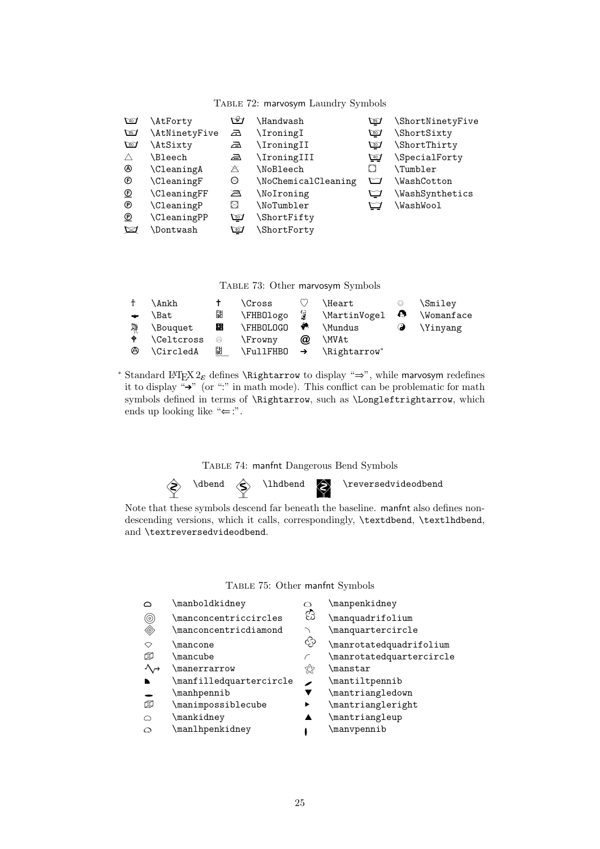| $\sqrt{40}$    | \AtForty           | ఆ           | \Handwash           | ঞ        | \ShortNinetyFive |
|----------------|--------------------|-------------|---------------------|----------|------------------|
| $\mathbb{F}$   | \AtNinetyFive      | क़          | \IroningI           | $\omega$ | \ShortSixty      |
| 60             | \AtSixty           | 盃           | \IroningII          | ⊠        | \ShortThirty     |
| Λ              | <b>\Bleech</b>     | 盃           | \IroningIII         | ⊡⊒       | \SpecialForty    |
| ⊛              | <b>\CleaningA</b>  | Ж           | <b>\NoBleech</b>    |          | <b>\Tumbler</b>  |
| ®              | <b>\CleaningF</b>  | Ø           | \NoChemicalCleaning | ◘        | \WashCotton      |
| $^{\circledR}$ | <b>\CleaningFF</b> | a           | \NoIroning          | ⊡        | \WashSynthetics  |
| ®              | <b>\CleaningP</b>  | ⊠           | \NoTumbler          | ⊡        | \WashWool        |
| ℗              | <b>\CleaningPP</b> | $\sqrt{20}$ | \ShortFifty         |          |                  |
| ⊠              | <b>\Dontwash</b>   | $\sqrt{40}$ | \ShortForty         |          |                  |

#### Table 72: marvosym Laundry Symbols

Table 73: Other marvosym Symbols

|               | \Ankh             |           | <b>\Cross</b>  |          | <b>\Heart</b>              | ⊙         | \Smiley     |
|---------------|-------------------|-----------|----------------|----------|----------------------------|-----------|-------------|
| $\rightarrow$ | \Bat              | 턟         | \FHB0logo      | 9        | \MartinVogel               | $\bullet$ | \Womanface  |
| 髹             | \Bouquet          | 88        | \FHBOLOGO      | ۳        | <b>\Mundus</b>             |           | $\Y$ inyang |
| ٠             | <b>\Celtcross</b> | ⊜         | <b>\Frowny</b> | $\omega$ | \MVAt                      |           |             |
| <b>A</b>      | \CircledA         | <u>SU</u> | \FullFHBO      |          | $\rightarrow$ \Rightarrow* |           |             |

<sup>∗</sup> Standard L<sup>AT</sup>EX 2<sub>ε</sub> defines \Rightarrow to display "⇒", while marvosym redefines it to display  $\stackrel{a}{\rightarrow}$ " (or ":" in math mode). This conflict can be problematic for math symbols defined in terms of \Rightarrow, such as \Longleftrightarrow, which ends up looking like " $\Leftarrow$ :".

Table 74: manfnt Dangerous Bend Symbols

 $\Diamond$  \dbend  $\Diamond$  \lhdbend  $\Diamond$  \reversedvideodbend

Note that these symbols descend far beneath the baseline. manfnt also defines nondescending versions, which it calls, correspondingly, \textdbend, \textlhdbend, and \textreversedvideodbend.

Table 75: Other manfnt Symbols

|                                               | \manboldkidney                 | O  | \manpenkidney            |
|-----------------------------------------------|--------------------------------|----|--------------------------|
| ⊚                                             | \manconcentriccircles          | ගි | \manquadrifolium         |
| ◈                                             | $\verb \manconcentricdiamond $ |    | \manquartercircle        |
| ◇                                             | <b>\mancone</b>                | ♧  | \manrotatedquadrifolium  |
| œ                                             | \mancube                       |    | \manrotatedquartercircle |
| $\Lambda$ <sup><math>\rightarrow</math></sup> | <i><b>Imanerrarrow</b></i>     | ☆  | \manstar                 |
| N                                             | \manfilledquartercircle        |    | \mantiltpennib           |
|                                               | \manhpennib                    |    | \mantriangledown         |
| ወ                                             | \manimpossiblecube             |    | \mantriangleright        |
| ⌒                                             | \mankidney                     |    | \mantriangleup           |
| $\bigcirc$                                    | \manlhpenkidney                |    | \manvpennib              |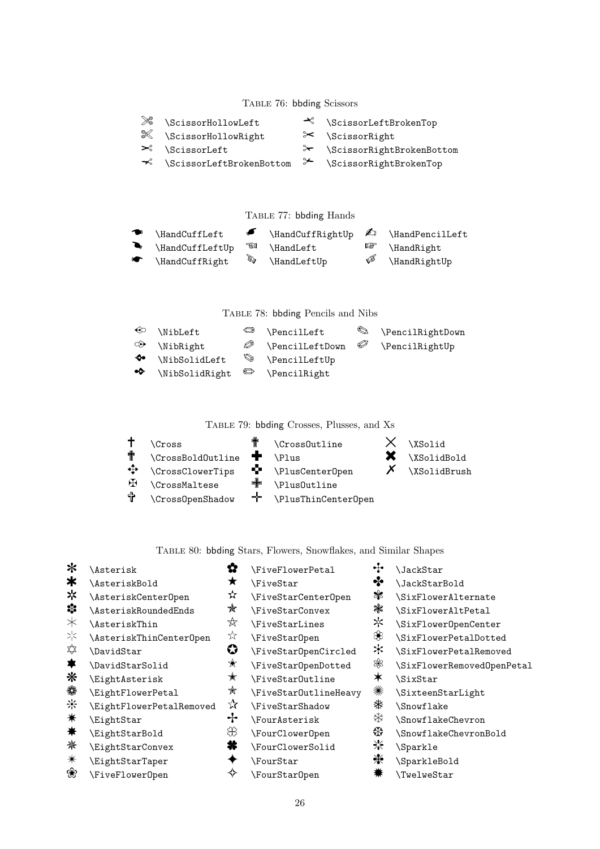#### TABLE 76: bbding Scissors

| $\gg$ | \ScissorHollowLeft                                              | $\prec$ \ScissorLeftBrokenTop |
|-------|-----------------------------------------------------------------|-------------------------------|
|       | & \ScissorHollowRight                                           | $\approx$ \ScissorRight       |
|       | $\mathcal{S}_{\text{CissorLeft}}$                               | → \ScissorRightBrokenBottom   |
|       | $\prec$ \ScissorLeftBrokenBottom $\succ$ \ScissorRightBrokenTop |                               |
|       |                                                                 |                               |

TABLE 77: bbding Hands

| $\bullet$ \HandCuffLeft    |              | $\blacksquare$ \HandCuffRightUp $\blacksquare$ \HandPencilLeft |   |                         |
|----------------------------|--------------|----------------------------------------------------------------|---|-------------------------|
| $\bigwedge$ HandCuffLeftUp |              | <b>\HandLeft</b>                                               |   | $\mathbb{F}$ \HandRight |
| $\bullet$ \HandCuffRight   | $\mathbb{Z}$ | \HandLeftUp                                                    | ৈ | \HandRightUp            |

TABLE 78: bbding Pencils and Nibs

| $\circ$ \NibLeft              |   | $\circledcirc$ \PencilLeft |     | S \PencilRightDown |
|-------------------------------|---|----------------------------|-----|--------------------|
| $\circ \rightarrow$ \NibRight | Ø | \PencilLeftDown            | – P | \PencilRightUp     |
| $\lozenge$ \NibSolidLeft      |   | $\otimes$ \PencilLeftUp    |     |                    |
|                               |   |                            |     |                    |

Table 79: bbding Crosses, Plusses, and Xs

|    | <b>\Cross</b>        | 非 | \Cross0utline       | \XSolid      |
|----|----------------------|---|---------------------|--------------|
| 非  | \CrossBoldOutline    |   | <b>\Plus</b>        | \XSolidBold  |
| ⊕  | \CrossClowerTips     | Ŷ | \PlusCenterOpen     | \XSolidBrush |
| HЧ | <b>\CrossMaltese</b> | ╋ | \Plus0utline        |              |
| 4  | \CrossOpenShadow     | T | \PlusThinCenterOpen |              |

#### Table 80: bbding Stars, Flowers, Snowflakes, and Similar Shapes

- 
- \* \Asterisk P \FiveFlowerPetal 2 \JackStar
	-
- \* \AsteriskCenterOpen  $\mathcal{L}$  \FiveStarCenterOpen  $\mathcal{L}$  \SixFlowerAlternate
- \*\* \AsteriskRoundedEnds \* \FiveStarConvex \* \SixFlowerAltPetal<br>\* \AsteriskThin \* \RiveStarLines \* \SixFlowerOpenCent
- 
- 
- 
- 
- 
- S \EightFlowerPetal  $\mathbb{X}$  \FiveStarOutlineHeavy  $\mathbb{X}$  \SixteenStarLight<br> $\mathbb{X}$  \FightFlowerPetalRemoved  $\mathbb{X}$  \FiveStarShadow  $\mathbb{X}$  \Snowflake
- $\left\{\begin{array}{ccc} & \mathcal{N} \\ \end{array}\right\}$  \FiveStarShadow  $\qquad$  \Snowflake
- 
- 
- 
- E \EightStarTaper 5 \FourStar \ \SparkleBold
- 
- $\text{*}$  \AsteriskBold  $\text{*}$  \FiveStar  $\text{*}$  \JackStarBold
	-
	-
	- -
		-
		-
	-
- $\mathcal{X}$  \EightAsterisk  $\mathcal{X}$  \FiveStarOutline  $\mathcal{X}$  \SixStar<br>  $\mathcal{X}$  \EightElowerPetal  $\mathcal{X}$  \EiveStarOutlineHeavy  $\mathcal{X}$  \Sixteen
	-
	-
	-
	- $\left\{\n \begin{array}{ccc}\n \text{EightStarConvex} & \text{FourClowerSolid}\n \end{array}\n \right\}$ 
		- -
- 
- 
- 
- 
- 
- 
- 
- 
- 
- 
- 
- $\ast$  \EightStar  $\ast$  \FourAsterisk  $\ast$  \SnowflakeChevron
- **★** \EightStarBold  $\mathcal{X}$  \FourClowerOpen  $\mathcal{X}$  \SnowflakeChevronBold<br>※ \FightStarConvex **→** \FourClowerSolid > \Sparkle
	-
	-
	- $\N$ FiveFlowerOpen  $\Diamond$  \FourStarOpen  $\ast$  \TwelweStar
- -
	-
- C \AsteriskThin 7 \FiveStarLines M \SixFlowerOpenCenter
- $\frac{1}{\infty}$  \AsteriskThinCenterOpen  $\frac{1}{\infty}$  \FiveStarOpen  $\frac{1}{\infty}$  \SixFlowerPetalDotted  $\frac{1}{\infty}$
- $\not\Rightarrow$  \DavidStar  $\bullet$  \FiveStarOpenCircled  $\star$  \SixFlowerPetalRemoved \Depricted \Results \Depricted \Results \Results \Results \Results \Results \Results \Results \Results \Results \Results \Results \Results \Results \
	- $\Delta$  \DavidStarSolid  $\star$  \FiveStarOpenDotted  $\%$  \SixFlowerRemovedOpenPetal
		-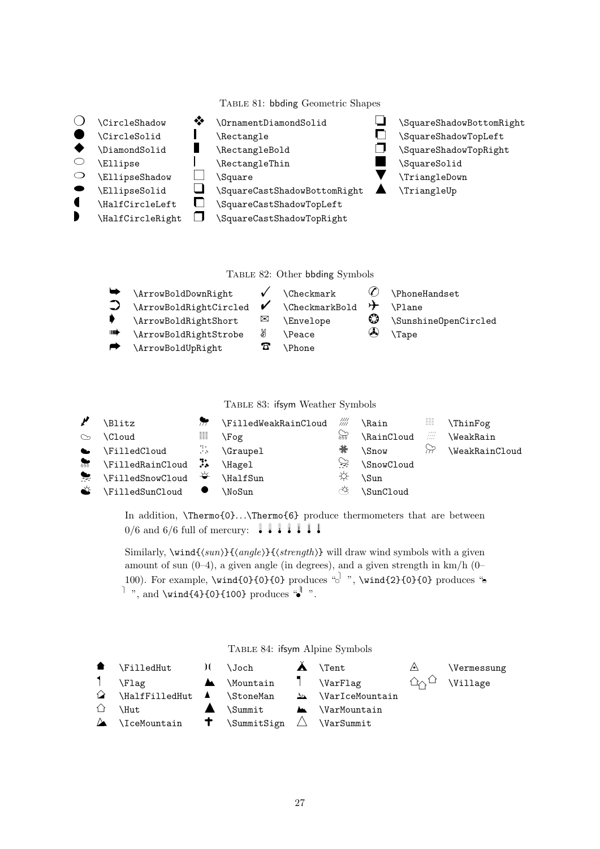Table 81: bbding Geometric Shapes

- 
- 
- 
- 
- $\bigcirc$  \EllipseShadow  $\bigcirc$  \Square  $\bigcirc$  \TriangleDown
- 
- 
- 
- $\bigcirc$  \CircleShadow  $\bullet$  \OrnamentDiamondSolid  $\Box$  \SquareShadowBottomRight
	-
	-
- $\circ$  \Ellipse  $\qquad$  \RectangleThin  $\qquad$  \SquareSolid
	-
	- \EllipseSolid  $\bigcup$  \SquareCastShadowBottomRight  $\bigcap$  \TriangleUp
- $\blacksquare$  \HalfCircleLeft  $\blacksquare$  \SquareCastShadowTopLeft<br>  $\blacksquare$  \SquareCastShadowTopRight

\HalfCircleRight  $\Box$  \SquareCastShadowTopRight

- 
- \CircleSolid | \Rectangle | | \SquareShadowTopLeft<br>◆ \DiamondSolid | \RectangleBold | \SquareShadowTopRight
	- \DiamondSolid \RectangleBold \SquareShadowTopRight
		-
		-
		-

Table 82: Other bbding Symbols

| ⊪⊯ | \ArrowBoldDownRight<br>\ArrowBoldRightCircled<br>\ArrowBoldRightShort<br>\ArrowBoldRightStrobe | V<br>$\boxtimes$<br>₩ | $\text{Checkmark}$<br>\CheckmarkBold<br><b>Envelope</b><br><b>\Peace</b> | ⊁<br>◎<br>$\omega$ | \PhoneHandset<br><b>\Plane</b><br>\SunshineOpenCircled<br>\Tape |
|----|------------------------------------------------------------------------------------------------|-----------------------|--------------------------------------------------------------------------|--------------------|-----------------------------------------------------------------|
|    | \ArrowBoldUpRight                                                                              |                       | \Phone                                                                   |                    |                                                                 |

Table 83: ifsym Weather Symbols

|           | \Blitz                                 | īπ                  | \FilledWeakRainCloud /// |       | <b>\Rain</b>       | ▦                      | <b>\ThinFog</b>  |
|-----------|----------------------------------------|---------------------|--------------------------|-------|--------------------|------------------------|------------------|
| $\infty$  | \Cloud                                 | ▦                   | \Fog                     | प्रेज | \RainCloud         | e di Papa<br>Septembre | <b>\WeakRain</b> |
| $\bullet$ | \FilledCloud                           | <b>1000 By Live</b> | \Graupel                 | 藥     | <i><b>Snow</b></i> | $\approx$              | \WeakRainCloud   |
|           | <b>M</b> \FilledRainCloud ::           |                     | \Hagel                   | چي    | \SnowCloud         |                        |                  |
| $\bullet$ | <b>\FilledSnowCloud</b> <del>↓</del>   |                     | \HalfSun                 |       | \Sun               |                        |                  |
| $\bullet$ | $\lvert$ FilledSunCloud $\blacksquare$ |                     | \NoSun                   | ∢≴    | \SunCloud          |                        |                  |

In addition, \Thermo{0}...\Thermo{6} produce thermometers that are between  $0/6$  and 6/6 full of mercury:  $\blacksquare$   $\blacksquare$   $\blacksquare$   $\blacksquare$ 

Similarly,  $\wedge$  ind{ $\wedge$ suni}{ $\wedge$ anglei}{ $\wedge$ strength} will draw wind symbols with a given amount of sun  $(0-4)$ , a given angle (in degrees), and a given strength in  $km/h$   $(0-$ 100). For example,  $\wind{0}{0}{0}$  produces " $\circ$ <sup>1</sup>",  $\wind{2}{0}{0}$  produces " $\circ$  $\vert$  ", and \wind{4}{0}{100} produces " $\vert$ ".

Table 84: ifsym Alpine Symbols

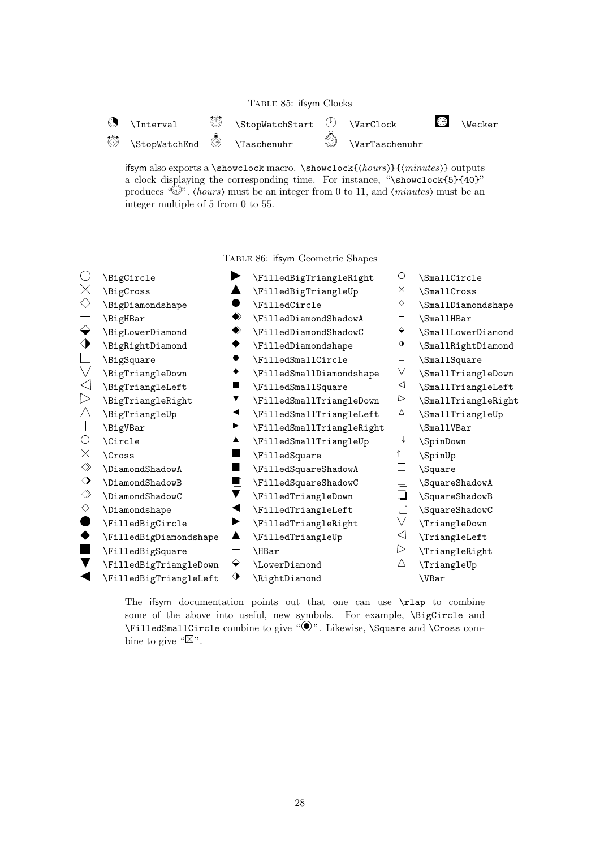| TABLE 85: ifsym Clocks |  |  |
|------------------------|--|--|
|------------------------|--|--|



ifsym also exports a \showclock macro. \showclock{ $\{hours\}$ { $\{minutes\}$ } outputs a clock displaying the corresponding time. For instance, "\showclock{5}{40}" produces " $\mathbb{D}^n$ . (hours) must be an integer from 0 to 11, and (minutes) must be an integer multiple of 5 from 0 to 55.

Table 86: ifsym Geometric Shapes

| ( )                | \BigCircle             |    | \FilledBigTriangleRight   | O                  | \SmallCircle        |
|--------------------|------------------------|----|---------------------------|--------------------|---------------------|
| $\times$           | \BigCross              |    | \FilledBigTriangleUp      | X                  | SmallCross          |
| $\Diamond$         | \BigDiamondshape       |    | \FilledCircle             | ♦                  | \SmallDiamondshape  |
|                    | \BigHBar               | ◆  | \FilledDiamondShadowA     |                    | \SmallHBar          |
| $\leftrightarrow$  | \BigLowerDiamond       | ◈  | \FilledDiamondShadowC     | ♦                  | \SmallLowerDiamond  |
| ♦                  | \BigRightDiamond       |    | \FilledDiamondshape       | ♦                  | \SmallRightDiamond  |
|                    | \BigSquare             |    | \FilledSmallCircle        | $\Box$             | \SmallSquare        |
| $\bigtriangledown$ | \BigTriangleDown       | ٠  | \FilledSmallDiamondshape  | $\triangledown$    | \SmallTriangleDown  |
| $\triangleleft$    | \BigTriangleLeft       | ш  | \FilledSmallSquare        | $\triangleleft$    | \SmallTriangleLeft  |
| $\triangleright$   | \BigTriangleRight      |    | \FilledSmallTriangleDown  | ▷                  | \SmallTriangleRight |
| Δ                  | \BigTriangleUp         | ◀  | \FilledSmallTriangleLeft  | Δ                  | \SmallTriangleUp    |
|                    | \BigVBar               | ▶  | \FilledSmallTriangleRight |                    | \SmallVBar          |
| $\bigcirc$         | \Circle                | ▲  | \FilledSmallTriangleUp    | ↓                  | \SpinDown           |
| X                  | <b>Cross</b>           |    | \FilledSquare             | ↑                  | \SpinUp             |
| $\diamondsuit$     | \DiamondShadowA        | 91 | \FilledSquareShadowA      |                    | \Square             |
| ♦                  | \DiamondShadowB        | ┛  | \FilledSquareShadowC      |                    | \SquareShadowA      |
| $\Diamond$         | \DiamondShadowC        |    | \FilledTriangleDown       | u                  | \SquareShadowB      |
| $\Diamond$         | \Diamondshape          |    | \FilledTriangleLeft       | ⊔                  | \SquareShadowC      |
|                    | \FilledBigCircle       |    | \FilledTriangleRight      | $\bigtriangledown$ | \TriangleDown       |
|                    | \FilledBigDiamondshape | ▲  | \FilledTriangleUp         | $\triangleleft$    | \TriangleLeft       |
|                    | \FilledBigSquare       |    | \HBar                     | $\triangleright$   | \TriangleRight      |
|                    | \FilledBigTriangleDown | ♦  | \LowerDiamond             | Δ                  | \TriangleUp         |
|                    | \FilledBigTriangleLeft | ♦  | \RightDiamond             |                    | \VBar               |
|                    |                        |    |                           |                    |                     |

The ifsym documentation points out that one can use  $\tau$  to combine some of the above into useful, new symbols. For example, *\BigCircle and* \FilledSmallCircle combine to give " $\odot$ ". Likewise, \Square and \Cross combine to give " $\mathbb{Z}$ ".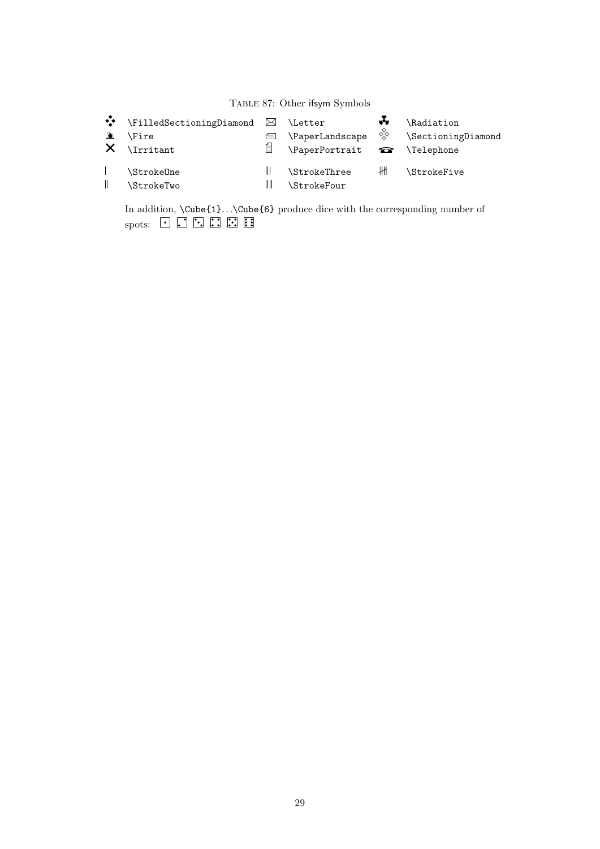# Table 87: Other ifsym Symbols

| $\sum_{i=1}^{n}$ | ◆ \FilledSectioningDiamond ⊠ \Letter<br><b>\Fire</b><br>$X$ \Irritant | ⊫            | \PaperLandscape                    | ŵ,<br>$\Diamond_{\diamondsuit}^{\diamondsuit}$ | \Radiation<br>\SectioningDiamond |
|------------------|-----------------------------------------------------------------------|--------------|------------------------------------|------------------------------------------------|----------------------------------|
|                  | \Stroke0ne<br>\StrokeTwo                                              | $\mathbb{I}$ | <b>\StrokeThree</b><br>\StrokeFour | ₩                                              | <b>\StrokeFive</b>               |

In addition,  $\text{Cube(1)}$ ... $\text{Cube(6)}$  produce dice with the corresponding number of spots:  $\begin{bmatrix} \cdot & \cdot \\ \cdot & \cdot \end{bmatrix}$   $\begin{bmatrix} \cdot & \cdot \\ \cdot & \cdot \end{bmatrix}$   $\begin{bmatrix} \cdot & \cdot \\ \cdot & \cdot \end{bmatrix}$   $\begin{bmatrix} \cdot & \cdot \\ \cdot & \cdot \end{bmatrix}$   $\begin{bmatrix} \cdot & \cdot \\ \cdot & \cdot \end{bmatrix}$   $\begin$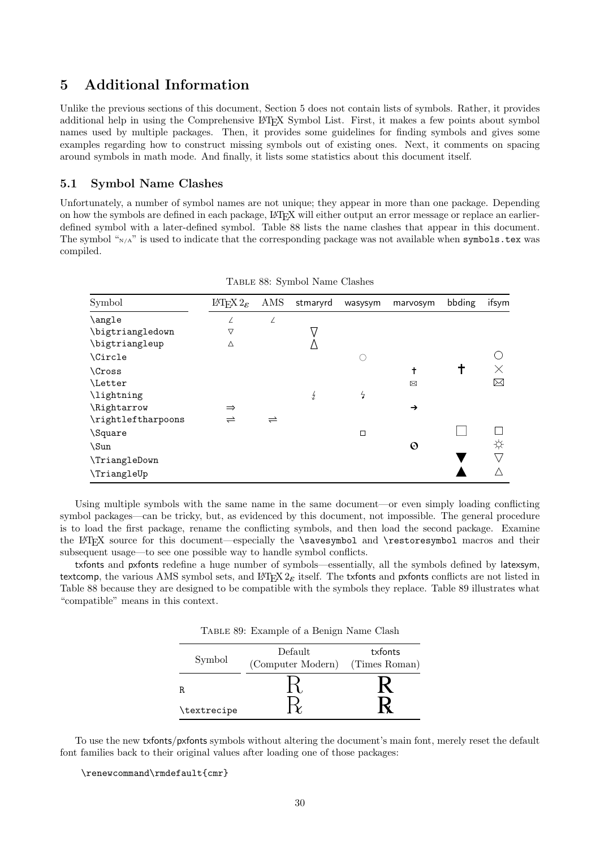### 5 Additional Information

Unlike the previous sections of this document, Section 5 does not contain lists of symbols. Rather, it provides additional help in using the Comprehensive LATEX Symbol List. First, it makes a few points about symbol names used by multiple packages. Then, it provides some guidelines for finding symbols and gives some examples regarding how to construct missing symbols out of existing ones. Next, it comments on spacing around symbols in math mode. And finally, it lists some statistics about this document itself.

#### 5.1 Symbol Name Clashes

Unfortunately, a number of symbol names are not unique; they appear in more than one package. Depending on how the symbols are defined in each package, LATEX will either output an error message or replace an earlierdefined symbol with a later-defined symbol. Table 88 lists the name clashes that appear in this document. The symbol " $N/A$ " is used to indicate that the corresponding package was not available when symbols.tex was compiled.

| Symbol             | IAT <sub>E</sub> X $2\varepsilon$ | AMS                  | stmaryrd | wasysym        | marvosym      | bbding | ifsym |
|--------------------|-----------------------------------|----------------------|----------|----------------|---------------|--------|-------|
| \angle             | Z                                 | Z                    |          |                |               |        |       |
| \bigtriangledown   | ▽                                 |                      |          |                |               |        |       |
| \bigtriangleup     | Δ                                 |                      |          |                |               |        |       |
| \Circle            |                                   |                      |          | ◠              |               |        |       |
| <b>Cross</b>       |                                   |                      |          |                | t             |        |       |
| <i>Letter</i>      |                                   |                      |          |                | ⊠             |        | ᢂ     |
| \lightning         |                                   |                      | ź        | $\overline{z}$ |               |        |       |
| \Rightarrow        | $\Rightarrow$                     |                      |          |                | $\rightarrow$ |        |       |
| \rightleftharpoons | $\rightleftharpoons$              | $\rightleftharpoons$ |          |                |               |        |       |
| \Square            |                                   |                      |          | $\Box$         |               |        |       |
| \Sun               |                                   |                      |          |                | $\odot$       |        | ☆     |
| \TriangleDown      |                                   |                      |          |                |               |        |       |
| \TriangleUp        |                                   |                      |          |                |               |        |       |

Table 88: Symbol Name Clashes

Using multiple symbols with the same name in the same document—or even simply loading conflicting symbol packages—can be tricky, but, as evidenced by this document, not impossible. The general procedure is to load the first package, rename the conflicting symbols, and then load the second package. Examine the LATEX source for this document—especially the \savesymbol and \restoresymbol macros and their subsequent usage—to see one possible way to handle symbol conflicts.

txfonts and pxfonts redefine a huge number of symbols—essentially, all the symbols defined by latexsym, textcomp, the various AMS symbol sets, and LATEX  $2\varepsilon$  itself. The txfonts and pxfonts conflicts are not listed in Table 88 because they are designed to be compatible with the symbols they replace. Table 89 illustrates what "compatible" means in this context.

Table 89: Example of a Benign Name Clash

| Symbol      | Default<br>(Computer Modern) (Times Roman) | txfonts |
|-------------|--------------------------------------------|---------|
| R.          |                                            |         |
| \textrecipe |                                            |         |

To use the new txfonts/pxfonts symbols without altering the document's main font, merely reset the default font families back to their original values after loading one of those packages:

\renewcommand\rmdefault{cmr}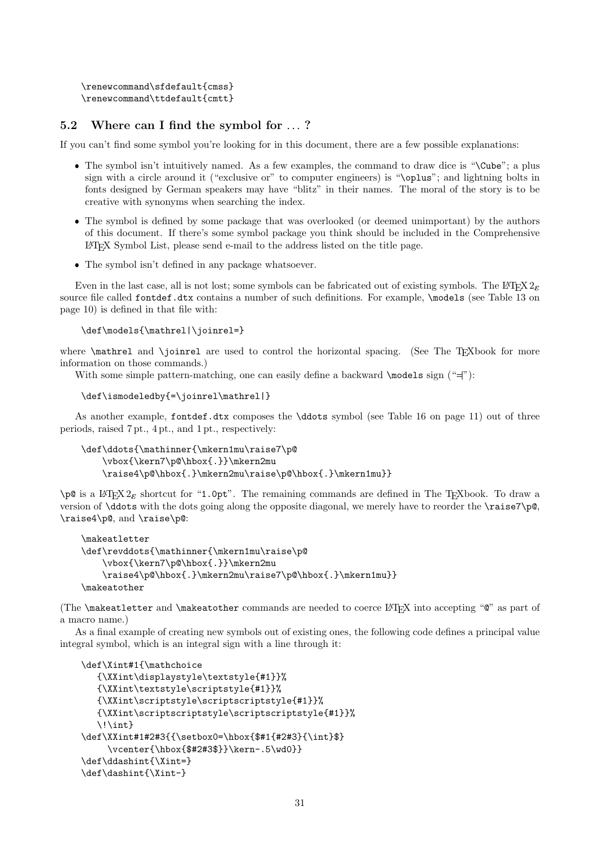```
\renewcommand\sfdefault{cmss}
\renewcommand\ttdefault{cmtt}
```
### 5.2 Where can I find the symbol for ...?

If you can't find some symbol you're looking for in this document, there are a few possible explanations:

- The symbol isn't intuitively named. As a few examples, the command to draw dice is "\Cube"; a plus sign with a circle around it ("exclusive or" to computer engineers) is "\oplus"; and lightning bolts in fonts designed by German speakers may have "blitz" in their names. The moral of the story is to be creative with synonyms when searching the index.
- The symbol is defined by some package that was overlooked (or deemed unimportant) by the authors of this document. If there's some symbol package you think should be included in the Comprehensive LATEX Symbol List, please send e-mail to the address listed on the title page.
- The symbol isn't defined in any package whatsoever.

Even in the last case, all is not lost; some symbols can be fabricated out of existing symbols. The LATEX  $2\varepsilon$ source file called fontdef.dtx contains a number of such definitions. For example, \models (see Table 13 on page 10) is defined in that file with:

```
\def\models{\mathrel|\joinrel=}
```
where **\mathrel** and **\joinrel** are used to control the horizontal spacing. (See The T<sub>E</sub>Xbook for more information on those commands.)

With some simple pattern-matching, one can easily define a backward  $\mod s$  sign (" $\equiv$ "):

```
\def\ismodeledby{=\joinrel\mathrel|}
```
As another example, fontdef.dtx composes the \ddots symbol (see Table 16 on page 11) out of three periods, raised 7 pt., 4 pt., and 1 pt., respectively:

```
\def\ddots{\mathinner{\mkern1mu\raise7\p@
    \vbox{\kern7\p@\hbox{.}}\mkern2mu
    \raise4\p@\hbox{.}\mkern2mu\raise\p@\hbox{.}\mkern1mu}}
```
 $\pi$  is a LATEX 2<sub>ε</sub> shortcut for "1.0pt". The remaining commands are defined in The TEXbook. To draw a version of \ddots with the dots going along the opposite diagonal, we merely have to reorder the \raise7\p@, \raise4\p@, and \raise\p@:

```
\makeatletter
\def\revddots{\mathinner{\mkern1mu\raise\p@
    \vbox{\kern7\p@\hbox{.}}\mkern2mu
    \raise4\p@\hbox{.}\mkern2mu\raise7\p@\hbox{.}\mkern1mu}}
\makeatother
```
(The \makeatletter and \makeatother commands are needed to coerce LATEX into accepting "@" as part of a macro name.)

As a final example of creating new symbols out of existing ones, the following code defines a principal value integral symbol, which is an integral sign with a line through it:

```
\def\Xint#1{\mathchoice
   {\XXint\displaystyle\textstyle{#1}}%
   {\XXint\textstyle\scriptstyle{#1}}%
   {\XXint\scriptstyle\scriptscriptstyle{#1}}%
   {\XXint\scriptscriptstyle\scriptscriptstyle{#1}}%
   \!\int}
\def\XXint#1#2#3{{\setbox0=\hbox{$#1{#2#3}{\int}$}
     \vcenter{\hbox{$#2#3$}}\kern-.5\wd0}}
\def\ddashint{\Xint=}
\def\dashint{\Xint-}
```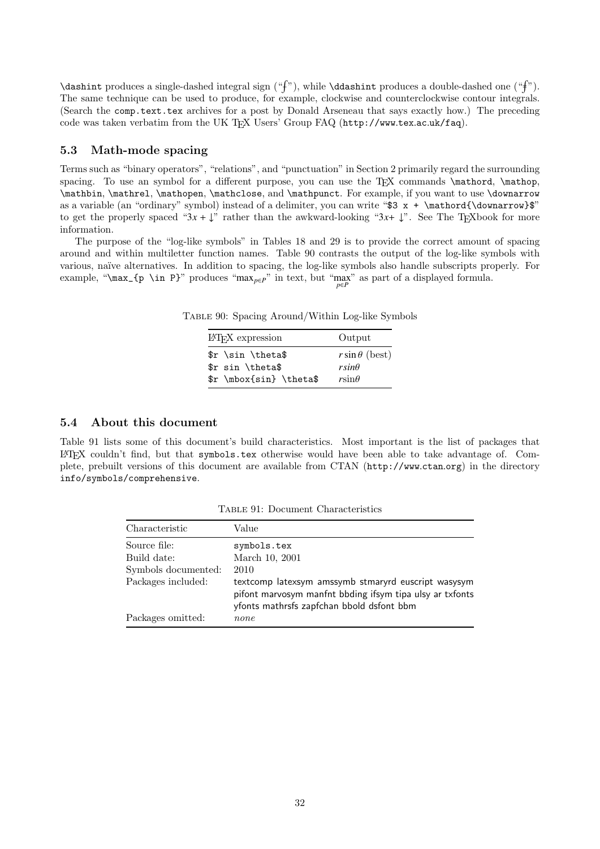\dashint produces a single-dashed integral sign ("f"), while \ddashint produces a double-dashed one ("f"). The same technique can be used to produce, for example, clockwise and counterclockwise contour integrals. (Search the comp.text.tex archives for a post by Donald Arseneau that says exactly how.) The preceding code was taken verbatim from the UK TEX Users' Group FAQ (http://www.tex.ac.uk/faq).

#### 5.3 Math-mode spacing

Terms such as "binary operators", "relations", and "punctuation" in Section 2 primarily regard the surrounding spacing. To use an symbol for a different purpose, you can use the TEX commands \mathord, \mathop, \mathbin, \mathrel, \mathopen, \mathclose, and \mathpunct. For example, if you want to use \downarrow as a variable (an "ordinary" symbol) instead of a delimiter, you can write "\$3  $x + \mathcal{\d{downarrow}}$ " to get the properly spaced " $3x + \downarrow$ " rather than the awkward-looking " $3x + \downarrow$ ". See The T<sub>EX</sub>book for more information.

The purpose of the "log-like symbols" in Tables 18 and 29 is to provide the correct amount of spacing around and within multiletter function names. Table 90 contrasts the output of the log-like symbols with various, naïve alternatives. In addition to spacing, the log-like symbols also handle subscripts properly. For example, "\max\_{p \in P}" produces "max<sub>p∈</sub> $P$ " in text, but "max" as part of a displayed formula.

Table 90: Spacing Around/Within Log-like Symbols

| IAT <sub>F</sub> X expression | Output               |
|-------------------------------|----------------------|
| \$r \sin \theta\$             | $r\sin\theta$ (best) |
| \$r sin \theta\$              | $rsin\theta$         |
| \$r \mbox{sin} \theta\$       | $r\sin\theta$        |
|                               |                      |

#### 5.4 About this document

Table 91 lists some of this document's build characteristics. Most important is the list of packages that  $\Delta E$ FIFX couldn't find, but that symbols.tex otherwise would have been able to take advantage of. Complete, prebuilt versions of this document are available from CTAN (http://www.ctan.org) in the directory info/symbols/comprehensive.

| Characteristic      | Value                                                                                                                                                        |
|---------------------|--------------------------------------------------------------------------------------------------------------------------------------------------------------|
| Source file:        | symbols.tex                                                                                                                                                  |
| Build date:         | March 10, 2001                                                                                                                                               |
| Symbols documented: | 2010                                                                                                                                                         |
| Packages included:  | textcomp latexsym amssymb stmaryrd euscript wasysym<br>pifont marvosym manfnt bbding ifsym tipa ulsy ar txfonts<br>yfonts mathrsfs zapfchan bbold dsfont bbm |
| Packages omitted:   | none                                                                                                                                                         |

Table 91: Document Characteristics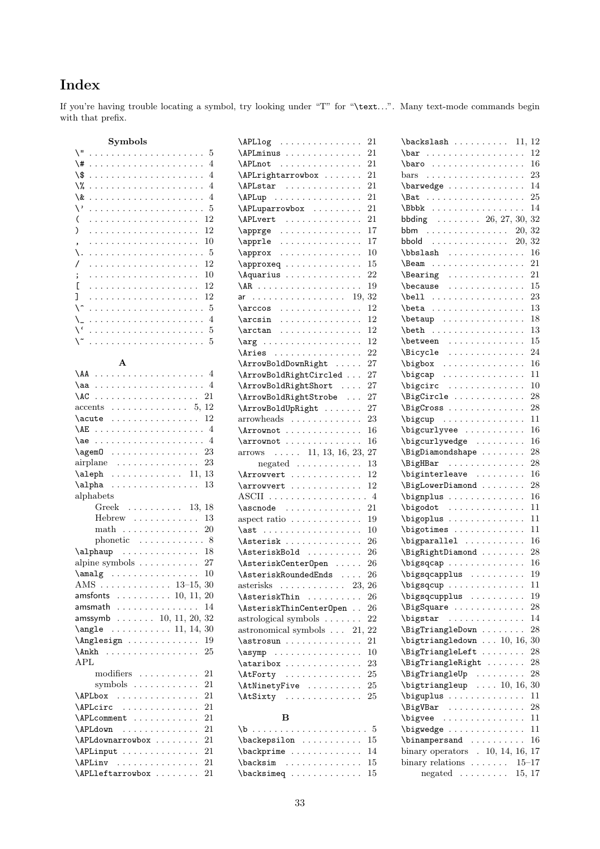# Index

If you're having trouble locating a symbol, try looking under "T" for "\text...". Many text-mode commands begin with that prefix.

| Symbols                                                                                                                                                                                                                                                                                                                                                                          |                |
|----------------------------------------------------------------------------------------------------------------------------------------------------------------------------------------------------------------------------------------------------------------------------------------------------------------------------------------------------------------------------------|----------------|
| $\sqrt{2}$<br>.<br>.                                                                                                                                                                                                                                                                                                                                                             | -5             |
| \#<br>$\ddot{\phantom{a}}$<br>$\ddot{\phantom{0}}$<br>$\ddot{\phantom{0}}$                                                                                                                                                                                                                                                                                                       | $\overline{4}$ |
| \\$<br>$\ddot{\phantom{a}}$<br>.<br>$\mathcal{L}$ . The set of the set of the $\mathcal{L}$<br>$\ddot{\phantom{0}}$<br>$\ddot{\phantom{a}}$<br>$\ddot{\phantom{0}}$<br>$\ddot{\phantom{0}}$<br>$\ddot{\phantom{a}}$                                                                                                                                                              | $\overline{4}$ |
| \%<br>.<br>$\ddot{\phantom{a}}$<br>$\ddot{\phantom{0}}$<br>$\ddot{\phantom{0}}$<br>$\ddot{\phantom{a}}$<br>$\ddot{\phantom{a}}$<br>$\ddot{\phantom{a}}$<br>$\ddot{\phantom{0}}$                                                                                                                                                                                                  | $\overline{4}$ |
| \&<br>$\ddot{\phantom{0}}$<br>$\ddot{\phantom{a}}$<br>$\ddot{\phantom{a}}$<br>$\ldots$<br>$\sim 100$ km s $^{-1}$<br>$\ddots$<br>$\ddotsc$<br>$\ddot{\phantom{a}}$<br>$\ddot{\phantom{0}}$<br>$\ddot{\phantom{0}}$<br>$\ddot{\phantom{a}}$<br>$\ddot{\phantom{0}}$                                                                                                               | $\overline{4}$ |
| $\vee$<br>.<br>$\ddot{\phantom{0}}$<br>$\mathbb{Z}^{\mathbb{Z}}$<br>$\ddot{\phantom{0}}$<br>$\ddot{\phantom{a}}$<br>$\ddot{\phantom{a}}$<br>$\ddot{\phantom{a}}$                                                                                                                                                                                                                 | 5              |
| (<br>$\ddot{\phantom{0}}$<br>$\ddot{\phantom{0}}$<br>L.<br>$\ddot{\phantom{0}}$<br>$\ddot{\phantom{0}}$<br>$\ddot{\phantom{0}}$<br>$\ddot{\phantom{0}}$<br>.                                                                                                                                                                                                                     | 12             |
| )<br>.<br>$\ddot{\phantom{0}}$<br>$\ddot{\phantom{0}}$<br>$\ddot{\phantom{a}}$<br>$\ddot{\phantom{0}}$<br>$\ddot{\phantom{0}}$<br>$\ddot{\phantom{0}}$<br>$\ddot{\phantom{0}}$<br>¥.                                                                                                                                                                                             | 12             |
| $\mathbb{Z}^2$ . The set of $\mathbb{Z}^2$<br>$\ddotsc$<br>$\ddot{\phantom{0}}$<br>$\ddot{\phantom{0}}$                                                                                                                                                                                                                                                                          | 10             |
| $\ddot{\phantom{0}}$<br>$\ddot{\phantom{0}}$<br>$\ddot{\phantom{0}}$<br>$\ddot{\phantom{0}}$<br>$\ddot{\phantom{a}}$<br>$\ddot{\phantom{0}}$<br>$\ddot{\phantom{0}}$<br>$\overline{\phantom{0}}$<br>١.<br>$\mathbb{R}^{\mathbb{Z}^2}$<br>$\mathbb{Z}^2$ . $\mathbb{Z}^2$                                                                                                         | 5              |
| $\ddot{\phantom{a}}$<br>$\ddot{\phantom{0}}$<br>$\ddot{\phantom{0}}$<br>$\ddot{\phantom{0}}$<br>$\ddot{\phantom{a}}$<br>.<br>$\ddot{\phantom{0}}$<br>$\ddot{\phantom{0}}$<br>$\ddot{\phantom{0}}$<br>$\ddot{\phantom{0}}$<br>$\ddot{\phantom{0}}$<br>/                                                                                                                           | 12             |
| $\ddot{\phantom{0}}$<br>$\ddot{\phantom{0}}$<br>$\ddot{\phantom{0}}$<br>$\ddot{\phantom{0}}$<br>$\ddot{\phantom{0}}$<br>$\ddot{\phantom{0}}$<br>$\ddot{\phantom{a}}$<br>$\ddots$<br>$\ddot{\phantom{a}}$<br>$\ddot{\phantom{0}}$<br>$\ddot{\phantom{0}}$<br>$\ddot{\phantom{0}}$<br>$\ddot{\phantom{0}}$<br>$\ddot{\phantom{0}}$<br>$\ddot{\phantom{0}}$<br>$\ddot{\phantom{a}}$ | 10             |
| $\cdots$<br>$\ddot{\phantom{0}}$<br>$\ddot{\phantom{0}}$<br>.<br>;<br>$\ddot{\phantom{a}}$<br>$\ddot{\phantom{a}}$                                                                                                                                                                                                                                                               |                |
| Г<br>$\ddot{\phantom{0}}$<br>$\ddot{\phantom{0}}$<br>$\ddot{\phantom{0}}$<br>$\ddot{\phantom{0}}$<br>$\ddot{\phantom{0}}$<br>$\ddot{\phantom{0}}$<br>.<br>$\ddot{\phantom{0}}$                                                                                                                                                                                                   | 12             |
| ı<br>с.<br>$\ddot{\phantom{0}}$<br>$\ddot{\phantom{0}}$<br>$\ddot{\phantom{a}}$<br>$\ddot{\phantom{0}}$<br>$\ddot{\phantom{a}}$<br>.<br>$\ddot{\phantom{a}}$                                                                                                                                                                                                                     | 12             |
| ^ ا<br>$\ldots 5$<br>.<br>$\ddot{\phantom{0}}$<br>$\ddot{\phantom{a}}$<br>$\ddot{\phantom{0}}$<br>$\ddot{\phantom{0}}$<br>$\ddot{\phantom{0}}$<br>$\ddot{\phantom{0}}$<br>$\ddot{\phantom{0}}$                                                                                                                                                                                   |                |
| \_<br>$\ddot{\phantom{a}}$<br>$\ddot{\phantom{0}}$<br>$\ddot{\phantom{0}}$<br>$\ddot{\phantom{a}}$<br>.<br>$\ddot{\phantom{a}}$<br>$\ddot{\phantom{a}}$<br>$\ddot{\phantom{0}}$<br>$\ddot{\phantom{0}}$<br>$\ddot{\phantom{a}}$                                                                                                                                                  | $\overline{4}$ |
| $\sqrt{6}$<br>.                                                                                                                                                                                                                                                                                                                                                                  | . 5            |
| \~                                                                                                                                                                                                                                                                                                                                                                               |                |
|                                                                                                                                                                                                                                                                                                                                                                                  |                |
| $\mathbf{A}$                                                                                                                                                                                                                                                                                                                                                                     |                |
| $\Lambda$<br>. 4<br>$\cdots$<br>$\ddot{\phantom{0}}$                                                                                                                                                                                                                                                                                                                             |                |
| $\lambda$ aa  4                                                                                                                                                                                                                                                                                                                                                                  |                |
| .<br>\AC                                                                                                                                                                                                                                                                                                                                                                         | 21             |
| . 5, 12<br>accents<br>$\ddot{\phantom{0}}$<br>$\ddot{\phantom{0}}$<br>$\ddot{\phantom{0}}$                                                                                                                                                                                                                                                                                       |                |
| . 12<br>\acute<br>$\ddot{\phantom{0}}$<br>$\ddot{\phantom{0}}$                                                                                                                                                                                                                                                                                                                   |                |
| . 4<br>\AE<br>$\sim 100$ km $^{-1}$<br>$\ddot{\phantom{a}}$<br>.                                                                                                                                                                                                                                                                                                                 |                |
| $\ldots$ 4<br>\ae<br>$\ldots$ .<br>$\ddot{\phantom{0}}$<br>$\ddot{\phantom{0}}$<br>$\ddot{\phantom{0}}$<br>$\ddot{\phantom{0}}$<br>.<br>$\ddot{\phantom{0}}$<br>$\ddot{\phantom{0}}$<br>$\ddot{\phantom{0}}$<br>$\ddot{\phantom{0}}$<br>$\ddot{\phantom{0}}$                                                                                                                     |                |
| $\qquad$<br>$\cdots$<br>.<br>$\ddot{\phantom{0}}$                                                                                                                                                                                                                                                                                                                                | 23             |
| .<br>$\ddotsc$<br>airplane                                                                                                                                                                                                                                                                                                                                                       | 23             |
| 11, 13<br>\aleph<br>.                                                                                                                                                                                                                                                                                                                                                            |                |
| \alpha<br>$\begin{array}{cccccccccccccc} . & . & . & . & . & . & . & . & . & . & . & . & . & . & . & . \end{array}$                                                                                                                                                                                                                                                              | 13             |
| alphabets                                                                                                                                                                                                                                                                                                                                                                        |                |
| Greek $\dots \dots \dots 13, 18$                                                                                                                                                                                                                                                                                                                                                 |                |
| $Hebrew \dots \dots$<br>$\ddot{\phantom{0}}$<br>$\ddot{\phantom{0}}$                                                                                                                                                                                                                                                                                                             | 13             |
| $\operatorname*{math}$<br>.<br>$\mathbb{Z}^2$ .                                                                                                                                                                                                                                                                                                                                  | 20             |
| phonetic $\ldots \ldots \ldots 8$                                                                                                                                                                                                                                                                                                                                                |                |
| \alphaup<br>.                                                                                                                                                                                                                                                                                                                                                                    | 18             |
| alpine symbols $\dots \dots$<br>$\ddot{\phantom{a}}$<br>$\ddot{\phantom{a}}$                                                                                                                                                                                                                                                                                                     | 27             |
| $\mathcal{S} \ldots \ldots \ldots$<br>$\ddot{\phantom{0}}$                                                                                                                                                                                                                                                                                                                       | 10             |
| 15, 30<br>$AMS \dots$                                                                                                                                                                                                                                                                                                                                                            |                |
| $\ldots \ldots \ldots 13$<br>$amsfonts$ 10, 11, 20                                                                                                                                                                                                                                                                                                                               |                |
|                                                                                                                                                                                                                                                                                                                                                                                  |                |
| amsmath 14                                                                                                                                                                                                                                                                                                                                                                       |                |
| $amssymbol \dots \dots 10, 11, 20, 32$                                                                                                                                                                                                                                                                                                                                           |                |
| $\angle 30$                                                                                                                                                                                                                                                                                                                                                                      |                |
| \Anglesign                                                                                                                                                                                                                                                                                                                                                                       | 19             |
| \Ankh                                                                                                                                                                                                                                                                                                                                                                            | 25             |
| <b>APL</b>                                                                                                                                                                                                                                                                                                                                                                       |                |
| modifiers                                                                                                                                                                                                                                                                                                                                                                        | 21             |
| symbols                                                                                                                                                                                                                                                                                                                                                                          | 21             |
| \APLbox                                                                                                                                                                                                                                                                                                                                                                          | 21             |
| \APLcirc<br>.                                                                                                                                                                                                                                                                                                                                                                    | 21             |
| \APLcomment                                                                                                                                                                                                                                                                                                                                                                      | 21             |
| \APLdown<br>.                                                                                                                                                                                                                                                                                                                                                                    | 21             |
| \APLdownarrowbox                                                                                                                                                                                                                                                                                                                                                                 | 21             |
| \APLinput                                                                                                                                                                                                                                                                                                                                                                        | 21             |
| \APLinv                                                                                                                                                                                                                                                                                                                                                                          | 21             |
| $\Lambda$ PLleftarrowbox                                                                                                                                                                                                                                                                                                                                                         | 21             |

| $\Delta$ PLlog                                                   |                      | 21        |
|------------------------------------------------------------------|----------------------|-----------|
| \APLminus                                                        |                      | 21        |
| \APLnot                                                          |                      | 21        |
| \APLrightarrowbox                                                |                      | 21        |
| \APLstar                                                         |                      | 21        |
| $\Delta$ PLup                                                    | $\ddot{\phantom{a}}$ | 21        |
| \APLuparrowbox                                                   |                      | 21        |
| \APLvert<br>.                                                    |                      | 21        |
| $\operatorname{Lapprge}$                                         |                      | 17        |
| $\operatorname{apprle}$                                          |                      | 17        |
| \approx                                                          |                      | 10        |
| \approxeq                                                        |                      | 15        |
|                                                                  |                      | 22        |
| Aquarius                                                         |                      |           |
| \AR                                                              | $\ddot{\phantom{0}}$ | 19        |
| ar                                                               | 19, 32               |           |
| $\arccos$                                                        |                      | 12        |
| $\arcsin$                                                        |                      | 12        |
| $\arctan$                                                        |                      | 12        |
| $\arg$                                                           |                      | 12        |
| \Aries                                                           | $\ddot{\phantom{0}}$ | 22        |
| \ArrowBoldDownRight                                              |                      | 27        |
| \ArrowBoldRightCircled                                           |                      | 27        |
| \ArrowBoldRightShort                                             |                      | 27        |
| \ArrowBoldRightStrobe                                            | $\ddot{\phantom{a}}$ | 27        |
| \ArrowBoldUpRight                                                |                      | 27        |
| arrowheads                                                       |                      | 23        |
| \Arrownot                                                        |                      | 16        |
|                                                                  |                      |           |
|                                                                  |                      |           |
| $\arrow not \ldots \ldots$                                       | $\ddotsc$            | 16        |
| $\arrows$ 11, 13, 16, 23,                                        |                      | 27        |
| negated $\ldots \ldots \ldots$                                   |                      | 13        |
| \Arrowvert                                                       |                      | 12        |
| $\arrowvert \ldots \ldots$                                       |                      | 12        |
| ASCII $\ldots \ldots \ldots \ldots \ldots \ldots 4$              |                      |           |
| $\lambda$ scnode                                                 |                      | 21        |
| aspect ratio                                                     |                      | 19        |
| \ast                                                             |                      | 10        |
| \Asterisk                                                        |                      | <b>26</b> |
| \AsteriskBold                                                    |                      | 26        |
| \AsteriskCenterOpen                                              |                      | 26        |
| \AsteriskRoundedEnds                                             |                      | 26        |
| $\overline{\text{asterisks}}$                                    | 23,                  | 26        |
| \AsteriskThin                                                    |                      | 26        |
| \AsteriskThinCenterOpen                                          |                      | 26        |
| astrological symbols                                             | $\ddotsc$            | 22        |
| astronomical symbols $\ldots$ 21,                                |                      | 22        |
| $\ast$                                                           | $\ddotsc$            | 21        |
|                                                                  | $\ddot{\phantom{0}}$ | 10        |
| \ataribox                                                        |                      | 23        |
| \AtForty                                                         |                      | 25        |
| \AtNinetyFive                                                    |                      | 25        |
| \AtSixty                                                         |                      | 25        |
|                                                                  |                      |           |
| в                                                                |                      |           |
| $\backslash b$<br>.<br>$\verb+\backepsilon + \verb+\+\dots + 15$ |                      | . 5       |

| $\backslash$ backslash  11, 12                                                     |                                                    |
|------------------------------------------------------------------------------------|----------------------------------------------------|
|                                                                                    | 12                                                 |
| baro                                                                               | 16                                                 |
| $_{\rm bars}$                                                                      | 23                                                 |
| \barwedge                                                                          | 14                                                 |
| \Bat                                                                               | 25                                                 |
| \Bbbk                                                                              | 14<br>$\ddotsc$                                    |
| bbding $\ldots \ldots \ldots 26, 27, 30, 32$                                       |                                                    |
| bbm $\ldots \ldots \ldots \ldots 20, 32$                                           |                                                    |
| bbold $\ldots \ldots \ldots \ldots 20, 32$                                         |                                                    |
| $\bb{b}$ bbslash                                                                   | 16                                                 |
| $\text{Beam} \dots \dots \dots \dots \dots$                                        | 21                                                 |
| \Bearing<br>\                                                                      | 21                                                 |
| \because                                                                           | 15                                                 |
|                                                                                    | 23                                                 |
|                                                                                    | 13<br>$\ddot{\phantom{0}}$                         |
| $\beta : \ldots : \ldots$                                                          | 18<br>$\ddot{\phantom{0}}$                         |
| \beth<br>.                                                                         | 13                                                 |
|                                                                                    | 15<br>$\ddot{\phantom{0}}$                         |
| \between<br>\Bicycle                                                               | 24<br>$\ddot{\phantom{0}}$                         |
| $\big\{ \big\}$                                                                    | 16                                                 |
| $\big\{ \big\}$                                                                    | 11<br>$\ddot{\phantom{0}}$                         |
| \bigcirc                                                                           | 10                                                 |
| \BigCircle                                                                         | 28                                                 |
| \BigCross                                                                          | 28<br>¥.<br>$\ddot{\phantom{0}}$                   |
| $\big\{bigcup_{1} \ldots \ldots \ldots \bigg\}$                                    | 11                                                 |
| \bigcurlyvee                                                                       | 16                                                 |
| \bigcurlywedge                                                                     | 16<br>$\ddot{\phantom{0}}$                         |
| \BigDiamondshape                                                                   | 28<br>$\ddot{\phantom{0}}$                         |
| \BigHBar<br>.                                                                      | 28                                                 |
| \biginterleave                                                                     | 16<br>$\ddot{\phantom{0}}$<br>$\ddot{\phantom{0}}$ |
| \BigLowerDiamond                                                                   | 28<br>$\ddot{\phantom{0}}$                         |
| \bignplus                                                                          | 16                                                 |
| $\big\{ \big\}$                                                                    | 11<br>$\ddot{\phantom{0}}$                         |
| \bigoplus                                                                          | 11                                                 |
| \bigotimes                                                                         | $\ddot{\phantom{0}}$<br>11                         |
| \bigparallel<br>$\ddot{\phantom{0}}$                                               | 16<br>$\ddot{\phantom{0}}$                         |
| \BigRightDiamond                                                                   | $\ddot{\phantom{0}}$<br>28                         |
| \bigsqcap                                                                          | 16                                                 |
| \bigsqcapplus                                                                      | 19                                                 |
| \bigsqcup                                                                          | $11\,$                                             |
| \bigsqcupplus                                                                      | 19                                                 |
| \BigSquare                                                                         | 28                                                 |
| $\ddot{\phantom{0}}$<br>1.1.1.1.1.1.1.1.1.1.1<br>\bigstar                          | $\ddot{\phantom{0}}$<br>14                         |
|                                                                                    |                                                    |
| \BigTriangleDown                                                                   | 28<br>30                                           |
| $\big\{\big\}$ $\ldots$ 10, 16,<br>\BigTriangleLeft                                |                                                    |
|                                                                                    | 28<br>28                                           |
| \BigTriangleRight                                                                  |                                                    |
| \BigTriangleUp<br>$\ddotsc$<br>$\ldots$<br>$\overline{\text{bigtriangle}}$ 10, 16, | 28<br>$\ddot{\phantom{0}}$<br>30                   |
|                                                                                    |                                                    |
| \biguplus<br>$\mathbb{Z}^2$ . The set of $\mathbb{Z}^2$                            | 11                                                 |
| \BigVBar<br>.                                                                      | 28<br>$\ddot{\phantom{0}}$                         |
| \bigvee                                                                            | 11                                                 |
| \bigwedge                                                                          | 11                                                 |
| \binampersand<br>.                                                                 | 16<br>$\ddot{\phantom{0}}$<br>$\ddot{\phantom{0}}$ |
| binary operators $\therefore$ 10, 14, 16,                                          | 17                                                 |
| binary relations $\ldots$<br>.                                                     | $15 - 17$                                          |
| $negated \dots \dots$                                                              | 15, 17                                             |

\backprime . . . . . . . . . . . . . 14 \backsim . . . . . . . . . . . . . 15  $\verb+\backsimple+\dots+\dots+\_15$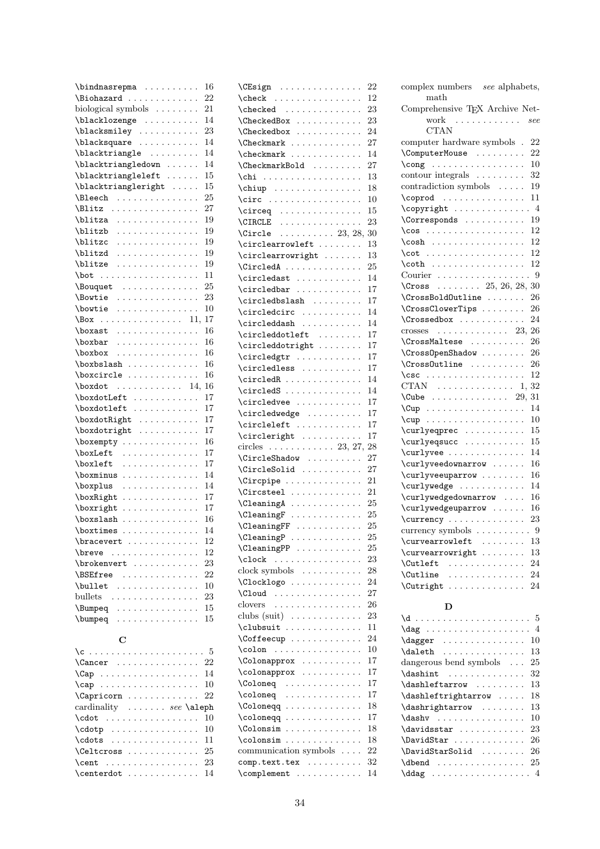| \bindnasrepma                                                                                                                                                    | 16       |
|------------------------------------------------------------------------------------------------------------------------------------------------------------------|----------|
| \Biohazard                                                                                                                                                       | 22       |
| biological symbols $\dots \dots$                                                                                                                                 | 21       |
| \blacklozenge                                                                                                                                                    | 14       |
| \blacksmiley                                                                                                                                                     | 23       |
| \blacksquare<br>$\mathbb{R}^n$ . The set of the set of the $\mathbb{R}^n$<br>$\ddot{\phantom{a}}$                                                                | 14       |
| \blacktriangle                                                                                                                                                   | 14       |
| \blacktriangledown                                                                                                                                               | 14       |
| \blacktriangleleft<br>$\ddot{\phantom{0}}$                                                                                                                       | 15       |
| \blacktriangleright<br>$\mathbb{Z}^2$ , $\mathbb{Z}^2$ , $\mathbb{Z}^2$                                                                                          | 15       |
| \Bleech<br>$\ddot{\phantom{a}}$<br>$\mathcal{L}$<br>$\ddot{\phantom{a}}$<br>$\ddot{\phantom{a}}$                                                                 | 25       |
| \Blitz .<br>.<br>$\ddot{\phantom{a}}$                                                                                                                            | 27       |
| $\ddotsc$<br>$\ddot{\phantom{a}}$<br>\blitza<br>$\cdots$                                                                                                         | 19       |
| $\ddot{\phantom{0}}$<br>$\mathcal{L}$ is a set of $\mathcal{L}$<br>$\ddot{\phantom{0}}$<br>$\ddot{\phantom{0}}$<br>$\ddot{\phantom{0}}$<br>$\ddot{\phantom{a}}$  |          |
| \blitzb<br>.<br>$\ddot{\phantom{0}}$                                                                                                                             | 19       |
| \blitzc<br>.<br>$\ddot{\phantom{0}}$                                                                                                                             | 19       |
| \blitzd<br>.                                                                                                                                                     | 19       |
| \blitze<br>.<br>$\ddot{\phantom{a}}$                                                                                                                             | 19       |
| $\bot$<br>.<br>.<br>$\cdots$<br>$\ddot{\phantom{a}}$                                                                                                             | 11       |
| \Bouquet<br>$\ddot{\phantom{0}}$<br>$\ddot{\phantom{0}}$<br>$\cdots$<br>$\ldots$ .<br>$\Delta$<br>$\ddot{\phantom{a}}$<br>L.<br>$\ddot{\phantom{a}}$<br>$\Delta$ | 25       |
| <i><b>\Bowtie</b></i><br>.                                                                                                                                       | 23       |
| \bowtie<br>.                                                                                                                                                     | 10       |
| 11, 17<br>\Box<br>.                                                                                                                                              |          |
| \boxast<br>.<br>$\ddot{\phantom{a}}$<br>$\Box$                                                                                                                   | 16       |
| \boxbar<br>$\cdots$<br>.<br>.<br>$\ddot{\phantom{a}}$                                                                                                            | 16       |
| \boxbox<br>$\cdots$<br>.<br>$\ddot{\phantom{0}}$<br>$\sim$ $\sim$ $\sim$                                                                                         | 16       |
| \boxbslash                                                                                                                                                       | 16       |
| \boxcircle                                                                                                                                                       | 16       |
| $\text{boxdot} \quad \ldots \quad \ldots \quad 14,$                                                                                                              | 16       |
| \boxdotLeft<br>$\ddot{\phantom{0}}$                                                                                                                              | 17       |
| \boxdotleft<br>$\mathcal{L}$ is a set of $\mathcal{L}$ in $\mathcal{L}$<br>$\ddotsc$<br>$\ddot{\phantom{a}}$                                                     | 17       |
| \boxdotRight<br>.<br>$\ddot{\phantom{0}}$<br>$\ddot{\phantom{a}}$<br>$\sim$ $\sim$ $\sim$                                                                        | 17       |
|                                                                                                                                                                  | 17       |
| \boxdotright<br>.                                                                                                                                                | 16       |
| \boxempty<br>$\ddot{\phantom{0}}$                                                                                                                                |          |
| \boxLeft<br>.                                                                                                                                                    | 17       |
| \boxleft<br>$\mathbb{R}^d$ . The set of the set of the $\mathbb{R}^d$<br>.                                                                                       | 17       |
| \boxminus<br>$\cdots$<br>.<br>$\ddot{\phantom{0}}$<br>$\ddot{\phantom{0}}$<br>$\ddot{\phantom{a}}$<br>$\ddot{\phantom{a}}$<br>$\ddot{\phantom{a}}$               | 14       |
| \boxplus<br>$\ddot{\phantom{0}}$<br>$\cdots$<br>$\ldots$ .<br>$\ddot{\phantom{a}}$<br>$\ddot{\phantom{0}}$<br>$\mathbb{Z}^2$<br>L.<br>$\ddot{\phantom{a}}$       | 14       |
| \boxRight<br>.                                                                                                                                                   | 17       |
| \boxright<br>.                                                                                                                                                   | 17       |
| \boxslash<br>.<br>$\alpha$ , and $\alpha$ , and $\alpha$                                                                                                         | 16       |
| \boxtimes<br>$\mathbf{1}$                                                                                                                                        | 14       |
| \bracevert                                                                                                                                                       | 12       |
| \breve<br>$\mathcal{L}(\mathcal{L}(\mathcal{L},\mathcal{L},\mathcal{L}))$<br>.<br>.                                                                              | 12       |
| $\b$ rokenvert                                                                                                                                                   | $\bf 23$ |
| \BSEfree<br>.<br>$\ddot{\phantom{0}}$                                                                                                                            | 22       |
| \bullet<br>$\sim$<br>$\mathbb{R}^n$ . $\mathbb{R}^n$ , $\mathbb{R}^n$<br>$\cdots$                                                                                | 10       |
| bullets.<br>.<br>$\ddot{\phantom{0}}$<br>$\ddot{\phantom{0}}$                                                                                                    | 23       |
| \Bumpeq                                                                                                                                                          | 15       |
| \bumpeq<br>.<br>.<br>$\ddotsc$<br>$\ddot{\phantom{0}}$                                                                                                           | 15       |
|                                                                                                                                                                  |          |
| C                                                                                                                                                                |          |
|                                                                                                                                                                  |          |
| $\text{Cancer}$ 22                                                                                                                                               |          |
|                                                                                                                                                                  |          |
|                                                                                                                                                                  |          |
| $\ddot{\phantom{0}}$                                                                                                                                             | 14       |
| $\cap$                                                                                                                                                           | 10       |
| \Capricorn<br>.                                                                                                                                                  | 22       |
| cardinality  see \aleph                                                                                                                                          |          |
| $\cdot \cdot \cdot$<br>.<br>$\sim$ $\sim$<br>$\ddot{\phantom{0}}$<br>$\ddotsc$                                                                                   | 10       |
| $\cdot$<br>$\ddot{\phantom{a}}$<br>$\ddot{\phantom{0}}$<br>$\ddot{\phantom{a}}$                                                                                  | 10       |
| \cdots<br>.                                                                                                                                                      | 11       |
| \Celtcross<br>$\centdot \dots \dots \dots \dots$                                                                                                                 | 25<br>23 |

 $\centering \label{eq:center}$ 

| $\text{CEsign}$                                                                                                            | 22       |
|----------------------------------------------------------------------------------------------------------------------------|----------|
| $\left\{ \text{check } \dots \text{S.} \right\}$                                                                           | 12       |
|                                                                                                                            | 23       |
| \CheckedBox                                                                                                                | 23       |
| <b>\Checkedbox</b><br>.                                                                                                    | 24       |
| $\ddot{\phantom{0}}$                                                                                                       | 27       |
| $\ddot{\phantom{0}}$                                                                                                       | 14       |
| \CheckmarkBold<br>$\ddot{\phantom{a}}$<br>$\ddot{\phantom{a}}$                                                             | 27       |
| $\chi$ chi<br>$\ddot{\phantom{a}}$<br>$\ddot{\phantom{a}}$                                                                 | 13       |
|                                                                                                                            | 18       |
| \circ                                                                                                                      | 10       |
| $\circeq \ldots \ldots \ldots$                                                                                             | 15       |
| CIRCLE<br>.<br>$\ddot{\phantom{a}}$                                                                                        | 23       |
| $\ldots \ldots \ldots 23, 28,$<br><b>\Circle</b>                                                                           | 30       |
| $\circlearrowlet \ldots$<br>$\ddot{\phantom{a}}$                                                                           | 13       |
| \circlearrowright                                                                                                          | 13       |
| \CircledA                                                                                                                  | 25       |
| $\circledast \ldots \ldots \ldots$                                                                                         | 14       |
| $\circledbar$                                                                                                              | 17       |
| $\{circledbslash \dots \dots$                                                                                              | 17       |
| $\ddot{\phantom{0}}$                                                                                                       |          |
| $\circledcirc \ldots \ldots$<br>$\ddot{\phantom{a}}$<br>$\ddot{\phantom{a}}$                                               | 14       |
| $\circleddash \ldots \ldots$                                                                                               | 14       |
| \circleddotleft                                                                                                            | 17       |
| \circleddotright                                                                                                           | 17       |
| \circledgtr                                                                                                                | 17       |
| \circledless                                                                                                               | 17       |
| $\circledR$                                                                                                                | 14       |
| $\circleds$<br>$\ddot{\phantom{a}}$                                                                                        | 14       |
| \circledvee                                                                                                                | 17       |
| \circledwedge                                                                                                              | 17       |
| \circleleft                                                                                                                | 17       |
|                                                                                                                            |          |
| $\ddot{\phantom{0}}$                                                                                                       | 17       |
| $\circleright$                                                                                                             | 28       |
| circles $\ldots \ldots \ldots \ldots 23, 27,$                                                                              |          |
| \CircleShadow<br>$\mathbb{R}^n$ . The set of the $\mathbb{R}^n$                                                            | 27       |
| \CircleSolid                                                                                                               | 27       |
| $\langle Circpipe \ldots \ldots \ldots \rangle$<br>$\ddot{\phantom{0}}$                                                    | 21       |
| \Circsteel                                                                                                                 | 21       |
| \CleaningA                                                                                                                 | 25       |
| $\text{CleaningF}$                                                                                                         | 25       |
| $\text{CleaningFF}$                                                                                                        | 25       |
| $\text{CleaningP}$ .<br>.                                                                                                  | 25       |
| $\text{CleaningPP} \dots \dots$                                                                                            | 25       |
| \clock<br>$\mathbb{Z}^2$ . $\mathbb{Z}^2$ , $\mathbb{Z}^2$ ,<br>$\ldots$ .<br>$\ddot{\phantom{0}}$<br>$\ddot{\phantom{0}}$ | 23       |
| clock symbols<br>.                                                                                                         | 28       |
| \Clocklogo.<br>$\alpha$ , $\alpha$ , $\alpha$ , $\alpha$<br>$\sim$ $\sim$<br>$\ddot{\phantom{0}}$                          | 24       |
| \Cloud<br>.<br>$\ddot{\phantom{0}}$                                                                                        | 27       |
| clovers<br>.<br>$\ddot{\phantom{0}}$                                                                                       | 26       |
| clubs $(suit) \ldots \ldots \ldots$<br>$\ddot{\phantom{0}}$                                                                | 23       |
| $\club suit \ldots \ldots$<br>$\ddotsc$                                                                                    | 11       |
| \Coffeecup<br>$\ddot{\phantom{0}}$<br>$\ddot{\phantom{a}}$<br>$\ddot{\phantom{0}}$<br>$\ddot{\phantom{a}}$                 | 24       |
| $\colon \ldots \dots \dots$<br>$\ddot{\phantom{a}}$                                                                        | 10       |
| <b>\Colonapprox</b><br>.<br>$\sim$ $\sim$                                                                                  | 17       |
| \colonapprox<br>.<br>$\ddot{\phantom{0}}$                                                                                  | 17       |
| \Coloneq<br>.<br>$\ddot{\phantom{0}}$                                                                                      | 17       |
| \coloneq<br>.<br>$\ddot{\phantom{0}}$                                                                                      | 17       |
| $\ddot{\phantom{0}}$                                                                                                       | 18       |
| \Coloneqq<br>.<br>$\ddot{\phantom{0}}$<br>$\ddot{\phantom{0}}$<br>$\ddot{\phantom{0}}$<br>$\ddot{\phantom{0}}$             |          |
| \coloneqq<br>$\ddot{\phantom{0}}$<br>$\ddot{\phantom{a}}$                                                                  | 17       |
| \Colonsim<br>$\ddotsc$                                                                                                     | 18       |
| \colonsim<br>.                                                                                                             | 18       |
| communication symbols<br>$\ddot{\phantom{0}}$<br>$\ddot{\phantom{0}}$                                                      | 22       |
| comp.text.tex<br>$\ddot{\phantom{0}}$<br>$\verb \complement     $<br>$\ddot{\phantom{0}}$                                  | 32<br>14 |

| complex numbers see alphabets,                   |                            |
|--------------------------------------------------|----------------------------|
| math                                             |                            |
| Comprehensive TFX Archive Net-                   |                            |
| work $\dots \dots \dots$                         | see                        |
| <b>CTAN</b>                                      |                            |
| computer hardware symbols.                       | 22                         |
| \ComputerMouse                                   | 22<br>$\ddot{\phantom{a}}$ |
| $\text{long}$                                    | 10                         |
| $\text{contour integrals} \dots \dots \dots$     | 32                         |
| $contradiction symbols \ldots$ .                 | 19                         |
| $\qquad \qquad \ldots \ldots \qquad \ldots$      | 11                         |
| $\text{Copyright} \dots \dots \dots \dots \dots$ |                            |
| \Corresponds                                     | 19<br>$\ddot{\phantom{a}}$ |
| $\cos \dots \dots \dots \dots \dots$             | 12                         |
| $\cosh$                                          | 12                         |
| \cot                                             | 12                         |
| $\coth$                                          | 12                         |
| Courier $\dots \dots \dots \dots \dots \dots$ 9  |                            |
| \Cross  25, 26, 28, 30                           |                            |
| \CrossBoldOutline                                | 26                         |
| \CrossClowerTips                                 | 26                         |
| \Crossedbox                                      | 24                         |
| crosses $\ldots \ldots \ldots \ldots 23$ ,       | 26                         |
| \CrossMaltese                                    | 26                         |
| \CrossOpenShadow                                 | 26<br>$\ddot{\phantom{a}}$ |
| \CrossOutline                                    | 26                         |
|                                                  | 12                         |
| CTAN $\ldots \ldots \ldots \ldots 1, 32$         |                            |
| $\text{Cube} \dots \dots \dots \dots \dots 29,$  | 31                         |
|                                                  | 14                         |
| $\cup$                                           | 10                         |
| \curlyeqprec                                     | 15                         |
| $\text{Vert}$                                    | 15                         |
| \curlyvee                                        | 14                         |
| \curlyveedownarrow                               | 16                         |
| \curlyveeuparrow                                 | 16                         |
| \curlywedge                                      | 14                         |
| \curlywedgedownarrow                             | 16                         |
| \curlywedgeuparrow                               | 16                         |
| \currency                                        | 23                         |
| currency symbols  9                              |                            |
|                                                  | 13                         |
| $\curvpsilon$<br>\curvearrowright                | 13                         |
|                                                  |                            |
| \Cutleft<br>\Cutline                             | 24<br>.<br>24              |
| .                                                | 24                         |
| \Cutright                                        |                            |
| D                                                |                            |
|                                                  |                            |
|                                                  |                            |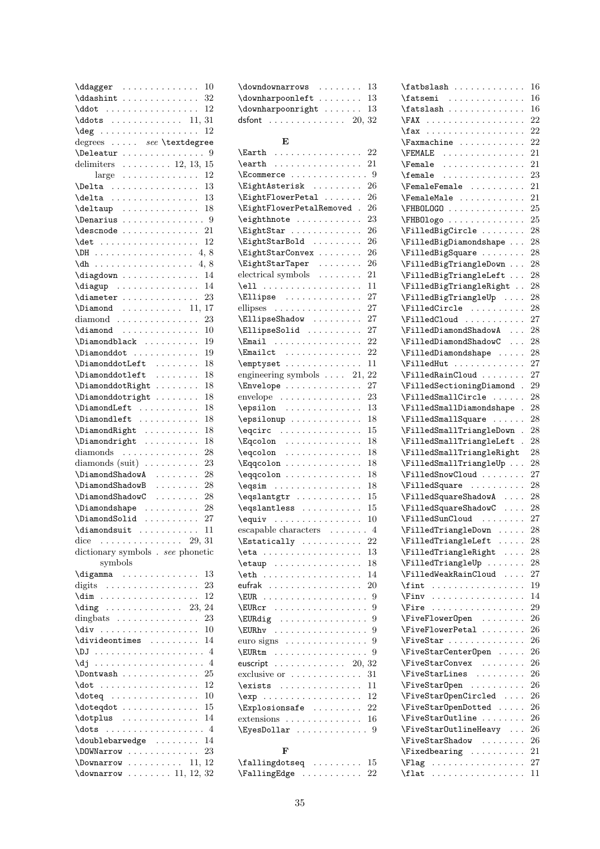| $\ddot{\text{d}}$                                                                                                          | $\texttt{ddagger}$ $10$ |
|----------------------------------------------------------------------------------------------------------------------------|-------------------------|
|                                                                                                                            |                         |
|                                                                                                                            |                         |
|                                                                                                                            |                         |
| $\deg$ 12                                                                                                                  |                         |
| degrees  see \textdegree                                                                                                   |                         |
| $\Delta$                                                                                                                   |                         |
| delimiters $\ldots \ldots \ldots 12, 13, 15$                                                                               |                         |
|                                                                                                                            |                         |
| large $\ldots \ldots \ldots \ldots 12$                                                                                     |                         |
| 13<br><i><b>Delta</b></i><br>$\frac{1}{13}$                                                                                |                         |
| \delta<br>.                                                                                                                |                         |
|                                                                                                                            |                         |
|                                                                                                                            |                         |
| $\texttt{descnode}$ 21                                                                                                     |                         |
| 12                                                                                                                         |                         |
| $\Delta$ DH 4, 8                                                                                                           |                         |
| 4,8                                                                                                                        |                         |
| $\lambda$ diagdown  14                                                                                                     |                         |
| $\langle$ diagup  14                                                                                                       |                         |
| $\dagger$ 23                                                                                                               |                         |
|                                                                                                                            |                         |
| $\Delta$ 11, 17                                                                                                            |                         |
| $diamond \ldots \ldots \ldots$<br>23                                                                                       |                         |
| \diamond<br>10                                                                                                             |                         |
| $\Delta$<br>19                                                                                                             |                         |
| \Diamonddot<br>19                                                                                                          |                         |
| \DiamonddotLeft<br>18                                                                                                      |                         |
| $\Delta$<br>18                                                                                                             |                         |
| \DiamonddotRight<br>\Diamonddotright<br>18                                                                                 |                         |
| 18                                                                                                                         |                         |
| \DiamondLeft<br>18                                                                                                         |                         |
| \Diamondleft<br>18                                                                                                         |                         |
| \DiamondRight<br>18                                                                                                        |                         |
| 18                                                                                                                         |                         |
| $\Delta$<br>diamonds<br>28                                                                                                 |                         |
|                                                                                                                            |                         |
| diamonds $(suit) \ldots \ldots \ldots$<br>23                                                                               |                         |
|                                                                                                                            |                         |
| \DiamondShadowA<br>28                                                                                                      |                         |
| \DiamondShadowB<br>.<br>28                                                                                                 |                         |
| \DiamondShadowC<br>28                                                                                                      |                         |
| 28                                                                                                                         |                         |
| $\Delta$<br>$\Delta$ Solid<br>27<br>.                                                                                      |                         |
| 11<br>$\ddot{\phantom{0}}$                                                                                                 |                         |
| $\dim\text{and} \ldots \ldots$                                                                                             |                         |
| dice $\ldots \ldots \ldots \ldots 29, 31$                                                                                  |                         |
| dictionary symbols . see phonetic                                                                                          |                         |
| symbols                                                                                                                    |                         |
| \digamma<br>13                                                                                                             |                         |
| 23<br>digits $\dots \dots \dots \dots \dots \dots$                                                                         |                         |
| 12<br>$\dim$<br>.                                                                                                          |                         |
| $\langle \text{diag} \ldots \ldots \ldots \ldots \ldots \rangle$ 23,<br>24                                                 |                         |
| dingbats $\ldots \ldots \ldots$<br>23<br>$\cdots$                                                                          |                         |
| \div<br>10                                                                                                                 |                         |
| \divideontimes<br>14                                                                                                       |                         |
|                                                                                                                            |                         |
| \dj<br>$\overline{4}$<br>.<br>$\ddot{\phantom{0}}$<br>$\ddot{\phantom{0}}$<br>$\ddot{\phantom{0}}$<br>$\ddot{\phantom{0}}$ |                         |
| 25<br>$\ddotsc$                                                                                                            |                         |
| 12<br>$\dotsc$<br>.                                                                                                        |                         |
| 10<br>$\delta$ .                                                                                                           |                         |
| 15                                                                                                                         |                         |
| \doteqdot<br>14                                                                                                            |                         |
| \dotplus<br>$\cdot$ 4<br>$\ddot{\phantom{0}}$                                                                              |                         |
| $ldots$<br>.                                                                                                               |                         |
| \doublebarwedge<br>14                                                                                                      |                         |
| \DOWNarrow<br>23                                                                                                           |                         |
| $\text{Downarrow} \dots \dots \quad 11, 12$<br>$\downarrow$ downarrow  11, 12, 32                                          |                         |

| \downdownarrows<br>13                                                                                                                                                                                                                                                                                                                                                                                                                                        |   |
|--------------------------------------------------------------------------------------------------------------------------------------------------------------------------------------------------------------------------------------------------------------------------------------------------------------------------------------------------------------------------------------------------------------------------------------------------------------|---|
| 13<br>\downharpoonleft                                                                                                                                                                                                                                                                                                                                                                                                                                       |   |
| $\downarrow$ downharpoonright<br>13                                                                                                                                                                                                                                                                                                                                                                                                                          |   |
| dsfont $\ldots \ldots \ldots \ldots 20$ ,<br>32                                                                                                                                                                                                                                                                                                                                                                                                              |   |
|                                                                                                                                                                                                                                                                                                                                                                                                                                                              |   |
| F,                                                                                                                                                                                                                                                                                                                                                                                                                                                           |   |
| \Earth<br>22<br>.                                                                                                                                                                                                                                                                                                                                                                                                                                            |   |
| 21<br>$\texttt{earth} \dots \dots \dots \dots$                                                                                                                                                                                                                                                                                                                                                                                                               |   |
| . 9<br>$\text{Ecommence} \ldots \ldots \ldots$<br>$\ddot{\phantom{0}}$                                                                                                                                                                                                                                                                                                                                                                                       |   |
| 26<br>EightAsterisk<br>$\ddot{\phantom{0}}$                                                                                                                                                                                                                                                                                                                                                                                                                  |   |
| 26<br>EightFlowerPetal                                                                                                                                                                                                                                                                                                                                                                                                                                       |   |
| 26<br>\EightFlowerPetalRemoved.                                                                                                                                                                                                                                                                                                                                                                                                                              |   |
| $\left\{ \right\}$<br>23                                                                                                                                                                                                                                                                                                                                                                                                                                     |   |
| 26<br>EightStar                                                                                                                                                                                                                                                                                                                                                                                                                                              |   |
| EightStarBold<br>26                                                                                                                                                                                                                                                                                                                                                                                                                                          |   |
| EightStarConvex<br>26                                                                                                                                                                                                                                                                                                                                                                                                                                        |   |
| \EightStarTaper<br>26<br>$\mathbb{Z}^2$ . The set of $\mathbb{Z}^2$<br>$\ddot{\phantom{0}}$                                                                                                                                                                                                                                                                                                                                                                  |   |
| $\ddot{\text{electrical symbols}} \dots \dots$<br>21                                                                                                                                                                                                                                                                                                                                                                                                         |   |
| 11<br>\ell                                                                                                                                                                                                                                                                                                                                                                                                                                                   |   |
| 27                                                                                                                                                                                                                                                                                                                                                                                                                                                           |   |
| $\text{Ellipse} \dots \dots \dots$<br>27                                                                                                                                                                                                                                                                                                                                                                                                                     |   |
| ellipses                                                                                                                                                                                                                                                                                                                                                                                                                                                     |   |
| 27<br>\EllipseShadow                                                                                                                                                                                                                                                                                                                                                                                                                                         |   |
| 27<br>\EllipseSolid<br>$\ddot{\phantom{0}}$                                                                                                                                                                                                                                                                                                                                                                                                                  |   |
| $\text{Email}$<br>22<br>$\ddot{\phantom{0}}$                                                                                                                                                                                                                                                                                                                                                                                                                 |   |
| 22<br>$\text{Emailct}$<br>$\ddot{\phantom{0}}$                                                                                                                                                                                                                                                                                                                                                                                                               |   |
| 11<br>\emptyset<br>$\ddot{\phantom{0}}$                                                                                                                                                                                                                                                                                                                                                                                                                      |   |
| 22<br>engineering symbols<br>21,                                                                                                                                                                                                                                                                                                                                                                                                                             |   |
| 27<br>\Envelope                                                                                                                                                                                                                                                                                                                                                                                                                                              |   |
| 23<br>envelope<br>$\ddot{\phantom{0}}$                                                                                                                                                                                                                                                                                                                                                                                                                       |   |
| 13                                                                                                                                                                                                                                                                                                                                                                                                                                                           |   |
| \epsilonup<br>18                                                                                                                                                                                                                                                                                                                                                                                                                                             |   |
| 15<br>$\equiv \csc \dots \cdots$                                                                                                                                                                                                                                                                                                                                                                                                                             |   |
| 18<br>$\Eq$ colon                                                                                                                                                                                                                                                                                                                                                                                                                                            |   |
| 18<br>\eqcolon<br>.                                                                                                                                                                                                                                                                                                                                                                                                                                          |   |
| 18<br>\Eqqcolon<br>.<br>$\ddot{\phantom{a}}$                                                                                                                                                                                                                                                                                                                                                                                                                 |   |
| $\eqref{eqqcolor}$<br>18<br>$\ddot{\phantom{0}}$                                                                                                                                                                                                                                                                                                                                                                                                             |   |
| $\begin{bmatrix} \text{eqsim} \\ \text{} \\ \text{} \\ \text{} \\ \text{} \\ \text{} \\ \text{} \\ \text{} \\ \text{} \\ \text{} \\ \text{} \\ \text{} \\ \text{} \\ \text{} \\ \text{} \\ \text{} \\ \text{} \\ \text{} \\ \text{} \\ \text{} \\ \text{} \\ \text{} \\ \text{} \\ \text{} \\ \text{} \\ \text{} \\ \text{} \\ \text{} \\ \text{} \\ \text{} \\ \text{} \\ \text{} \\ \text{} \\ \text{} \\ \text{} \\ \text{$<br>18<br>$\ddot{\phantom{0}}$ |   |
| 15<br>$\begin{cases} \text{eqslantgtr} \dots \dots \dots \dots \end{cases}$                                                                                                                                                                                                                                                                                                                                                                                  |   |
| \eqslantless<br>15                                                                                                                                                                                                                                                                                                                                                                                                                                           |   |
| $\equiv \sum_{i=1}^{n}$<br>10                                                                                                                                                                                                                                                                                                                                                                                                                                |   |
| escapable characters<br>4<br>$\ddot{\phantom{0}}$<br>$\ddot{\phantom{0}}$                                                                                                                                                                                                                                                                                                                                                                                    |   |
| $\text{Estatically} \dots \dots$<br>22                                                                                                                                                                                                                                                                                                                                                                                                                       |   |
| 13<br>$\eta : \ldots$<br>$\ddot{\phantom{0}}$<br>$\ddot{\phantom{0}}$<br>$\ddot{\phantom{0}}$<br>$\ddot{\phantom{a}}$<br>$\ddot{\phantom{a}}$<br>$\ddot{\phantom{a}}$                                                                                                                                                                                                                                                                                        |   |
| 18<br>$\text{letaup} \dots$<br>$\ddot{\phantom{0}}$<br>с.<br>$\cdots$<br>с.<br>$\ddot{\phantom{0}}$                                                                                                                                                                                                                                                                                                                                                          |   |
| 14<br>\eth<br>.<br>$\sim$ .<br>¥,<br>$\ddotsc$<br>$\sim$ $\sim$ $\sim$<br>$\ddot{\phantom{0}}$                                                                                                                                                                                                                                                                                                                                                               |   |
| 20<br>eufrak<br>$\ddot{\phantom{a}}$<br>L.<br>$\ddot{\phantom{0}}$<br>$\sim$ $\sim$ $\sim$ $\sim$<br>$\ddot{\phantom{0}}$<br>$\ddot{\phantom{0}}$<br>$\ddot{\phantom{0}}$<br>$\cdot$                                                                                                                                                                                                                                                                         |   |
| \EUR<br>$\ddot{\phantom{a}}$<br>$\ddot{\phantom{a}}$<br>$\ddot{\phantom{a}}$<br>$\ddotsc$<br>$\ddot{\phantom{0}}$<br>$\sim$ $\sim$<br>$\ddot{\phantom{a}}$<br>$\ddot{\phantom{0}}$<br>$\ddot{\phantom{0}}$<br>$\ddot{\phantom{0}}$<br>$\ddot{\phantom{0}}$<br>$\ddot{\phantom{0}}$<br>$\ddot{\phantom{0}}$<br>$\ddot{\phantom{0}}$                                                                                                                           | 9 |
| \EURcr .<br>$\ddot{\phantom{a}}$<br>$\mathbb{Z}^2$ . The set of $\mathbb{Z}^2$<br>$\ddot{\phantom{a}}$<br>$\ddot{\phantom{a}}$<br>$\ddotsc$<br>$\ddot{\phantom{0}}$<br>$\cdots$<br>$\ddot{\phantom{0}}$<br>$\ddot{\phantom{a}}$                                                                                                                                                                                                                              | 9 |
| \EURdig<br>.<br>$\ddot{\phantom{0}}$<br>$\sim$ $\sim$<br>$\ddot{\phantom{0}}$<br>$\ddot{\phantom{a}}$<br>$\ddot{\phantom{0}}$<br>$\ddot{\phantom{0}}$                                                                                                                                                                                                                                                                                                        | 9 |
| \EURhv<br>-9<br>сý.<br>.<br>22<br>$\cdots$<br>$\ddot{\phantom{0}}$<br>¥.<br>$\ddot{\phantom{0}}$<br>$\ddot{\phantom{0}}$                                                                                                                                                                                                                                                                                                                                     |   |
| -9<br>euro signs $\dots \dots \dots \dots$                                                                                                                                                                                                                                                                                                                                                                                                                   |   |
| <b>EURtm</b>                                                                                                                                                                                                                                                                                                                                                                                                                                                 | 9 |
| .<br>$\epsilon$ , $\epsilon$ , $\epsilon$<br>$\ddot{\phantom{0}}$<br>euscript                                                                                                                                                                                                                                                                                                                                                                                |   |
| $\ldots$ 20, 32<br>$\cdots$<br>.<br>$\Box$<br>$\ddot{\phantom{0}}$                                                                                                                                                                                                                                                                                                                                                                                           |   |
| exclusive or<br>31<br>$\ddotsc$<br>$\cdots$<br>$\cdots$                                                                                                                                                                                                                                                                                                                                                                                                      |   |
| $\exists$<br>11<br>.<br>$\ddot{\phantom{0}}$<br>$\ddot{\phantom{a}}$                                                                                                                                                                                                                                                                                                                                                                                         |   |
| 12<br>$\exp \ldots \ldots \ldots$<br>сý.<br>.<br>$\ddot{\phantom{0}}$                                                                                                                                                                                                                                                                                                                                                                                        |   |
| 22<br>\Explosionsafe                                                                                                                                                                                                                                                                                                                                                                                                                                         |   |
| $extensions \ldots \ldots$<br>16<br>$\cdots$<br>$\Delta$                                                                                                                                                                                                                                                                                                                                                                                                     |   |
| \EyesDollar                                                                                                                                                                                                                                                                                                                                                                                                                                                  | 9 |
| F                                                                                                                                                                                                                                                                                                                                                                                                                                                            |   |
|                                                                                                                                                                                                                                                                                                                                                                                                                                                              |   |
| $\forall$ fallingdotseq<br>15                                                                                                                                                                                                                                                                                                                                                                                                                                |   |
| 22                                                                                                                                                                                                                                                                                                                                                                                                                                                           |   |

| \fatbslash                                                                                                                                                                                                                                                                                                                                                                                                                                                                                                             |                      | 16                |
|------------------------------------------------------------------------------------------------------------------------------------------------------------------------------------------------------------------------------------------------------------------------------------------------------------------------------------------------------------------------------------------------------------------------------------------------------------------------------------------------------------------------|----------------------|-------------------|
| $\texttt{fatsemi}$                                                                                                                                                                                                                                                                                                                                                                                                                                                                                                     |                      | 16                |
| $\{\text{tatslash} \dots \dots \dots \dots \}$                                                                                                                                                                                                                                                                                                                                                                                                                                                                         |                      | 16                |
| \FAX                                                                                                                                                                                                                                                                                                                                                                                                                                                                                                                   |                      | 22                |
| $\{\texttt{tax}\dots\ldots\}$                                                                                                                                                                                                                                                                                                                                                                                                                                                                                          |                      | 22                |
| \Faxmachine                                                                                                                                                                                                                                                                                                                                                                                                                                                                                                            |                      | 22                |
| \FEMALE<br>\Female                                                                                                                                                                                                                                                                                                                                                                                                                                                                                                     |                      | 21                |
|                                                                                                                                                                                                                                                                                                                                                                                                                                                                                                                        |                      | 21                |
| $\{\text{female} \dots \dots \dots \dots$                                                                                                                                                                                                                                                                                                                                                                                                                                                                              |                      | 23                |
| $\sqrt{FemaleFemale \dots \dots \dots}$                                                                                                                                                                                                                                                                                                                                                                                                                                                                                |                      | 21                |
| \FemaleMale                                                                                                                                                                                                                                                                                                                                                                                                                                                                                                            |                      | 21                |
| \FHBOLOGO                                                                                                                                                                                                                                                                                                                                                                                                                                                                                                              |                      | 25                |
| $\FHBOlogo \ldots \ldots \ldots$                                                                                                                                                                                                                                                                                                                                                                                                                                                                                       |                      | 25                |
| \FilledBigCircle                                                                                                                                                                                                                                                                                                                                                                                                                                                                                                       |                      | 28                |
| \FilledBigDiamondshape                                                                                                                                                                                                                                                                                                                                                                                                                                                                                                 |                      | 28                |
| \FilledBigSquare                                                                                                                                                                                                                                                                                                                                                                                                                                                                                                       |                      | 28                |
| \FilledBigTriangleDown                                                                                                                                                                                                                                                                                                                                                                                                                                                                                                 |                      | 28                |
| \FilledBigTriangleLeft                                                                                                                                                                                                                                                                                                                                                                                                                                                                                                 |                      | 28                |
| \FilledBigTriangleRight                                                                                                                                                                                                                                                                                                                                                                                                                                                                                                |                      | 28                |
| \FilledBigTriangleUp                                                                                                                                                                                                                                                                                                                                                                                                                                                                                                   |                      | 28                |
| \FilledCircle                                                                                                                                                                                                                                                                                                                                                                                                                                                                                                          |                      | 28                |
| $\lvert \$                                                                                                                                                                                                                                                                                                                                                                                                                                                                                                             |                      | 27                |
| $\left\{\text{FilledDiamondShadowA}\right\}$                                                                                                                                                                                                                                                                                                                                                                                                                                                                           |                      | 28                |
| $\verb \FilledDiamondShadowC    \ldots$                                                                                                                                                                                                                                                                                                                                                                                                                                                                                |                      | 28                |
| \FilledDiamondshape                                                                                                                                                                                                                                                                                                                                                                                                                                                                                                    |                      | 28                |
| $\lvert$ FilledHut                                                                                                                                                                                                                                                                                                                                                                                                                                                                                                     |                      | 27                |
| \FilledRainCloud                                                                                                                                                                                                                                                                                                                                                                                                                                                                                                       |                      | 27                |
| \FilledSectioningDiamond .                                                                                                                                                                                                                                                                                                                                                                                                                                                                                             |                      | 29                |
| $\lvert \$                                                                                                                                                                                                                                                                                                                                                                                                                                                                                                             |                      | 28                |
| \FilledSmallDiamondshape                                                                                                                                                                                                                                                                                                                                                                                                                                                                                               | $\ddot{\phantom{a}}$ | 28                |
| \FilledSmallSquare                                                                                                                                                                                                                                                                                                                                                                                                                                                                                                     |                      | 28                |
| \FilledSmallTriangleDown                                                                                                                                                                                                                                                                                                                                                                                                                                                                                               |                      |                   |
|                                                                                                                                                                                                                                                                                                                                                                                                                                                                                                                        | $\ddot{\phantom{a}}$ | 28                |
|                                                                                                                                                                                                                                                                                                                                                                                                                                                                                                                        | $\ddot{\phantom{a}}$ | 28                |
| \FilledSmallTriangleLeft                                                                                                                                                                                                                                                                                                                                                                                                                                                                                               |                      | 28                |
| \FilledSmallTriangleRight                                                                                                                                                                                                                                                                                                                                                                                                                                                                                              |                      | 28                |
| \FilledSmallTriangleUp                                                                                                                                                                                                                                                                                                                                                                                                                                                                                                 |                      | 27                |
| \FilledSnowCloud                                                                                                                                                                                                                                                                                                                                                                                                                                                                                                       |                      |                   |
| \FilledSquare                                                                                                                                                                                                                                                                                                                                                                                                                                                                                                          |                      | 28<br>28          |
| \FilledSquareShadowA                                                                                                                                                                                                                                                                                                                                                                                                                                                                                                   |                      |                   |
| \FilledSquareShadowC                                                                                                                                                                                                                                                                                                                                                                                                                                                                                                   |                      | 28                |
| $\lvert \$                                                                                                                                                                                                                                                                                                                                                                                                                                                                                                             |                      | 27                |
| $\verb \FilledTriangleDown \n$<br>$\cdots$                                                                                                                                                                                                                                                                                                                                                                                                                                                                             |                      | 28                |
| \FilledTriangleLeft                                                                                                                                                                                                                                                                                                                                                                                                                                                                                                    |                      | 28                |
| \FilledTriangleRight                                                                                                                                                                                                                                                                                                                                                                                                                                                                                                   |                      | 28                |
| \FilledTriangleUp<br>$\cdots$                                                                                                                                                                                                                                                                                                                                                                                                                                                                                          |                      | 28                |
| $\cdots$                                                                                                                                                                                                                                                                                                                                                                                                                                                                                                               |                      | 27                |
| <b>\FilledWeakRainCloud</b><br>$\int \mathbf{r} \cdot \mathbf{r} \cdot \mathbf{r} \cdot \mathbf{r} \cdot \mathbf{r} \cdot \mathbf{r} \cdot \mathbf{r} \cdot \mathbf{r} \cdot \mathbf{r} \cdot \mathbf{r} \cdot \mathbf{r} \cdot \mathbf{r} \cdot \mathbf{r} \cdot \mathbf{r} \cdot \mathbf{r} \cdot \mathbf{r} \cdot \mathbf{r} \cdot \mathbf{r} \cdot \mathbf{r} \cdot \mathbf{r} \cdot \mathbf{r} \cdot \mathbf{r} \cdot \mathbf{r} \cdot \mathbf{r} \cdot \mathbf{r} \cdot \mathbf{r} \cdot \mathbf{r} \cdot \math$ |                      | 19                |
| $\sqrt{1 + \sqrt{1 + \cdots + \cdots + \cdots}}$                                                                                                                                                                                                                                                                                                                                                                                                                                                                       |                      | 14                |
| $\sqrt{First}$                                                                                                                                                                                                                                                                                                                                                                                                                                                                                                         |                      | 29                |
| $\text{FiveFlowerOpen} \dots \dots$                                                                                                                                                                                                                                                                                                                                                                                                                                                                                    |                      | 26                |
| $\forall$ FiveFlowerPetal                                                                                                                                                                                                                                                                                                                                                                                                                                                                                              |                      | 26                |
| \FiveStar                                                                                                                                                                                                                                                                                                                                                                                                                                                                                                              |                      | 26                |
| \FiveStarCenterOpen                                                                                                                                                                                                                                                                                                                                                                                                                                                                                                    |                      | 26                |
| $\forall$ FiveStarConvex                                                                                                                                                                                                                                                                                                                                                                                                                                                                                               |                      | 26                |
| \FiveStarLines                                                                                                                                                                                                                                                                                                                                                                                                                                                                                                         |                      | 26                |
| $\forall$ FiveStarOpen                                                                                                                                                                                                                                                                                                                                                                                                                                                                                                 |                      | 26                |
| \FiveStar0penCircled                                                                                                                                                                                                                                                                                                                                                                                                                                                                                                   |                      | 26                |
| \FiveStar0penDotted                                                                                                                                                                                                                                                                                                                                                                                                                                                                                                    | $\ddot{\phantom{0}}$ | 26                |
| \FiveStar0utline                                                                                                                                                                                                                                                                                                                                                                                                                                                                                                       |                      | 26                |
| \FiveStar0utlineHeavy                                                                                                                                                                                                                                                                                                                                                                                                                                                                                                  |                      | 26                |
| \FiveStarShadow                                                                                                                                                                                                                                                                                                                                                                                                                                                                                                        | $\ddot{\phantom{0}}$ | 26                |
| $\forall$ Fixedbearing                                                                                                                                                                                                                                                                                                                                                                                                                                                                                                 |                      | 21                |
| \Flag<br>$\left\{ \text{flat} \right\}$                                                                                                                                                                                                                                                                                                                                                                                                                                                                                |                      | $\sqrt{27}$<br>11 |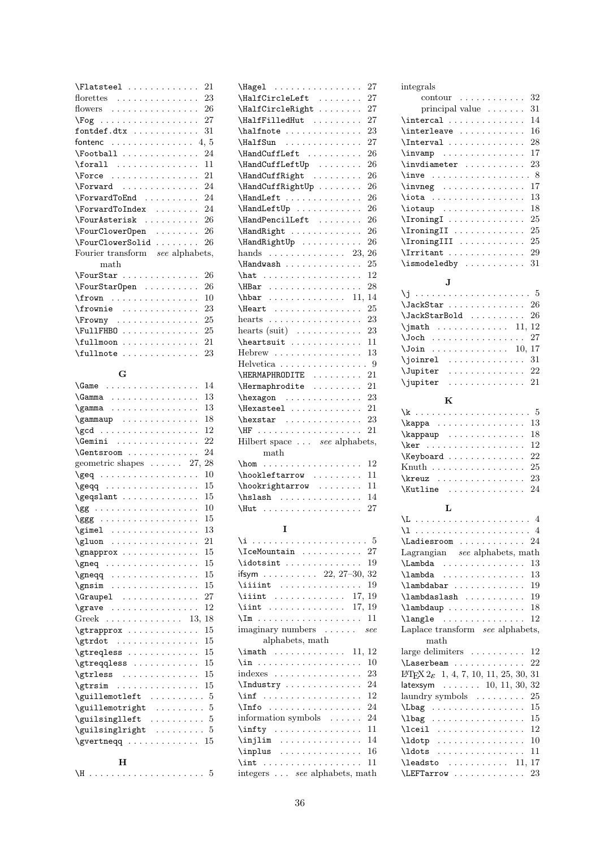| $\left\{\text{Flatsteel} \dots \dots \dots \right\}$ | 21 |
|------------------------------------------------------|----|
| florettes $\dots\dots\dots\dots\dots$                | 23 |
| flowers $26$                                         |    |
|                                                      | 27 |
| fontdef.dtx                                          | 31 |
| fontenc 4, 5                                         |    |
| \Football                                            | 24 |
| $\forall$ forall                                     | 11 |
| $\text{Force}$                                       | 21 |
| \Forward                                             | 24 |
| \ForwardToEnd                                        | 24 |
| \ForwardToIndex                                      | 24 |
| \FourAsterisk                                        | 26 |
| \FourClowerOpen                                      | 26 |
| \FourClowerSolid                                     | 26 |
| Fourier transform see alphabets,                     |    |
| math                                                 |    |
| \FourStar                                            | 26 |
| \FourStar0pen                                        | 26 |
| $\frac{1}{\text{row}}$                               | 10 |
| $\frac{1}{2}$                                        | 23 |
| \Frowny                                              | 25 |
| $\FullFHB0 \ldots \ldots \ldots$                     | 25 |
| $\lceil$ fullmoon                                    | 21 |
| $\lceil$ fullnote                                    | 23 |

### G

| \Game                                                            | 14 |
|------------------------------------------------------------------|----|
| \Gamma                                                           | 13 |
| \gamma                                                           | 13 |
| $\gamma$                                                         | 18 |
|                                                                  | 12 |
| $\Gamma : \ldots : \ldots : \ldots$                              | 22 |
| \Gentsroom                                                       | 24 |
| geometric shapes $\ldots$ . 27,                                  | 28 |
| $\geqslant$                                                      | 10 |
|                                                                  | 15 |
| \geqslant                                                        | 15 |
|                                                                  | 10 |
|                                                                  | 15 |
| $\qquad \qquad \ldots \ldots \qquad \ldots$                      | 13 |
| \gluon                                                           | 21 |
| $\qquad$                                                         | 15 |
| $\qquad \qquad \qquad \ldots \ldots \qquad \qquad$               | 15 |
| $\qquad \qquad \qquad \qquad \ldots \ldots \qquad \qquad \ldots$ | 15 |
|                                                                  | 15 |
| \Graupel                                                         | 27 |
| \grave                                                           | 12 |
| Greek 13,                                                        | 18 |
| $\sqrt{gtr}$ approx                                              | 15 |
| $\sqrt{gtrdot}$                                                  | 15 |
| \gtreqless                                                       | 15 |
| \gtreqqless                                                      | 15 |
| \gtrless                                                         | 15 |
| $\sqrt{gtrsim}$                                                  | 15 |
| $\qquad$                                                         |    |
| $\qquad \qquad \ldots \ldots \qquad 5$                           |    |
| $\qquad \qquad \texttt{guleft} \ \ldots \ldots \ \ldots \ \ 5$   |    |
| $\qquad \qquad \ldots \ldots 5$                                  |    |
| $\ldots \ldots \ldots 15$<br>\gvertneqq                          |    |
|                                                                  |    |

|--|--|

| 27<br>\Hagel                                                                                                            |
|-------------------------------------------------------------------------------------------------------------------------|
| \HalfCircleLeft<br>27                                                                                                   |
| \HalfCircleRight<br>27                                                                                                  |
| 27<br>\HalfFilledHut                                                                                                    |
| 23<br>\halfnote                                                                                                         |
| 27<br>\HalfSun                                                                                                          |
| \HandCuffLeft<br>26                                                                                                     |
| \HandCuffLeftUp<br>26<br>$\mathcal{L}$ is a set of $\mathcal{L}$ .<br>$\ddot{\phantom{0}}$                              |
| \HandCuffRight<br>26<br>$\ldots$ .<br>$\sim$ $\sim$ $\sim$<br>$\ddot{\phantom{0}}$<br>$\blacksquare$                    |
| \HandCuffRightUp<br>26<br>$\sim$ $\sim$<br>$\ddot{\phantom{0}}$                                                         |
| \HandLeft<br>26<br>.                                                                                                    |
| \HandLeftUp<br>26                                                                                                       |
| \HandPencilLeft<br>26                                                                                                   |
| 26<br>\HandRight                                                                                                        |
| 26<br>\HandRightUp                                                                                                      |
| 26<br>$_{\rm hands}$<br>.<br>23,<br>$\ddot{\phantom{0}}$                                                                |
| \Handwash<br>25                                                                                                         |
| 12                                                                                                                      |
| 28<br>\HBar                                                                                                             |
| \hbar<br>11,<br>14<br>.                                                                                                 |
| 25<br>\Heart<br>$\sim$ 100 km s $\sim$ 100 km s $\sim$ 100 km s $^{-1}$<br>$\ddot{\phantom{0}}$<br>$\ddot{\phantom{0}}$ |
| 23<br>hearts                                                                                                            |
| hearts (suit) $\dots \dots \dots$<br>23                                                                                 |
| \heartsuit<br>11                                                                                                        |
| 13<br>Hebrew                                                                                                            |
| $\cdot$ 9<br>Helvetica                                                                                                  |
| 21<br>\HERMAPHRODITE<br>$\mathbf{1}$<br>$\ddot{\phantom{0}}$<br>$\ddot{\phantom{a}}$<br>$\ddot{\phantom{a}}$            |
| 21<br>\Hermaphrodite                                                                                                    |
| 23<br>hexagon                                                                                                           |
| \Hexasteel<br>21                                                                                                        |
| $\hbox{\tt\char'4pt}$<br>23                                                                                             |
| 21<br>\HF<br>.<br>$\ddotsc$<br>$\ddot{\phantom{0}}$<br>$\ddot{\phantom{0}}$                                             |
| Hilbert space see alphabets,                                                                                            |
| $\text{math}$                                                                                                           |
| \hom<br>12<br>.                                                                                                         |
| 11<br>$\hbox{\tt hookleftarrow}$                                                                                        |
| 11<br>\hookrightarrow                                                                                                   |
| 14<br>\hslash<br>.<br>$\ddot{\phantom{a}}$<br>.                                                                         |
| 27<br>\Hut<br>$\ddot{\phantom{0}}$<br>$\ddot{\phantom{0}}$<br>.                                                         |
|                                                                                                                         |
| I                                                                                                                       |

| $\{\mathsf{IceMountain} \dots \dots \dots \ 27\}$   |
|-----------------------------------------------------|
| 19                                                  |
| ifsym 22, 27–30, 32                                 |
| $\{$ iiint<br>19                                    |
| $\{$ iint  17, 19                                   |
| \iint  17, 19                                       |
|                                                     |
| imaginary numbers  see                              |
| alphabets, math                                     |
| $\mathcal{L}$ 11, 12                                |
| 10                                                  |
| 23<br>$indexes \dots \dots \dots \dots \dots \dots$ |
| 24<br>$\Lambda$ $\Lambda$                           |
| 12<br>\inf                                          |
| \Info<br>24                                         |
| information symbols<br>24                           |
| 11                                                  |
| 14<br>$\in$                                         |
| 16                                                  |
| 11                                                  |
| integers see alphabets, math                        |

integrals contour . . . . . . . . . . . . 32 principal value . . . . . . . 31 \intercal . . . . . . . . . . . . . . 14  $\verb+\interleave + \ldots + \ldots + 16$  $\verb+\Interval+\dots+\dots+28$ \invamp . . . . . . . . . . . . . . 17 \invdiameter ........... 23 \inve . . . . . . . . . . . . . . . . . 8 \invneg . . . . . . . . . . . . . . 17 \iota . . . . . . . . . . . . . . . . 13 \iotaup . . . . . . . . . . . . . . . 18 \IroningI . . . . . . . . . . . . . . 25 \IroningII . . . . . . . . . . . . . 25 \IroningIII . . . . . . . . . . . . 25 \Irritant . . . . . . . . . . . . . . 29

#### J

| $\lambda$ JackStar  26     |  |  |  |  |  |  |  |      |
|----------------------------|--|--|--|--|--|--|--|------|
| $\lambda$ JackStarBold  26 |  |  |  |  |  |  |  |      |
| $\mathcal{L}$ 11, 12       |  |  |  |  |  |  |  |      |
| $\lambda$ Joch  27         |  |  |  |  |  |  |  |      |
| $\lambda$ Join 10, 17      |  |  |  |  |  |  |  |      |
| $\{jointrel$ 31            |  |  |  |  |  |  |  |      |
| $\Upsilon$ . $\Omega$      |  |  |  |  |  |  |  |      |
| \jupiter                   |  |  |  |  |  |  |  | . 21 |

 $\iintedby ... \dots . . . . . . . 31$ 

#### $\bf K$

| $\verb \kappaup     18 $                    |  |  |  |  |  |  |  |  |
|---------------------------------------------|--|--|--|--|--|--|--|--|
| $\ker$ 12                                   |  |  |  |  |  |  |  |  |
| $\kappa$ /Keyboard  22                      |  |  |  |  |  |  |  |  |
| Knuth 25                                    |  |  |  |  |  |  |  |  |
| $\kappa$ 23                                 |  |  |  |  |  |  |  |  |
| $\{\text{Kutline} \dots \dots \dots \ 24\}$ |  |  |  |  |  |  |  |  |

#### L

| Lagrangian see alphabets, math                            |
|-----------------------------------------------------------|
| 13<br>$\Lambda \ldots \ldots$                             |
| 13                                                        |
| \lambdabar<br>19                                          |
| 19                                                        |
| 18                                                        |
| $\langle \text{language} \dots \dots \dots \rangle$<br>12 |
| Laplace transform see alphabets,                          |
| math                                                      |
|                                                           |
| $large$ delimiters $\dots \dots$<br>12                    |
| \Laserbeam<br>22                                          |
| $L^{2}E[X 2_{\mathcal{E}} 1, 4, 7, 10, 11, 25, 30,$<br>31 |
| 32<br>$l$ atexsym  10, 11, 30,                            |
| laundry symbols<br>25                                     |
| $\L{bag}$<br>15                                           |
| \lbag<br>15                                               |
| 12<br>\lceil                                              |
| 10                                                        |
| $\ldots \ldots$<br>11                                     |
| 17<br>$\lambda$ deadsto  11,                              |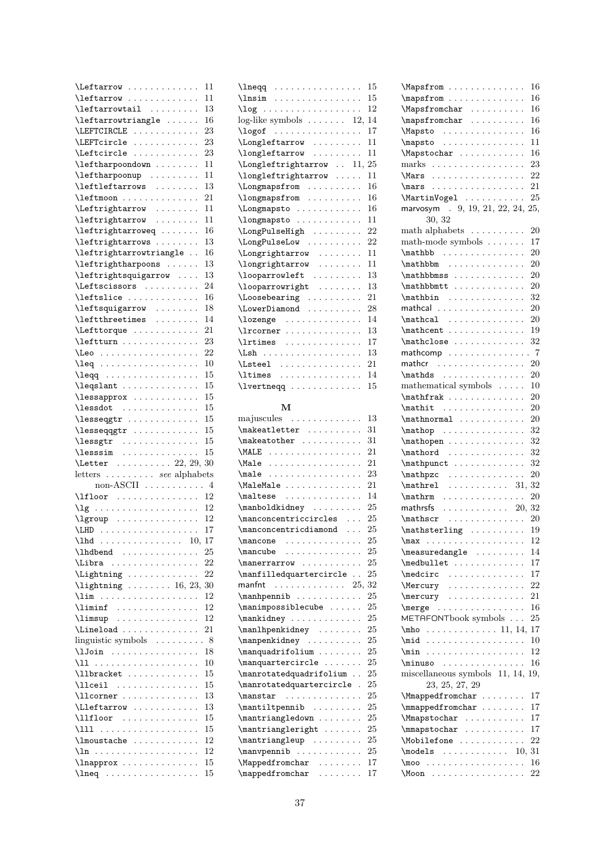| Leftarrow                                                                                                                                                                                                                                                                                                                                                                                                                     | 11       |
|-------------------------------------------------------------------------------------------------------------------------------------------------------------------------------------------------------------------------------------------------------------------------------------------------------------------------------------------------------------------------------------------------------------------------------|----------|
| \leftarrow                                                                                                                                                                                                                                                                                                                                                                                                                    | 11       |
| \leftarrowtail                                                                                                                                                                                                                                                                                                                                                                                                                | 13       |
|                                                                                                                                                                                                                                                                                                                                                                                                                               |          |
| $\left\{ \right.$ $\left.\right.$                                                                                                                                                                                                                                                                                                                                                                                             | 16       |
| \LEFTCIRCLE                                                                                                                                                                                                                                                                                                                                                                                                                   | 23       |
| LEFTcircle                                                                                                                                                                                                                                                                                                                                                                                                                    | 23       |
| \Leftcircle                                                                                                                                                                                                                                                                                                                                                                                                                   | 23       |
|                                                                                                                                                                                                                                                                                                                                                                                                                               |          |
| \leftharpoondown                                                                                                                                                                                                                                                                                                                                                                                                              | 11       |
| $\left\{ \left( \mathbf{r} \right) \right\}$                                                                                                                                                                                                                                                                                                                                                                                  | 11       |
| \leftleftarrows                                                                                                                                                                                                                                                                                                                                                                                                               | 13       |
| \leftmoon                                                                                                                                                                                                                                                                                                                                                                                                                     | 21       |
|                                                                                                                                                                                                                                                                                                                                                                                                                               |          |
| Leftrightarrow                                                                                                                                                                                                                                                                                                                                                                                                                | 11       |
| \leftrightarrow                                                                                                                                                                                                                                                                                                                                                                                                               | 11       |
| $\left\{ \text{left} \right\} \ldots \ldots$                                                                                                                                                                                                                                                                                                                                                                                  | 16       |
|                                                                                                                                                                                                                                                                                                                                                                                                                               |          |
| $\ddot{\phantom{0}}$                                                                                                                                                                                                                                                                                                                                                                                                          | 13       |
| \leftrightarrowtriangle.<br>$\ddot{\phantom{a}}$                                                                                                                                                                                                                                                                                                                                                                              | 16       |
| \leftrightharpoons<br>$\ddot{\phantom{0}}$                                                                                                                                                                                                                                                                                                                                                                                    | 13       |
| \leftrightsquigarrow                                                                                                                                                                                                                                                                                                                                                                                                          | 13       |
|                                                                                                                                                                                                                                                                                                                                                                                                                               |          |
| \Leftscissors                                                                                                                                                                                                                                                                                                                                                                                                                 | 24       |
| \leftslice                                                                                                                                                                                                                                                                                                                                                                                                                    | 16       |
|                                                                                                                                                                                                                                                                                                                                                                                                                               | 18       |
| $\left\{ \left( \text{matrix} \right) \right\}$<br>\leftthreetimes                                                                                                                                                                                                                                                                                                                                                            |          |
|                                                                                                                                                                                                                                                                                                                                                                                                                               | 14       |
| Lefttorque                                                                                                                                                                                                                                                                                                                                                                                                                    | 21       |
| \leftturn                                                                                                                                                                                                                                                                                                                                                                                                                     | 23       |
| \Leo                                                                                                                                                                                                                                                                                                                                                                                                                          | 22       |
|                                                                                                                                                                                                                                                                                                                                                                                                                               |          |
| \leq                                                                                                                                                                                                                                                                                                                                                                                                                          | 10       |
| $\ddot{\phantom{0}}$                                                                                                                                                                                                                                                                                                                                                                                                          | 15       |
| $\leq\$                                                                                                                                                                                                                                                                                                                                                                                                                       | 15       |
|                                                                                                                                                                                                                                                                                                                                                                                                                               |          |
| \lessapprox                                                                                                                                                                                                                                                                                                                                                                                                                   | 15       |
| $\{\text{lessdot} \dots \dots \dots \dots$                                                                                                                                                                                                                                                                                                                                                                                    | 15       |
| $\texttt{lesseqgrr} \dots \dots \dots \dots$                                                                                                                                                                                                                                                                                                                                                                                  | 15       |
|                                                                                                                                                                                                                                                                                                                                                                                                                               |          |
|                                                                                                                                                                                                                                                                                                                                                                                                                               |          |
| \lesseqqgtr                                                                                                                                                                                                                                                                                                                                                                                                                   | 15       |
|                                                                                                                                                                                                                                                                                                                                                                                                                               | 15       |
|                                                                                                                                                                                                                                                                                                                                                                                                                               | 15       |
| \lessgtr<br>\lesssim                                                                                                                                                                                                                                                                                                                                                                                                          |          |
| $\text{letter}$ 22, 29, 30                                                                                                                                                                                                                                                                                                                                                                                                    |          |
| letters  see alphabets                                                                                                                                                                                                                                                                                                                                                                                                        |          |
| non-ASCII $\dots \dots \dots \dots$ 4                                                                                                                                                                                                                                                                                                                                                                                         |          |
|                                                                                                                                                                                                                                                                                                                                                                                                                               |          |
| $\left\{\begin{array}{ccc}\n\text{1floor} & \ldots & \ldots & \ldots & 12\n\end{array}\right\}$                                                                                                                                                                                                                                                                                                                               |          |
| $\lg \ldots \ldots \ldots \ldots$                                                                                                                                                                                                                                                                                                                                                                                             | 12       |
| $\begin{bmatrix} \text{1} & \text{1} & \text{1} & \text{1} \\ \text{2} & \text{2} & \text{2} & \text{2} \\ \text{3} & \text{4} & \text{5} & \text{2} \\ \text{4} & \text{5} & \text{6} & \text{3} \\ \text{5} & \text{6} & \text{6} & \text{5} \\ \text{6} & \text{7} & \text{6} & \text{6} \\ \text{8} & \text{8} & \text{6} & \text{6} \\ \text{9} & \text{10} & \text{11} & \text{12} \\ \text{11} & \text{12} & \text{13$ |          |
|                                                                                                                                                                                                                                                                                                                                                                                                                               | 17       |
| 10,                                                                                                                                                                                                                                                                                                                                                                                                                           | 17       |
| \lhd                                                                                                                                                                                                                                                                                                                                                                                                                          |          |
|                                                                                                                                                                                                                                                                                                                                                                                                                               | 25       |
| \Libra<br>.                                                                                                                                                                                                                                                                                                                                                                                                                   | 22       |
| \Lightning                                                                                                                                                                                                                                                                                                                                                                                                                    | 22       |
|                                                                                                                                                                                                                                                                                                                                                                                                                               |          |
| $\left\{ \right\}$ 16, 23,                                                                                                                                                                                                                                                                                                                                                                                                    | 30       |
| $\lim$<br>$\sim$ $\sim$ $\sim$ $\sim$ $\sim$<br>.<br>$\ddot{\phantom{0}}$                                                                                                                                                                                                                                                                                                                                                     | 12       |
| $\lambda$ iminf                                                                                                                                                                                                                                                                                                                                                                                                               | 12       |
| $\lambda$ imsup                                                                                                                                                                                                                                                                                                                                                                                                               | 12       |
|                                                                                                                                                                                                                                                                                                                                                                                                                               |          |
| $\ldots$ .                                                                                                                                                                                                                                                                                                                                                                                                                    | 21       |
| linguistic symbols<br>$\ddot{\phantom{0}}$<br>$\ldots$<br>¥.<br>$\ddot{\phantom{0}}$<br>$\ddot{\phantom{0}}$                                                                                                                                                                                                                                                                                                                  | .8       |
| $\lambda$ lJoin<br>.<br>$\ddot{\phantom{0}}$                                                                                                                                                                                                                                                                                                                                                                                  | 18       |
| .<br>\11<br>.                                                                                                                                                                                                                                                                                                                                                                                                                 | 10       |
|                                                                                                                                                                                                                                                                                                                                                                                                                               |          |
| \llbracket                                                                                                                                                                                                                                                                                                                                                                                                                    | 15       |
| \llceil<br>.                                                                                                                                                                                                                                                                                                                                                                                                                  | 15       |
| \llcorner                                                                                                                                                                                                                                                                                                                                                                                                                     | 13       |
| $\cdots$<br>$\ldots$ .                                                                                                                                                                                                                                                                                                                                                                                                        | 13       |
| $\left\{\text{Lleftarrow}\dots\right\}$                                                                                                                                                                                                                                                                                                                                                                                       |          |
| $\lceil$ llfloor<br>$\ddot{\phantom{0}}$<br>$\ldots$<br>$\overline{\phantom{a}}$                                                                                                                                                                                                                                                                                                                                              | 15       |
| \111<br>.<br>.                                                                                                                                                                                                                                                                                                                                                                                                                | 15       |
|                                                                                                                                                                                                                                                                                                                                                                                                                               | 12       |
|                                                                                                                                                                                                                                                                                                                                                                                                                               | 12       |
|                                                                                                                                                                                                                                                                                                                                                                                                                               |          |
| \lnapprox<br>$\ln eq$                                                                                                                                                                                                                                                                                                                                                                                                         | 15<br>15 |

|                                                                                                                                                                                                                                                                                                                                                                                                                                                                                                                                                                                                                                                               | 15 |
|---------------------------------------------------------------------------------------------------------------------------------------------------------------------------------------------------------------------------------------------------------------------------------------------------------------------------------------------------------------------------------------------------------------------------------------------------------------------------------------------------------------------------------------------------------------------------------------------------------------------------------------------------------------|----|
| $\log$                                                                                                                                                                                                                                                                                                                                                                                                                                                                                                                                                                                                                                                        | 12 |
| log-like symbols $\dots \dots 12, 14$                                                                                                                                                                                                                                                                                                                                                                                                                                                                                                                                                                                                                         |    |
| $\log of$                                                                                                                                                                                                                                                                                                                                                                                                                                                                                                                                                                                                                                                     | 17 |
| $\label{lem:main} $$\Longleftarrow    $$\longleftarrow    $                                                                                                                                                                                                                                                                                                                                                                                                                                                                                                                                                                                                   | 11 |
|                                                                                                                                                                                                                                                                                                                                                                                                                                                                                                                                                                                                                                                               | 11 |
| \Longleftrightarrow  11, 25                                                                                                                                                                                                                                                                                                                                                                                                                                                                                                                                                                                                                                   |    |
| \longleftrightarrow                                                                                                                                                                                                                                                                                                                                                                                                                                                                                                                                                                                                                                           | 11 |
| \Longmapsfrom                                                                                                                                                                                                                                                                                                                                                                                                                                                                                                                                                                                                                                                 | 16 |
| \longmapsfrom                                                                                                                                                                                                                                                                                                                                                                                                                                                                                                                                                                                                                                                 | 16 |
| $\ddot{\phantom{0}}$                                                                                                                                                                                                                                                                                                                                                                                                                                                                                                                                                                                                                                          | 16 |
| $\label{eq:subspace} \verb \Longmapsto \cdots \cdots.$<br>\longmapsto                                                                                                                                                                                                                                                                                                                                                                                                                                                                                                                                                                                         | 11 |
| \LongPulseHigh                                                                                                                                                                                                                                                                                                                                                                                                                                                                                                                                                                                                                                                | 22 |
| $\ddot{\phantom{0}}$                                                                                                                                                                                                                                                                                                                                                                                                                                                                                                                                                                                                                                          | 22 |
| \LongPulseLow                                                                                                                                                                                                                                                                                                                                                                                                                                                                                                                                                                                                                                                 |    |
| \Longrightarrow<br>$\ddot{\phantom{0}}$                                                                                                                                                                                                                                                                                                                                                                                                                                                                                                                                                                                                                       | 11 |
| $\lambda$ \longrightarrow                                                                                                                                                                                                                                                                                                                                                                                                                                                                                                                                                                                                                                     | 11 |
| \looparrowleft                                                                                                                                                                                                                                                                                                                                                                                                                                                                                                                                                                                                                                                | 13 |
| \looparrowright                                                                                                                                                                                                                                                                                                                                                                                                                                                                                                                                                                                                                                               | 13 |
| $\text{Loose}$                                                                                                                                                                                                                                                                                                                                                                                                                                                                                                                                                                                                                                                | 21 |
| \LowerDiamond                                                                                                                                                                                                                                                                                                                                                                                                                                                                                                                                                                                                                                                 | 28 |
| \lozenge                                                                                                                                                                                                                                                                                                                                                                                                                                                                                                                                                                                                                                                      | 14 |
| \lrcorner                                                                                                                                                                                                                                                                                                                                                                                                                                                                                                                                                                                                                                                     | 13 |
|                                                                                                                                                                                                                                                                                                                                                                                                                                                                                                                                                                                                                                                               | 17 |
| \Lsh<br>$\ddot{\phantom{0}}$                                                                                                                                                                                                                                                                                                                                                                                                                                                                                                                                                                                                                                  | 13 |
| $\text{N.}$                                                                                                                                                                                                                                                                                                                                                                                                                                                                                                                                                                                                                                                   | 21 |
| \ltimes                                                                                                                                                                                                                                                                                                                                                                                                                                                                                                                                                                                                                                                       | 14 |
| \lvertneqq                                                                                                                                                                                                                                                                                                                                                                                                                                                                                                                                                                                                                                                    | 15 |
|                                                                                                                                                                                                                                                                                                                                                                                                                                                                                                                                                                                                                                                               |    |
| м                                                                                                                                                                                                                                                                                                                                                                                                                                                                                                                                                                                                                                                             |    |
| majuscules                                                                                                                                                                                                                                                                                                                                                                                                                                                                                                                                                                                                                                                    | 13 |
| $\mathcal{L}$ akeatletter                                                                                                                                                                                                                                                                                                                                                                                                                                                                                                                                                                                                                                     | 31 |
| $\verb+\makeatother \dots \dots$                                                                                                                                                                                                                                                                                                                                                                                                                                                                                                                                                                                                                              | 31 |
|                                                                                                                                                                                                                                                                                                                                                                                                                                                                                                                                                                                                                                                               | 21 |
| \MALE<br>\Male                                                                                                                                                                                                                                                                                                                                                                                                                                                                                                                                                                                                                                                | 21 |
| .                                                                                                                                                                                                                                                                                                                                                                                                                                                                                                                                                                                                                                                             |    |
|                                                                                                                                                                                                                                                                                                                                                                                                                                                                                                                                                                                                                                                               |    |
| $\texttt{male}$<br>.                                                                                                                                                                                                                                                                                                                                                                                                                                                                                                                                                                                                                                          | 23 |
| \MaleMale<br>$\ddot{\phantom{0}}$                                                                                                                                                                                                                                                                                                                                                                                                                                                                                                                                                                                                                             | 21 |
| $\mathcal{L}$                                                                                                                                                                                                                                                                                                                                                                                                                                                                                                                                                                                                                                                 | 14 |
| $\mathcal{L}$<br>$\ddot{\phantom{0}}$                                                                                                                                                                                                                                                                                                                                                                                                                                                                                                                                                                                                                         | 25 |
| $\mbox{\textcolor{red}{\textcolor{blue}{\textcolor{blue}{\textcolor{blue}{\textcolor{blue}{\textcolor{blue}{\textcolor{blue}{\textcolor{blue}{\textcolor{blue}{\textcolor{blue}{\textcolor{blue}{\textcolor{blue}{\textcolor{blue}{\textcolor{blue}{\textcolor{blue}{\textcolor{blue}{\textcolor{blue}{\textcolor{blue}{\textcolor{blue}{\textcolor{blue}{\textcolor{blue}{\textcolor{blue}{\textcolor{blue}{\textcolor{blue}{\textcolor{blue}{\textcolor{blue}{\textcolor{blue}{\textcolor{blue}{\textcolor{blue}{\textcolor{blue}{\textcolor{blue}{\textcolor{blue}{\textcolor{blue}{\textcolor{blue}{\textcolor{blue}{\textcolor{blue}{\$<br>$\sim$ $\sim$ | 25 |
| $\mbox{\tt manconcentricdiamond} \ldots$                                                                                                                                                                                                                                                                                                                                                                                                                                                                                                                                                                                                                      | 25 |
| $\ddot{\phantom{0}}$<br>$\ddot{\phantom{0}}$                                                                                                                                                                                                                                                                                                                                                                                                                                                                                                                                                                                                                  | 25 |
| $\text{mancone} \ldots \ldots \ldots$<br>$\mathcal{L}$<br>.                                                                                                                                                                                                                                                                                                                                                                                                                                                                                                                                                                                                   | 25 |
| \manerrarrow<br>$\ddot{\phantom{a}}$<br>.                                                                                                                                                                                                                                                                                                                                                                                                                                                                                                                                                                                                                     | 25 |
| \manfilledquartercircle .                                                                                                                                                                                                                                                                                                                                                                                                                                                                                                                                                                                                                                     | 25 |
| manfnt<br>25,<br>$\begin{array}{cccccccccccccc} . & . & . & . & . & . & . & . & . & . & . & . & . & . \end{array}$                                                                                                                                                                                                                                                                                                                                                                                                                                                                                                                                            | 32 |
|                                                                                                                                                                                                                                                                                                                                                                                                                                                                                                                                                                                                                                                               | 25 |
| $\mathbb{D} \ldots \ldots$                                                                                                                                                                                                                                                                                                                                                                                                                                                                                                                                                                                                                                    | 25 |
| $\mathcal{S}$                                                                                                                                                                                                                                                                                                                                                                                                                                                                                                                                                                                                                                                 |    |
| \mankidney                                                                                                                                                                                                                                                                                                                                                                                                                                                                                                                                                                                                                                                    | 25 |
| $\mathcal{L}$                                                                                                                                                                                                                                                                                                                                                                                                                                                                                                                                                                                                                                                 | 25 |
| \manpenkidney<br>$\sim$                                                                                                                                                                                                                                                                                                                                                                                                                                                                                                                                                                                                                                       | 25 |
| \manquadrifolium                                                                                                                                                                                                                                                                                                                                                                                                                                                                                                                                                                                                                                              | 25 |
| \manquartercircle .<br>.                                                                                                                                                                                                                                                                                                                                                                                                                                                                                                                                                                                                                                      | 25 |
| \manrotatedquadrifolium .                                                                                                                                                                                                                                                                                                                                                                                                                                                                                                                                                                                                                                     | 25 |
| \manrotatedquartercircle                                                                                                                                                                                                                                                                                                                                                                                                                                                                                                                                                                                                                                      | 25 |
| \manstar<br>.                                                                                                                                                                                                                                                                                                                                                                                                                                                                                                                                                                                                                                                 | 25 |
| \mantiltpennib                                                                                                                                                                                                                                                                                                                                                                                                                                                                                                                                                                                                                                                | 25 |
| $\mathrm{imantriangledown} \ldots \ldots$                                                                                                                                                                                                                                                                                                                                                                                                                                                                                                                                                                                                                     | 25 |
| $\mathrm{imantriangleright} \ldots$                                                                                                                                                                                                                                                                                                                                                                                                                                                                                                                                                                                                                           | 25 |
| $\mathrm{language}$<br>$\mathbb{Z}^2$ , $\mathbb{Z}^2$ , $\mathbb{Z}^2$                                                                                                                                                                                                                                                                                                                                                                                                                                                                                                                                                                                       | 25 |
| \manvpennib                                                                                                                                                                                                                                                                                                                                                                                                                                                                                                                                                                                                                                                   | 25 |
| \Mappedfromchar                                                                                                                                                                                                                                                                                                                                                                                                                                                                                                                                                                                                                                               | 17 |
| $\mbox{\tt \small{mapped from char}} \dots \dots$                                                                                                                                                                                                                                                                                                                                                                                                                                                                                                                                                                                                             | 17 |

 $\lambda$  . . . . . . . . . . . . . . . . 15

| \Mapsfrom                                                                                    | 16                         |
|----------------------------------------------------------------------------------------------|----------------------------|
| \mapsfrom                                                                                    | 16                         |
| \Mapsfromchar                                                                                | 16                         |
| $\mbox{mapsfromchar}\dots\dots\dots\,.$                                                      | 16                         |
| \Mapsto<br>.                                                                                 | 16                         |
| \mapsto<br>.                                                                                 | 11<br>$\ddot{\phantom{0}}$ |
| \Mapstochar                                                                                  | 16                         |
| marks                                                                                        | 23                         |
| \Mars                                                                                        | 22                         |
| $\text{max}$                                                                                 | 21                         |
| \MartinVogel                                                                                 | 25                         |
| marvosym . 9, 19, 21, 22, 24, 25,                                                            |                            |
| 30, 32                                                                                       |                            |
|                                                                                              |                            |
| math alphabets $\dots \dots \dots$                                                           | 20                         |
| math-mode symbols $\dots \dots$                                                              | 17                         |
| $\mathbb{b} \ldots \ldots \ldots$                                                            | 20                         |
| $\mathbb{D}$<br>$\ddot{\phantom{0}}$                                                         | 20<br>$\ddot{\phantom{0}}$ |
| \mathbbmss<br>.                                                                              | 20<br>$\ddot{\phantom{0}}$ |
| $\mathbb{D}$                                                                                 | 20                         |
| $\ddot{\phantom{0}}$                                                                         | 32                         |
| mathcal                                                                                      | 20                         |
|                                                                                              | 20                         |
| $\mathcal{L}$                                                                                | 19                         |
| $\mathcal{L}$                                                                                | 32                         |
| mathcomp<br>$\ddotsc$<br>$\ddot{\phantom{a}}$                                                | .7                         |
| mather                                                                                       | 20<br>$\ddot{\phantom{0}}$ |
| $\mathcal{L}$                                                                                | 20                         |
| mathematical symbols                                                                         | 10                         |
| $\mathbf{r}$ .<br>$\ddot{\phantom{0}}$                                                       | 20<br>$\ddot{\phantom{0}}$ |
| $\mathcal{L}$<br>$\ddot{\phantom{0}}$                                                        | 20<br>$\ddot{\phantom{0}}$ |
| $\mathcal{L} \ldots$<br>$\ddot{\phantom{0}}$<br>$\ddot{\phantom{a}}$<br>$\ddot{\phantom{a}}$ | 20                         |
|                                                                                              | 32                         |
| $\mathbf{p} \ldots \ldots$                                                                   |                            |
| $\mathcal{L}$<br>$\ddot{\phantom{0}}$                                                        | 32                         |
| $\mathcal{L}$<br>$\ddot{\phantom{0}}$                                                        | 32                         |
| \mathpunct                                                                                   | 32                         |
| \mathpzc<br>.<br>$\ddot{\phantom{a}}$<br>$\ddot{\phantom{0}}$<br>$\ddot{\phantom{0}}$        | 20<br>$\ddot{\phantom{0}}$ |
| $\mathcal{L} \ldots$<br>$\ldots$ . 31,<br>$\ddot{\phantom{a}}$                               | 32                         |
| \mathrm<br>.<br>$\cdots$                                                                     | 20                         |
| mathrsfs $\ldots \ldots \ldots \ldots 20, 32$                                                |                            |
| $\mathcal{L}$                                                                                | 20                         |
| $\mathcal{L}$                                                                                | 19                         |
|                                                                                              | 12                         |
| \measuredangle                                                                               | 14                         |
| \medbullet                                                                                   | 17                         |
| $\setminus$ medcirc                                                                          | 17<br>$\ddot{\phantom{0}}$ |
| \Mercury                                                                                     | 22                         |
| \mercury<br>.                                                                                | 21                         |
| .<br>$\langle$ merge .                                                                       | 16                         |
| METAFONTbook symbols                                                                         | 25                         |
| $\mu$ ho 11, 14, 17                                                                          |                            |
| \mid                                                                                         | 10                         |
| $\min$<br>.                                                                                  | 12                         |
| $\minus$                                                                                     | 16                         |
| miscellaneous symbols 11, 14,                                                                | 19,                        |
| 23, 25, 27, 29                                                                               |                            |
| \Mmappedfromchar                                                                             | 17                         |
| \mmappedfromchar                                                                             | 17                         |
|                                                                                              | 17<br>$\ddot{\phantom{0}}$ |
| \Mmapstochar                                                                                 | 17                         |
| $\label{thm:main} $$ \n$\mathbb1\text{ for } \ldots,\ldots, $$$                              | 22                         |
|                                                                                              |                            |
|                                                                                              |                            |
| $\text{models} \quad \ldots \quad \ldots \quad 10,$                                          | 31                         |
| \moo<br>\Moon                                                                                | 16<br>22                   |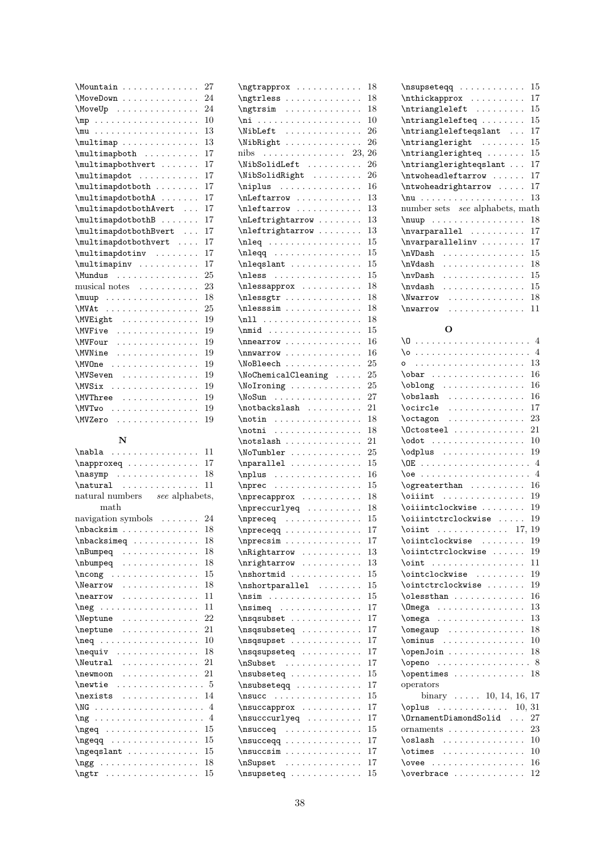| \Mountain             | 27 |
|-----------------------|----|
| \MoveDown             | 24 |
| \MoveUp               | 24 |
|                       | 10 |
|                       | 13 |
| \multimap             | 13 |
| \multimapboth         | 17 |
| \multimapbothvert     | 17 |
| \multimapdot          | 17 |
| \multimapdotboth      | 17 |
| \multimapdotbothA     | 17 |
| \multimapdotbothAvert | 17 |
| \multimapdotbothB     | 17 |
| \multimapdotbothBvert | 17 |
| \multimapdotbothvert  | 17 |
| \multimapdotinv       | 17 |
| \multimapinv          | 17 |
| \Mundus               | 25 |
| musical notes         | 23 |
| $\mu$ uup             | 18 |
| \MVAt                 | 25 |
| \MVEight              | 19 |
| \MVFive               | 19 |
| \MVFour               | 19 |
| \MVNine               | 19 |
| \MVOne                | 19 |
| \MVSeven              | 19 |
| \MVSix                | 19 |
| \MVThree              | 19 |
| \MVTwo                | 19 |
| \MVZero               | 19 |
|                       |    |

### N

| $\nabla$ abla                                                                     | 11 |  |  |  |  |  |  |  |  |  |  |
|-----------------------------------------------------------------------------------|----|--|--|--|--|--|--|--|--|--|--|
| $\n\neq$                                                                          | 17 |  |  |  |  |  |  |  |  |  |  |
|                                                                                   | 18 |  |  |  |  |  |  |  |  |  |  |
| $\natural$ $\natural$                                                             | 11 |  |  |  |  |  |  |  |  |  |  |
| natural numbers see alphabets,                                                    |    |  |  |  |  |  |  |  |  |  |  |
| math                                                                              |    |  |  |  |  |  |  |  |  |  |  |
| navigation symbols                                                                | 24 |  |  |  |  |  |  |  |  |  |  |
| \nbacksim                                                                         | 18 |  |  |  |  |  |  |  |  |  |  |
| $\hbox{\scriptsize\textsf{}}\ .\ .\ .\ .\ .\ .\ .$                                | 18 |  |  |  |  |  |  |  |  |  |  |
| \nBumpeq                                                                          | 18 |  |  |  |  |  |  |  |  |  |  |
|                                                                                   | 18 |  |  |  |  |  |  |  |  |  |  |
| $\n\ncong \n \n \n$                                                               | 15 |  |  |  |  |  |  |  |  |  |  |
| \Nearrow                                                                          | 18 |  |  |  |  |  |  |  |  |  |  |
| $\n\text{nearrow} \dots \dots \dots$                                              | 11 |  |  |  |  |  |  |  |  |  |  |
| $\neq$                                                                            | 11 |  |  |  |  |  |  |  |  |  |  |
| \Neptune                                                                          | 22 |  |  |  |  |  |  |  |  |  |  |
| $\neq$                                                                            | 21 |  |  |  |  |  |  |  |  |  |  |
| $\neq$                                                                            | 10 |  |  |  |  |  |  |  |  |  |  |
| $\neq$                                                                            | 18 |  |  |  |  |  |  |  |  |  |  |
| $\text{Neutral}$                                                                  | 21 |  |  |  |  |  |  |  |  |  |  |
| $\neq$ where $\dots$                                                              | 21 |  |  |  |  |  |  |  |  |  |  |
|                                                                                   |    |  |  |  |  |  |  |  |  |  |  |
| $\n  nexists\n\n\n\n.$                                                            | 14 |  |  |  |  |  |  |  |  |  |  |
|                                                                                   |    |  |  |  |  |  |  |  |  |  |  |
|                                                                                   |    |  |  |  |  |  |  |  |  |  |  |
| $\n\begin{bmatrix}\n\ngeq & \ldots & \ldots & \ldots & \ldots\n\end{bmatrix}$     | 15 |  |  |  |  |  |  |  |  |  |  |
| $\n\begin{bmatrix}\n\ng\neq 0 & \cdots & \cdots & \cdots & \cdots\n\end{bmatrix}$ | 15 |  |  |  |  |  |  |  |  |  |  |
| $\n\begin{bmatrix}\n\ngeqslant \ldots \ldots \ldots\n\end{bmatrix}$               | 15 |  |  |  |  |  |  |  |  |  |  |
| $\ngg \ldots \ldots \ldots$                                                       | 18 |  |  |  |  |  |  |  |  |  |  |
|                                                                                   | 15 |  |  |  |  |  |  |  |  |  |  |

| \ngtrapprox                                                                                                                                                                                                                                |                                                     |                      |                      |                      |                      |                        |                        |                      |                      |                      |                      |                      |                        |                      | 18 |
|--------------------------------------------------------------------------------------------------------------------------------------------------------------------------------------------------------------------------------------------|-----------------------------------------------------|----------------------|----------------------|----------------------|----------------------|------------------------|------------------------|----------------------|----------------------|----------------------|----------------------|----------------------|------------------------|----------------------|----|
| \ngtrless                                                                                                                                                                                                                                  |                                                     |                      |                      | .                    |                      |                        |                        |                      |                      |                      |                      |                      | $\cdots$               |                      | 18 |
| \ngtrsim<br>$\sim$ 100 km and 100 km and 100 km and 100 km and 100 km and 100 km and 100 km and 100 km and 100 km and 100 km and 100 km and 100 km and 100 km and 100 km and 100 km and 100 km and 100 km and 100 km and 100 km and 100 km |                                                     |                      |                      |                      |                      |                        |                        |                      |                      | $\cdots$             |                      |                      | $\cdots$               |                      | 18 |
| \ni                                                                                                                                                                                                                                        | $\mathcal{L}^{\mathcal{L}}$                         |                      |                      | .                    |                      |                        |                        |                      |                      | $\sim$               | ¥.                   | $\ddot{\phantom{0}}$ | $\sim$ .               |                      | 10 |
| \NibLeft                                                                                                                                                                                                                                   | $\ddot{\phantom{a}}$                                | $\ddot{\phantom{0}}$ |                      | $\ddot{\phantom{0}}$ | $\ddots$             |                        | $\cdot$                | $\cdot$              | $\ddot{\phantom{0}}$ | $\ddot{\phantom{0}}$ |                      |                      | $\ddot{\phantom{a}}$   |                      | 26 |
|                                                                                                                                                                                                                                            |                                                     |                      |                      |                      |                      |                        |                        |                      |                      |                      |                      |                      |                        |                      | 26 |
| \NibRight                                                                                                                                                                                                                                  |                                                     |                      |                      |                      | $\ddot{\phantom{0}}$ | $\ddot{\phantom{0}}$   | $\cdot$                | $\ddot{\phantom{0}}$ |                      | $\ddot{\phantom{0}}$ | ¥.                   | $\ddot{\phantom{0}}$ | $\ddot{\phantom{0}}$   |                      |    |
| nibs<br>$\sim$ $\sim$ $\sim$ $\sim$ $\sim$                                                                                                                                                                                                 |                                                     |                      | .                    |                      | $\cdot$              | $\ddot{\phantom{a}}$   | $\ddot{\phantom{a}}$   |                      | $\ddot{\phantom{0}}$ | $\sim 100$           |                      |                      |                        | 23,                  | 26 |
| \NibSolidLeft                                                                                                                                                                                                                              |                                                     |                      |                      |                      |                      |                        |                        |                      |                      | $\ddots$             |                      |                      | $\ddot{\phantom{0}}$   |                      | 26 |
| \NibSolidRight                                                                                                                                                                                                                             |                                                     |                      |                      |                      |                      |                        | .                      |                      | $\ddot{\phantom{0}}$ | $\ddot{\phantom{0}}$ |                      | $\ddot{\phantom{0}}$ | $\ddotsc$              |                      | 26 |
| \niplus                                                                                                                                                                                                                                    |                                                     |                      |                      |                      |                      |                        |                        |                      |                      | $\ddot{\phantom{a}}$ |                      |                      | $\ddots$               |                      | 16 |
| \nLeftarrow                                                                                                                                                                                                                                |                                                     |                      |                      |                      |                      |                        |                        | $\ddot{\phantom{0}}$ |                      | $\ddot{\phantom{0}}$ |                      |                      |                        |                      | 13 |
| \nleftarrow                                                                                                                                                                                                                                |                                                     |                      |                      | $\alpha$ is a set of |                      |                        |                        | $\ddot{\phantom{0}}$ |                      |                      |                      |                      |                        |                      | 13 |
| \nLeftrightarrow                                                                                                                                                                                                                           |                                                     |                      |                      |                      |                      |                        |                        | $\ddot{\phantom{0}}$ | $\ddot{\phantom{0}}$ |                      | $\ddot{\phantom{0}}$ | $\ddot{\phantom{0}}$ |                        |                      | 13 |
|                                                                                                                                                                                                                                            |                                                     |                      |                      |                      |                      |                        |                        |                      |                      | $\ddot{\phantom{0}}$ |                      |                      |                        |                      | 13 |
| \nleftrightarrow                                                                                                                                                                                                                           |                                                     |                      |                      |                      |                      |                        | $\ddot{\phantom{0}}$   |                      |                      | $\ddot{\phantom{0}}$ |                      | $\ddot{\phantom{0}}$ | $\ddot{\phantom{0}}$   |                      |    |
| $\n\neq\n\dots$                                                                                                                                                                                                                            |                                                     |                      |                      |                      |                      |                        |                        |                      | $\ddot{\phantom{0}}$ | $\sim$               | $\ddot{\phantom{0}}$ |                      |                        |                      | 15 |
| $\n\begin{bmatrix}\n\ncos(1) & c\n\end{bmatrix}\n\$                                                                                                                                                                                        |                                                     |                      |                      |                      |                      |                        |                        |                      |                      | $\sim$               | $\ddot{\phantom{0}}$ |                      |                        |                      | 15 |
| \nleqslant                                                                                                                                                                                                                                 |                                                     |                      |                      | $\cdot$              | $\ddot{\phantom{0}}$ |                        | $\ddot{\phantom{a}}$   | $\ddot{\phantom{0}}$ |                      |                      |                      |                      |                        |                      | 15 |
| \nless                                                                                                                                                                                                                                     |                                                     |                      | .                    |                      |                      | $\cdots$               |                        | $\ddot{\phantom{0}}$ |                      |                      |                      |                      |                        |                      | 15 |
| \nlessapprox.                                                                                                                                                                                                                              |                                                     |                      |                      |                      |                      |                        | .                      |                      |                      |                      |                      | $\ddot{\phantom{0}}$ |                        |                      | 18 |
| $\n\hbar$ essgtr                                                                                                                                                                                                                           |                                                     |                      |                      | $\ddot{\phantom{0}}$ | $\ddot{\phantom{0}}$ | $\ddot{\phantom{0}}$   | $\ddot{\phantom{0}}$   |                      |                      |                      |                      |                      |                        |                      | 18 |
| \nlesssim                                                                                                                                                                                                                                  |                                                     |                      |                      |                      |                      |                        |                        |                      |                      |                      |                      |                      |                        |                      | 18 |
|                                                                                                                                                                                                                                            |                                                     |                      | $\ddot{\phantom{0}}$ | $\ddot{\phantom{0}}$ | $\ddot{\phantom{0}}$ | $\ddot{\phantom{0}}$   | $\ddot{\phantom{0}}$   | $\ddot{\phantom{0}}$ |                      |                      |                      |                      |                        |                      |    |
|                                                                                                                                                                                                                                            |                                                     |                      |                      |                      | $\ddot{\phantom{0}}$ |                        | $\ddot{\phantom{a}}$ . | $\ddot{\phantom{0}}$ | $\ddot{\phantom{0}}$ | $\ddot{\phantom{0}}$ |                      |                      |                        |                      | 18 |
| \nmid<br>$\sim$ $\sim$ $\sim$                                                                                                                                                                                                              | $\ddot{\phantom{a}}$                                | $\ddot{\phantom{0}}$ | $\ddot{\phantom{0}}$ | $\ddot{\phantom{a}}$ | $\ddot{\phantom{0}}$ | $\ddot{\phantom{0}}$   | $\ddot{\phantom{a}}$   |                      |                      | $\ddot{\phantom{0}}$ |                      |                      |                        |                      | 15 |
| \nnearrow.                                                                                                                                                                                                                                 |                                                     |                      | .                    |                      | $\ddot{\phantom{0}}$ | $\ddot{\phantom{0}}$   | $\ddot{\phantom{a}}$   | $\ddot{\phantom{0}}$ |                      |                      |                      |                      |                        |                      | 16 |
| \nnwarrow                                                                                                                                                                                                                                  |                                                     |                      |                      |                      |                      |                        |                        |                      | $\ddot{\phantom{0}}$ |                      |                      |                      |                        |                      | 16 |
| \NoBleech                                                                                                                                                                                                                                  |                                                     |                      |                      |                      |                      |                        |                        |                      |                      | $\ddot{\phantom{0}}$ | $\ddot{\phantom{0}}$ |                      | $\ddotsc$              |                      | 25 |
| \NoChemicalCleaning                                                                                                                                                                                                                        |                                                     |                      |                      |                      |                      |                        |                        |                      |                      | ¥,                   | $\ddot{\phantom{0}}$ |                      | $\ddot{\phantom{0}}$   | $\ddot{\phantom{0}}$ | 25 |
| \NoIroning                                                                                                                                                                                                                                 |                                                     |                      |                      |                      |                      |                        |                        |                      |                      |                      |                      |                      |                        |                      | 25 |
|                                                                                                                                                                                                                                            |                                                     |                      |                      |                      |                      |                        |                        |                      |                      | $\ddot{\phantom{0}}$ |                      |                      |                        |                      |    |
| \NoSun<br>.                                                                                                                                                                                                                                |                                                     |                      |                      |                      |                      |                        | .                      |                      |                      |                      |                      |                      |                        |                      | 27 |
| \notbackslash                                                                                                                                                                                                                              |                                                     |                      |                      |                      |                      |                        |                        | $\ddot{\phantom{0}}$ |                      |                      |                      |                      |                        |                      | 21 |
| $\n \cdot \cdot \cdot$                                                                                                                                                                                                                     |                                                     |                      |                      |                      | . .                  |                        | $\ddot{\phantom{a}}$   | $\ddot{\phantom{a}}$ |                      |                      |                      |                      |                        |                      | 18 |
| \notni<br>$\sim$ 100 km s $\sim$ 100 km s $^{-1}$                                                                                                                                                                                          |                                                     |                      |                      |                      |                      |                        | $\ddots$               |                      |                      |                      |                      |                      |                        | $\ddot{\phantom{0}}$ | 18 |
| $\not$ slash                                                                                                                                                                                                                               |                                                     |                      |                      |                      | $\ddot{\phantom{0}}$ |                        | $\ldots$               |                      |                      | $\ddot{\phantom{0}}$ |                      |                      | $\ddot{\phantom{0}}$   | $\ddot{\phantom{0}}$ | 21 |
| \NoTumbler                                                                                                                                                                                                                                 |                                                     |                      |                      |                      | $\ddot{\phantom{0}}$ | $\ddot{\phantom{0}}$ . |                        | $\ddot{\phantom{0}}$ | $\cdot$              | $\ddot{\phantom{0}}$ |                      |                      | $\ddotsc$              |                      | 25 |
| \nparallel                                                                                                                                                                                                                                 |                                                     |                      |                      | $\ddot{\phantom{0}}$ |                      | .                      |                        | $\ddot{\phantom{a}}$ |                      |                      |                      |                      |                        |                      | 15 |
|                                                                                                                                                                                                                                            |                                                     |                      |                      |                      |                      |                        |                        |                      |                      |                      |                      |                      |                        |                      | 16 |
| $\n\left\{\n\begin{array}{ccc}\n1 & 1 & 1\n\end{array}\n\right\}$                                                                                                                                                                          |                                                     |                      |                      | $\ddot{\phantom{a}}$ |                      |                        | .                      |                      | $\ddot{\phantom{0}}$ | $\ddot{\phantom{0}}$ |                      | $\cdot$              | $\ddotsc$              |                      |    |
| \nprec<br>.                                                                                                                                                                                                                                |                                                     |                      |                      |                      |                      |                        | .                      |                      | $\ddot{\phantom{0}}$ | $\ddot{\phantom{a}}$ |                      |                      |                        |                      | 15 |
| $\n\perp$                                                                                                                                                                                                                                  |                                                     |                      |                      |                      |                      |                        |                        |                      |                      | $\ddot{\phantom{0}}$ | $\ddot{\phantom{0}}$ | $\ddot{\phantom{0}}$ | $\ddots$               |                      | 18 |
| $\nperccurlgeq $                                                                                                                                                                                                                           |                                                     |                      |                      |                      |                      |                        |                        |                      |                      | .                    |                      | $\ddot{\phantom{0}}$ | $\sim$ .               |                      | 18 |
| $\nperceq \ldots \ldots$                                                                                                                                                                                                                   |                                                     |                      |                      |                      |                      |                        |                        |                      |                      | $\ddotsc$            |                      | $\ddot{\phantom{0}}$ | $\ddot{\phantom{1}}$ . |                      | 15 |
| \npreceqq                                                                                                                                                                                                                                  | .                                                   |                      |                      |                      |                      |                        |                        |                      |                      |                      |                      |                      |                        |                      | 17 |
| $\nperesim \ldots$                                                                                                                                                                                                                         |                                                     |                      |                      |                      |                      |                        |                        | $\sim$ $\sim$        |                      |                      |                      |                      |                        |                      | 17 |
| \nRightarrow                                                                                                                                                                                                                               |                                                     |                      |                      |                      |                      |                        |                        |                      |                      |                      |                      |                      |                        |                      | 13 |
|                                                                                                                                                                                                                                            |                                                     |                      |                      | $\ddot{\phantom{0}}$ | $\ddot{\phantom{0}}$ | $\ddot{\phantom{0}}$   | $\ddot{\phantom{0}}$   | $\Box$               |                      |                      |                      |                      |                        |                      |    |
| $\n\{n \in \mathbb{Z} \}$                                                                                                                                                                                                                  |                                                     |                      |                      |                      |                      | ¥.                     |                        | $\ddot{\phantom{0}}$ | $\ddot{\phantom{0}}$ | ċ,                   | $\ddot{\phantom{0}}$ |                      |                        |                      | 13 |
| $\n\mathbf{d} \ldots \ldots$                                                                                                                                                                                                               |                                                     |                      |                      |                      |                      |                        |                        |                      | ¥.                   | ÷.                   | $\ddot{\phantom{0}}$ |                      |                        |                      | 15 |
| \nshortparallel                                                                                                                                                                                                                            |                                                     |                      |                      |                      |                      |                        | $\cdot$                | $\ddot{\phantom{0}}$ | $\ddot{\phantom{0}}$ | $\ddot{\phantom{0}}$ |                      |                      |                        |                      | 15 |
| $\nsim$<br>$\ldots$                                                                                                                                                                                                                        |                                                     |                      |                      | $\ddot{\phantom{0}}$ | $\ddot{\phantom{0}}$ |                        |                        | $\ddot{\phantom{0}}$ |                      |                      |                      |                      |                        |                      | 15 |
| $\nsimeq$ .                                                                                                                                                                                                                                | $\ddot{\phantom{0}}$                                |                      |                      |                      |                      |                        |                        |                      |                      |                      |                      |                      |                        |                      | 17 |
| \nsqsubset                                                                                                                                                                                                                                 |                                                     | $\ddotsc$            |                      | $\cdot$              |                      |                        |                        |                      |                      |                      |                      |                      |                        |                      | 17 |
| \nsqsubseteq .                                                                                                                                                                                                                             |                                                     |                      |                      |                      |                      |                        |                        |                      |                      |                      |                      |                      |                        |                      | 17 |
|                                                                                                                                                                                                                                            |                                                     |                      |                      |                      | $\ddot{\phantom{0}}$ | ÷.                     | $\ddot{\phantom{0}}$   | $\ddot{\phantom{0}}$ |                      |                      |                      |                      |                        |                      |    |
| \nsqsupset                                                                                                                                                                                                                                 |                                                     |                      |                      | $\ddot{\phantom{0}}$ | $\ddot{\phantom{0}}$ | $\ddotsc$              |                        | $\cdot$              | $\ddot{\phantom{0}}$ |                      |                      |                      |                        |                      | 17 |
| \nsqsupseteq                                                                                                                                                                                                                               |                                                     |                      |                      | $\ddot{\phantom{0}}$ |                      | $\ddot{\phantom{0}}$   | $\ddot{\phantom{0}}$   | $\ddot{\phantom{0}}$ |                      |                      |                      |                      |                        |                      | 17 |
| \nSubset                                                                                                                                                                                                                                   | $\sim$ $\sim$ $\sim$                                |                      |                      | $\ddot{\phantom{0}}$ |                      | $\ddot{\phantom{0}}$   |                        |                      |                      |                      |                      |                      |                        |                      | 17 |
| \nsubseteq                                                                                                                                                                                                                                 |                                                     |                      |                      |                      |                      |                        |                        |                      |                      |                      |                      |                      |                        |                      | 15 |
| \nsubseteqq .                                                                                                                                                                                                                              |                                                     |                      |                      |                      |                      |                        | $\ddot{\phantom{0}}$   |                      |                      |                      |                      |                      |                        |                      | 17 |
| \nsucc<br>.                                                                                                                                                                                                                                |                                                     |                      |                      | $\ddot{\phantom{0}}$ | $\ddot{\phantom{0}}$ | ÷.                     | ¥.                     |                      |                      | $\ddot{\phantom{0}}$ |                      |                      |                        |                      | 15 |
|                                                                                                                                                                                                                                            |                                                     |                      |                      |                      |                      |                        |                        |                      |                      |                      |                      |                      |                        |                      | 17 |
| \nsuccapprox .                                                                                                                                                                                                                             |                                                     |                      |                      |                      | $\bullet$            |                        | $\cdots$               |                      |                      | $\ddot{\phantom{0}}$ | $\ddot{\phantom{0}}$ |                      |                        |                      |    |
| \nsucccurlyeq                                                                                                                                                                                                                              |                                                     |                      |                      |                      | $\ddot{\phantom{0}}$ |                        | $\ddot{\phantom{0}}$   | $\ddot{\phantom{0}}$ | $\ddot{\phantom{0}}$ |                      |                      |                      |                        |                      | 17 |
| \nsucceq                                                                                                                                                                                                                                   | $\ldots$ .                                          |                      |                      |                      | $\ddot{\phantom{0}}$ | $\ddot{\phantom{0}}$   | $\ddot{\phantom{0}}$   | $\ddot{\phantom{0}}$ |                      |                      |                      |                      |                        |                      | 15 |
| \nsucceqq                                                                                                                                                                                                                                  |                                                     | $\cdots$             |                      |                      | $\ddot{\phantom{0}}$ | $\ddot{\phantom{0}}$   |                        | $\ddot{\phantom{0}}$ |                      |                      |                      |                      |                        |                      | 17 |
| \nsuccsim                                                                                                                                                                                                                                  |                                                     | . .                  |                      | $\ddot{\phantom{0}}$ | $\ddot{\phantom{0}}$ | $\ddot{\phantom{0}}$   | ÷.                     | $\ddot{\phantom{0}}$ |                      |                      |                      |                      |                        |                      | 17 |
| \nSupset                                                                                                                                                                                                                                   | $\mathbf{1}$ , and a set of the set of $\mathbf{1}$ |                      |                      |                      |                      |                        |                        |                      |                      | $\cdots$             |                      |                      | .                      |                      | 17 |
| \nsupseteq                                                                                                                                                                                                                                 |                                                     |                      |                      |                      |                      |                        |                        |                      |                      |                      |                      |                      |                        |                      | 15 |
|                                                                                                                                                                                                                                            |                                                     |                      |                      |                      |                      |                        |                        |                      |                      |                      |                      |                      |                        |                      |    |

| $\n\omega$                            | 15 |
|---------------------------------------|----|
| \nthickapprox                         | 17 |
| $\n{\text{interangular}} \dots \dots$ | 15 |
| \ntrianglelefteq                      | 15 |
| \ntrianglelefteqslant                 | 17 |
| \ntriangleright                       | 15 |
| \ntrianglerighteq                     | 15 |
| \ntrianglerighteqslant                | 17 |
| \ntwoheadleftarrow                    | 17 |
| \ntwoheadrightarrow                   | 17 |
|                                       | 13 |
| number sets see alphabets, math       |    |
| $\nu$                                 | 18 |
| \nvarparallel                         | 17 |
| \nvarparallelinv                      | 17 |
| \nVDash<br>.                          | 15 |
| \nVdash<br>.                          | 18 |
| \nvDash<br>.                          | 15 |
| \nvdash<br>.                          | 15 |
| <i>Nwarrow</i><br>.                   | 18 |
| \nwarrow<br>.                         | 11 |

#### O

| 16<br>$\delta$                                                                                                                                                                                                                                                                                                                                                                                   |
|--------------------------------------------------------------------------------------------------------------------------------------------------------------------------------------------------------------------------------------------------------------------------------------------------------------------------------------------------------------------------------------------------|
| 16<br>$\boldsymbol{\lambda}$                                                                                                                                                                                                                                                                                                                                                                     |
| $\boldsymbol{\lambda}$<br>16                                                                                                                                                                                                                                                                                                                                                                     |
| 17<br>$\setminus$ ocircle<br>.                                                                                                                                                                                                                                                                                                                                                                   |
| 23<br>$\ddot{\phantom{0}}$<br>$\ddot{\phantom{0}}$                                                                                                                                                                                                                                                                                                                                               |
| \Octosteel<br>21                                                                                                                                                                                                                                                                                                                                                                                 |
| $\odot$<br>10                                                                                                                                                                                                                                                                                                                                                                                    |
| $\odot$ $\odot$ $\ddotsc$ $\ddotsc$ $\ddotsc$ $\ddotsc$ $\ddotsc$ $\ddotsc$ $\ddotsc$ $\ddotsc$ $\ddotsc$ $\ddotsc$ $\ddotsc$ $\ddotsc$ $\ddotsc$ $\ddotsc$ $\ddotsc$ $\ddotsc$ $\ddotsc$ $\ddotsc$ $\ddotsc$ $\ddotsc$ $\ddotsc$ $\ddotsc$ $\ddotsc$ $\ddotsc$ $\ddotsc$ $\ddotsc$ $\ddotsc$ $\ddotsc$ $\ddotsc$ $\ddotsc$<br>19                                                                |
|                                                                                                                                                                                                                                                                                                                                                                                                  |
| $\therefore$ 4<br>\oe                                                                                                                                                                                                                                                                                                                                                                            |
| \ogreaterthan<br>16                                                                                                                                                                                                                                                                                                                                                                              |
| 19<br>$\lozenge$ $\lozenge$ $\ldots$ $\ldots$ $\ldots$                                                                                                                                                                                                                                                                                                                                           |
| \oiiintclockwise<br>19                                                                                                                                                                                                                                                                                                                                                                           |
| \oiiintctrclockwise<br>19                                                                                                                                                                                                                                                                                                                                                                        |
| $\ldots \ldots \ldots \ldots \ldots 17,$<br>\oiint<br>19                                                                                                                                                                                                                                                                                                                                         |
| \oiintclockwise<br>19                                                                                                                                                                                                                                                                                                                                                                            |
| \oiintctrclockwise<br>19<br>$\ddot{\phantom{0}}$                                                                                                                                                                                                                                                                                                                                                 |
| 11                                                                                                                                                                                                                                                                                                                                                                                               |
| \ointclockwise<br>19                                                                                                                                                                                                                                                                                                                                                                             |
| \ointctrclockwise<br>19                                                                                                                                                                                                                                                                                                                                                                          |
| $\o$ less than $\ldots$<br>16                                                                                                                                                                                                                                                                                                                                                                    |
| 13<br>\0mega                                                                                                                                                                                                                                                                                                                                                                                     |
| $\begin{picture}(180,10) \put(0,0){\vector(0,1){100}} \put(15,0){\vector(0,1){100}} \put(15,0){\vector(0,1){100}} \put(15,0){\vector(0,1){100}} \put(15,0){\vector(0,1){100}} \put(15,0){\vector(0,1){100}} \put(15,0){\vector(0,1){100}} \put(15,0){\vector(0,1){100}} \put(15,0){\vector(0,1){100}} \put(15,0){\vector(0,1){100}} \put(15,0){\vector(0,1){100}}$<br>13<br>$\ddot{\phantom{a}}$ |
| $\omega$<br>18                                                                                                                                                                                                                                                                                                                                                                                   |
| $\text{~\ }$<br>10                                                                                                                                                                                                                                                                                                                                                                               |
| 18<br>$\operatorname{openJoin} \ldots \ldots$                                                                                                                                                                                                                                                                                                                                                    |
| $\therefore$ 8<br>$\qquad \qquad \qquad \ldots \qquad \qquad$                                                                                                                                                                                                                                                                                                                                    |
| 18<br>$\operatorname{opentimes} \ldots \ldots$                                                                                                                                                                                                                                                                                                                                                   |
| operators                                                                                                                                                                                                                                                                                                                                                                                        |
| binary  10, 14, 16, 17                                                                                                                                                                                                                                                                                                                                                                           |
| $\op{\text{oplus}}$ 10, 31                                                                                                                                                                                                                                                                                                                                                                       |
| $\Omega$<br>27                                                                                                                                                                                                                                                                                                                                                                                   |
| ornaments $\dots\dots\dots\dots$<br>$\ddotsc$<br>23                                                                                                                                                                                                                                                                                                                                              |
| 10<br>$\oslash$ slash                                                                                                                                                                                                                                                                                                                                                                            |
| 10<br>$\otimes$                                                                                                                                                                                                                                                                                                                                                                                  |
| 16<br>\ovee                                                                                                                                                                                                                                                                                                                                                                                      |
| 12<br>$\overline{\text{overbrace}}$<br>÷.<br>$\ddot{\phantom{0}}$                                                                                                                                                                                                                                                                                                                                |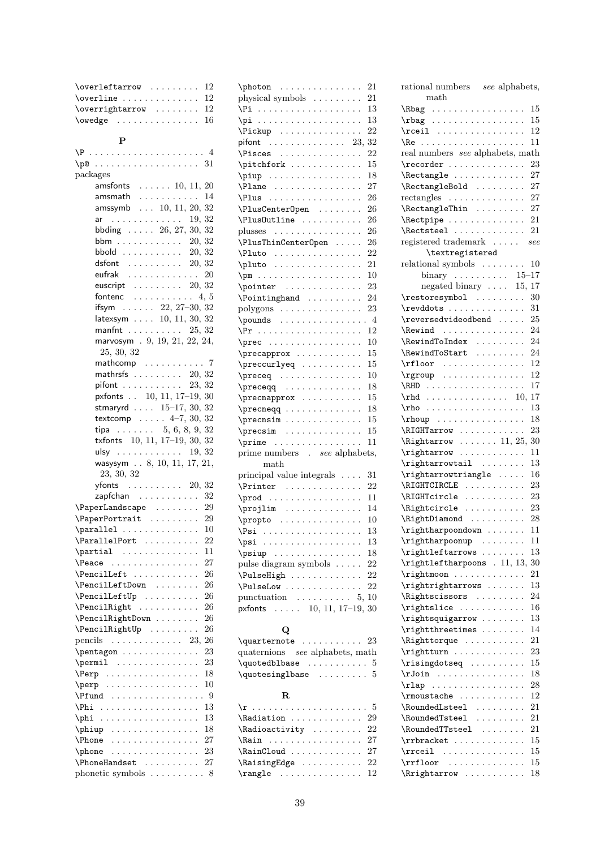| 12<br>$\overleftarrow{\text{overleft}}$                                                                                                                                                                                                                                                                                                                                             |  |
|-------------------------------------------------------------------------------------------------------------------------------------------------------------------------------------------------------------------------------------------------------------------------------------------------------------------------------------------------------------------------------------|--|
| $\overline{\text{overline}} \dots \dots \dots \dots$<br>12                                                                                                                                                                                                                                                                                                                          |  |
| $\overrightarrow{\text{overrightarrow}}$<br>12                                                                                                                                                                                                                                                                                                                                      |  |
| $\omega$ edge  16                                                                                                                                                                                                                                                                                                                                                                   |  |
|                                                                                                                                                                                                                                                                                                                                                                                     |  |
| $\mathbf{P}$                                                                                                                                                                                                                                                                                                                                                                        |  |
| $\P$ 4                                                                                                                                                                                                                                                                                                                                                                              |  |
|                                                                                                                                                                                                                                                                                                                                                                                     |  |
| packages                                                                                                                                                                                                                                                                                                                                                                            |  |
| amsfonts $\ldots \ldots 10, 11, 20$                                                                                                                                                                                                                                                                                                                                                 |  |
| amsmath $\ldots \ldots \ldots 14$                                                                                                                                                                                                                                                                                                                                                   |  |
| $amsymb$ $10, 11, 20, 32$                                                                                                                                                                                                                                                                                                                                                           |  |
| ar $\ldots \ldots \ldots \ldots 19, 32$                                                                                                                                                                                                                                                                                                                                             |  |
| bbding $\ldots$ 26, 27, 30, 32                                                                                                                                                                                                                                                                                                                                                      |  |
| bbm 20, 32                                                                                                                                                                                                                                                                                                                                                                          |  |
| bbold $\ldots \ldots \ldots 20, 32$                                                                                                                                                                                                                                                                                                                                                 |  |
| dsfont $\ldots \ldots \ldots 20, 32$                                                                                                                                                                                                                                                                                                                                                |  |
| eufrak $\ldots \ldots \ldots \ldots 20$                                                                                                                                                                                                                                                                                                                                             |  |
| euscript $\ldots \ldots \ldots 20, 32$                                                                                                                                                                                                                                                                                                                                              |  |
| fontenc<br>$\ldots \ldots \ldots \ldots 4, 5$                                                                                                                                                                                                                                                                                                                                       |  |
| ifsym $\ldots$ 22, 27-30, 32                                                                                                                                                                                                                                                                                                                                                        |  |
| latexsym 10, 11, 30, 32                                                                                                                                                                                                                                                                                                                                                             |  |
| manfnt $\ldots \ldots \ldots 25, 32$                                                                                                                                                                                                                                                                                                                                                |  |
| marvosym . 9, 19, 21, 22, 24,                                                                                                                                                                                                                                                                                                                                                       |  |
| 25, 30, 32                                                                                                                                                                                                                                                                                                                                                                          |  |
| mathcomp  7                                                                                                                                                                                                                                                                                                                                                                         |  |
| mathrsfs $\ldots \ldots \ldots 20, 32$                                                                                                                                                                                                                                                                                                                                              |  |
| pifont $\ldots \ldots \ldots 23, 32$                                                                                                                                                                                                                                                                                                                                                |  |
| pxfonts 10, 11, 17-19, 30                                                                                                                                                                                                                                                                                                                                                           |  |
| stmaryrd $\ldots$ 15-17, 30, 32                                                                                                                                                                                                                                                                                                                                                     |  |
| textcomp $\ldots$ . $4-7$ , 30, 32                                                                                                                                                                                                                                                                                                                                                  |  |
| tipa 5, 6, 8, 9, 32                                                                                                                                                                                                                                                                                                                                                                 |  |
| txfonts 10, 11, 17-19, 30, 32                                                                                                                                                                                                                                                                                                                                                       |  |
| ulsy 19, $32$                                                                                                                                                                                                                                                                                                                                                                       |  |
| wasysym 8, 10, 11, 17, 21,                                                                                                                                                                                                                                                                                                                                                          |  |
| 23, 30, 32                                                                                                                                                                                                                                                                                                                                                                          |  |
| yfonts $\ldots \ldots \ldots 20, 32$                                                                                                                                                                                                                                                                                                                                                |  |
| 32<br>zapfchan<br>$\verb+\PaperLandscape + \ldots + 29$                                                                                                                                                                                                                                                                                                                             |  |
|                                                                                                                                                                                                                                                                                                                                                                                     |  |
| $\PaperPortrait$ 29                                                                                                                                                                                                                                                                                                                                                                 |  |
| $\partial \ldots \ldots$<br>10                                                                                                                                                                                                                                                                                                                                                      |  |
| \ParallelPort<br>22<br>11                                                                                                                                                                                                                                                                                                                                                           |  |
| $\partial \ldots$<br>$\mathbb{Z}^2$<br>27                                                                                                                                                                                                                                                                                                                                           |  |
| <b>\Peace</b><br>$\sim$ 10 $\sim$ 10 $\sim$<br>$\cdots$<br>$\ddot{\phantom{0}}$<br>$\ddot{\phantom{0}}$<br>$\ddot{\phantom{0}}$                                                                                                                                                                                                                                                     |  |
| \PencilLeft<br>26<br>$\ddot{\phantom{0}}$<br>$\ddot{\phantom{0}}$<br>$\ddot{\phantom{a}}$<br>$\ddot{\phantom{0}}$<br>\PencilLeftDown<br>26                                                                                                                                                                                                                                          |  |
| $\ddot{\phantom{0}}$<br>$\ddot{\phantom{a}}$<br>$\ddot{\phantom{0}}$<br>$\ddot{\phantom{a}}$<br>\PencilLeftUp<br>26                                                                                                                                                                                                                                                                 |  |
| $\ddot{\phantom{0}}$<br>\PencilRight<br>26                                                                                                                                                                                                                                                                                                                                          |  |
| $\ddot{\phantom{0}}$<br>\PencilRightDown .<br>26                                                                                                                                                                                                                                                                                                                                    |  |
| $\ddot{\phantom{0}}$<br>$\ddot{\phantom{0}}$<br>\PencilRightUp .<br>26                                                                                                                                                                                                                                                                                                              |  |
| $\ddot{\phantom{0}}$<br>$\ddot{\phantom{0}}$<br>pencils<br>26<br>23,                                                                                                                                                                                                                                                                                                                |  |
| $\sim$ 100 km s $\sim$ 100 km s $^{-1}$<br>$\ddot{\phantom{a}}$<br>$\ddot{\phantom{0}}$<br>$\ddot{\phantom{0}}$<br>$\ddot{\phantom{0}}$<br>$\ddot{\phantom{0}}$<br>23                                                                                                                                                                                                               |  |
| \pentagon<br>$\ddot{\phantom{0}}$<br>$\ddot{\phantom{0}}$<br>$\ddot{\phantom{0}}$<br>$\ddot{\phantom{0}}$<br>$\ddot{\phantom{0}}$<br>23<br>\permil                                                                                                                                                                                                                                  |  |
| .<br>$\sim$ $\sim$<br>$\ddot{\phantom{0}}$<br>$\ddot{\phantom{0}}$<br>$\ddot{\phantom{0}}$<br>$\ddot{\phantom{0}}$<br>$\ddot{\phantom{0}}$<br>18<br>\Perp                                                                                                                                                                                                                           |  |
| $\sim$ $\sim$ $\sim$<br>.<br>$\ddotsc$<br>$\ddot{\phantom{0}}$<br>$\ddot{\phantom{0}}$<br>10<br>$\perp$<br>$\ddot{\phantom{0}}$<br>$\ddot{\phantom{0}}$<br>$\ddot{\phantom{0}}$                                                                                                                                                                                                     |  |
| $\sim$ $\sim$<br>$\ddot{\phantom{0}}$<br>$\ddot{\phantom{0}}$<br>$\therefore$ 9<br>\Pfund<br>$\mathbb{Z}^2$<br>$\ddot{\phantom{0}}$<br>$\ddot{\phantom{a}}$<br>$\ddot{\phantom{a}}$<br>$\ddot{\phantom{0}}$<br>$\ddot{\phantom{0}}$<br>$\ddot{\phantom{0}}$<br>$\ddot{\phantom{0}}$<br>$\ddot{\phantom{0}}$<br>$\ddot{\phantom{0}}$<br>$\ddot{\phantom{0}}$<br>$\ddot{\phantom{0}}$ |  |
| \Phi<br>13<br>$\ddot{\phantom{0}}$<br>$\ddot{\phantom{0}}$<br>.<br>$\ddot{\phantom{0}}$<br>$\ddot{\phantom{0}}$<br>$\ddot{\phantom{0}}$<br>$\ddot{\phantom{0}}$<br>$\ddot{\phantom{a}}$<br>$\ddot{\phantom{0}}$<br>$\ddot{\phantom{0}}$<br>$\cdot$                                                                                                                                  |  |
| 13<br>\phi<br>с.<br>$\ddot{\phantom{0}}$<br>$\ddot{\phantom{0}}$<br>$\ddot{\phantom{0}}$<br>$\ddot{\phantom{0}}$<br>$\ddot{\phantom{0}}$<br>$\ddot{\phantom{0}}$<br>$\ddot{\phantom{0}}$<br>$\ddot{\phantom{0}}$<br>$\ddot{\phantom{0}}$<br>$\ddot{\phantom{0}}$<br>$\ddot{\phantom{0}}$<br>$\ddot{\phantom{0}}$<br>$\ddot{\phantom{0}}$                                            |  |
| 18<br>\phiup<br>с.<br>.<br>$\cdots$<br>$\ddot{\phantom{0}}$                                                                                                                                                                                                                                                                                                                         |  |
| $\ddot{\phantom{0}}$<br>$\ddot{\phantom{0}}$<br>27<br>$\Delta$<br>$\ddot{\phantom{0}}$<br>.                                                                                                                                                                                                                                                                                         |  |
| $\ddot{\phantom{0}}$<br>$\ddot{\phantom{0}}$<br>23<br>\phone<br>.<br>¥.                                                                                                                                                                                                                                                                                                             |  |
| \PhoneHandset<br>27<br>$\ddot{\phantom{0}}$<br>$\ddot{\phantom{0}}$                                                                                                                                                                                                                                                                                                                 |  |
| phonetic symbols  8                                                                                                                                                                                                                                                                                                                                                                 |  |
|                                                                                                                                                                                                                                                                                                                                                                                     |  |

| \photon                                                                                              | 21        |
|------------------------------------------------------------------------------------------------------|-----------|
| physical symbols                                                                                     | 21        |
| $\pi \ldots \ldots \ldots \ldots \ldots$<br>$\ddot{\phantom{0}}$                                     | 13        |
| $\pi$                                                                                                | 13        |
| $\left\{ \text{Pickup } \ldots \ldots \ldots \right\}$                                               | 22        |
| $pifont$ 23,                                                                                         | 32        |
| $\forall$ Pisces<br>$\cdot$                                                                          | 22        |
| \pitchfork                                                                                           | 15        |
| \piup                                                                                                | 18        |
|                                                                                                      | 27        |
| \Plus<br>.<br>$\ddot{\phantom{0}}$                                                                   | 26        |
| \PlusCenterOpen                                                                                      | 26        |
| \Plus0utline                                                                                         | 26        |
| $\cdot$ .<br>plusses                                                                                 | 26        |
| $\cdot$<br>$\ddot{\phantom{0}}$<br>\PlusThinCenterOpen                                               | 26        |
| $\sim$ $\sim$ $\sim$ $\sim$                                                                          | 22        |
| $\ell$<br>$\cdots$ .                                                                                 | 21        |
| $\phi \ldots \ldots \ldots$                                                                          | 10        |
| $\pmb{\text{p}}$                                                                                     |           |
| \pointer<br>$\epsilon$ , and $\epsilon$ , and $\epsilon$<br>$\ddotsc$                                | 23        |
| <b>\Pointinghand</b><br>.<br>$\ddotsc$                                                               | 24        |
| $\operatorname{polygons} \ldots \ldots \ldots \ldots$                                                | 23        |
| $\pmod{s}$<br>$\ddot{\phantom{0}}$                                                                   | $\cdot$ 4 |
| \Pr<br>.                                                                                             | 12        |
| $\preccurlyeq$                                                                                       | 10        |
| \precapprox<br>$\sim$ $\sim$                                                                         | 15        |
| \preccurlyeq<br>$\cdot$<br>$\cdot$                                                                   | 15        |
| $\preceq \ldots$<br>.                                                                                | 10        |
| $\perp$                                                                                              | 18        |
| $\preceq$                                                                                            | 15        |
|                                                                                                      | 18        |
| \precnsim<br>$\sim$ $\sim$                                                                           | 15        |
| $\precsim$<br>.                                                                                      | 15        |
| $\sim$ 10 km s $\sim$ 10 km s $^{-1}$<br>\prime<br>.<br>$\ddot{\phantom{0}}$<br>$\ddot{\phantom{0}}$ | 11        |
| prime numbers . see alphabets,                                                                       |           |
| $\operatorname{math}$                                                                                |           |
| principal value integrals $\;\ldots\;$                                                               | 31        |
| $\Printer   $<br>$\sim$ $\sim$ $\sim$                                                                | 22        |
| \prod<br>$\alpha$ , and $\alpha$ , and $\alpha$ , and $\alpha$                                       | 11        |
| \projlim                                                                                             | 14        |
| $\preccurlyeq$                                                                                       | 10        |
| $\Psi : \ldots : \ldots$<br>$\ddot{\phantom{0}}$<br>۰<br>$\bullet$<br>۰<br>÷.                        | 13        |
| $\psi : \ldots : \ldots$                                                                             | 13        |
| $\psi \ldots \ldots$                                                                                 | 18        |
| pulse diagram symbols.<br>$\ddotsc$                                                                  | 22        |
| \PulseHigh                                                                                           | 22        |
| \PulseLow                                                                                            | 22        |
| punctuation $\dots \dots \dots 5$ ,                                                                  | 10        |
| pxfonts 10, 11, 17-19,                                                                               | 30        |
|                                                                                                      |           |
| Q                                                                                                    |           |
| \quarternote                                                                                         | 23        |
| quaternions see alphabets, math                                                                      |           |
|                                                                                                      |           |

#### \Rbag . . . . . . . . . . . . . . . . . 15 \rbag . . . . . . . . . . . . . . . . . 15 \rceil . . . . . . . . . . . . . . . . 12 \Re . . . . . . . . . . . . . . . . . . . 11 real numbers see alphabets, math  $\text{reorder } \dots \dots \dots \dots \quad 23$ \Rectangle . . . . . . . . . . . . 27 \RectangleBold ........ 27 rectangles . . . . . . . . . . . . . . 27 \RectangleThin . . . . . . . . . 27 \Rectpipe . . . . . . . . . . . . . . 21 \Rectsteel . . . . . . . . . . . . . 21 registered trademark . . . . . see \textregistered relational symbols . . . . . . . . 10 binary . . . . . . . . . . 15–17 negated binary . . . . 15, 17 \restoresymbol ......... 30 \revddots . . . . . . . . . . . . . 31 \reversedvideodbend ..... 25 \Rewind . . . . . . . . . . . . . . 24 \RewindToIndex . . . . . . . . . 24 \RewindToStart . . . . . . . . 24 \rfloor . . . . . . . . . . . . . . . 12 \rgroup . . . . . . . . . . . . . . . 12 \RHD . . . . . . . . . . . . . . . . . . 17 \rhd . . . . . . . . . . . . . . . 10, 17 \rho . . . . . . . . . . . . . . . . . . 13 \rhoup . . . . . . . . . . . . . . . . 18  $\left\{\right\}$ RIGHTarrow . . . . . . . . . . . . 23 \Rightarrow . . . . . . . 11, 25, 30 \rightarrow . . . . . . . . . . . . 11 \rightarrowtail ........ 13 \rightarrowtriangle . . . . . 16  $\Lambda$  . . . . . . . . . . . . 23 \RIGHTcircle . . . . . . . . . . . 23  $\left\{ \right\}$  . . . . . . . . . . . 23 \RightDiamond .......... 28  $\rightarrow$  . . . . . . . . 11 \rightharpoonup . . . . . . . . 11 \rightleftarrows . . . . . . . . 13 \rightleftharpoons . 11, 13, 30  $\rightarrow$  . . . . . . . . . . . . . 21 \rightrightarrows . . . . . . . 13 \Rightscissors . . . . . . . . . 24  $\rightarrow$  . . . . . . . . . . . . 16 \rightsquigarrow . . . . . . . . 13 \rightthreetimes . . . . . . . . 14 \Righttorque . . . . . . . . . . . 21  $\rightarrow$  . . . . . . . . . . . . . . 23 \risingdotseq . . . . . . . . . . 15 \rJoin . . . . . . . . . . . . . . . . 18 \rlap . . . . . . . . . . . . . . . . 28  $\rmoustache$  . . . . . . . . . . . 12 \RoundedLsteel ........ 21 \RoundedTsteel . . . . . . . . . 21 \RoundedTTsteel ........ 21 \rrbracket . . . . . . . . . . . . 15 \rrceil . . . . . . . . . . . . . . . 15 \rrfloor . . . . . . . . . . . . . . 15 \Rrightarrow . . . . . . . . . . . 18

rational numbers see alphabets,

math

\quotedblbase . . . . . . . . . . . 5 \quotesinglbase . . . . . . . . . 5

\r . . . . . . . . . . . . . . . . . . . . . 5  $\lambda$ iadiation . . . . . . . . . . . . 29 \Radioactivity . . . . . . . . . 22 \Rain . . . . . . . . . . . . . . . . 27 \RainCloud . . . . . . . . . . . . 27  $\lambda$  22 \rangle . . . . . . . . . . . . . . . 12

R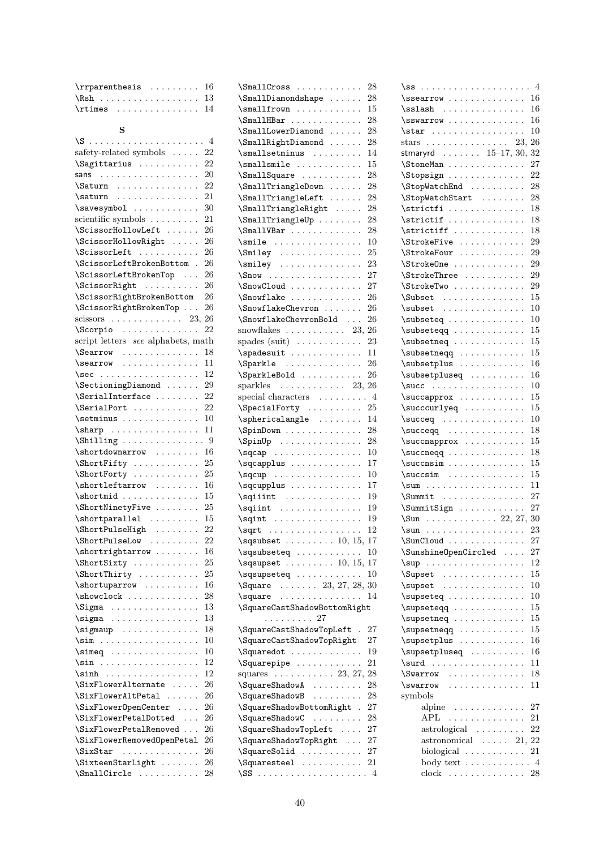| $\r$ rparenthesis  16      |  |  |  |  |  |  |
|----------------------------|--|--|--|--|--|--|
| $\Rsh$ 13                  |  |  |  |  |  |  |
| $\lvert \mathsf{r} \rvert$ |  |  |  |  |  |  |

# S

| safety-related symbols $\dots$                                                                                        | 22      |
|-----------------------------------------------------------------------------------------------------------------------|---------|
| Sagittarius                                                                                                           | 22      |
| sans $\ldots \ldots \ldots \ldots \ldots \ldots$                                                                      | 20      |
| $\text{Saturn} \dots \dots \dots \dots$                                                                               | 22      |
| \saturn                                                                                                               | 21      |
| $\simeq$                                                                                                              | 30      |
| scientific symbols                                                                                                    | 21      |
| \ScissorHollowLeft                                                                                                    | 26      |
| \ScissorHollowRight                                                                                                   | 26      |
| \ScissorLeft<br>$\cdot$                                                                                               | 26      |
| \ScissorLeftBrokenBottom .                                                                                            | 26      |
| \ScissorLeftBrokenTop                                                                                                 | 26      |
| \ScissorRight                                                                                                         | 26      |
| \ScissorRightBrokenBottom                                                                                             | 26      |
| \ScissorRightBrokenTop                                                                                                | 26      |
| scissors $\ldots \ldots \ldots \ldots 23$ ,                                                                           | 26      |
| \Scorpio                                                                                                              | 22      |
| script letters see alphabets, math                                                                                    |         |
| \Searrow                                                                                                              | 18      |
| $\text{searrow} \ldots \ldots \ldots$                                                                                 | 11      |
| \sec                                                                                                                  | 12      |
| \SectioningDiamond                                                                                                    | 29      |
| $\text{SerialInterface} \dots \dots$                                                                                  | 22      |
| \SerialPort                                                                                                           | 22      |
|                                                                                                                       |         |
| \setminus                                                                                                             | 10      |
| \sharp                                                                                                                | 11      |
|                                                                                                                       |         |
| \shortdownarrow                                                                                                       | 16      |
| \ShortFifty                                                                                                           | 25      |
| \ShortForty                                                                                                           | 25      |
| \shortleftarrow                                                                                                       | 16      |
| $\verb \shortmid $                                                                                                    | 15      |
| \ShortNinetyFive                                                                                                      | 25      |
| $\verb \shortparallel  $                                                                                              | 15      |
| \ShortPulseHigh                                                                                                       | 22      |
| \ShortPulseLow                                                                                                        | 22      |
| \shortrightarrow                                                                                                      | 16      |
| \ShortSixty                                                                                                           | 25      |
| \ShortThirty                                                                                                          | 25      |
| $\verb \shortuparrow $                                                                                                | 16      |
| $\verb \showclock   \dots$<br>$\cdot$                                                                                 | 28      |
| $\Sigma$                                                                                                              | 13      |
| $\sigma$<br>$\begin{array}{cccccccccccccc} . & . & . & . & . & . & . & . & . & . & . & . & . & . & . & . \end{array}$ | 13      |
|                                                                                                                       | 18      |
| $\sum_{i=1}^{n}$                                                                                                      | 10      |
| $\simeq 0.000$<br>$\sim$ $\sim$ $\sim$                                                                                | $^{10}$ |
| $\sin \ldots \ldots \ldots$<br>$\cdot$<br>$\ddot{\phantom{a}}$                                                        | 12      |
| $\sinh$                                                                                                               | 12      |
| \SixFlowerAlternate                                                                                                   | 26      |
| \SixFlowerAltPetal<br>$\sim$                                                                                          | 26      |
| \SixFlower0penCenter                                                                                                  | 26      |
| \SixFlowerPetalDotted                                                                                                 | 26      |
| \SixFlowerPetalRemoved                                                                                                | 26      |
| \SixFlowerRemovedOpenPetal                                                                                            | 26      |
| \SixStar                                                                                                              | 26      |
| .                                                                                                                     |         |
| $\forall$ SixteenStarLight                                                                                            | 26      |
| $\verb \SmallCircle    $                                                                                              | 28      |

| \SmallCross                                                                        | 28 |
|------------------------------------------------------------------------------------|----|
| \SmallDiamondshape                                                                 | 28 |
| $\sum_{i=1}^{n}$<br>$\ddot{\phantom{0}}$                                           | 15 |
| $\mathrm{SmallHBar}$                                                               | 28 |
| $\mathrm{SmallLowerDiamond} \dots$                                                 | 28 |
| \SmallRightDiamond<br>$\ddot{\phantom{0}}$                                         | 28 |
| \smallsetminus                                                                     | 14 |
| $\sum_{i=1}^{n}$                                                                   | 15 |
| \SmallSquare<br>$\ddot{\phantom{0}}$                                               | 28 |
| $\mathrm{SmallTriangleDown} \ldots$                                                | 28 |
| \SmallTriangleLeft                                                                 | 28 |
| $\mathrm{SmallTriangleRight} \dots$<br>$\ddot{\phantom{0}}$                        | 28 |
| $\mathrm{SmallTriangleUp} \dots \dots$                                             | 28 |
| $\mathrm{SmallVBar}$                                                               | 28 |
| $\sumile \ldots \ldots$                                                            | 10 |
| $\sum_{i=1}^{n}$                                                                   | 25 |
| $\sumiley \dots \dots \dots \dots$                                                 | 23 |
| $\sum_{{\text{max}}}$                                                              | 27 |
| SnowCloud                                                                          | 27 |
| \Snowflake                                                                         | 26 |
| \SnowflakeChevron                                                                  | 26 |
| \SnowflakeChevronBold                                                              | 26 |
| snowflakes $\ldots \ldots \ldots 23, 26$                                           |    |
| spades (suit) $\dots \dots \dots$                                                  | 23 |
| $\simeq$                                                                           | 11 |
| \Sparkle                                                                           | 26 |
|                                                                                    | 26 |
| \SparkleBold<br>sparkles $\ldots \ldots \ldots 23, 26$                             |    |
|                                                                                    |    |
| special characters $\dots \dots \dots$ 4<br>$\SpecialForty \dots \dots \dots \ 25$ |    |
| $\sphericalangle$                                                                  | 14 |
|                                                                                    | 28 |
| \SpinDown                                                                          | 28 |
| $\SpinUp \ldots \ldots \ldots$                                                     | 10 |
| $\sqrt{sqcap}$                                                                     | 17 |
| \sqcapplus                                                                         | 10 |
| \sqcupplus                                                                         | 17 |
|                                                                                    | 19 |
|                                                                                    | 19 |
|                                                                                    | 19 |
|                                                                                    | 12 |
|                                                                                    |    |
| $\sqrt{3}$ sqsubset  10, 15, 17                                                    |    |
| $\sqrt{s}$ qsubseteq  10                                                           |    |
| $\sqrt{sq}$ supset  10, 15, 17                                                     |    |
|                                                                                    |    |
| $\text{Square } \dots \dots \quad 23, 27, 28, 30$                                  |    |
| \square                                                                            | 14 |
| \SquareCastShadowBottomRight                                                       |    |
| . 27                                                                               |    |
| \SquareCastShadowTopLeft .                                                         | 27 |
| \SquareCastShadowTopRight                                                          | 27 |
| \Squaredot                                                                         | 19 |
| $\sqrt{Squarepipe \dots \dots \dots}$<br>$\ddot{\phantom{a}}$                      | 21 |
| squares $\ldots \ldots \ldots 23, 27,$                                             | 28 |
| \SquareShadowA                                                                     | 28 |
| \SquareShadowB                                                                     | 28 |
| \SquareShadowBottomRight .                                                         | 27 |
| \SquareShadowC                                                                     | 28 |
| \SquareShadowTopLeft                                                               | 27 |
| \SquareShadowTopRight<br>$\ddot{\phantom{0}}$                                      | 27 |
| \SquareSolid                                                                       | 27 |
| $\square$ $\square$                                                                |    |
|                                                                                    |    |

| $\simeq$                                                                                                                                                                                                                    |                                              | 16                         |
|-----------------------------------------------------------------------------------------------------------------------------------------------------------------------------------------------------------------------------|----------------------------------------------|----------------------------|
| $\sals$                                                                                                                                                                                                                     |                                              | 16                         |
| $\simeq$                                                                                                                                                                                                                    |                                              | 16                         |
| $\star$                                                                                                                                                                                                                     |                                              | 10                         |
| stars $\ldots \ldots \ldots \ldots \ldots 23$ ,                                                                                                                                                                             |                                              | 26                         |
| stmaryrd 15-17, 30, 32                                                                                                                                                                                                      |                                              |                            |
| \StoneMan                                                                                                                                                                                                                   |                                              | 27                         |
| \Stopsign                                                                                                                                                                                                                   |                                              | 22                         |
| \StopWatchEnd                                                                                                                                                                                                               |                                              | 28                         |
| \StopWatchStart                                                                                                                                                                                                             |                                              | 28                         |
| $\setminus$ strictfi                                                                                                                                                                                                        |                                              | 18                         |
| $\setminus$ strictif                                                                                                                                                                                                        |                                              | 18                         |
| $\setminus$ strictiff                                                                                                                                                                                                       |                                              | 18                         |
| \StrokeFive                                                                                                                                                                                                                 |                                              | 29                         |
| \StrokeFour                                                                                                                                                                                                                 |                                              | 29                         |
| \StrokeOne                                                                                                                                                                                                                  |                                              | 29                         |
| \StrokeThree                                                                                                                                                                                                                |                                              | 29                         |
| \StrokeTwo                                                                                                                                                                                                                  |                                              | 29                         |
| $\text{Subset}$                                                                                                                                                                                                             |                                              | 15                         |
| $\subset$                                                                                                                                                                                                                   |                                              | 10                         |
| \subseteq                                                                                                                                                                                                                   |                                              | 10                         |
| \subseteqq                                                                                                                                                                                                                  |                                              | 15                         |
|                                                                                                                                                                                                                             |                                              | 15                         |
| $\simeq$                                                                                                                                                                                                                    |                                              | 15                         |
| $\simeq$<br>\subsetplus                                                                                                                                                                                                     |                                              | 16                         |
| $\simeq$                                                                                                                                                                                                                    |                                              | 16                         |
| $\succeq$                                                                                                                                                                                                                   |                                              | 10                         |
|                                                                                                                                                                                                                             |                                              | 15                         |
| \succapprox                                                                                                                                                                                                                 |                                              | 15                         |
| \succcurlyeq                                                                                                                                                                                                                |                                              |                            |
|                                                                                                                                                                                                                             |                                              | 10                         |
|                                                                                                                                                                                                                             |                                              | 18                         |
| \succnapprox                                                                                                                                                                                                                |                                              | 15                         |
| $\simeq$                                                                                                                                                                                                                    |                                              | 18                         |
| $\succeq$                                                                                                                                                                                                                   |                                              | 15                         |
| $\succsim \ldots \ldots \ldots$                                                                                                                                                                                             |                                              | 15                         |
|                                                                                                                                                                                                                             |                                              | 11                         |
| $\sum_{i=1}^{n}$                                                                                                                                                                                                            |                                              | 27                         |
| \SummitSign                                                                                                                                                                                                                 |                                              | 27                         |
|                                                                                                                                                                                                                             |                                              |                            |
|                                                                                                                                                                                                                             |                                              |                            |
| \SunCloud                                                                                                                                                                                                                   |                                              | 27                         |
| \SunshineOpenCircled .                                                                                                                                                                                                      |                                              | 27                         |
| $\sum_{i=1}^{n}$                                                                                                                                                                                                            |                                              | 12                         |
| \Supset<br>$\sim$ 10 $\sim$<br>$\ddot{\phantom{0}}$<br>$\ddot{\phantom{a}}$<br>$\ddot{\phantom{0}}$<br>$\ddot{\phantom{0}}$<br>$\ddot{\phantom{0}}$<br>$\ddot{\phantom{0}}$<br>$\ddot{\phantom{a}}$<br>$\ddot{\phantom{a}}$ | $\ddot{\phantom{0}}$                         | 15                         |
| $\supset$ supset                                                                                                                                                                                                            | $\ddot{\phantom{0}}$                         | 10                         |
| \supseteq<br>$\sim 100$ km s $^{-1}$<br>$\ddot{\phantom{a}}$<br>$\cdot$                                                                                                                                                     | $\cdot$                                      | 10                         |
| \supseteqq<br>$\ddot{\phantom{1}}$ .<br>$\ddot{\phantom{0}}$<br>$\ddotsc$<br>$\ddot{\phantom{0}}$                                                                                                                           |                                              | 15                         |
| \supsetneq<br>$\ddot{\phantom{0}}$<br>$\ddot{\phantom{0}}$<br>$\ddot{\phantom{0}}$<br>$\ddot{\phantom{0}}$<br>$\ddot{\phantom{1}}$ .<br>$\ddot{\phantom{0}}$                                                                | $\ddot{\phantom{0}}$                         | 15                         |
| $\supseteq$<br>$\ddot{\phantom{0}}$<br>$\ddot{\phantom{0}}$<br>$\ddot{\phantom{0}}$<br>$\ddot{\phantom{0}}$                                                                                                                 | $\ddot{\phantom{0}}$                         | 15                         |
| \supsetplus<br>$\ddot{\phantom{0}}$<br>$\ddot{\phantom{a}}$<br>$\ddot{\phantom{0}}$<br>$\ddot{\phantom{0}}$<br>$\ddot{\phantom{0}}$                                                                                         | $\ddot{\phantom{0}}$<br>$\ddot{\phantom{0}}$ | 16                         |
| \supsetpluseq<br>.                                                                                                                                                                                                          | $\ddot{\phantom{0}}$                         | 16                         |
| \surd<br>$\mathcal{A}$ is a second set of $\mathcal{A}$<br>.<br>$\ddot{\phantom{0}}$                                                                                                                                        | $\ddot{\phantom{0}}$<br>$\ddot{\phantom{0}}$ | 11                         |
| <i>Swarrow</i><br>$\cdots$<br>.<br>$\ddot{\phantom{1}}$                                                                                                                                                                     |                                              | 18                         |
| \swarrow<br>$\ddot{\phantom{0}}$<br>$\ddot{\phantom{a}}$<br>$\ddot{\phantom{0}}$<br>$\ddot{\phantom{0}}$<br>$\ddot{\phantom{0}}$<br>$\ddot{\phantom{0}}$                                                                    |                                              | 11                         |
| symbols                                                                                                                                                                                                                     |                                              |                            |
| alpine<br>$\mathcal{L}$ , and $\mathcal{L}$ , and $\mathcal{L}$ , and $\mathcal{L}$ , and $\mathcal{L}$                                                                                                                     |                                              | 27                         |
| ${\rm APL}$<br>.                                                                                                                                                                                                            |                                              | 21<br>$\ldots$             |
| $astrological \dots$                                                                                                                                                                                                        | $\ddot{\phantom{0}}$<br>$\cdot$              | 22<br>$\ddotsc$            |
| astronomical<br>$\sim$ $\sim$<br>$\ddot{\phantom{a}}$                                                                                                                                                                       | $\ddot{\phantom{0}}$                         | 21, 22                     |
| biological<br>$\ddot{\phantom{0}}$<br>$\ddot{\phantom{a}}$<br>$\ddot{\phantom{0}}$<br>$\ddot{\phantom{0}}$                                                                                                                  | $\ddot{\phantom{0}}$                         | 21<br>$\ddotsc$            |
|                                                                                                                                                                                                                             |                                              | $\overline{4}$             |
| body text $\dots \dots$<br>$clock$                                                                                                                                                                                          | $\ddot{\phantom{0}}$                         | $\ddot{\phantom{a}}$<br>28 |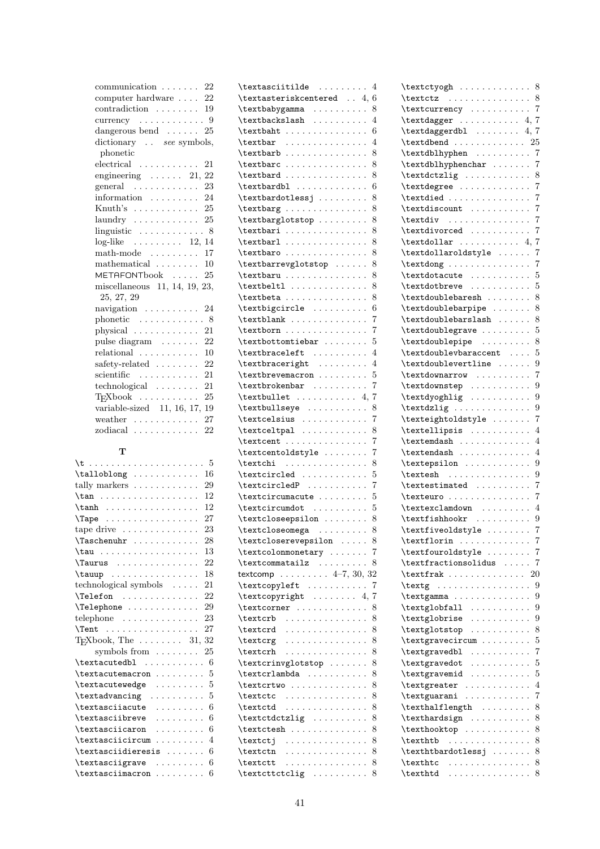| $communication \ldots \ldots$<br>22              |
|--------------------------------------------------|
| computer hardware $\ldots$ 22                    |
| $contradiction \ldots \ldots 19$                 |
| currency $\dots \dots \dots \dots$ 9             |
| dangerous bend $\ldots$ . 25                     |
| dictionary see symbols,                          |
| phonetic                                         |
| $electrical \dots \dots \dots$<br>21             |
| engineering $\ldots \ldots$ 21, 22               |
| general $\ldots \ldots \ldots$<br>23             |
| information $\ldots \ldots \ldots 24$            |
| Knuth's  25                                      |
| 25                                               |
|                                                  |
| $log$ -like 12, 14                               |
| 17                                               |
| mathematical $\ldots \ldots \ldots$ 10           |
| METAFONTbook  25                                 |
| miscellaneous 11, 14, 19, 23,                    |
| 25, 27, 29                                       |
| $\alpha$ navigation $\cdots \cdots \cdots$<br>24 |
| phonetic  8                                      |
| physical<br>21                                   |
| 22<br>pulse diagram                              |
| relational<br>10                                 |
| safety-related<br>22                             |
| 21<br>scientific                                 |
| technological<br>21                              |
| TEXbook<br>25                                    |
| variable-sized 11, 16, 17, 19                    |
| 27<br>weather $\dots\dots\dots\dots\dots$        |
| $zodiacal$<br>22                                 |
|                                                  |

# T

| 5                                                |  |
|--------------------------------------------------|--|
| 16<br>$\talloblong \ldots \ldots \ldots$         |  |
| tally markers<br>29                              |  |
| 12<br>$\tan \ldots \ldots \ldots$                |  |
| $\tanh$<br>12                                    |  |
| \Tape<br>27                                      |  |
| tape drive $\dots \dots \dots \dots$<br>23       |  |
| 28<br>Taschenuhr                                 |  |
| 13<br>$\tau \ldots \ldots$                       |  |
| 22<br>Taurus                                     |  |
| 18                                               |  |
| technological symbols<br>21                      |  |
| 22<br>\Telefon                                   |  |
| \Telephone<br>29                                 |  |
| telephone $\dots\dots\dots\dots\dots$<br>23      |  |
| $\{\text{Tent} \dots \dots \dots \dots \}$<br>27 |  |
| TEXbook, The $\dots \dots 31$ ,<br>32            |  |
| symbols from<br>25                               |  |
|                                                  |  |
| 5<br>\textacutemacron                            |  |
| \textacutewedge<br>5                             |  |
| $\text{textadvancing} \dots \dots$<br>5          |  |
| \textasciiacute<br>6<br>.                        |  |
| \textasciibreve<br>.<br>6                        |  |
| \textasciicaron<br>6<br>1.1.1.1.1.1.1.1          |  |
| \textasciicircum<br>4                            |  |
| \textasciidieresis<br>6                          |  |
| \textasciigrave<br>6<br>.                        |  |
| 6<br>\textasciimacron<br>.                       |  |

| $\texttt{textasciitilde}$<br>4                                                                                               |
|------------------------------------------------------------------------------------------------------------------------------|
| $\texttt{\&text}$<br>6                                                                                                       |
| \textbabygamma<br>8                                                                                                          |
| $\texttt{textbackslash}$<br>4<br>$\ddot{\phantom{0}}$                                                                        |
| 6<br>$\texttt{textb} \dots \dots \dots \dots$                                                                                |
| 4<br>$\texttt{textbar}$                                                                                                      |
| 8<br>$\texttt{textbarb} \dots \dots \dots$                                                                                   |
| \textbarc<br>8                                                                                                               |
| $\text{textbard} \dots \dots \dots$<br>8                                                                                     |
| 6<br>$\text{textbardbl}$<br>$\ddot{\phantom{0}}$                                                                             |
| 8<br>$\texttt{textbar}$                                                                                                      |
| 8<br>$\text{textbarg} \ldots \ldots \ldots$                                                                                  |
| 8<br>\textbarglotstop<br>$\ddot{\phantom{0}}$                                                                                |
| \textbari<br>8                                                                                                               |
| \textbarl<br>8                                                                                                               |
| 8<br>\textbaro                                                                                                               |
| 8<br>\textbarrevglotstop                                                                                                     |
| 8<br>$\verb+\textbaru+ \verb+++\cdots+ \verb+++$                                                                             |
| 8<br>$\text{textbell} \dots \dots \dots$                                                                                     |
| $\verb+\text+beta + \verb+\+\cdots+\verb+\+$<br>8<br>$\ddot{\phantom{a}}$                                                    |
| \textbigcircle<br>6                                                                                                          |
| 7<br>$\text{textblank} \dots \dots \dots$<br>$\ddot{\phantom{0}}$                                                            |
| 7<br>$\text{textborn} \ldots \ldots$                                                                                         |
| 5<br>$\texttt{\textbackslash}$                                                                                               |
| \textbraceleft<br>4<br>$\ddot{\phantom{0}}$<br>$\ddot{\phantom{a}}$                                                          |
| \textbraceright<br>4                                                                                                         |
| \textbrevemacron<br>5                                                                                                        |
| 7<br>$\text{textbrokenbar} \dots \dots$<br>$\ddot{\phantom{a}}$<br>$\ddot{\phantom{a}}$                                      |
| 7<br>$\text{textbullet} \dots \dots \dots 4,$                                                                                |
| \textbullseye<br>8<br>$\ddot{\phantom{0}}$                                                                                   |
| 7                                                                                                                            |
| $\label{eq:relsi} $$ \text{celsius    } $$ \text{celsing     }$<br>8                                                         |
| $\text{textcent} \dots \dots \dots$<br>7                                                                                     |
| \textcentoldstyle<br>7<br>$\ddot{\phantom{0}}$                                                                               |
| 8<br>$\text{textchi} \ldots \ldots$                                                                                          |
| \textcircled<br>5                                                                                                            |
| $\text{textcircledP}$<br>7<br>$\ddot{\phantom{0}}$                                                                           |
| \textcircumacute<br>5                                                                                                        |
| $\text{textcircumdot} \dots \dots$<br>5                                                                                      |
| 8<br>\textcloseepsilon                                                                                                       |
| 8<br>\textcloseomega                                                                                                         |
| \textcloserevepsilon<br>8                                                                                                    |
| $\texttt{\&textcolom} \dots \dots$<br>7<br>$\ddot{\phantom{a}}$                                                              |
| 8<br>\textcommatailz<br>$\ddot{\phantom{a}}$<br>$\cdots$                                                                     |
| textcomp 4-7, 30, 32                                                                                                         |
| \textcopyleft<br>7<br>$\ddot{\phantom{0}}$<br>$\ddot{\phantom{0}}$<br>$\cdot$                                                |
| \textcopyright<br>7<br>. 4,                                                                                                  |
| $\text{textcorner} \dots \dots \dots$<br>8                                                                                   |
| 8<br>\textcrb<br>.<br>$\ddot{\phantom{a}}$<br>$\mathbf{1}$ , $\mathbf{1}$<br>$\ddot{\phantom{0}}$                            |
| \textcrd<br>8<br>.                                                                                                           |
| \textcrg<br>8<br>$\mathbb{R}^d$ . The set of the set of $\mathbb{R}^d$<br>$\cdots$                                           |
| 8<br>\textcrh<br>.                                                                                                           |
| 8<br>\textcrinvglotstop                                                                                                      |
| $\texttt{\&textcalambda} \dots$<br>8<br>$\ddot{\phantom{0}}$<br>$\ddot{\phantom{0}}$                                         |
| 8<br>\textcrtwo<br>$\ddot{\phantom{0}}$<br>$\ddot{\phantom{a}}$<br>$\ddot{\phantom{0}}$<br>$\ddot{\phantom{a}}$              |
| 8<br>$\text{textc} \ldots$<br>$\cdots$                                                                                       |
| 8<br>\textctd<br>.<br>$\ddot{\phantom{0}}$<br>$\ddotsc$                                                                      |
| 8<br>\textctdctzlig<br>$\mathbf{1}^{\prime}$ , $\mathbf{1}^{\prime}$ , $\mathbf{1}^{\prime}$ , $\mathbf{1}^{\prime}$         |
| $\ddotsc$<br>$\ddot{\phantom{0}}$<br>$\ddot{\phantom{0}}$<br>$\ddot{\phantom{0}}$<br>8<br>\textctesh<br>$\ddot{\phantom{0}}$ |
| $\cdots$<br>$\ddot{\phantom{0}}$<br>$\ddot{\phantom{0}}$<br>8<br>\textctj                                                    |
| .<br>$\ddot{\phantom{a}}$<br>8<br>\textctn<br>$\ddot{\phantom{0}}$                                                           |
| المتمام والمتمام والمنافذ<br>$\mathbf{1}$ , $\mathbf{1}$ , $\mathbf{1}$ , $\mathbf{1}$<br>8<br>\textctt<br>.                 |
| 8                                                                                                                            |
|                                                                                                                              |

| $\texttt{textyogh} \dots \dots \dots \dots 8$                                                                                |                           |
|------------------------------------------------------------------------------------------------------------------------------|---------------------------|
| $\texttt{textz} \dots \dots \dots \dots$                                                                                     | 8                         |
| \textcurrency                                                                                                                | $\overline{7}$            |
| $\texttt{text} \dots \dots \dots 4, 7$                                                                                       |                           |
| $\texttt{textdagger} \dots \dots 4, 7$                                                                                       |                           |
| $\texttt{text} \dots \dots \dots \dots \ 25$                                                                                 |                           |
| \textdblhyphen                                                                                                               | $\overline{7}$            |
| \textdblhyphenchar                                                                                                           | $\overline{7}$            |
| \textdctzlig                                                                                                                 | 8                         |
| \textdegree                                                                                                                  | $\overline{7}$            |
| $\text{textdied}$ 7                                                                                                          |                           |
| $\text{testdiscount} \dots \dots \dots$                                                                                      | 7                         |
|                                                                                                                              | 7                         |
| $\text{textdiv} \dots \dots \dots$                                                                                           | $\overline{7}$            |
| \textdivorced                                                                                                                |                           |
| $\text{textdollar} \ldots \ldots \ldots 4,$                                                                                  | 7                         |
| \textdollaroldstyle                                                                                                          | 7                         |
| $\text{tetang} \ldots \ldots$                                                                                                | $\overline{7}$            |
| \textdotacute                                                                                                                | 5                         |
| \textdotbreve                                                                                                                | 5                         |
| $\texttt{\texttt{doublebaresh}} \dots \dots$                                                                                 | 8                         |
| \textdoublebarpipe                                                                                                           | -8                        |
| $\verb+\text+doublebarslash \ 8$                                                                                             |                           |
| $\texttt{\texttt{doublegrave}} \dots \dots \dots 5$                                                                          |                           |
| $\text{textdoublepipe}$ 8                                                                                                    |                           |
| \textdoublevbaraccent                                                                                                        | 5                         |
| \textdoublevertline<br>$\ddot{\phantom{0}}$                                                                                  | 9                         |
| \textdownarrow<br>$\ddot{\phantom{0}}$                                                                                       | $\overline{7}$            |
| \textdownstep                                                                                                                | 9                         |
| $\text{textdycghlig} \dots \dots \dots$                                                                                      | 9                         |
|                                                                                                                              |                           |
| \textdzlig                                                                                                                   | 9<br>$\ddot{\phantom{0}}$ |
| \texteightoldstyle                                                                                                           | 7                         |
| \textellipsis                                                                                                                | 4                         |
| \textemdash                                                                                                                  | 4                         |
| $\texttt{textendsh}$                                                                                                         | $\overline{4}$            |
|                                                                                                                              |                           |
| $\texttt{textesh}$                                                                                                           | . 9                       |
| $\texttt{testimated}$                                                                                                        | 7                         |
| \texteuro<br>$\ddot{\phantom{0}}$                                                                                            | $\overline{7}$            |
| $\texttt{textclamdown} \dots \dots$                                                                                          | $\overline{4}$            |
| $\text{testfishhook}$                                                                                                        | $\boldsymbol{9}$          |
| \textfiveoldstyle                                                                                                            | $\overline{7}$            |
| $\text{textlorin} \dots \dots \dots$                                                                                         | 7                         |
| \textfouroldstyle                                                                                                            | 7                         |
| \textfractionsolidus .<br>$\ddot{\phantom{0}}$                                                                               | 7                         |
| $\text{textfrak}$<br>$\sim$ $\sim$                                                                                           | 20                        |
| $\text{textg} \ldots \ldots$                                                                                                 | 9                         |
|                                                                                                                              | 9                         |
| \textgamma<br>$\ddot{\phantom{0}}$<br>$\ddot{\phantom{0}}$                                                                   |                           |
| $\text{testglobal} \dots$<br>$\ddot{\phantom{0}}$<br>$\ddot{\phantom{0}}$                                                    | 9                         |
| $\text{textglobrise} \ldots$<br>$\ddot{\phantom{a}}$<br>$\ddot{\phantom{a}}$                                                 | 9                         |
| \textglotstop<br>$\sim$ $\sim$<br>$\cdot$<br>$\ddot{\phantom{0}}$<br>$\ddot{\phantom{0}}$<br>$\ddot{\phantom{0}}$<br>$\cdot$ | 8                         |
| \textgravecircum                                                                                                             | 5                         |
| \textgravedbl<br>.                                                                                                           | 7                         |
| \textgravedot<br>$\ddotsc$                                                                                                   | 5                         |
| \textgravemid                                                                                                                | 5                         |
| \textgreater                                                                                                                 | 4                         |
| \textguarani<br>.<br>$\ddot{\phantom{0}}$<br>$\ddot{\phantom{0}}$                                                            | 7                         |
| \texthalflength                                                                                                              | 8                         |
| \texthardsign                                                                                                                | 8                         |
| \texthooktop<br>$\ddot{\phantom{0}}$<br>$\ddot{\phantom{0}}$<br>$\ddot{\phantom{0}}$                                         | 8<br>$\ddot{\phantom{0}}$ |
| \texthtb<br>.                                                                                                                | 8                         |
| \texthtbardotlessj                                                                                                           | 8                         |
|                                                                                                                              |                           |
| $\text{texthtc} \ldots \ldots$<br>$\ddot{\phantom{0}}$<br>$\text{texthtd} \dots \dots \dots \dots$                           | 8<br>8                    |
|                                                                                                                              |                           |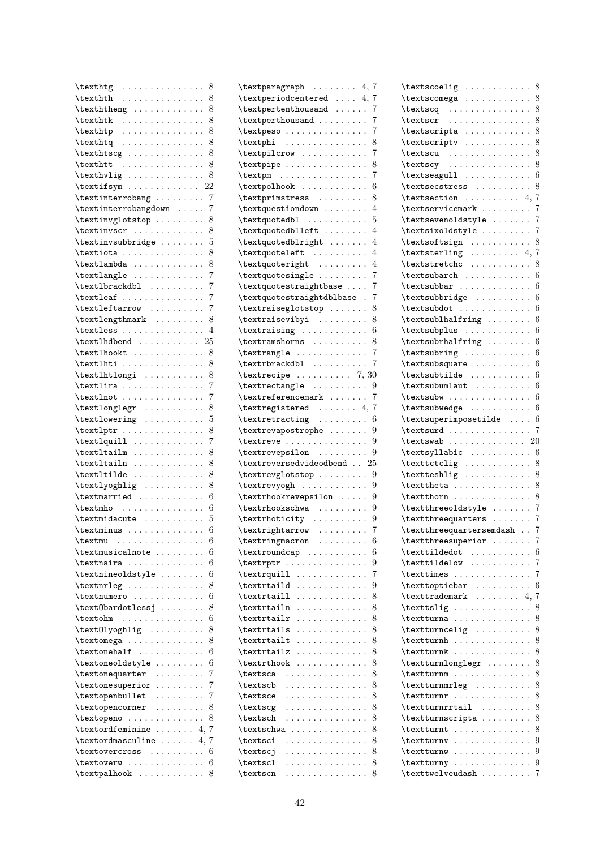| $\text{texthtg} \dots \dots \dots \dots$                                                                                                                                                                                                                                                                                                                                                                                                                                          |                      |                             |                      |                      |                      |    |           | 8                               |
|-----------------------------------------------------------------------------------------------------------------------------------------------------------------------------------------------------------------------------------------------------------------------------------------------------------------------------------------------------------------------------------------------------------------------------------------------------------------------------------|----------------------|-----------------------------|----------------------|----------------------|----------------------|----|-----------|---------------------------------|
| $\text{texthth}$                                                                                                                                                                                                                                                                                                                                                                                                                                                                  |                      |                             |                      |                      |                      |    |           | 8                               |
| $\text{texththen}$                                                                                                                                                                                                                                                                                                                                                                                                                                                                |                      |                             |                      |                      |                      |    |           | 8                               |
| $\text{texthtk} \dots \dots \dots \dots$                                                                                                                                                                                                                                                                                                                                                                                                                                          |                      |                             |                      |                      |                      |    |           | 8                               |
| \texthtp<br>.                                                                                                                                                                                                                                                                                                                                                                                                                                                                     |                      |                             |                      |                      |                      |    |           | 8                               |
| \texthtq<br>.                                                                                                                                                                                                                                                                                                                                                                                                                                                                     |                      |                             |                      |                      |                      |    |           | 8<br>$\ddot{\phantom{a}}$       |
| $\text{texthtseg} \dots \dots \dots$                                                                                                                                                                                                                                                                                                                                                                                                                                              |                      |                             |                      |                      |                      |    |           | 8                               |
|                                                                                                                                                                                                                                                                                                                                                                                                                                                                                   |                      |                             |                      |                      |                      |    |           | 8                               |
| \texthtt<br>. The second property is the second part of $\mathcal{L}_1$                                                                                                                                                                                                                                                                                                                                                                                                           |                      |                             |                      |                      |                      |    |           | $\ddot{\phantom{0}}$            |
| \texthvlig                                                                                                                                                                                                                                                                                                                                                                                                                                                                        |                      |                             |                      |                      |                      |    |           | 8<br>$\ddot{\phantom{0}}$<br>22 |
| \textifsym                                                                                                                                                                                                                                                                                                                                                                                                                                                                        |                      |                             |                      |                      |                      |    |           |                                 |
| $\text{testinterrobang} \dots \dots$                                                                                                                                                                                                                                                                                                                                                                                                                                              |                      |                             |                      |                      |                      |    |           | 7<br>$\ddot{\phantom{0}}$       |
| \textinterrobangdown                                                                                                                                                                                                                                                                                                                                                                                                                                                              |                      |                             |                      |                      |                      |    |           | 7                               |
| \textinvglotstop                                                                                                                                                                                                                                                                                                                                                                                                                                                                  |                      |                             |                      |                      |                      |    |           | 8                               |
| \textinvscr                                                                                                                                                                                                                                                                                                                                                                                                                                                                       |                      |                             |                      |                      |                      |    |           | 8<br>$\ddot{\phantom{0}}$       |
| \textinvsubbridge                                                                                                                                                                                                                                                                                                                                                                                                                                                                 |                      |                             |                      |                      |                      |    |           | 5<br>$\ddot{\phantom{0}}$       |
| $\texttt{textiota} \dots \dots \dots \dots$                                                                                                                                                                                                                                                                                                                                                                                                                                       |                      |                             |                      |                      |                      |    |           | 8                               |
| $\texttt{textlambda}$                                                                                                                                                                                                                                                                                                                                                                                                                                                             |                      |                             |                      |                      |                      |    |           | 8                               |
| \textlangle                                                                                                                                                                                                                                                                                                                                                                                                                                                                       |                      |                             |                      |                      |                      |    |           | 7                               |
| $\verb+\textlbrackdb1 + \ldots + \ldots$                                                                                                                                                                                                                                                                                                                                                                                                                                          |                      |                             |                      |                      |                      |    |           | 7                               |
| $\text{textleaf} \dots \dots \dots \dots$                                                                                                                                                                                                                                                                                                                                                                                                                                         |                      |                             |                      |                      |                      |    |           | 7                               |
| \textleftarrow                                                                                                                                                                                                                                                                                                                                                                                                                                                                    |                      |                             |                      |                      |                      |    |           | 7                               |
| \textlengthmark                                                                                                                                                                                                                                                                                                                                                                                                                                                                   |                      |                             |                      |                      |                      |    |           | 8                               |
| \textless                                                                                                                                                                                                                                                                                                                                                                                                                                                                         |                      |                             |                      |                      |                      |    |           | 4                               |
| $\texttt{textlhdend}$                                                                                                                                                                                                                                                                                                                                                                                                                                                             |                      |                             |                      |                      |                      |    |           | 25                              |
| $\texttt{textlhook} \dots \dots \dots$                                                                                                                                                                                                                                                                                                                                                                                                                                            |                      |                             |                      |                      |                      |    |           | 8                               |
|                                                                                                                                                                                                                                                                                                                                                                                                                                                                                   |                      |                             |                      |                      |                      |    |           | $\ddot{\phantom{0}}$            |
| $\text{textlhti} \dots \dots \dots \dots$                                                                                                                                                                                                                                                                                                                                                                                                                                         |                      |                             |                      |                      |                      |    |           | 8                               |
| \textlhtlongi                                                                                                                                                                                                                                                                                                                                                                                                                                                                     |                      |                             |                      |                      |                      |    |           | 8                               |
| $\text{text}$                                                                                                                                                                                                                                                                                                                                                                                                                                                                     |                      |                             |                      |                      |                      |    |           | 7                               |
| $\text{text} \dots \dots \dots$                                                                                                                                                                                                                                                                                                                                                                                                                                                   |                      |                             |                      |                      |                      |    |           | 7                               |
| $\text{textlonglegr} \dots \dots \dots$                                                                                                                                                                                                                                                                                                                                                                                                                                           |                      |                             |                      |                      |                      |    |           | 8<br>$\ddot{\phantom{0}}$       |
| $\text{textlowering} \dots \dots$                                                                                                                                                                                                                                                                                                                                                                                                                                                 |                      |                             |                      |                      |                      |    |           | 5                               |
| $\text{textlptr} \dots \dots \dots$                                                                                                                                                                                                                                                                                                                                                                                                                                               |                      |                             |                      |                      |                      |    |           | 8<br>$\ddot{\phantom{0}}$       |
| $\text{textlquill} \dots \dots \dots$                                                                                                                                                                                                                                                                                                                                                                                                                                             |                      |                             |                      |                      |                      |    |           | 7                               |
| $\texttt{textlailm}$<br>$\mathcal{L}^{\mathcal{A}}(\mathcal{A}^{\mathcal{A}}(\mathcal{A}^{\mathcal{A}}(\mathcal{A}^{\mathcal{A}}(\mathcal{A}^{\mathcal{A}}(\mathcal{A}^{\mathcal{A}}(\mathcal{A}^{\mathcal{A}}(\mathcal{A}^{\mathcal{A}}(\mathcal{A}^{\mathcal{A}}(\mathcal{A}^{\mathcal{A}}(\mathcal{A}^{\mathcal{A}}(\mathcal{A}^{\mathcal{A}}(\mathcal{A}^{\mathcal{A}}(\mathcal{A}^{\mathcal{A}}(\mathcal{A}^{\mathcal{A}}(\mathcal{A}^{\mathcal{A}}(\mathcal{A}^{\mathcal{A$ |                      |                             |                      |                      |                      |    |           | 8                               |
| \textltailn<br>.                                                                                                                                                                                                                                                                                                                                                                                                                                                                  |                      |                             |                      |                      |                      |    |           | 8<br>$\ddot{\phantom{0}}$       |
| $\text{tetide} \dots \dots \dots$                                                                                                                                                                                                                                                                                                                                                                                                                                                 |                      |                             |                      |                      |                      |    |           | 8<br>$\ddot{\phantom{0}}$       |
| \textlyoghlig                                                                                                                                                                                                                                                                                                                                                                                                                                                                     |                      |                             |                      |                      |                      |    |           | 8                               |
| $\text{textmarried}$                                                                                                                                                                                                                                                                                                                                                                                                                                                              |                      |                             |                      |                      |                      |    |           | 6                               |
| $\texttt{textmho} \dots \dots \dots \dots$                                                                                                                                                                                                                                                                                                                                                                                                                                        |                      |                             |                      |                      |                      |    |           | 6                               |
| \textmidacute                                                                                                                                                                                                                                                                                                                                                                                                                                                                     |                      |                             |                      |                      |                      |    |           | 5                               |
|                                                                                                                                                                                                                                                                                                                                                                                                                                                                                   |                      |                             |                      |                      |                      | L. | $\ddotsc$ | 6                               |
| $\text{textminus} \dots \dots \dots$                                                                                                                                                                                                                                                                                                                                                                                                                                              |                      |                             |                      |                      |                      |    |           |                                 |
| $\texttt{textmu} \dots \dots \dots$                                                                                                                                                                                                                                                                                                                                                                                                                                               |                      |                             |                      |                      |                      |    |           | 6                               |
| \textmusicalnote .                                                                                                                                                                                                                                                                                                                                                                                                                                                                |                      | $\ddot{\phantom{a}}$        |                      |                      |                      |    |           | 6                               |
| \textnaira                                                                                                                                                                                                                                                                                                                                                                                                                                                                        |                      |                             | $\ddot{\phantom{0}}$ |                      |                      |    |           | 6                               |
| \textnineoldstyle                                                                                                                                                                                                                                                                                                                                                                                                                                                                 |                      |                             |                      | $\ddot{\phantom{0}}$ |                      |    |           | 6                               |
| \textnrleg                                                                                                                                                                                                                                                                                                                                                                                                                                                                        |                      |                             |                      |                      |                      |    |           | 8                               |
| \textnumero                                                                                                                                                                                                                                                                                                                                                                                                                                                                       |                      | $\Box$                      | $\ddot{\phantom{0}}$ | $\ddot{\phantom{0}}$ |                      |    |           | 6                               |
| \text0bardotlessj.                                                                                                                                                                                                                                                                                                                                                                                                                                                                |                      |                             | $\ddot{\phantom{0}}$ | $\ddot{\phantom{0}}$ |                      |    |           | 8                               |
| \textohm<br>.                                                                                                                                                                                                                                                                                                                                                                                                                                                                     |                      |                             | $\ddot{\phantom{0}}$ | $\ddotsc$            |                      |    |           | 6                               |
| \text0lyoghlig .                                                                                                                                                                                                                                                                                                                                                                                                                                                                  |                      | е.                          | ¥.                   | $\ddot{\phantom{0}}$ | $\ddot{\phantom{0}}$ |    |           | 8                               |
| \textomega                                                                                                                                                                                                                                                                                                                                                                                                                                                                        |                      | е.                          | $\ddot{\phantom{0}}$ | $\cdot$              |                      |    |           | 8                               |
| \textonehalf                                                                                                                                                                                                                                                                                                                                                                                                                                                                      |                      |                             | $\ddot{\phantom{0}}$ |                      |                      |    |           | 6                               |
| \textoneoldstyle                                                                                                                                                                                                                                                                                                                                                                                                                                                                  | $\ddot{\phantom{a}}$ | $\ddot{\phantom{0}}$        | $\ddot{\phantom{0}}$ | $\ddot{\phantom{0}}$ |                      |    |           | 6                               |
| \textonequarter                                                                                                                                                                                                                                                                                                                                                                                                                                                                   |                      | $\ddot{\phantom{0}}$        | $\ddot{\phantom{0}}$ |                      |                      |    |           | 7                               |
| \textonesuperior                                                                                                                                                                                                                                                                                                                                                                                                                                                                  |                      |                             |                      | $\ddot{\phantom{0}}$ |                      |    |           | 7                               |
| \textopenbullet                                                                                                                                                                                                                                                                                                                                                                                                                                                                   |                      | ¥.                          | $\ddot{\phantom{0}}$ | $\ddot{\phantom{0}}$ |                      |    |           | 7                               |
| \textopencorner                                                                                                                                                                                                                                                                                                                                                                                                                                                                   | ÷.                   | $\ddot{\phantom{0}}$        |                      | $\ddot{\phantom{0}}$ |                      |    |           | 8                               |
| \textopeno                                                                                                                                                                                                                                                                                                                                                                                                                                                                        |                      |                             |                      |                      |                      |    |           | 8                               |
| \textordfeminine                                                                                                                                                                                                                                                                                                                                                                                                                                                                  |                      |                             |                      |                      |                      |    |           | 7                               |
|                                                                                                                                                                                                                                                                                                                                                                                                                                                                                   | $\ddot{\phantom{0}}$ | $\ddot{\phantom{0}}$        | $\ddot{\phantom{0}}$ | $\ddot{\phantom{0}}$ |                      |    |           | 4,                              |
| \textordmasculine                                                                                                                                                                                                                                                                                                                                                                                                                                                                 |                      | $\ddot{\phantom{a}}$        | $\ddot{\phantom{a}}$ | $\cdot$              |                      |    |           | 7<br>4,                         |
| \textovercross                                                                                                                                                                                                                                                                                                                                                                                                                                                                    |                      | $\sim$ $\sim$ $\sim$ $\sim$ |                      |                      |                      |    | $\cdot$   | 6                               |
| \textoverw                                                                                                                                                                                                                                                                                                                                                                                                                                                                        |                      | $\ddotsc$                   | $\ddot{\phantom{0}}$ | $\ddot{\phantom{0}}$ |                      |    |           | 6                               |
| $\texttt{\texttt{t}}$                                                                                                                                                                                                                                                                                                                                                                                                                                                             |                      |                             |                      |                      |                      |    |           | 8                               |

| $\texttt{textparagnh}$                                                                                                                                                                                                                                   |                      |                      |                      | 7<br>4,                   |
|----------------------------------------------------------------------------------------------------------------------------------------------------------------------------------------------------------------------------------------------------------|----------------------|----------------------|----------------------|---------------------------|
| $\texttt{\texttt{textend}}$ 4,                                                                                                                                                                                                                           |                      |                      |                      | 7                         |
| \textpertenthousand                                                                                                                                                                                                                                      |                      |                      |                      | 7                         |
| \textperthousand                                                                                                                                                                                                                                         |                      |                      |                      | 7                         |
| \textpeso                                                                                                                                                                                                                                                |                      |                      |                      | 7                         |
| $\text{textphi}$                                                                                                                                                                                                                                         |                      |                      |                      | 8                         |
| \textpilcrow                                                                                                                                                                                                                                             |                      |                      |                      | 7                         |
| $\text{textpipe} \dots \dots \dots \dots$                                                                                                                                                                                                                |                      |                      |                      | 8                         |
| $\texttt{textpm} \dots \dots \dots \dots$                                                                                                                                                                                                                |                      |                      |                      | 7                         |
| $\texttt{textpolhook} \dots \dots \dots$                                                                                                                                                                                                                 |                      |                      |                      | 6                         |
| \textprimstress                                                                                                                                                                                                                                          |                      |                      |                      | 8                         |
| \textquestiondown                                                                                                                                                                                                                                        |                      |                      |                      | 4                         |
| \textquotedbl                                                                                                                                                                                                                                            |                      |                      |                      | 5                         |
| \textquotedblleft                                                                                                                                                                                                                                        |                      |                      |                      | 4                         |
| \textquotedblright                                                                                                                                                                                                                                       |                      |                      |                      | 4                         |
| \textquoteleft                                                                                                                                                                                                                                           |                      |                      |                      | 4                         |
| \textquoteright                                                                                                                                                                                                                                          |                      |                      |                      | 4                         |
|                                                                                                                                                                                                                                                          |                      |                      |                      | 7                         |
|                                                                                                                                                                                                                                                          |                      |                      |                      |                           |
| \textquotestraightbase                                                                                                                                                                                                                                   |                      |                      |                      | 7                         |
| \textquotestraightdblbase                                                                                                                                                                                                                                |                      |                      |                      | 7                         |
| \textraiseglotstop                                                                                                                                                                                                                                       |                      |                      |                      | 8                         |
| $\text{textraising} \dots \dots$                                                                                                                                                                                                                         |                      |                      |                      | 8<br>$\ddot{\phantom{0}}$ |
| \textraising                                                                                                                                                                                                                                             |                      |                      |                      | 6                         |
| \textramshorns                                                                                                                                                                                                                                           |                      |                      |                      | 8                         |
| \textrangle                                                                                                                                                                                                                                              |                      |                      |                      | 7                         |
| $\texttt{\texttt{text} \dots \dots \dots}$                                                                                                                                                                                                               |                      |                      |                      | 7                         |
| $\text{textrecipe}$ 7, 30                                                                                                                                                                                                                                |                      |                      |                      |                           |
| $\text{textrectangle}$                                                                                                                                                                                                                                   |                      |                      |                      | 9                         |
| $\text{texterencemark} \dots \dots$                                                                                                                                                                                                                      |                      |                      |                      | 7                         |
| $\text{textregistered} \dots 4, 7$                                                                                                                                                                                                                       |                      |                      |                      |                           |
| $\text{textracting} \dots \dots$                                                                                                                                                                                                                         |                      |                      |                      | 6                         |
|                                                                                                                                                                                                                                                          |                      |                      |                      |                           |
|                                                                                                                                                                                                                                                          |                      |                      |                      | 9                         |
| $\texttt{\texttt{text} \$                                                                                                                                                                                                                                |                      |                      |                      | 9                         |
| \textreve<br>\textrevepsilon                                                                                                                                                                                                                             |                      |                      |                      | 9                         |
| \textreversedvideodbend $. 25$                                                                                                                                                                                                                           |                      |                      |                      |                           |
| \textrevglotstop                                                                                                                                                                                                                                         |                      |                      |                      | 9                         |
| $\text{textrevyogh} \dots \dots \dots$                                                                                                                                                                                                                   |                      |                      |                      | 9<br>$\ddot{\phantom{0}}$ |
|                                                                                                                                                                                                                                                          |                      |                      |                      | 9                         |
| \textrhookrevepsilon                                                                                                                                                                                                                                     |                      |                      |                      | 9                         |
| \textrhookschwa<br>\textrhoticity                                                                                                                                                                                                                        |                      |                      |                      | 9                         |
| $\text{textrightarrow} \dots \dots$                                                                                                                                                                                                                      |                      |                      |                      | $\overline{7}$            |
|                                                                                                                                                                                                                                                          |                      |                      |                      | 6                         |
| $\sim$ , and a set of $\sim$<br>$\ddot{\phantom{a}}$                                                                                                                                                                                                     |                      |                      |                      | 6                         |
| $\ddot{\phantom{0}}$<br>$\ddot{\phantom{0}}$<br>$\ddot{\phantom{0}}$<br>$\mathbb{Z}^2$ . The set of $\mathbb{Z}^2$                                                                                                                                       | $\ddot{\phantom{0}}$ |                      |                      | 9                         |
|                                                                                                                                                                                                                                                          |                      |                      |                      |                           |
| \textringmacron<br>\textroundcap<br>\textrptr<br>\textrquill<br>$\ddot{\phantom{0}}$<br>$\cdot$<br>$\ddot{\phantom{0}}$<br>$\ddot{\phantom{a}}$<br>$\cdot$<br>$\cdot$<br>$\ddot{\phantom{0}}$<br>$\ddotsc$<br>$\ddotsc$<br>$\ddot{\phantom{a}}$          | $\cdot$              |                      |                      | 7                         |
| \textrtaild                                                                                                                                                                                                                                              |                      |                      |                      | 9                         |
| \textrtaill<br>$\alpha$ , $\alpha$ , $\alpha$ , $\alpha$ , $\alpha$                                                                                                                                                                                      | $\ldots$ .           |                      |                      | 8                         |
| $\ddot{\phantom{0}}$<br>$\ddot{\phantom{0}}$<br>$\cdot$<br>$\ddot{\phantom{a}}$<br>$\cdot$<br>$\ddot{\phantom{0}}$<br>$\ddot{\phantom{0}}$                                                                                                               | $\ddot{\phantom{0}}$ | $\ddot{\phantom{0}}$ |                      | 8<br>$\ddot{\phantom{0}}$ |
| $\ddot{\phantom{0}}$<br>$\ddot{\phantom{0}}$<br>$\ddot{\phantom{0}}$<br>$\cdot$                                                                                                                                                                          |                      |                      |                      | 8                         |
| $\ddot{\phantom{0}}$<br>$\ddot{\phantom{a}}$<br>$\ddot{\phantom{a}}$                                                                                                                                                                                     | $\ddot{\phantom{0}}$ |                      |                      | 8                         |
| \textrtailn<br>\textrtailr<br>\textrtails<br>\textrtailt<br>$\ddot{\phantom{0}}$<br>$\ddot{\phantom{0}}$<br>$\ddot{\phantom{0}}$<br>$\ddot{\phantom{0}}$<br>$\ddot{\phantom{0}}$                                                                         |                      |                      |                      | 8                         |
| \textrtailz<br>$\ddot{\phantom{0}}$<br>$\ddot{\phantom{a}}$<br>$\ddot{\phantom{0}}$<br>$\ddot{\phantom{a}}$<br>$\ddot{\phantom{a}}$<br>$\ddot{\phantom{0}}$<br>$\ddot{\phantom{a}}$<br>$\ddot{\phantom{a}}$                                              | $\ddot{\phantom{a}}$ |                      |                      | 8                         |
| \textrthook<br>.<br>$\ddots$<br>$\ddot{\phantom{0}}$                                                                                                                                                                                                     | $\ddot{\phantom{a}}$ |                      |                      | 8                         |
| \textsca<br>$\ddot{\phantom{0}}$<br>$\ddot{\phantom{0}}$<br>$\ddot{\phantom{a}}$<br>$\ddot{\phantom{0}}$<br>$\ddot{\phantom{a}}$<br>$\ddotsc$<br>$\ddot{\phantom{0}}$<br>$\cdot$                                                                         | $\ddot{\phantom{0}}$ | $\ddot{\phantom{0}}$ | $\ddot{\phantom{0}}$ | 8<br>$\ddot{\phantom{0}}$ |
| \textscb<br>$\ddot{\phantom{0}}$<br>$\ddot{\phantom{0}}$<br>$\ddot{\phantom{0}}$<br>$\ddot{\phantom{0}}$<br>$\ddot{\phantom{a}}$<br>$\ddot{\phantom{0}}$<br>$\ddot{\phantom{a}}$<br>$\ddot{\phantom{0}}$<br>$\ddot{\phantom{1}}$<br>$\ddot{\phantom{0}}$ | $\ddot{\phantom{0}}$ |                      |                      | 8                         |
| $\ddotsc$<br>$\cdot$<br>$\cdot$<br>$\ddot{\phantom{a}}$<br>$\ddot{\phantom{0}}$<br>$\ddot{\phantom{a}}$<br>$\ddot{\phantom{0}}$<br>$\ddot{\phantom{a}}$                                                                                                  | $\ddot{\phantom{0}}$ |                      |                      | 8                         |
| \textsce<br>\textscg<br>$\ddot{\phantom{0}}$<br>$\ddot{\phantom{0}}$<br>$\ddot{\phantom{0}}$<br>$\ddot{\phantom{0}}$<br>$\ddot{\phantom{0}}$                                                                                                             |                      |                      |                      | 8                         |
| $\cdot$<br>$\ddot{\phantom{a}}$<br>$\cdot$<br>$\ddot{\phantom{0}}$<br>$\cdot$<br>$\ddot{\phantom{a}}$                                                                                                                                                    |                      |                      |                      | 8                         |
| \textsch<br>\textschwa<br>.<br>$\ddot{\phantom{a}}$<br>$\ddot{\phantom{0}}$                                                                                                                                                                              | $\ddot{\phantom{a}}$ |                      |                      | 8                         |
| \textsci<br>$\mathbf{1}$ , and $\mathbf{1}$ , and $\mathbf{1}$<br>$\cdot$<br>$\ddot{\phantom{0}}$<br>$\ddot{\phantom{0}}$                                                                                                                                | $\cdot$              | $\ddot{\phantom{0}}$ | $\ddot{\phantom{0}}$ | 8<br>$\ddot{\phantom{0}}$ |
| \textscj<br>$\ddot{\phantom{a}}$<br>$\ddot{\phantom{0}}$<br>$\ddot{\phantom{0}}$<br>$\cdot$<br>$\ddot{\phantom{0}}$<br>$\cdot$<br>$\ddot{\phantom{0}}$<br>$\ddot{\phantom{a}}$<br>$\ddot{\phantom{0}}$                                                   | $\ddot{\phantom{0}}$ |                      |                      | 8                         |
| \textscl<br>$\ddot{\phantom{0}}$<br>$\cdot$<br>$\cdot$<br>$\ddot{\phantom{a}}$<br>\textscn                                                                                                                                                               |                      |                      |                      | 8<br>8                    |

| \textscoelig                                                                                                                                                        |                                        |                                                  |                       |                      |                      |                                           |                      |                      |                      |                      |                      | 8  |
|---------------------------------------------------------------------------------------------------------------------------------------------------------------------|----------------------------------------|--------------------------------------------------|-----------------------|----------------------|----------------------|-------------------------------------------|----------------------|----------------------|----------------------|----------------------|----------------------|----|
| \textscomega                                                                                                                                                        |                                        |                                                  |                       |                      |                      |                                           |                      |                      |                      |                      |                      | 8  |
| $\text{testseq}$                                                                                                                                                    |                                        |                                                  |                       |                      |                      |                                           |                      |                      |                      |                      |                      | 8  |
| $\text{textscr}$                                                                                                                                                    |                                        |                                                  |                       |                      |                      |                                           |                      |                      |                      |                      |                      | 8  |
| \textscripta                                                                                                                                                        |                                        |                                                  |                       |                      |                      |                                           |                      |                      |                      |                      |                      | 8  |
| \textscriptv                                                                                                                                                        |                                        |                                                  |                       |                      |                      |                                           |                      |                      |                      |                      |                      | 8  |
| $\texttt{textscu} \dots \dots \dots \dots \dots$                                                                                                                    |                                        |                                                  |                       |                      |                      |                                           |                      |                      |                      |                      |                      | 8  |
| $\text{textsc} \quad \ldots \quad \ldots$                                                                                                                           |                                        |                                                  |                       |                      |                      |                                           |                      |                      |                      |                      |                      | 8  |
| $\texttt{textseagull}$                                                                                                                                              |                                        |                                                  |                       |                      |                      |                                           |                      |                      |                      |                      |                      | 6  |
| \textsecstress                                                                                                                                                      |                                        |                                                  |                       |                      |                      |                                           |                      |                      |                      |                      |                      | 8  |
| $\text{testsection} \dots \dots \dots 4.$                                                                                                                           |                                        |                                                  |                       |                      |                      |                                           |                      |                      |                      |                      |                      | 7  |
| $\texttt{textserving} \dots \dots$                                                                                                                                  |                                        |                                                  |                       |                      |                      |                                           |                      |                      |                      |                      |                      | 7  |
| \textsevenoldstyle                                                                                                                                                  |                                        |                                                  |                       |                      |                      |                                           |                      |                      |                      |                      |                      | 7  |
| \textsixoldstyle                                                                                                                                                    |                                        |                                                  |                       |                      |                      |                                           |                      |                      |                      |                      |                      | 7  |
|                                                                                                                                                                     |                                        |                                                  |                       |                      |                      |                                           |                      |                      |                      |                      |                      |    |
| \textsoftsign<br>$\text{text}$ 4,                                                                                                                                   |                                        |                                                  |                       |                      |                      |                                           |                      |                      |                      |                      |                      | 8  |
|                                                                                                                                                                     |                                        |                                                  |                       |                      |                      |                                           |                      |                      |                      |                      |                      | 7  |
| \textstretchc                                                                                                                                                       |                                        |                                                  |                       |                      |                      |                                           |                      |                      |                      |                      |                      | 8  |
| $\texttt{textsubarch}$                                                                                                                                              |                                        |                                                  |                       |                      |                      |                                           |                      |                      |                      |                      |                      | 6  |
| $\texttt{textsubbar}$                                                                                                                                               |                                        |                                                  |                       |                      |                      |                                           |                      |                      |                      |                      |                      | 6  |
| \textsubbridge                                                                                                                                                      |                                        |                                                  |                       |                      |                      |                                           |                      |                      |                      |                      |                      | 6  |
| \textsubdot                                                                                                                                                         |                                        |                                                  |                       |                      |                      |                                           |                      |                      |                      |                      |                      | 6  |
| \textsublhalfring                                                                                                                                                   |                                        |                                                  |                       |                      |                      |                                           |                      |                      |                      |                      |                      | 6  |
| \textsubplus                                                                                                                                                        |                                        |                                                  |                       |                      |                      |                                           |                      |                      |                      |                      |                      | 6  |
| \textsubrhalfring                                                                                                                                                   |                                        |                                                  |                       |                      |                      |                                           |                      |                      |                      |                      |                      | 6  |
| \textsubring                                                                                                                                                        |                                        |                                                  |                       |                      |                      |                                           |                      |                      |                      |                      |                      | 6  |
| \textsubsquare                                                                                                                                                      |                                        |                                                  |                       |                      |                      |                                           |                      |                      |                      |                      |                      | 6  |
| \textsubtilde                                                                                                                                                       |                                        |                                                  |                       |                      |                      |                                           |                      |                      |                      |                      |                      | 6  |
| \textsubumlaut                                                                                                                                                      |                                        |                                                  |                       |                      |                      |                                           |                      |                      |                      |                      |                      | 6  |
| $\text{textsubw} \dots \dots \dots$                                                                                                                                 |                                        |                                                  |                       |                      |                      |                                           |                      |                      |                      |                      |                      | 6  |
| \textsubwedge                                                                                                                                                       |                                        |                                                  |                       |                      |                      |                                           |                      |                      |                      |                      |                      | 6  |
| \textsuperimposetilde                                                                                                                                               |                                        |                                                  |                       |                      |                      |                                           |                      |                      |                      | $\ldots$ .           |                      | 6  |
|                                                                                                                                                                     |                                        |                                                  |                       |                      |                      |                                           |                      |                      |                      |                      |                      |    |
|                                                                                                                                                                     |                                        |                                                  |                       |                      |                      |                                           |                      |                      |                      |                      |                      |    |
|                                                                                                                                                                     |                                        |                                                  |                       |                      |                      |                                           |                      |                      |                      |                      |                      | 7  |
|                                                                                                                                                                     |                                        |                                                  |                       |                      |                      |                                           |                      |                      |                      |                      |                      | 20 |
|                                                                                                                                                                     |                                        |                                                  |                       |                      |                      |                                           |                      |                      |                      |                      |                      | 6  |
|                                                                                                                                                                     |                                        |                                                  |                       |                      |                      |                                           |                      |                      |                      |                      |                      | 8  |
|                                                                                                                                                                     |                                        |                                                  |                       |                      |                      |                                           |                      |                      |                      |                      |                      | 8  |
| $\text{text} \dots \dots \dots$<br>$\texttt{textswab}$<br>\textsyllabic<br>$\text{textclig} \dots \dots \dots$<br>\textteshlig<br>$\texttt{text} \dots \dots \dots$ |                                        |                                                  |                       |                      |                      |                                           |                      |                      |                      |                      |                      | 8  |
| \textthorn                                                                                                                                                          |                                        |                                                  |                       |                      |                      |                                           |                      |                      |                      |                      |                      | 8  |
| \textthreeoldstyle                                                                                                                                                  |                                        |                                                  |                       |                      |                      |                                           |                      |                      |                      |                      |                      | 7  |
| \textthreequarters                                                                                                                                                  |                                        |                                                  |                       |                      |                      |                                           |                      |                      |                      |                      |                      | 7  |
| \textthreequartersemdash                                                                                                                                            |                                        |                                                  |                       |                      |                      |                                           |                      |                      |                      |                      |                      | 7  |
| \textthreesuperior                                                                                                                                                  |                                        |                                                  |                       |                      |                      |                                           |                      |                      |                      |                      |                      | 7  |
| \texttildedot                                                                                                                                                       |                                        | $\mathbb{Z}^2$ . $\mathbb{Z}^2$ , $\mathbb{Z}^2$ |                       |                      |                      | $\ddot{\phantom{0}}$                      |                      |                      |                      |                      |                      | 6  |
| \texttildelow                                                                                                                                                       |                                        |                                                  | $\ddot{\phantom{a}}$  |                      |                      | $\ddot{\phantom{0}}$                      | $\ddot{\phantom{0}}$ |                      |                      |                      |                      | 7  |
| \texttimes                                                                                                                                                          |                                        |                                                  |                       |                      |                      |                                           |                      |                      |                      |                      |                      | 7  |
|                                                                                                                                                                     |                                        |                                                  |                       |                      |                      | .                                         |                      |                      |                      |                      |                      | 6  |
| \texttoptiebar                                                                                                                                                      |                                        |                                                  |                       |                      |                      |                                           |                      |                      |                      |                      |                      |    |
| \texttrademark                                                                                                                                                      |                                        |                                                  |                       |                      |                      | .                                         |                      |                      |                      |                      | 4,                   | 7  |
| \texttslig                                                                                                                                                          |                                        |                                                  |                       |                      |                      |                                           |                      |                      |                      |                      | $\ddot{\phantom{a}}$ | 8  |
| \textturna                                                                                                                                                          | .                                      |                                                  |                       |                      | $\ddot{\phantom{0}}$ |                                           | $\mathcal{L}$        |                      |                      |                      |                      | 8  |
| \textturncelig                                                                                                                                                      |                                        |                                                  | $\ddot{\phantom{0}}$  |                      | $\ddot{\phantom{0}}$ | $\ddot{\phantom{0}}$                      | $\ddot{\phantom{0}}$ |                      |                      |                      |                      | 8  |
| \textturnh                                                                                                                                                          |                                        |                                                  | 1.1.1.1.1             |                      |                      |                                           |                      |                      |                      |                      |                      | 8  |
| $\text{textturnk}$                                                                                                                                                  |                                        |                                                  |                       |                      |                      |                                           |                      |                      |                      |                      |                      | 8  |
| \textturnlonglegr                                                                                                                                                   |                                        |                                                  |                       |                      |                      |                                           |                      |                      |                      |                      |                      | 8  |
| \textturnm                                                                                                                                                          | $\mathbb{R}^n$ . In the $\mathbb{R}^n$ |                                                  |                       |                      | $\ddot{\phantom{0}}$ |                                           | $\ddot{\phantom{0}}$ | $\ddot{\phantom{0}}$ | ÷.                   |                      |                      | 8  |
| \textturnmrleg                                                                                                                                                      |                                        |                                                  |                       |                      |                      | $\ddot{\phantom{0}}$                      |                      |                      |                      |                      |                      | 8  |
| \textturnr                                                                                                                                                          |                                        |                                                  |                       |                      | $\ddot{\phantom{0}}$ | $\ddot{\phantom{0}}$                      | $\ddot{\phantom{0}}$ |                      |                      |                      |                      | 8  |
| \textturnrrtail                                                                                                                                                     |                                        |                                                  |                       | $\ddot{\phantom{a}}$ |                      |                                           |                      |                      |                      |                      |                      | 8  |
| \textturnscripta.                                                                                                                                                   |                                        |                                                  |                       |                      |                      | $\alpha$ , $\alpha$ , $\alpha$ , $\alpha$ |                      |                      |                      |                      |                      | 8  |
| \textturnt                                                                                                                                                          |                                        |                                                  |                       |                      |                      |                                           |                      |                      | ÷.                   | $\ddot{\phantom{0}}$ |                      | 8  |
| \textturnv                                                                                                                                                          |                                        |                                                  |                       |                      |                      |                                           | ¥.                   | $\ddot{\phantom{0}}$ | ÷.                   |                      |                      | 9  |
| \textturnw                                                                                                                                                          |                                        |                                                  |                       |                      |                      |                                           |                      |                      | $\ddot{\phantom{0}}$ |                      |                      | 9  |
| \textturny                                                                                                                                                          | $\sim 100$ km s $^{-1}$                |                                                  | $\sim 100$ km $^{-1}$ |                      |                      | $\ddot{\phantom{0}}$                      | $\ddot{\phantom{0}}$ | $\cdot$              | $\ddot{\phantom{0}}$ |                      |                      | 9  |
| \texttwelveudash                                                                                                                                                    |                                        |                                                  |                       |                      |                      |                                           |                      |                      |                      |                      |                      | 7  |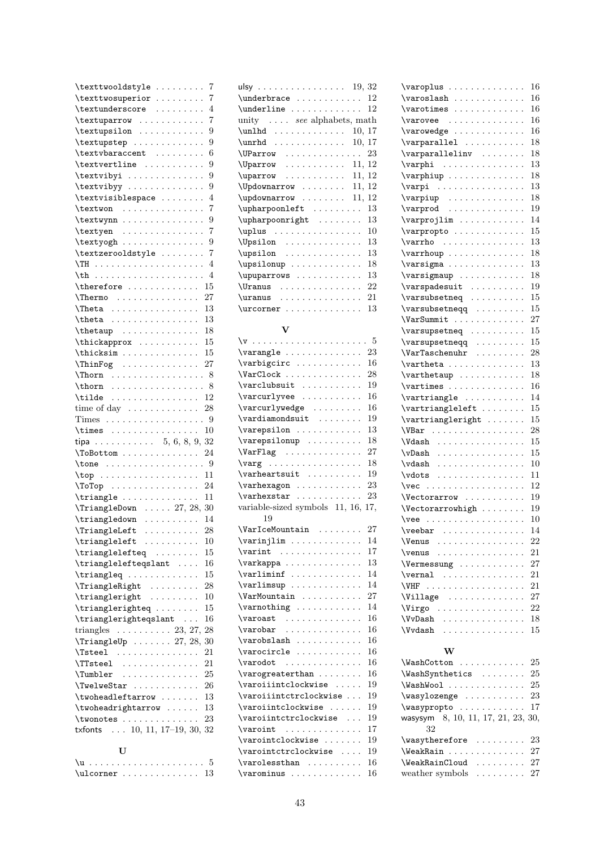| \texttwooldstyle                                                                                                  | 7  |
|-------------------------------------------------------------------------------------------------------------------|----|
| \texttwosuperior                                                                                                  | 7  |
| \textunderscore                                                                                                   | 4  |
| \textuparrow<br>.                                                                                                 | 7  |
| \textupsilon                                                                                                      | 9  |
| \textupstep                                                                                                       | 9  |
|                                                                                                                   | 6  |
| $\texttt{\textbackslash}$<br>$\ddot{\phantom{0}}$                                                                 |    |
| \textvertline                                                                                                     | 9  |
| $\texttt{textvibyi} \dots \dots \dots \dots$<br>$\ddot{\phantom{0}}$                                              | 9  |
| \textvibyy<br>$\cdots$<br>$\ddot{\phantom{0}}$                                                                    | 9  |
| \textvisiblespace<br>$\ddot{\phantom{a}}$                                                                         | 4  |
| $\text{textwon} \dots \dots \dots$                                                                                | 7  |
| $\text{textwynn} \dots \dots \dots$<br>$\ddot{\phantom{0}}$                                                       | 9  |
| \textyen                                                                                                          | 7  |
| $\text{textyogh} \dots \dots \dots$<br>$\ddot{\phantom{a}}$                                                       | 9  |
|                                                                                                                   | 7  |
| \textzerooldstyle<br>$\ddot{\phantom{0}}$<br>$\ddot{\phantom{a}}$<br>$\ddot{\phantom{0}}$<br>$\ddot{\phantom{a}}$ |    |
| $\ddot{\phantom{a}}$                                                                                              | 4  |
| $\mathcal{L}^{\pm}$                                                                                               | 4  |
| 15<br>\therefore<br>$\cdots$                                                                                      |    |
| 27<br>$\{\text{Thermo}\ \ldots \ldots \ldots$                                                                     |    |
| 13<br>$\ddot{\phantom{0}}$                                                                                        |    |
| 13<br>$\theta \ldots \ldots$<br>$\ddotsc$<br>$\ddot{\phantom{0}}$<br>$\ddot{\phantom{0}}$                         |    |
| 18<br>$\ddot{\phantom{0}}$                                                                                        |    |
| \thickapprox<br>15                                                                                                |    |
|                                                                                                                   |    |
| <sup>15</sup><br>\thicksim                                                                                        |    |
| 27<br>$\{\text{ThinFog} \dots \dots \dots \dots$                                                                  |    |
| $\lambda$ Thorn $\ldots \ldots \ldots \ldots$                                                                     | -8 |
| \thorn<br>.                                                                                                       | 8  |
| . 12<br>\tilde                                                                                                    |    |
| time of day $\dots \dots \dots \dots$<br>28                                                                       |    |
| Times 9                                                                                                           |    |
| 10                                                                                                                |    |
|                                                                                                                   |    |
|                                                                                                                   |    |
| tipa 5, 6, 8, 9, 32                                                                                               |    |
| 24<br>\ToBottom<br>$\cdots$<br>$\sim 100$                                                                         |    |
|                                                                                                                   |    |
|                                                                                                                   |    |
| $\Gamma$ otop 24                                                                                                  |    |
| 11<br>$\triangle$ riangle                                                                                         |    |
|                                                                                                                   |    |
| $\lvert$ TriangleDown  27, 28, 30<br>14                                                                           |    |
| \triangledown<br>$\mathbb{Z}^2$ . The set of the set of $\mathbb{Z}^2$                                            |    |
| 28<br>\TriangleLeft                                                                                               |    |
| $\triangle$<br>10                                                                                                 |    |
| \trianglelefteq<br>15                                                                                             |    |
| \trianglelefteqslant<br>16                                                                                        |    |
| 15<br>$\triangle$ riangleq                                                                                        |    |
| 28<br>$\{\text{TriangleRight} \dots \dots \dots \}$                                                               |    |
| $\{\text{triangleright} \dots \dots$<br>10                                                                        |    |
| 15                                                                                                                |    |
| \trianglerighteq<br>16                                                                                            |    |
| \trianglerighteqslant                                                                                             |    |
| triangles $\ldots \ldots \ldots 23, 27,$<br>28                                                                    |    |
| $\TriangleUp \ldots 27, 28, 30$                                                                                   |    |
| $\{\text{Tsteel} \dots \dots \dots \dots \}$<br>21<br>$\ddotsc$                                                   |    |
| $\T$ steel<br>21                                                                                                  |    |
| $\Upsilon$ umbler<br>25                                                                                           |    |
| $\Upsilon$ welweStar<br><b>26</b>                                                                                 |    |
| 13<br>$\verb \twoheadleftarrow   \dots \dots$                                                                     |    |
| 13                                                                                                                |    |
| $\verb \twoheadrightarrow   \ldots$<br>23                                                                         |    |
|                                                                                                                   |    |
| txfonts  10, 11, 17-19, 30, 32                                                                                    |    |
| U                                                                                                                 |    |

| $\ulcorner$ ulcorner  13 |  |  |  |  |  |  |  |  |
|--------------------------|--|--|--|--|--|--|--|--|

| ulsy 19, $32$                                     |
|---------------------------------------------------|
| 12                                                |
| $\underline{\dots \dots \dots \dots$<br>12        |
| unity  see alphabets, math                        |
| $\unlhd \dots \dots \dots$<br>10, 17              |
| 10, 17<br>$\unrhd. \ldots \ldots$                 |
| 23<br>\UParrow                                    |
| 11, 12<br>\Uparrow                                |
| 11, 12<br>$\uparrow \ldots \ldots$                |
| \Updownarrow<br>11, 12                            |
| 11, 12<br>\updownarrow                            |
| $\upmu$ pharpoonleft<br>13                        |
| \upharpoonright<br>13                             |
| $\upmu s$<br>10                                   |
| 13<br>\Upsilon                                    |
| 13<br>$\upsilon$                                  |
| 18<br>\upsilonup                                  |
| 13<br>\upuparrows                                 |
| 22<br>\Uranus                                     |
| 21<br>$\lvert \text{uranus} \ldots \ldots \rvert$ |
| 13<br>\urcorner                                   |

#### V

|                                      | 23  |
|--------------------------------------|-----|
| \varbigcirc                          | 16  |
| \VarClock                            | 28  |
| \varclubsuit                         | 19  |
| \varcurlyvee                         | 16  |
| \varcurlywedge                       | 16  |
| $\varphi$ : $\ldots$                 | 19  |
| \varepsilon                          | 13  |
| \varepsilonup                        | 18  |
| \VarFlag                             | 27  |
| \varg                                | 18  |
| $\varphi$ : $\varphi$                | 19  |
|                                      | 23  |
| $\vartheta$<br>\varhexstar           | 23  |
| variable-sized symbols 11, 16,       | 17, |
| 19                                   |     |
| \VarIceMountain                      | 27  |
| $\varphi$ : $\varphi$                | 14  |
| $\varphi$ .                          | 17  |
| \varkappa                            | 13  |
| $\varphi$ .<br>$\ddot{\phantom{a}}$  | 14  |
|                                      | 14  |
| \VarMountain                         | 27  |
| $\varphi \ldots \ldots$              | 14  |
| $\varphi$                            | 16  |
|                                      | 16  |
| $\varphi$ : $\varphi$                | 16  |
| \varocircle                          | 16  |
| $\varphi$                            | 16  |
| $\varphi$ : $\varphi$                | 16  |
| \varoiiintclockwise                  | 19  |
| \varoiiintctrclockwise               | 19  |
| \varoiintclockwise                   | 19  |
| $\varphi$<br>$\cdot$ $\cdot$ $\cdot$ | 19  |
| $\varphi$ .                          | 17  |
| \varointclockwise                    | 19  |
| \varointctrclockwise                 | 19  |
| $\varphi$ .                          | 16  |
| \varominus                           | 16  |
|                                      |     |

| \varoplus                                                                                                                                                                                                                      | 16       |
|--------------------------------------------------------------------------------------------------------------------------------------------------------------------------------------------------------------------------------|----------|
| $\ddot{\phantom{a}}$<br>$\ddot{\phantom{1}}$<br>$\ddot{\phantom{0}}$<br>$\ddot{\phantom{a}}$                                                                                                                                   | 16       |
| $\varphi$<br>$\ddot{\phantom{0}}$<br>$\ddot{\phantom{0}}$<br>$\ddot{\phantom{0}}$<br>$\ddot{\phantom{0}}$                                                                                                                      | 16       |
| $\sqrt{varovee}$                                                                                                                                                                                                               | 16       |
| $\vartheta$<br>$\mathcal{L}$<br>$\ddot{\phantom{0}}$<br>$\ddot{\phantom{a}}$                                                                                                                                                   | 16       |
| \varparallel<br>$\ddot{\phantom{a}}$<br>$\ddot{\phantom{a}}$<br>$\ddot{\phantom{0}}$<br>$\ddot{\phantom{0}}$<br>$\ddot{\phantom{0}}$                                                                                           | 18       |
| \varparallelinv<br>$\ddot{\phantom{a}}$<br>$\ddot{\phantom{a}}$<br>$\ddot{\phantom{0}}$                                                                                                                                        | 18       |
| $\varphi : \ldots$<br>$\sim$ .<br>$\ddot{\phantom{a}}$<br>$\ddot{\phantom{a}}$<br>$\ddot{\phantom{0}}$<br>$\ddot{\phantom{0}}$                                                                                                 | 13       |
| $\varphi$<br>$\ddotsc$<br>$\ddot{\phantom{0}}$<br>$\ddot{\phantom{0}}$<br>$\ddot{\phantom{0}}$                                                                                                                                 | 18       |
| $\varphi : \ldots : \ldots$<br>$\sim$ $\sim$<br>$\ddot{\phantom{0}}$<br>$\ddot{\phantom{0}}$<br>$\ddot{\phantom{0}}$<br>$\ddot{\phantom{a}}$                                                                                   | 13       |
| $\verb \varpiup  \ldots \ldots$<br>$\cdot$<br>$\ddot{\phantom{a}}$<br>$\ddot{\phantom{0}}$<br>$\ddot{\phantom{0}}$                                                                                                             | 18       |
| $\varphi$<br>$\ddot{\phantom{0}}$<br>$\ddot{\phantom{0}}$<br>$\ddot{\phantom{0}}$<br>$\ddot{\phantom{0}}$                                                                                                                      | 19       |
| \varprojlim<br>$\ldots$ .<br>$\ddot{\phantom{0}}$                                                                                                                                                                              | 14       |
| \varpropto.<br>$\ldots$ .<br>$\sim$ .<br>$\ddot{\phantom{0}}$<br>$\ddot{\phantom{0}}$                                                                                                                                          | 15       |
| \varrho<br>.<br>$\mathcal{L}$<br>$\ddot{\phantom{0}}$<br>$\ddot{\phantom{0}}$<br>$\ddot{\phantom{0}}$                                                                                                                          | 13       |
| \varrhoup<br>$\sim$ $\sim$<br>$\ddot{\phantom{0}}$<br>$\ddot{\phantom{0}}$<br>$\ddot{\phantom{0}}$                                                                                                                             | 18       |
| $\varphi \ldots \ldots$<br>$\Box$<br>$\ddot{\phantom{0}}$<br>$\ddot{\phantom{0}}$<br>$\ddot{\phantom{0}}$<br>$\ddot{\phantom{0}}$                                                                                              | 13       |
| \varsigmaup<br>$\ldots$ .<br>$\ddot{\phantom{0}}$<br>$\ddot{\phantom{0}}$<br>$\ddot{\phantom{0}}$<br>$\ddot{\phantom{0}}$<br>$\ddot{\phantom{0}}$                                                                              | 18       |
| \varspadesuit<br>$\ddot{\phantom{0}}$<br>$\ddot{\phantom{a}}$<br>$\ddot{\phantom{0}}$                                                                                                                                          | 19       |
| \varsubsetneq<br>$\ddot{\phantom{a}}$<br>$\ddot{\phantom{a}}$<br>$\ddot{\phantom{0}}$<br>$\ddot{\phantom{0}}$<br>$\ddot{\phantom{0}}$                                                                                          | 15       |
| \varsubsetneqq<br>$\sim$ .<br>$\ddot{\phantom{0}}$<br>$\ddot{\phantom{0}}$<br>$\ddot{\phantom{0}}$                                                                                                                             | 15       |
| $\verb \VarSummit  $<br>.<br>$\sim$ $\sim$<br>$\ddot{\phantom{0}}$<br>$\ddot{\phantom{0}}$<br>$\ddot{\phantom{0}}$                                                                                                             | 27       |
| \varsupsetneq .<br>$\ddot{\phantom{0}}$ .<br>$\ddot{\phantom{0}}$<br>$\ddot{\phantom{0}}$<br>$\ddot{\phantom{0}}$                                                                                                              | 15       |
| \varsupsetneqq<br>$\ddotsc$<br>$\ddot{\phantom{0}}$<br>$\ddot{\phantom{0}}$<br>$\ddot{\phantom{0}}$                                                                                                                            | 15       |
| \VarTaschenuhr<br>$\cdots$<br>$\ddot{\phantom{0}}$<br>$\ddot{\phantom{0}}$                                                                                                                                                     | 28       |
| \vartheta<br>$\ddot{\phantom{0}}$<br>$\ddot{\phantom{0}}$<br>$\ddot{\phantom{0}}$                                                                                                                                              | 13       |
| \varthetaup<br>$\ddot{\phantom{0}}$<br>$\ddot{\phantom{0}}$<br>$\ddot{\phantom{0}}$<br>$\ddot{\phantom{0}}$                                                                                                                    | 18       |
| $\vartheta$<br>$\Box$<br>$\ddot{\phantom{0}}$<br>$\ddot{\phantom{0}}$<br>$\ddot{\phantom{0}}$<br>$\ddot{\phantom{0}}$                                                                                                          | 16       |
| $\vartheta$<br>$\ddot{\phantom{0}}$<br>$\ddot{\phantom{0}}$<br>$\ddot{\phantom{0}}$                                                                                                                                            | 14       |
| \vartriangleleft<br>$\ddot{\phantom{0}}$<br>$\ddot{\phantom{0}}$<br>$\ddot{\phantom{0}}$                                                                                                                                       | 15       |
| $\verb \vartriangleright$<br>$\ddot{\phantom{a}}$<br>$\ddot{\phantom{0}}$                                                                                                                                                      | 15       |
| $VBar$<br>$\ddot{\phantom{0}}$<br>$\ddot{\phantom{a}}$<br>$\ddot{\phantom{0}}$<br>$\ddot{\phantom{a}}$                                                                                                                         | 28       |
| \Vdash<br>$\ddot{\phantom{0}}$<br>$\ddot{\phantom{0}}$<br>$\ddot{\phantom{0}}$                                                                                                                                                 | 15       |
| $\forall v$ Dash<br>$\ddot{\phantom{0}}$<br>$\ddot{\phantom{0}}$<br>$\ddot{\phantom{a}}$                                                                                                                                       | 15       |
| $\ddot{\phantom{0}}$<br>$\vdash$                                                                                                                                                                                               | 10       |
| .<br>$\cdot$<br>$\ddot{\phantom{a}}$<br>$\ddot{\phantom{0}}$<br>$\ddot{\phantom{0}}$<br>$\vdots$                                                                                                                               | 11       |
| $\ddot{\phantom{a}}$<br>$\ddot{\phantom{a}}$<br>$\ddot{\phantom{0}}$<br>$\ddot{\phantom{0}}$<br>$\forall$ ec                                                                                                                   | 12       |
| .<br>$\ddot{\phantom{a}}$<br>$\ddot{\phantom{a}}$<br>$\ddot{\phantom{0}}$<br>$\ddot{\phantom{0}}$<br>Vectorarrow                                                                                                               | 19       |
| $\ddot{\phantom{0}}$<br>$\ddot{\phantom{a}}$<br>$\Upsilon$                                                                                                                                                                     | 19       |
| $\ddot{\phantom{0}}$<br>$\ddot{\phantom{0}}$<br>$\ddot{\phantom{0}}$                                                                                                                                                           | 10       |
| \vee<br>$\cdots$                                                                                                                                                                                                               | 14       |
| $\verb \veebar $<br>Ļ,<br>$\epsilon$ , $\epsilon$ , $\epsilon$ , $\epsilon$<br>$\epsilon$ , $\epsilon$ , $\epsilon$<br>$\ddot{\phantom{0}}$<br><b>\Venus</b>                                                                   | 22       |
| $\ddots$<br>$\sim$ $\sim$ $\sim$ $\sim$ $\sim$<br>$\ddot{\phantom{a}}$                                                                                                                                                         | 21       |
| \venus                                                                                                                                                                                                                         | 27       |
| \Vermessung.                                                                                                                                                                                                                   |          |
| \vernal<br>$\sim 100$ km s $^{-1}$<br>$\ddot{\phantom{0}}$<br>$\ddotsc$<br>$\ddot{\phantom{0}}$<br>$\ddot{\phantom{0}}$                                                                                                        | 21<br>21 |
| \VHF<br>$\sim$ $\sim$ $\sim$ $\sim$<br>$\ddot{\phantom{0}}$<br>$\ddotsc$<br>$\ddot{\phantom{0}}$<br>$\ddotsc$                                                                                                                  |          |
| <b>\Village</b><br>$\ddot{\phantom{0}}$<br>$\ddot{\phantom{0}}$                                                                                                                                                                | 27       |
| \Virgo<br>$\ddot{\phantom{a}}$<br>$\ddot{\phantom{0}}$<br>$\ddot{\phantom{0}}$<br>$\ddot{\phantom{0}}$<br>$\ddot{\phantom{0}}$<br>$\ddot{\phantom{0}}$<br>$\ddot{\phantom{0}}$<br>$\ddot{\phantom{a}}$<br>$\ddot{\phantom{0}}$ | 22       |
| \VvDash<br>$\cdot$<br>$\ddot{\phantom{a}}$<br>$\mathbf{r}$<br>$\ddot{\phantom{a}}$<br>$\ddotsc$<br>$\cdot$<br>$\ddot{\phantom{a}}$<br>$\ddot{\phantom{a}}$                                                                     | 18       |
| \Vvdash<br>$\ddot{\phantom{0}}$<br>$\ddot{\phantom{0}}$<br>$\ddot{\phantom{0}}$<br>$\ddot{\phantom{a}}$<br>$\mathbf{1}$ $\mathbf{1}$                                                                                           | 15       |
| w                                                                                                                                                                                                                              |          |
|                                                                                                                                                                                                                                |          |

| $WashCottom$ $25$                           |  |
|---------------------------------------------|--|
| $WashSynthetics$ 25                         |  |
| $\Wash$ ashWool $25$                        |  |
| $\wedge$ wasylozenge  23                    |  |
| $\w$ asypropto  17                          |  |
| wasysym $8, 10, 11, 17, 21, 23, 30,$        |  |
| 32                                          |  |
| $\text{Wasythercfore} \dots \dots \dots 23$ |  |
| WeakRain  27                                |  |
| $\text{WeakRainCloud} \dots \dots \ 27$     |  |
| weather symbols $\dots \dots \dots 27$      |  |